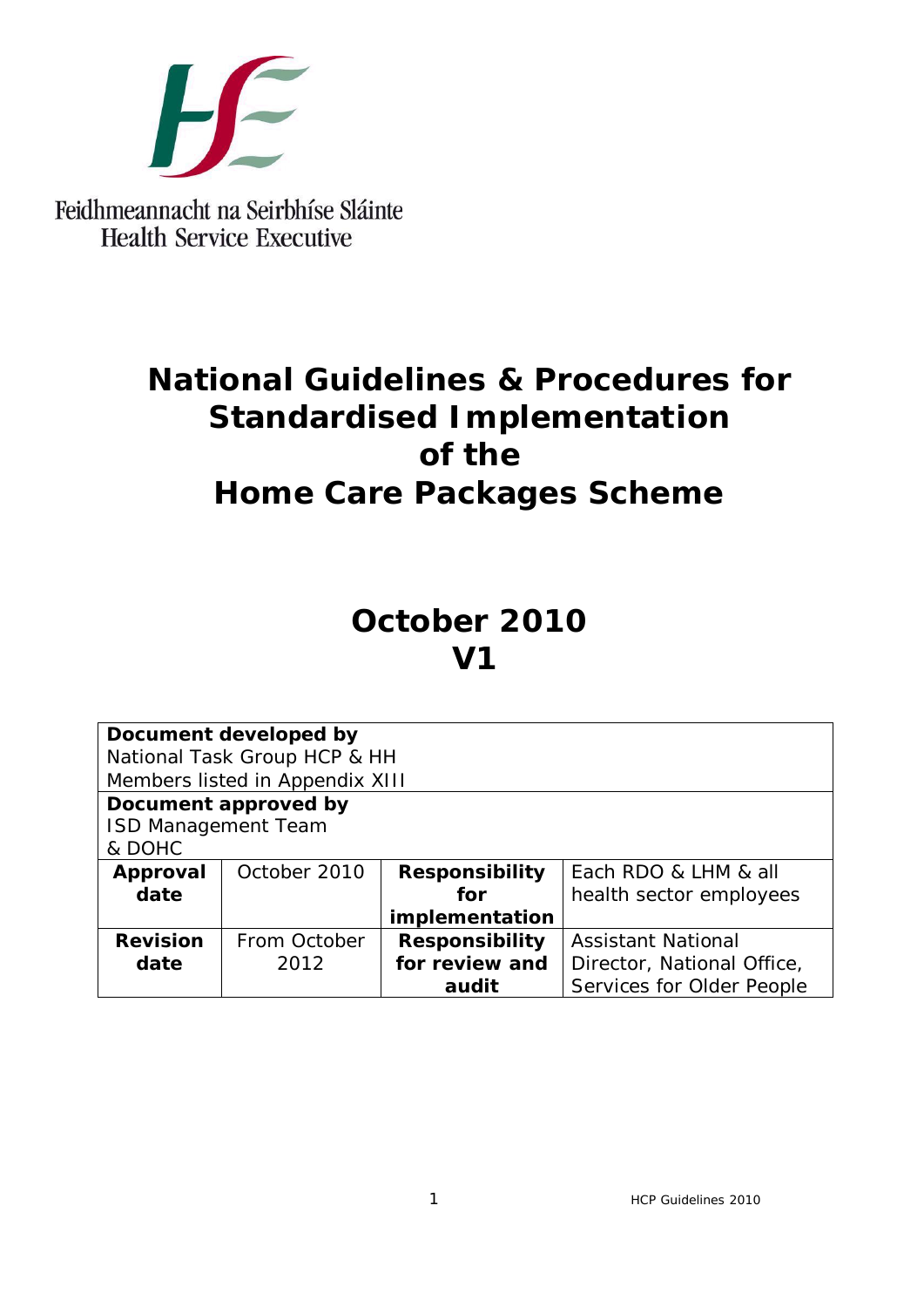

Feidhmeannacht na Seirbhíse Sláinte **Health Service Executive** 

# **National Guidelines & Procedures for Standardised Implementation of the Home Care Packages Scheme**

# *October 2010 V1*

| Document developed by           |              |                       |                            |  |
|---------------------------------|--------------|-----------------------|----------------------------|--|
| National Task Group HCP & HH    |              |                       |                            |  |
| Members listed in Appendix XIII |              |                       |                            |  |
| Document approved by            |              |                       |                            |  |
| <b>ISD Management Team</b>      |              |                       |                            |  |
| & DOHC                          |              |                       |                            |  |
| Approval                        | October 2010 | <b>Responsibility</b> | Each RDO & LHM & all       |  |
| date                            |              | for                   | health sector employees    |  |
|                                 |              | implementation        |                            |  |
| <b>Revision</b>                 | From October | <b>Responsibility</b> | <b>Assistant National</b>  |  |
| date                            | 2012         | for review and        | Director, National Office, |  |
|                                 |              | audit                 | Services for Older People  |  |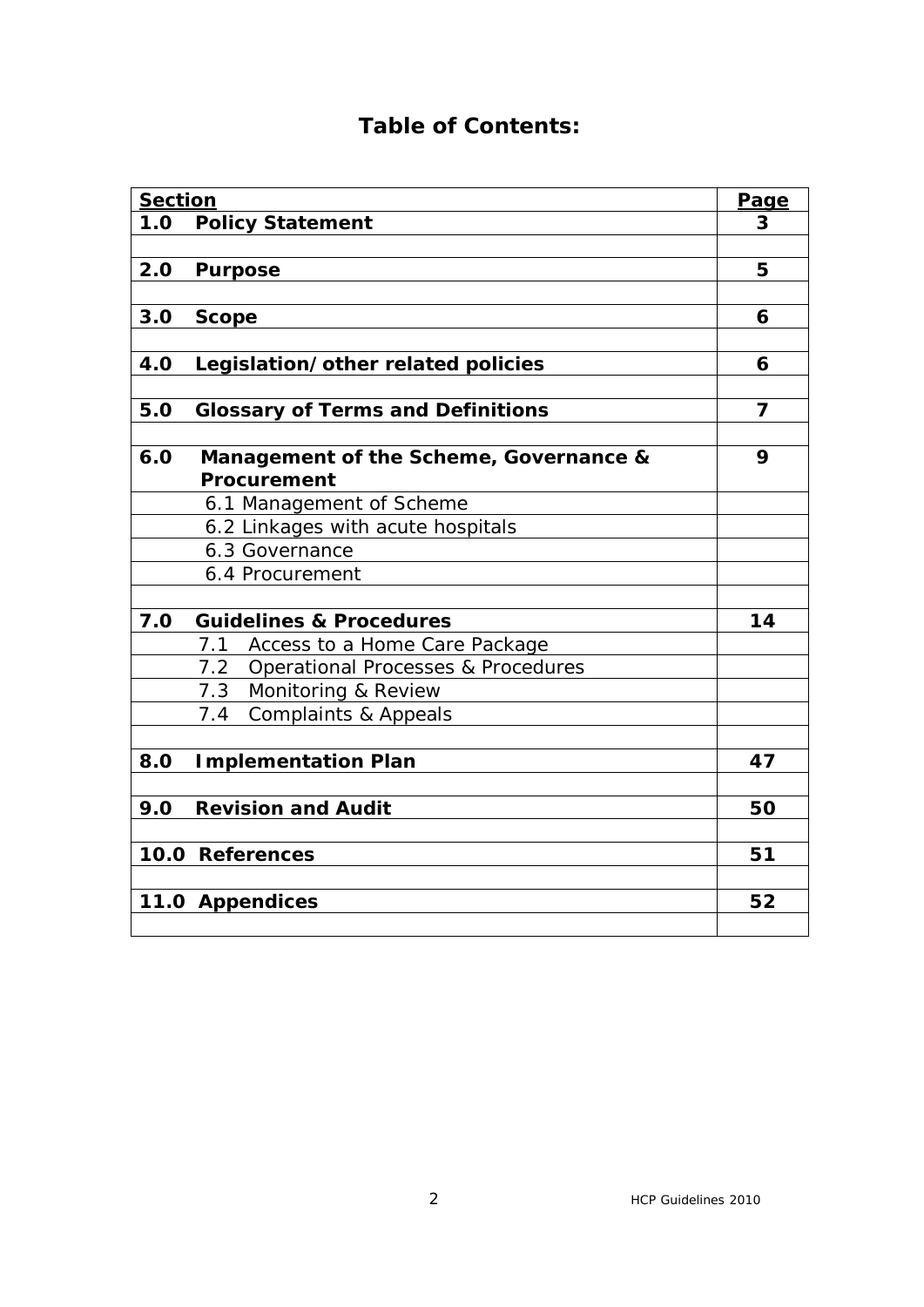# **Table of Contents:**

| <b>Section</b>  |                                          | Page |  |
|-----------------|------------------------------------------|------|--|
| 1.0             | <b>Policy Statement</b>                  | 3    |  |
|                 |                                          |      |  |
| 2.0             | <b>Purpose</b>                           | 5    |  |
|                 |                                          |      |  |
| 3.0             | <b>Scope</b>                             | 6    |  |
|                 |                                          |      |  |
| 4.0             | Legislation/other related policies       |      |  |
|                 |                                          |      |  |
| 5.0             | <b>Glossary of Terms and Definitions</b> |      |  |
|                 |                                          |      |  |
| 6.0             | Management of the Scheme, Governance &   |      |  |
|                 | Procurement                              |      |  |
|                 | 6.1 Management of Scheme                 |      |  |
|                 | 6.2 Linkages with acute hospitals        |      |  |
|                 | 6.3 Governance                           |      |  |
|                 | 6.4 Procurement                          |      |  |
|                 |                                          |      |  |
| 7.0             | <b>Guidelines &amp; Procedures</b>       | 14   |  |
|                 | 7.1<br>Access to a Home Care Package     |      |  |
|                 | 7.2 Operational Processes & Procedures   |      |  |
|                 | 7.3 Monitoring & Review                  |      |  |
|                 | 7.4<br><b>Complaints &amp; Appeals</b>   |      |  |
|                 |                                          |      |  |
| 8.0             | <b>Implementation Plan</b>               | 47   |  |
|                 |                                          |      |  |
| 9.0             | <b>Revision and Audit</b>                | 50   |  |
|                 |                                          | 51   |  |
| 10.0 References |                                          |      |  |
|                 |                                          | 52   |  |
| 11.0 Appendices |                                          |      |  |
|                 |                                          |      |  |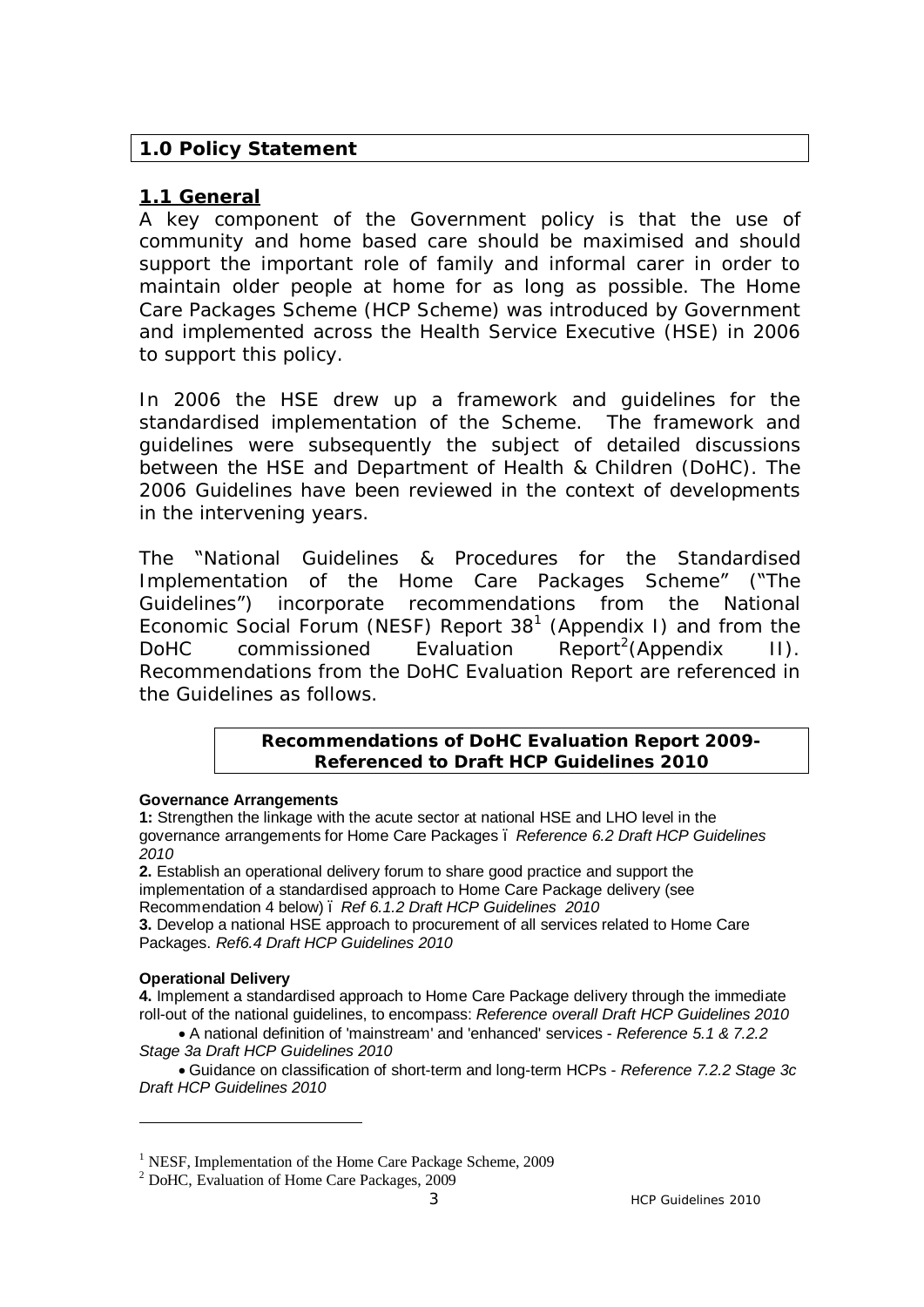## **1.0 Policy Statement**

# **1.1 General**

A key component of the Government policy is that the use of community and home based care should be maximised and should support the important role of family and informal carer in order to maintain older people at home for as long as possible. The Home Care Packages Scheme (HCP Scheme) was introduced by Government and implemented across the Health Service Executive (HSE) in 2006 to support this policy.

In 2006 the HSE drew up a framework and guidelines for the standardised implementation of the Scheme. The framework and guidelines were subsequently the subject of detailed discussions between the HSE and Department of Health & Children (DoHC). The 2006 Guidelines have been reviewed in the context of developments in the intervening years.

The "National Guidelines & Procedures for the Standardised Implementation of the Home Care Packages Scheme" ("The Guidelines") incorporate recommendations from the National Economic Social Forum (NESF) Report  $38<sup>1</sup>$  (Appendix I) and from the DoHC commissioned Evaluation Report<sup>2</sup>(Appendix II). Recommendations from the DoHC Evaluation Report are referenced in the Guidelines as follows.

#### **Recommendations of DoHC Evaluation Report 2009- Referenced to Draft HCP Guidelines 2010**

#### **Governance Arrangements**

**1:** Strengthen the linkage with the acute sector at national HSE and LHO level in the governance arrangements for Home Care Packages – *Reference 6.2 Draft HCP Guidelines 2010*

**2.** Establish an operational delivery forum to share good practice and support the implementation of a standardised approach to Home Care Package delivery (see Recommendation 4 below) – *Ref 6.1.2 Draft HCP Guidelines 2010* **3.** Develop a national HSE approach to procurement of all services related to Home Care

# Packages. *Ref6.4 Draft HCP Guidelines 2010*

#### **Operational Delivery**

 $\overline{a}$ 

**4.** Implement a standardised approach to Home Care Package delivery through the immediate roll-out of the national guidelines, to encompass: *Reference overall Draft HCP Guidelines 2010*

 · A national definition of 'mainstream' and 'enhanced' services - *Reference 5.1 & 7.2.2 Stage 3a Draft HCP Guidelines 2010*

 · Guidance on classification of short-term and long-term HCPs - *Reference 7.2.2 Stage 3c Draft HCP Guidelines 2010*

<sup>&</sup>lt;sup>1</sup> NESF, Implementation of the Home Care Package Scheme, 2009

<sup>2</sup> DoHC, Evaluation of Home Care Packages, 2009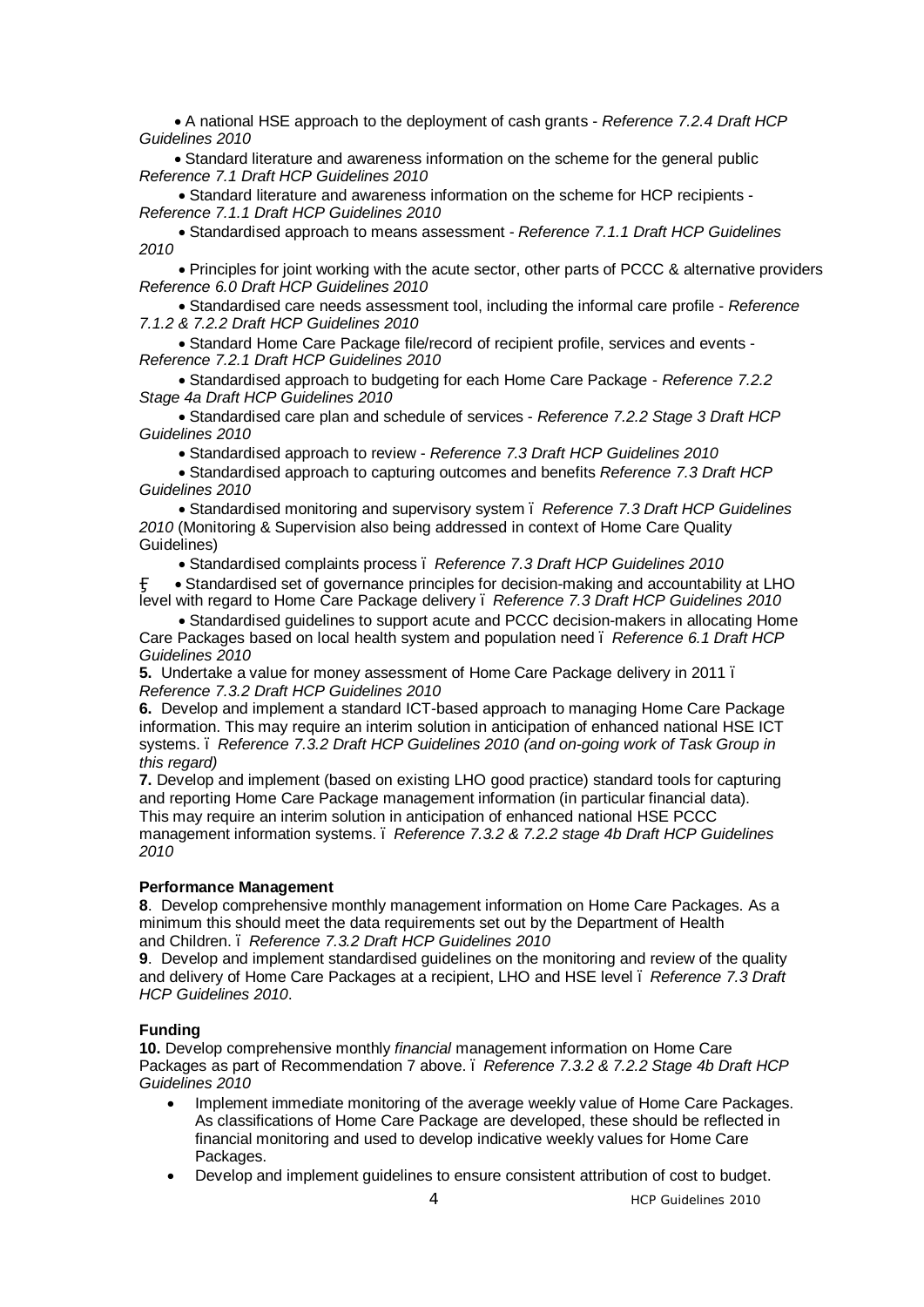· A national HSE approach to the deployment of cash grants - *Reference 7.2.4 Draft HCP Guidelines 2010*

 · Standard literature and awareness information on the scheme for the general public *Reference 7.1 Draft HCP Guidelines 2010*

 · Standard literature and awareness information on the scheme for HCP recipients - *Reference 7.1.1 Draft HCP Guidelines 2010*

 · Standardised approach to means assessment - *Reference 7.1.1 Draft HCP Guidelines 2010*

 · Principles for joint working with the acute sector, other parts of PCCC & alternative providers *Reference 6.0 Draft HCP Guidelines 2010*

 · Standardised care needs assessment tool, including the informal care profile - *Reference 7.1.2 & 7.2.2 Draft HCP Guidelines 2010*

 · Standard Home Care Package file/record of recipient profile, services and events - *Reference 7.2.1 Draft HCP Guidelines 2010*

 · Standardised approach to budgeting for each Home Care Package - *Reference 7.2.2 Stage 4a Draft HCP Guidelines 2010*

 · Standardised care plan and schedule of services - *Reference 7.2.2 Stage 3 Draft HCP Guidelines 2010*

· Standardised approach to review - *Reference 7.3 Draft HCP Guidelines 2010*

 · Standardised approach to capturing outcomes and benefits *Reference 7.3 Draft HCP Guidelines 2010*

 · Standardised monitoring and supervisory system – *Reference 7.3 Draft HCP Guidelines 2010* (Monitoring & Supervision also being addressed in context of Home Care Quality Guidelines)

· Standardised complaints process – *Reference 7.3 Draft HCP Guidelines 2010*

 · Standardised set of governance principles for decision-making and accountability at LHO level with regard to Home Care Package delivery – *Reference 7.3 Draft HCP Guidelines 2010*

 · Standardised guidelines to support acute and PCCC decision-makers in allocating Home Care Packages based on local health system and population need – *Reference 6.1 Draft HCP Guidelines 2010*

**5.** Undertake a value for money assessment of Home Care Package delivery in 2011 – *Reference 7.3.2 Draft HCP Guidelines 2010*

**6.** Develop and implement a standard ICT-based approach to managing Home Care Package information. This may require an interim solution in anticipation of enhanced national HSE ICT systems. – *Reference 7.3.2 Draft HCP Guidelines 2010 (and on-going work of Task Group in this regard)*

**7.** Develop and implement (based on existing LHO good practice) standard tools for capturing and reporting Home Care Package management information (in particular financial data). This may require an interim solution in anticipation of enhanced national HSE PCCC management information systems. – *Reference 7.3.2 & 7.2.2 stage 4b Draft HCP Guidelines 2010*

#### **Performance Management**

**8**. Develop comprehensive monthly management information on Home Care Packages. As a minimum this should meet the data requirements set out by the Department of Health and Children. – *Reference 7.3.2 Draft HCP Guidelines 2010*

**9**. Develop and implement standardised guidelines on the monitoring and review of the quality and delivery of Home Care Packages at a recipient, LHO and HSE level – *Reference 7.3 Draft HCP Guidelines 2010*.

#### **Funding**

**10.** Develop comprehensive monthly *financial* management information on Home Care Packages as part of Recommendation 7 above. – *Reference 7.3.2 & 7.2.2 Stage 4b Draft HCP Guidelines 2010*

- · Implement immediate monitoring of the average weekly value of Home Care Packages. As classifications of Home Care Package are developed, these should be reflected in financial monitoring and used to develop indicative weekly values for Home Care Packages.
- · Develop and implement guidelines to ensure consistent attribution of cost to budget.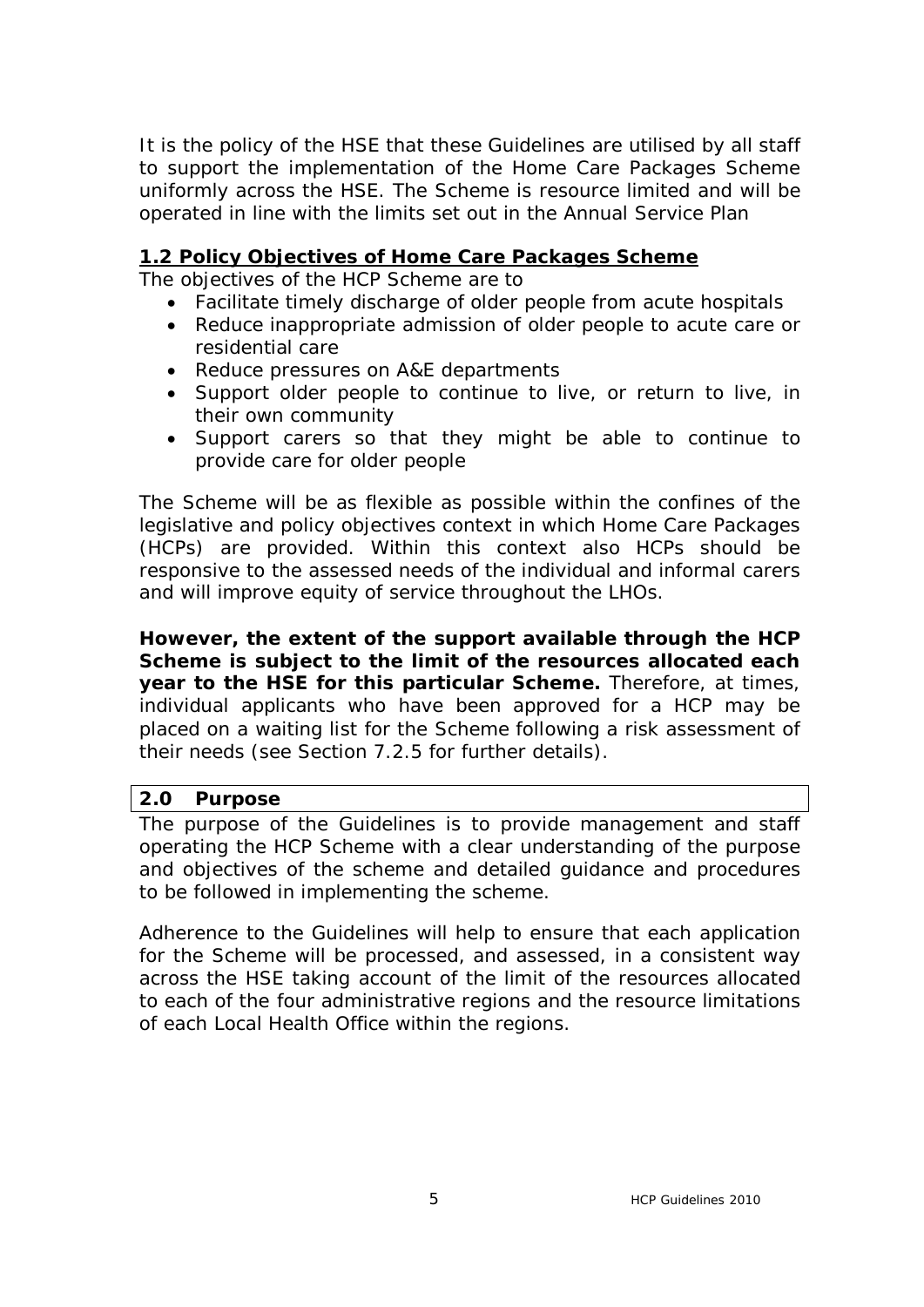It is the policy of the HSE that these Guidelines are utilised by all staff to support the implementation of the Home Care Packages Scheme uniformly across the HSE. The Scheme is resource limited and will be operated in line with the limits set out in the Annual Service Plan

#### **1.2 Policy Objectives of Home Care Packages Scheme**

The objectives of the HCP Scheme are to

- · Facilitate timely discharge of older people from acute hospitals
- · Reduce inappropriate admission of older people to acute care or residential care
- · Reduce pressures on A&E departments
- · Support older people to continue to live, or return to live, in their own community
- · Support carers so that they might be able to continue to provide care for older people

The Scheme will be as flexible as possible within the confines of the legislative and policy objectives context in which Home Care Packages (HCPs) are provided. Within this context also HCPs should be responsive to the assessed needs of the individual and informal carers and will improve equity of service throughout the LHOs.

**However, the extent of the support available through the HCP Scheme is subject to the limit of the resources allocated each year to the HSE for this particular Scheme.** Therefore, at times, individual applicants who have been approved for a HCP may be placed on a waiting list for the Scheme following a risk assessment of their needs (see Section 7.2.5 for further details).

#### **2.0 Purpose**

The purpose of the Guidelines is to provide management and staff operating the HCP Scheme with a clear understanding of the purpose and objectives of the scheme and detailed guidance and procedures to be followed in implementing the scheme.

Adherence to the Guidelines will help to ensure that each application for the Scheme will be processed, and assessed, in a consistent way across the HSE taking account of the limit of the resources allocated to each of the four administrative regions and the resource limitations of each Local Health Office within the regions.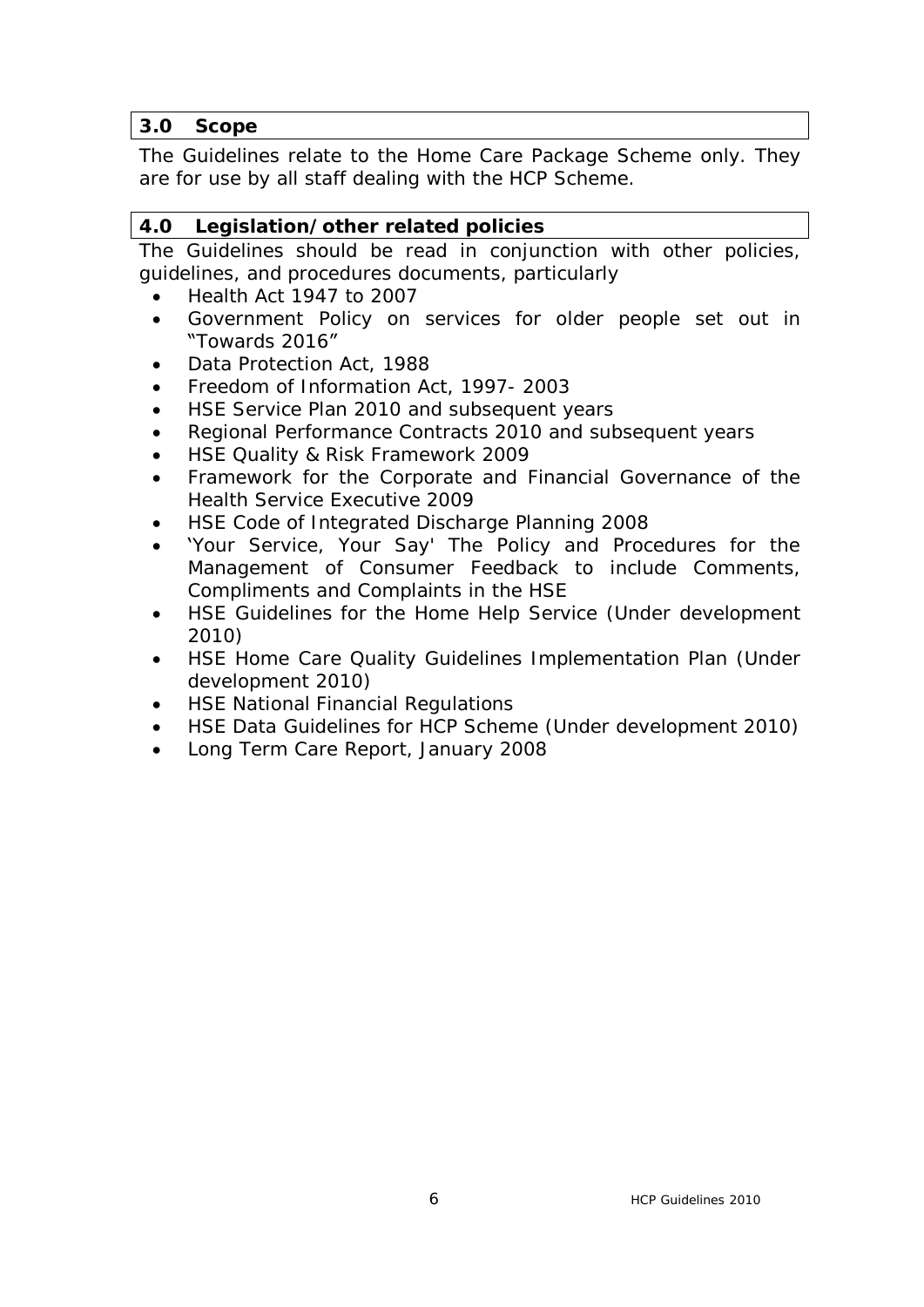## **3.0 Scope**

The Guidelines relate to the Home Care Package Scheme only. They are for use by all staff dealing with the HCP Scheme.

## **4.0 Legislation/other related policies**

The Guidelines should be read in conjunction with other policies, guidelines, and procedures documents, particularly

- · Health Act 1947 to 2007
- · Government Policy on services for older people set out in "Towards 2016"
- Data Protection Act, 1988
- Freedom of Information Act, 1997-2003
- HSE Service Plan 2010 and subsequent years
- Regional Performance Contracts 2010 and subsequent years
- HSE Quality & Risk Framework 2009
- Framework for the Corporate and Financial Governance of the Health Service Executive 2009
- HSE Code of Integrated Discharge Planning 2008
- · 'Your Service, Your Say' The Policy and Procedures for the Management of Consumer Feedback to include Comments, Compliments and Complaints in the HSE
- HSE Guidelines for the Home Help Service (Under development 2010)
- HSE Home Care Quality Guidelines Implementation Plan (Under development 2010)
- **HSE National Financial Regulations**
- · HSE Data Guidelines for HCP Scheme (Under development 2010)
- Long Term Care Report, January 2008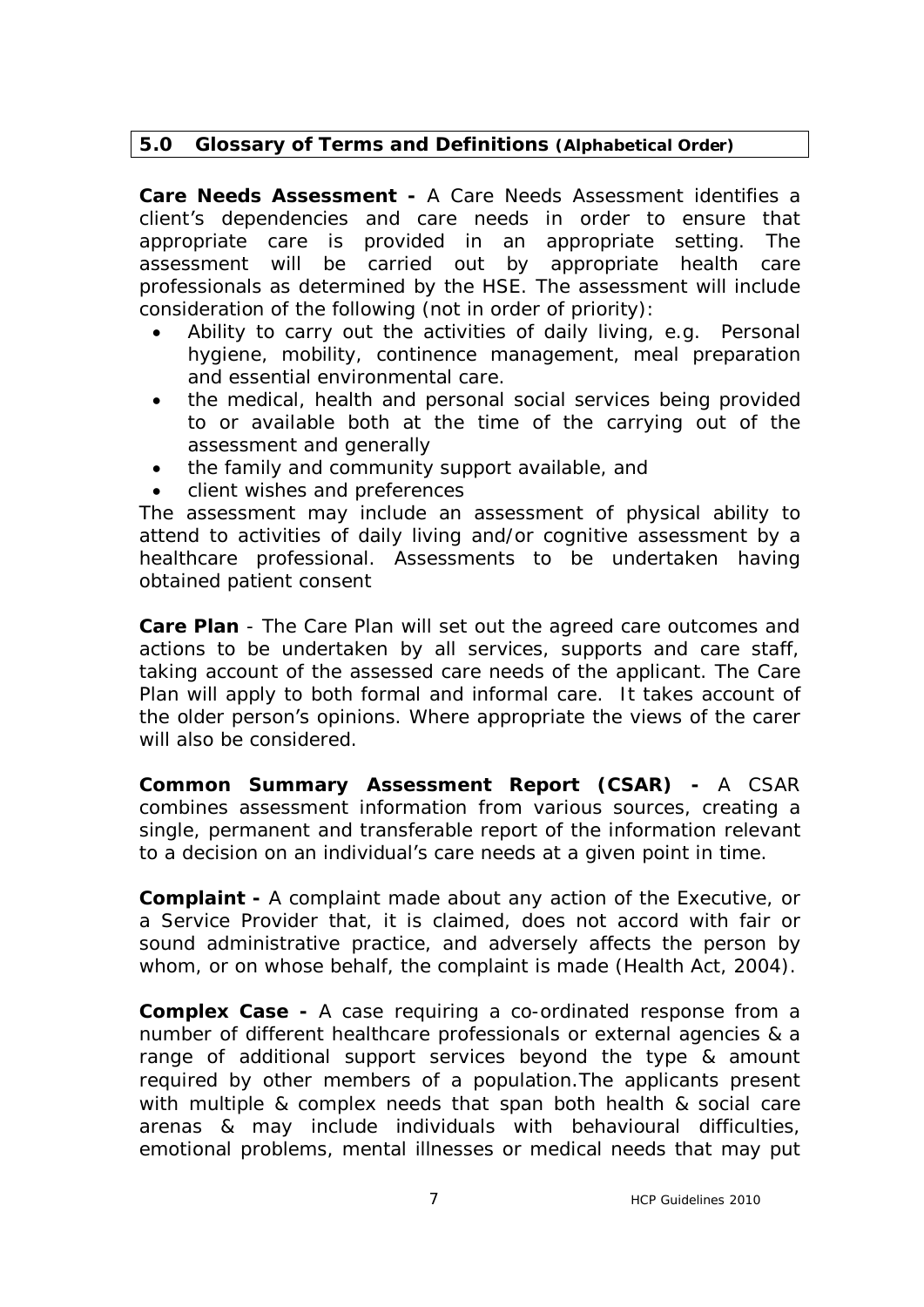# **5.0 Glossary of Terms and Definitions (Alphabetical Order)**

**Care Needs Assessment -** A Care Needs Assessment identifies a client's dependencies and care needs in order to ensure that appropriate care is provided in an appropriate setting. The assessment will be carried out by appropriate health care professionals as determined by the HSE. The assessment will include consideration of the following (not in order of priority):

- Ability to carry out the activities of daily living, e.g. Personal hygiene, mobility, continence management, meal preparation and essential environmental care.
- the medical, health and personal social services being provided to or available both at the time of the carrying out of the assessment and generally
- · the family and community support available, and
- client wishes and preferences

The assessment may include an assessment of physical ability to attend to activities of daily living and/or cognitive assessment by a healthcare professional. Assessments to be undertaken having obtained patient consent

**Care Plan** - The Care Plan will set out the agreed care outcomes and actions to be undertaken by all services, supports and care staff, taking account of the assessed care needs of the applicant. The Care Plan will apply to both formal and informal care. It takes account of the older person's opinions. Where appropriate the views of the carer will also be considered.

**Common Summary Assessment Report (CSAR) -** A CSAR combines assessment information from various sources, creating a single, permanent and transferable report of the information relevant to a decision on an individual's care needs at a given point in time.

**Complaint -** A complaint made about any action of the Executive, or a Service Provider that, it is claimed, does not accord with fair or sound administrative practice, and adversely affects the person by whom, or on whose behalf, the complaint is made (Health Act, 2004).

**Complex Case -** A case requiring a co-ordinated response from a number of different healthcare professionals or external agencies & a range of additional support services beyond the type & amount required by other members of a population.The applicants present with multiple & complex needs that span both health & social care arenas & may include individuals with behavioural difficulties, emotional problems, mental illnesses or medical needs that may put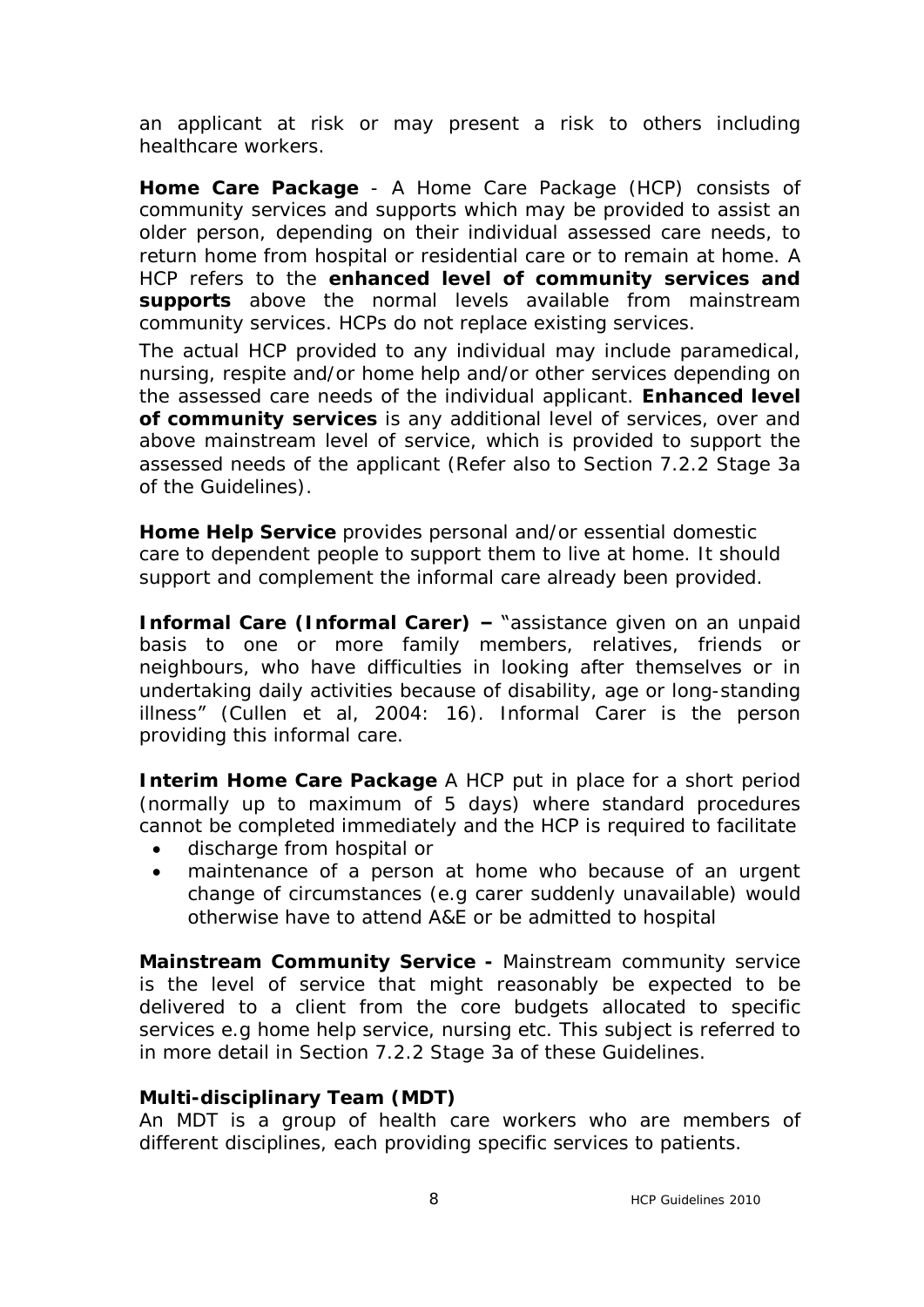an applicant at risk or may present a risk to others including healthcare workers.

**Home Care Package** - A Home Care Package (HCP) consists of community services and supports which may be provided to assist an older person, depending on their individual assessed care needs, to return home from hospital or residential care or to remain at home. A HCP refers to the **enhanced level of community services and supports** above the normal levels available from mainstream community services. HCPs do not replace existing services.

The actual HCP provided to any individual may include paramedical, nursing, respite and/or home help and/or other services depending on the assessed care needs of the individual applicant. **Enhanced level of community services** is any additional level of services, over and above mainstream level of service, which is provided to support the assessed needs of the applicant (Refer also to Section 7.2.2 Stage 3a of the Guidelines).

**Home Help Service** provides personal and/or essential domestic care to dependent people to support them to live at home. It should support and complement the informal care already been provided.

**Informal Care (Informal Carer) –** "assistance given on an unpaid basis to one or more family members, relatives, friends or neighbours, who have difficulties in looking after themselves or in undertaking daily activities because of disability, age or long-standing illness" (Cullen et al, 2004: 16). Informal Carer is the person providing this informal care.

**Interim Home Care Package** A HCP put in place for a short period (normally up to maximum of 5 days) where standard procedures cannot be completed immediately and the HCP is required to facilitate

- · discharge from hospital or
- · maintenance of a person at home who because of an urgent change of circumstances (e.g carer suddenly unavailable) would otherwise have to attend A&E or be admitted to hospital

**Mainstream Community Service -** Mainstream community service is the level of service that might reasonably be expected to be delivered to a client from the core budgets allocated to specific services e.g home help service, nursing etc. This subject is referred to in more detail in Section 7.2.2 Stage 3a of these Guidelines.

#### **Multi-disciplinary Team (MDT)**

An MDT is a group of health care workers who are members of different disciplines, each providing specific services to patients.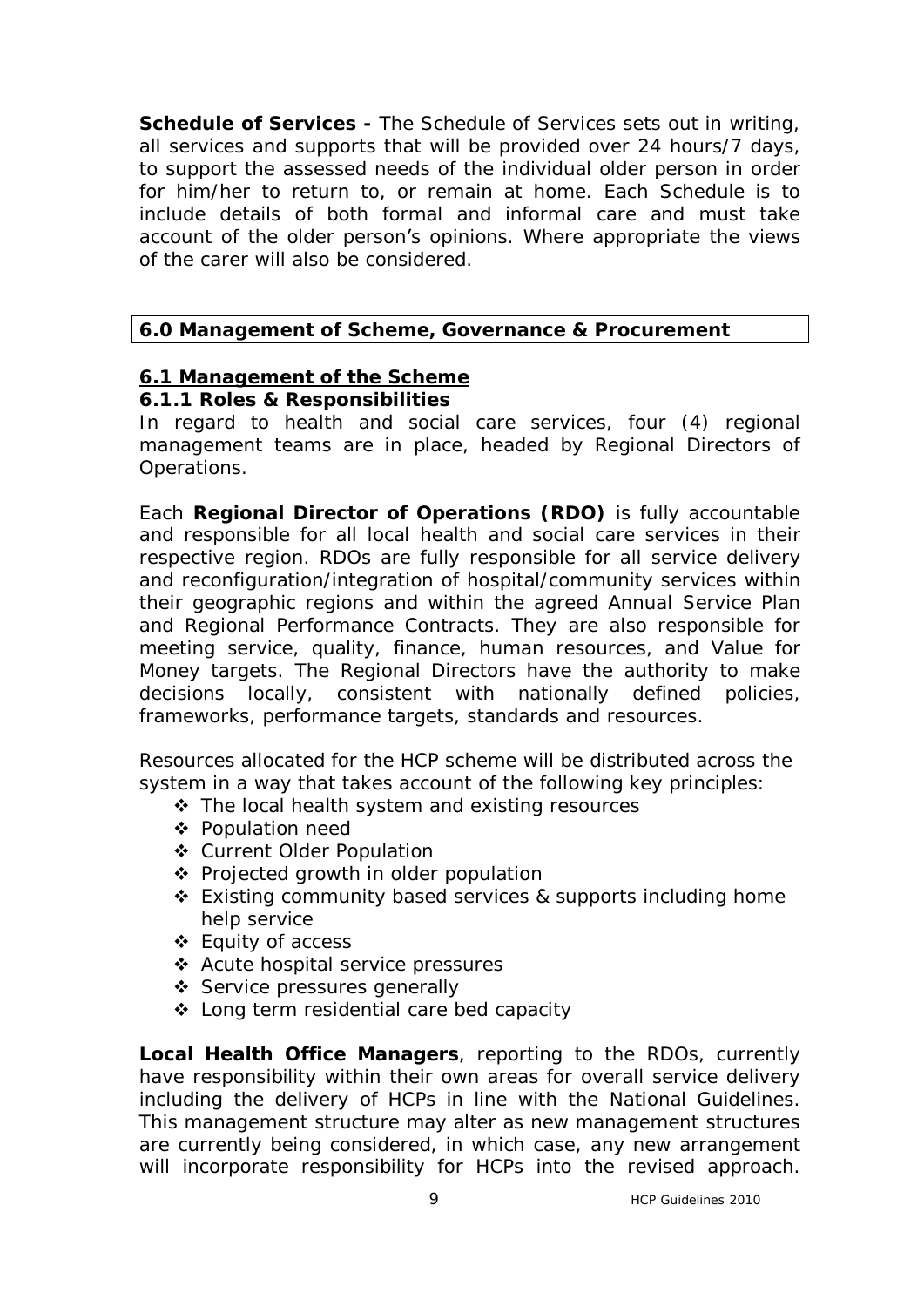**Schedule of Services -** The Schedule of Services sets out in writing, all services and supports that will be provided over 24 hours/7 days, to support the assessed needs of the individual older person in order for him/her to return to, or remain at home. Each Schedule is to include details of both formal and informal care and must take account of the older person's opinions. Where appropriate the views of the carer will also be considered.

# **6.0 Management of Scheme, Governance & Procurement**

#### **6.1 Management of the Scheme 6.1.1 Roles & Responsibilities**

# In regard to health and social care services, four (4) regional management teams are in place, headed by Regional Directors of Operations.

Each **Regional Director of Operations (RDO)** is fully accountable and responsible for all local health and social care services in their respective region. RDOs are fully responsible for all service delivery and reconfiguration/integration of hospital/community services within their geographic regions and within the agreed Annual Service Plan and Regional Performance Contracts. They are also responsible for meeting service, quality, finance, human resources, and Value for Money targets. The Regional Directors have the authority to make decisions locally, consistent with nationally defined policies, frameworks, performance targets, standards and resources.

Resources allocated for the HCP scheme will be distributed across the system in a way that takes account of the following key principles:

- \* The local health system and existing resources
- ❖ Population need
- v Current Older Population
- ❖ Projected growth in older population
- $\div$  Existing community based services & supports including home help service
- $\div$  Equity of access
- v Acute hospital service pressures
- ❖ Service pressures generally
- v Long term residential care bed capacity

**Local Health Office Managers**, reporting to the RDOs, currently have responsibility within their own areas for overall service delivery including the delivery of HCPs in line with the National Guidelines. This management structure may alter as new management structures are currently being considered, in which case, any new arrangement will incorporate responsibility for HCPs into the revised approach.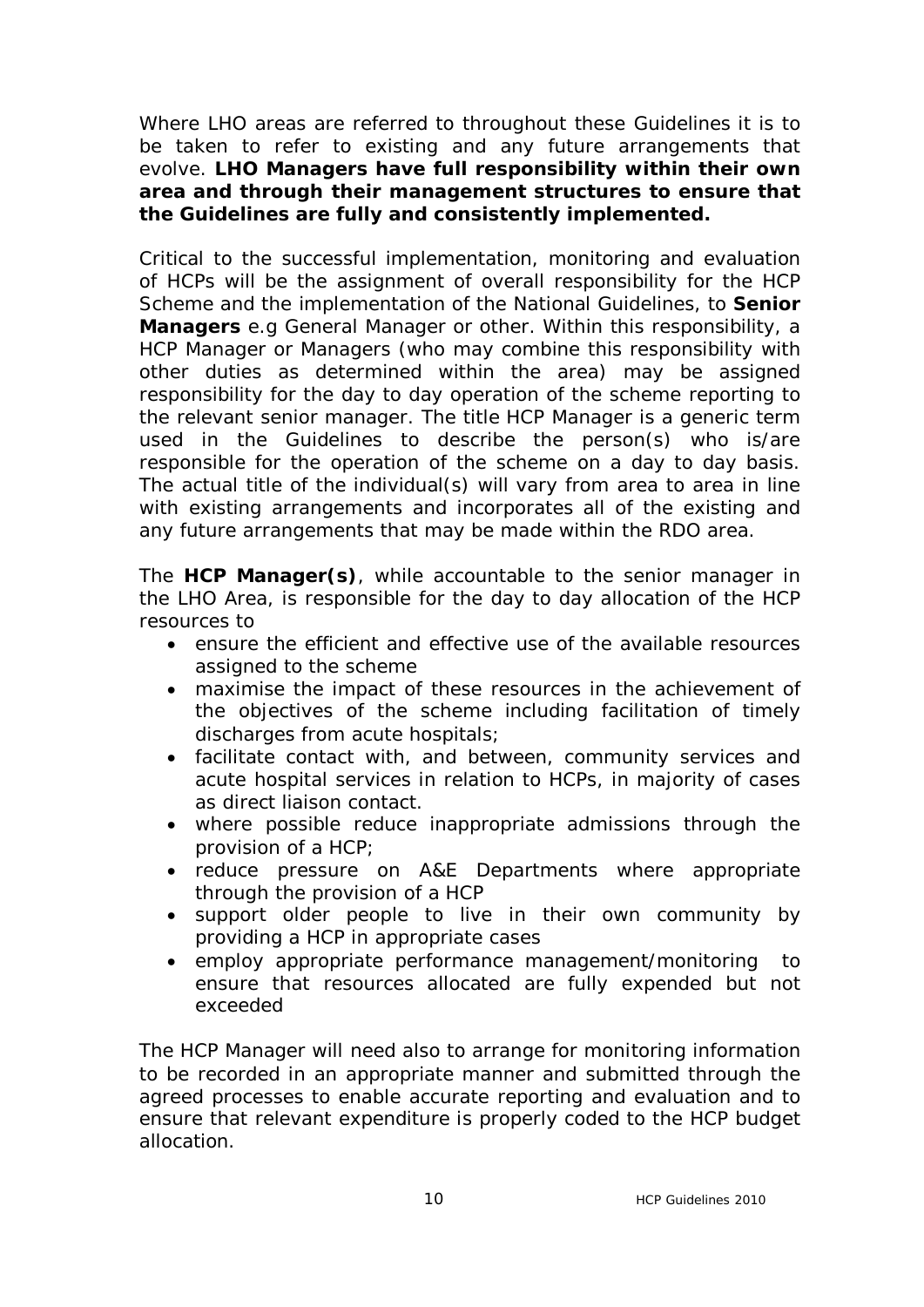Where LHO areas are referred to throughout these Guidelines it is to be taken to refer to existing and any future arrangements that evolve. **LHO Managers have full responsibility within their own area and through their management structures to ensure that the Guidelines are fully and consistently implemented.**

Critical to the successful implementation, monitoring and evaluation of HCPs will be the assignment of overall responsibility for the HCP Scheme and the implementation of the National Guidelines, to **Senior Managers** e.g General Manager or other. Within this responsibility, a HCP Manager or Managers (who may combine this responsibility with other duties as determined within the area) may be assigned responsibility for the day to day operation of the scheme reporting to the relevant senior manager. The title HCP Manager is a generic term used in the Guidelines to describe the person(s) who is/are responsible for the operation of the scheme on a day to day basis. The actual title of the individual(s) will vary from area to area in line with existing arrangements and incorporates all of the existing and any future arrangements that may be made within the RDO area.

The **HCP Manager(s)**, while accountable to the senior manager in the LHO Area, is responsible for the day to day allocation of the HCP resources to

- · ensure the efficient and effective use of the available resources assigned to the scheme
- · maximise the impact of these resources in the achievement of the objectives of the scheme including facilitation of timely discharges from acute hospitals;
- · facilitate contact with, and between, community services and acute hospital services in relation to HCPs, in majority of cases as direct liaison contact.
- · where possible reduce inappropriate admissions through the provision of a HCP;
- · reduce pressure on A&E Departments where appropriate through the provision of a HCP
- · support older people to live in their own community by providing a HCP in appropriate cases
- · employ appropriate performance management/monitoring to ensure that resources allocated are fully expended but not exceeded

The HCP Manager will need also to arrange for monitoring information to be recorded in an appropriate manner and submitted through the agreed processes to enable accurate reporting and evaluation and to ensure that relevant expenditure is properly coded to the HCP budget allocation.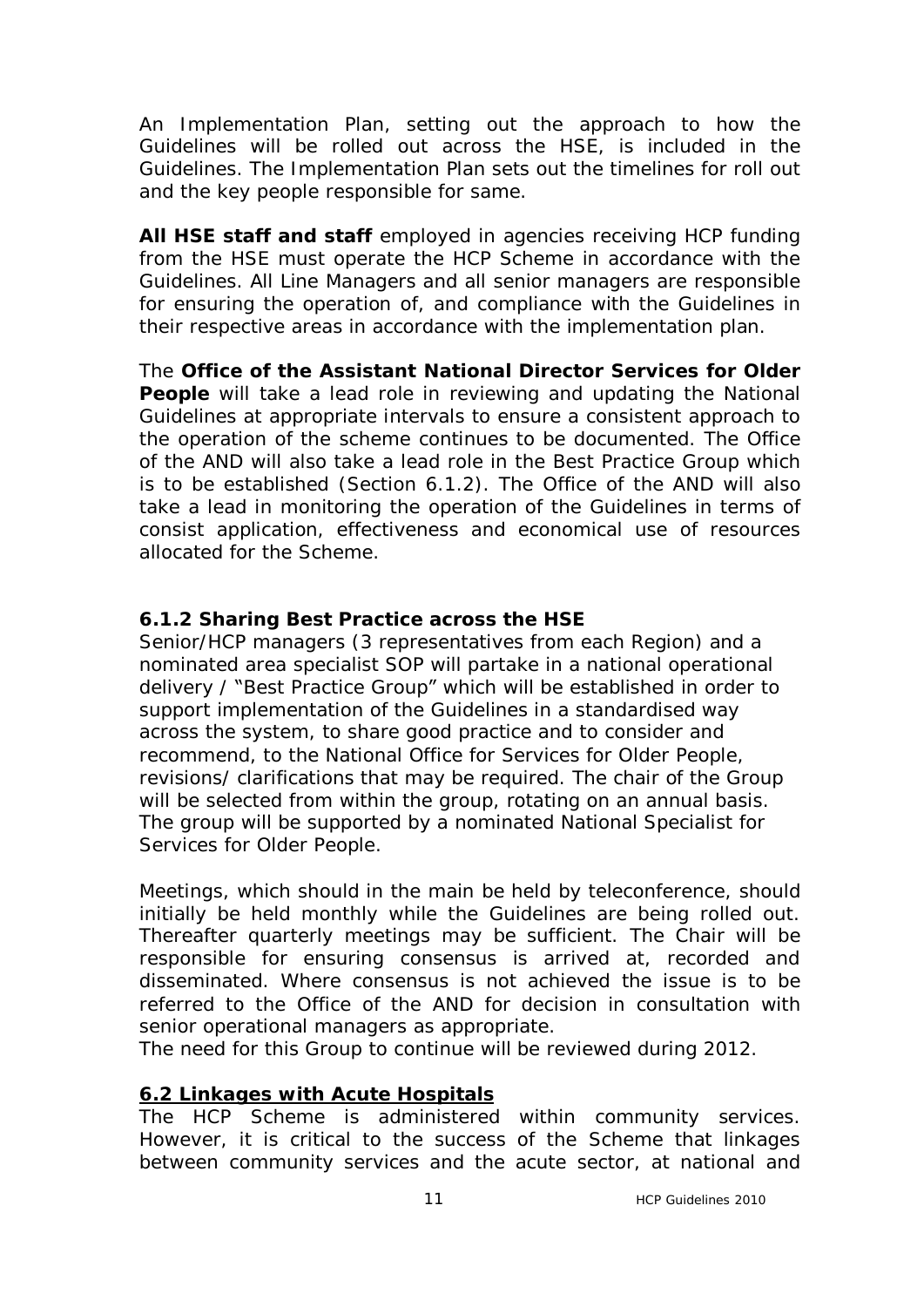An Implementation Plan, setting out the approach to how the Guidelines will be rolled out across the HSE, is included in the Guidelines. The Implementation Plan sets out the timelines for roll out and the key people responsible for same.

**All HSE staff and staff** employed in agencies receiving HCP funding from the HSE must operate the HCP Scheme in accordance with the Guidelines. All Line Managers and all senior managers are responsible for ensuring the operation of, and compliance with the Guidelines in their respective areas in accordance with the implementation plan.

The **Office of the Assistant National Director Services for Older People** will take a lead role in reviewing and updating the National Guidelines at appropriate intervals to ensure a consistent approach to the operation of the scheme continues to be documented. The Office of the AND will also take a lead role in the Best Practice Group which is to be established (Section 6.1.2). The Office of the AND will also take a lead in monitoring the operation of the Guidelines in terms of consist application, effectiveness and economical use of resources allocated for the Scheme.

## **6.1.2 Sharing Best Practice across the HSE**

Senior/HCP managers (3 representatives from each Region) and a nominated area specialist SOP will partake in a national operational delivery / "Best Practice Group" which will be established in order to support implementation of the Guidelines in a standardised way across the system, to share good practice and to consider and recommend, to the National Office for Services for Older People, revisions/ clarifications that may be required. The chair of the Group will be selected from within the group, rotating on an annual basis. The group will be supported by a nominated National Specialist for Services for Older People.

Meetings, which should in the main be held by teleconference, should initially be held monthly while the Guidelines are being rolled out. Thereafter quarterly meetings may be sufficient. The Chair will be responsible for ensuring consensus is arrived at, recorded and disseminated. Where consensus is not achieved the issue is to be referred to the Office of the AND for decision in consultation with senior operational managers as appropriate.

The need for this Group to continue will be reviewed during 2012.

## **6.2 Linkages with Acute Hospitals**

The HCP Scheme is administered within community services. However, it is critical to the success of the Scheme that linkages between community services and the acute sector, at national and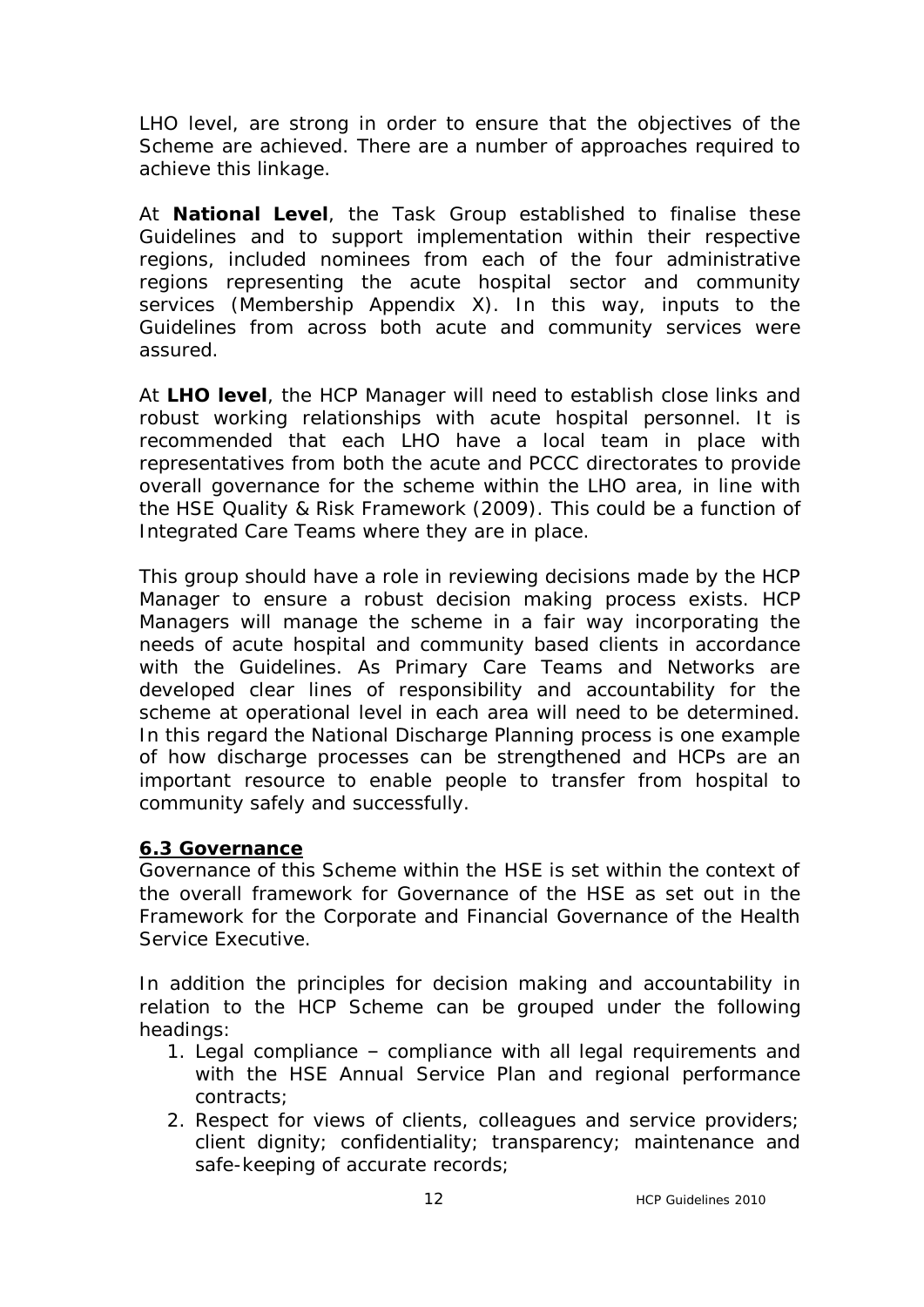LHO level, are strong in order to ensure that the objectives of the Scheme are achieved. There are a number of approaches required to achieve this linkage.

At **National Level**, the Task Group established to finalise these Guidelines and to support implementation within their respective regions, included nominees from each of the four administrative regions representing the acute hospital sector and community services (Membership Appendix X). In this way, inputs to the Guidelines from across both acute and community services were assured.

At **LHO level**, the HCP Manager will need to establish close links and robust working relationships with acute hospital personnel. It is recommended that each LHO have a local team in place with representatives from both the acute and PCCC directorates to provide overall governance for the scheme within the LHO area, in line with the HSE Quality & Risk Framework (2009). This could be a function of Integrated Care Teams where they are in place.

This group should have a role in reviewing decisions made by the HCP Manager to ensure a robust decision making process exists. HCP Managers will manage the scheme in a fair way incorporating the needs of acute hospital and community based clients in accordance with the Guidelines. As Primary Care Teams and Networks are developed clear lines of responsibility and accountability for the scheme at operational level in each area will need to be determined. In this regard the National Discharge Planning process is one example of how discharge processes can be strengthened and HCPs are an important resource to enable people to transfer from hospital to community safely and successfully.

#### **6.3 Governance**

Governance of this Scheme within the HSE is set within the context of the overall framework for Governance of the HSE as set out in the Framework for the Corporate and Financial Governance of the Health Service Executive.

In addition the principles for decision making and accountability in relation to the HCP Scheme can be grouped under the following headings:

- 1. Legal compliance compliance with all legal requirements and with the HSE Annual Service Plan and regional performance contracts;
- 2. Respect for views of clients, colleagues and service providers; client dignity; confidentiality; transparency; maintenance and safe-keeping of accurate records;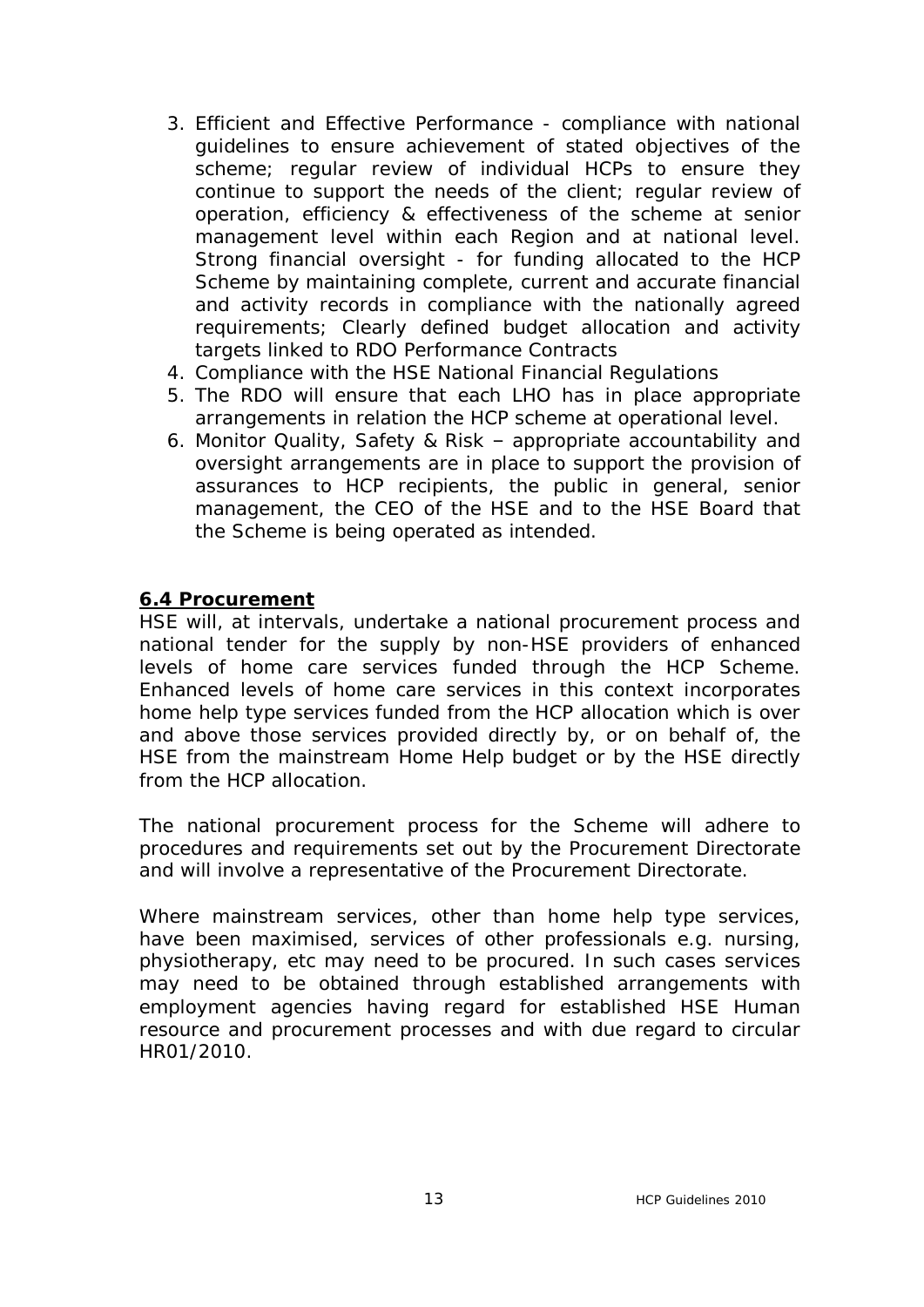- 3. Efficient and Effective Performance compliance with national guidelines to ensure achievement of stated objectives of the scheme; regular review of individual HCPs to ensure they continue to support the needs of the client; regular review of operation, efficiency & effectiveness of the scheme at senior management level within each Region and at national level. Strong financial oversight - for funding allocated to the HCP Scheme by maintaining complete, current and accurate financial and activity records in compliance with the nationally agreed requirements; Clearly defined budget allocation and activity targets linked to RDO Performance Contracts
- 4. Compliance with the HSE National Financial Regulations
- 5. The RDO will ensure that each LHO has in place appropriate arrangements in relation the HCP scheme at operational level.
- 6. Monitor Quality, Safety & Risk appropriate accountability and oversight arrangements are in place to support the provision of assurances to HCP recipients, the public in general, senior management, the CEO of the HSE and to the HSE Board that the Scheme is being operated as intended.

#### **6.4 Procurement**

HSE will, at intervals, undertake a national procurement process and national tender for the supply by non-HSE providers of enhanced levels of home care services funded through the HCP Scheme. Enhanced levels of home care services in this context incorporates home help type services funded from the HCP allocation which is over and above those services provided directly by, or on behalf of, the HSE from the mainstream Home Help budget or by the HSE directly from the HCP allocation.

The national procurement process for the Scheme will adhere to procedures and requirements set out by the Procurement Directorate and will involve a representative of the Procurement Directorate.

Where mainstream services, other than home help type services, have been maximised, services of other professionals e.g. nursing, physiotherapy, etc may need to be procured. In such cases services may need to be obtained through established arrangements with employment agencies having regard for established HSE Human resource and procurement processes and with due regard to circular HR01/2010.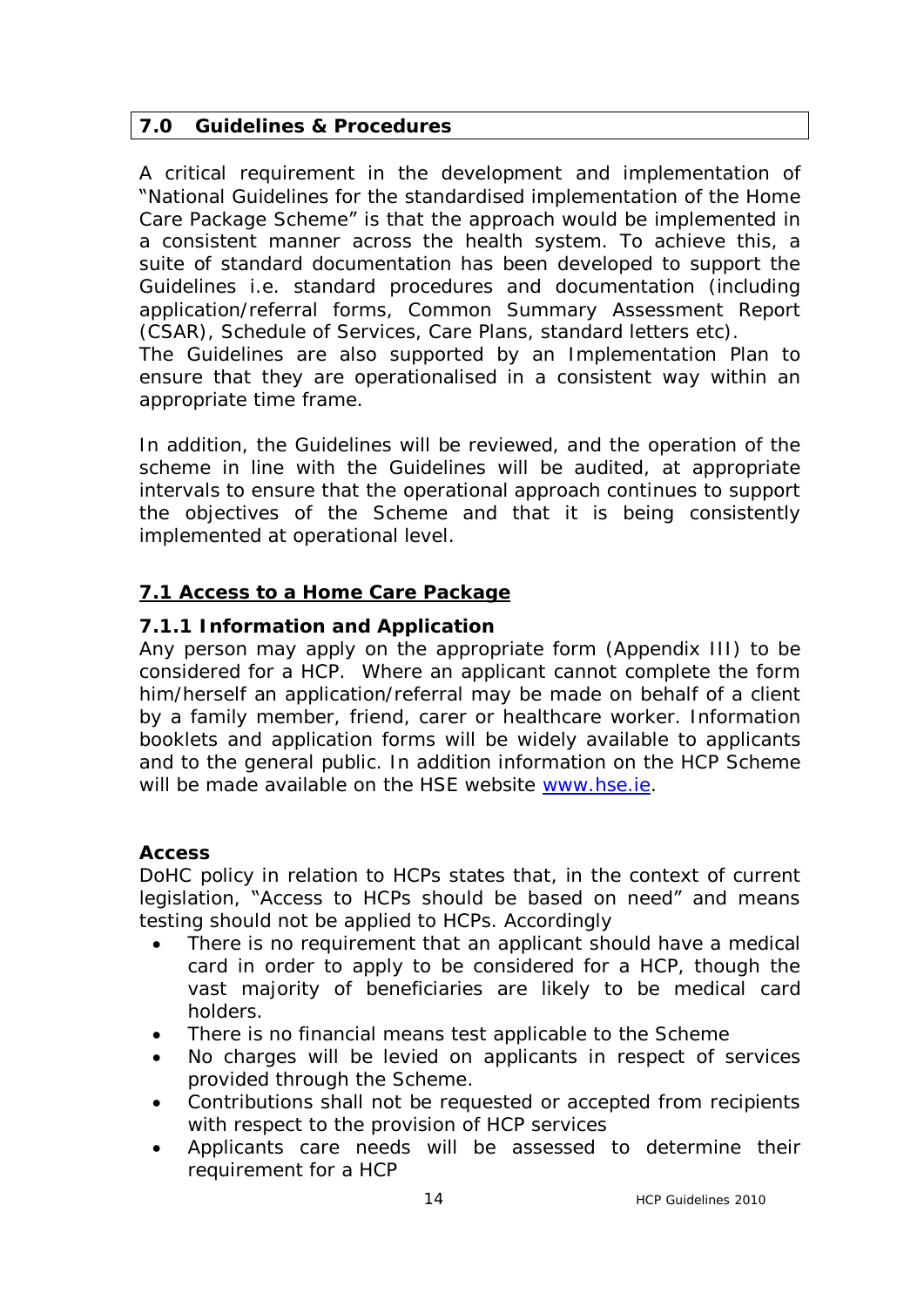## **7.0 Guidelines & Procedures**

A critical requirement in the development and implementation of "National Guidelines for the standardised implementation of the Home Care Package Scheme" is that the approach would be implemented in a consistent manner across the health system. To achieve this, a suite of standard documentation has been developed to support the Guidelines i.e. standard procedures and documentation (including application/referral forms, Common Summary Assessment Report (CSAR), Schedule of Services, Care Plans, standard letters etc). The Guidelines are also supported by an Implementation Plan to ensure that they are operationalised in a consistent way within an appropriate time frame.

In addition, the Guidelines will be reviewed, and the operation of the scheme in line with the Guidelines will be audited, at appropriate intervals to ensure that the operational approach continues to support the objectives of the Scheme and that it is being consistently implemented at operational level.

# **7.1 Access to a Home Care Package**

## **7.1.1 Information and Application**

Any person may apply on the appropriate form (Appendix III) to be considered for a HCP. Where an applicant cannot complete the form him/herself an application/referral may be made on behalf of a client by a family member, friend, carer or healthcare worker. Information booklets and application forms will be widely available to applicants and to the general public. In addition information on the HCP Scheme will be made available on the HSE website [www.hse.ie.](http://www.hse.ie/)

## **Access**

DoHC policy in relation to HCPs states that, in the context of current legislation, "Access to HCPs should be based on need" and means testing should not be applied to HCPs. Accordingly

- · There is no requirement that an applicant should have a medical card in order to apply to be considered for a HCP, though the vast majority of beneficiaries are likely to be medical card holders.
- There is no financial means test applicable to the Scheme
- No charges will be levied on applicants in respect of services provided through the Scheme.
- · Contributions shall not be requested or accepted from recipients with respect to the provision of HCP services
- Applicants care needs will be assessed to determine their requirement for a HCP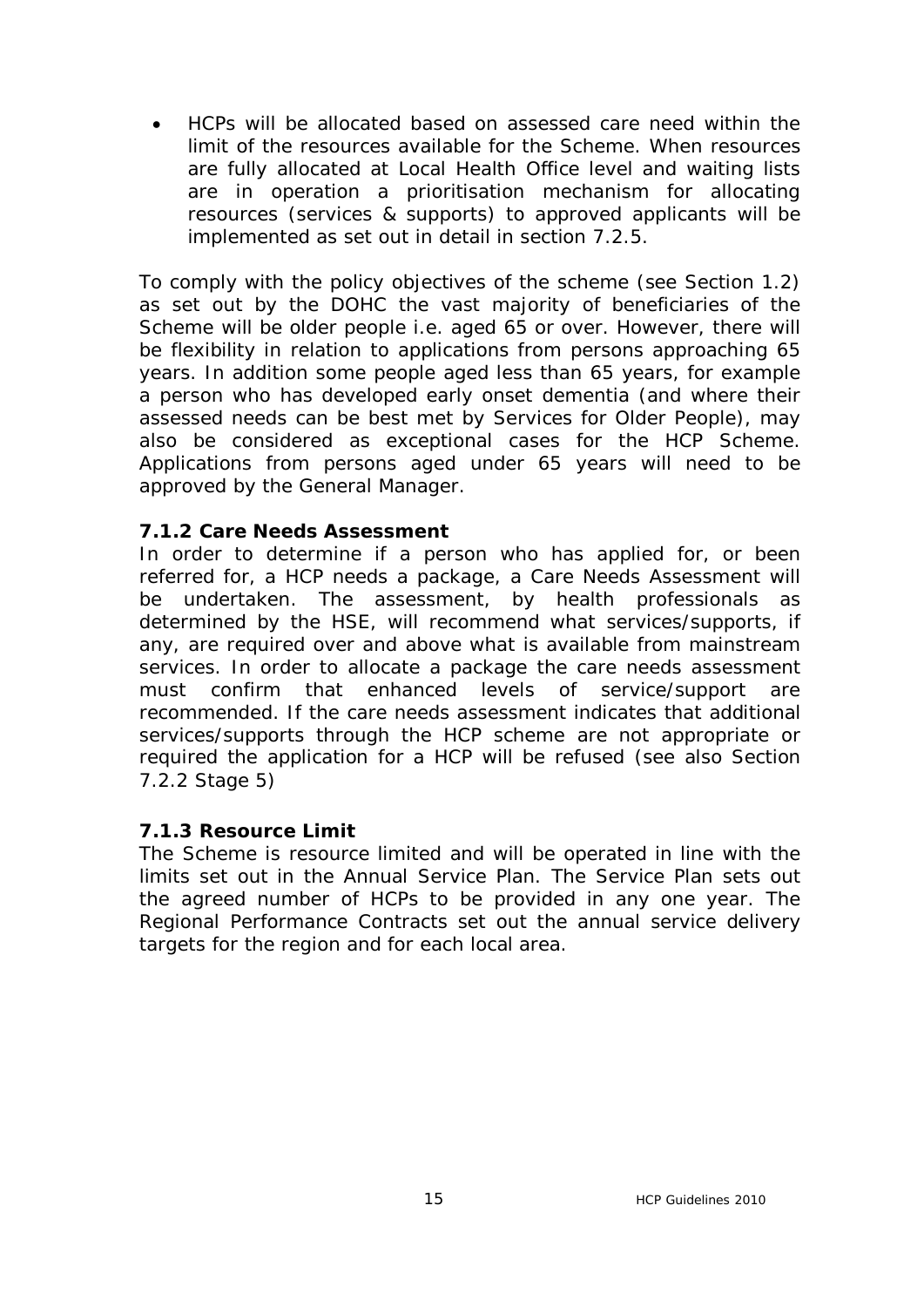· HCPs will be allocated based on assessed care need within the limit of the resources available for the Scheme. When resources are fully allocated at Local Health Office level and waiting lists are in operation a prioritisation mechanism for allocating resources (services & supports) to approved applicants will be implemented as set out in detail in section 7.2.5.

To comply with the policy objectives of the scheme (see Section 1.2) as set out by the DOHC the vast majority of beneficiaries of the Scheme will be older people i.e. aged 65 or over. However, there will be flexibility in relation to applications from persons approaching 65 years. In addition some people aged less than 65 years, for example a person who has developed early onset dementia (and where their assessed needs can be best met by Services for Older People), may also be considered as exceptional cases for the HCP Scheme. Applications from persons aged under 65 years will need to be approved by the General Manager.

#### **7.1.2 Care Needs Assessment**

In order to determine if a person who has applied for, or been referred for, a HCP needs a package, a Care Needs Assessment will be undertaken. The assessment, by health professionals as determined by the HSE, will recommend what services/supports, if any, are required over and above what is available from mainstream services. In order to allocate a package the care needs assessment must confirm that enhanced levels of service/support are recommended. If the care needs assessment indicates that additional services/supports through the HCP scheme are not appropriate or required the application for a HCP will be refused (see also Section 7.2.2 Stage 5)

#### **7.1.3 Resource Limit**

The Scheme is resource limited and will be operated in line with the limits set out in the Annual Service Plan. The Service Plan sets out the agreed number of HCPs to be provided in any one year. The Regional Performance Contracts set out the annual service delivery targets for the region and for each local area.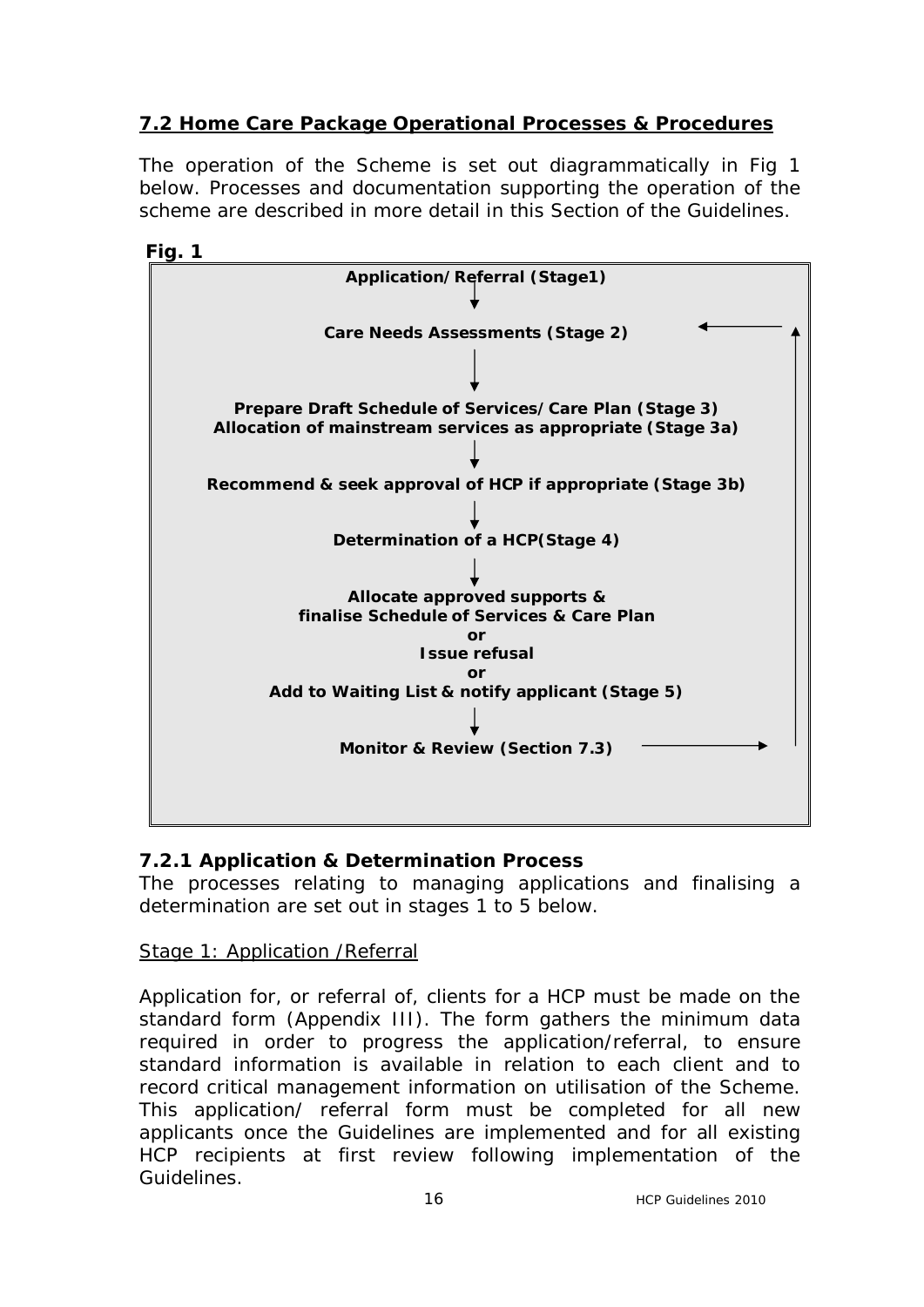# **7.2 Home Care Package Operational Processes & Procedures**

The operation of the Scheme is set out diagrammatically in Fig 1 below. Processes and documentation supporting the operation of the scheme are described in more detail in this Section of the Guidelines.





# **7.2.1 Application & Determination Process**

The processes relating to managing applications and finalising a determination are set out in stages 1 to 5 below.

## Stage 1: Application /Referral

Application for, or referral of, clients for a HCP must be made on the standard form (Appendix III). The form gathers the minimum data required in order to progress the application/referral, to ensure standard information is available in relation to each client and to record critical management information on utilisation of the Scheme. This application/ referral form must be completed for all new applicants once the Guidelines are implemented and for all existing HCP recipients at first review following implementation of the Guidelines.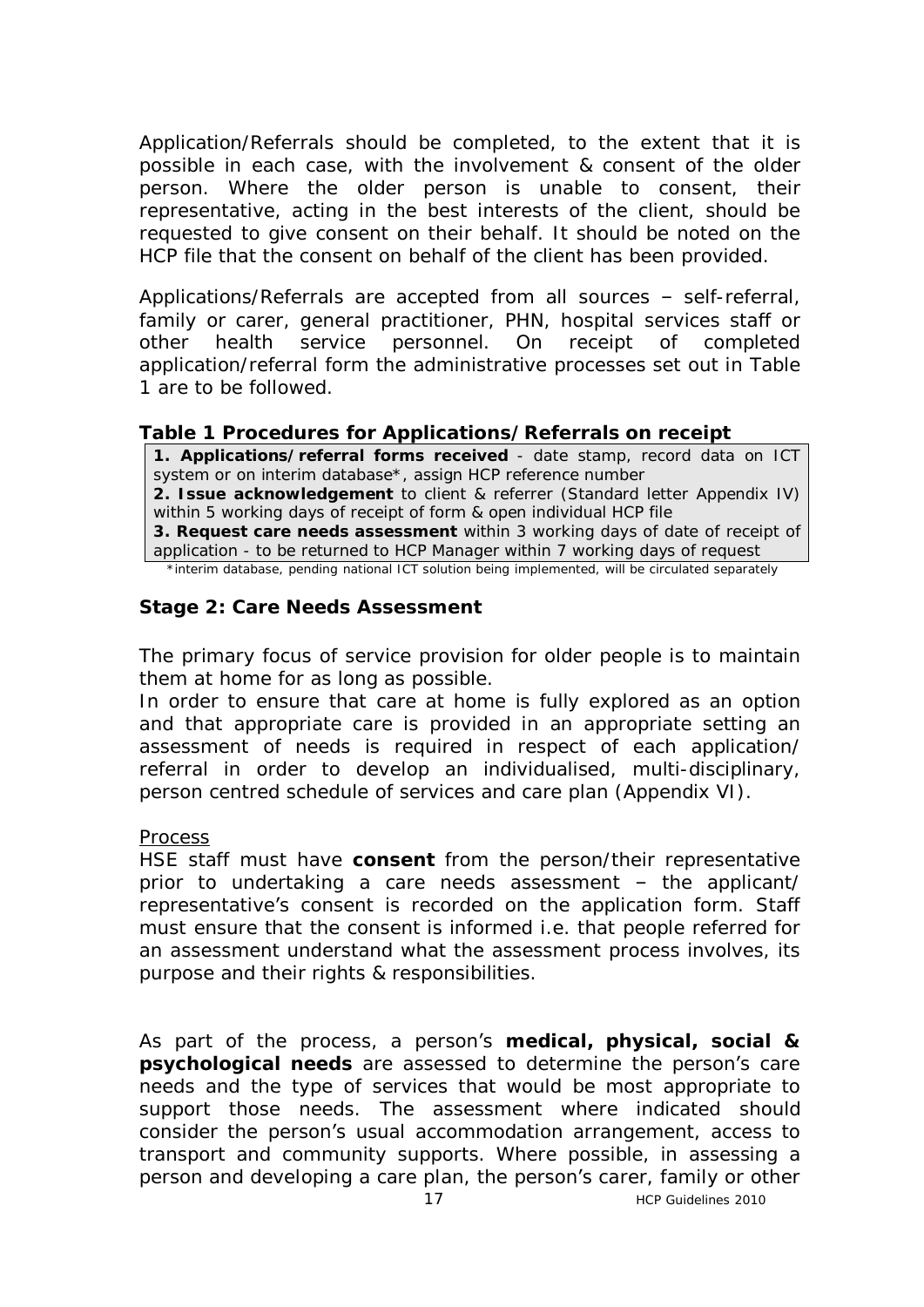Application/Referrals should be completed, to the extent that it is possible in each case, with the involvement & consent of the older person. Where the older person is unable to consent, their representative, acting in the best interests of the client, should be requested to give consent on their behalf. It should be noted on the HCP file that the consent on behalf of the client has been provided.

Applications/Referrals are accepted from all sources – self-referral, family or carer, general practitioner, PHN, hospital services staff or other health service personnel. On receipt of completed application/referral form the administrative processes set out in Table 1 are to be followed.

#### **Table 1 Procedures for Applications/Referrals on receipt**

**1. Applications/referral forms received** - date stamp, record data on ICT system or on interim database\*, assign HCP reference number **2. Issue acknowledgement** to client & referrer (Standard letter Appendix IV) within 5 working days of receipt of form & open individual HCP file **3. Request care needs assessment** within 3 working days of date of receipt of application - to be returned to HCP Manager within 7 working days of request

\*interim database, pending national ICT solution being implemented, will be circulated separately

## **Stage 2: Care Needs Assessment**

The primary focus of service provision for older people is to maintain them at home for as long as possible.

In order to ensure that care at home is fully explored as an option and that appropriate care is provided in an appropriate setting an assessment of needs is required in respect of each application/ referral in order to develop an individualised, multi-disciplinary, person centred schedule of services and care plan (Appendix VI).

#### Process

HSE staff must have **consent** from the person/their representative prior to undertaking a care needs assessment – the applicant/ representative's consent is recorded on the application form. Staff must ensure that the consent is informed i.e. that people referred for an assessment understand what the assessment process involves, its purpose and their rights & responsibilities.

As part of the process, a person's **medical, physical, social & psychological needs** are assessed to determine the person's care needs and the type of services that would be most appropriate to support those needs. The assessment where indicated should consider the person's usual accommodation arrangement, access to transport and community supports. Where possible, in assessing a person and developing a care plan, the person's carer, family or other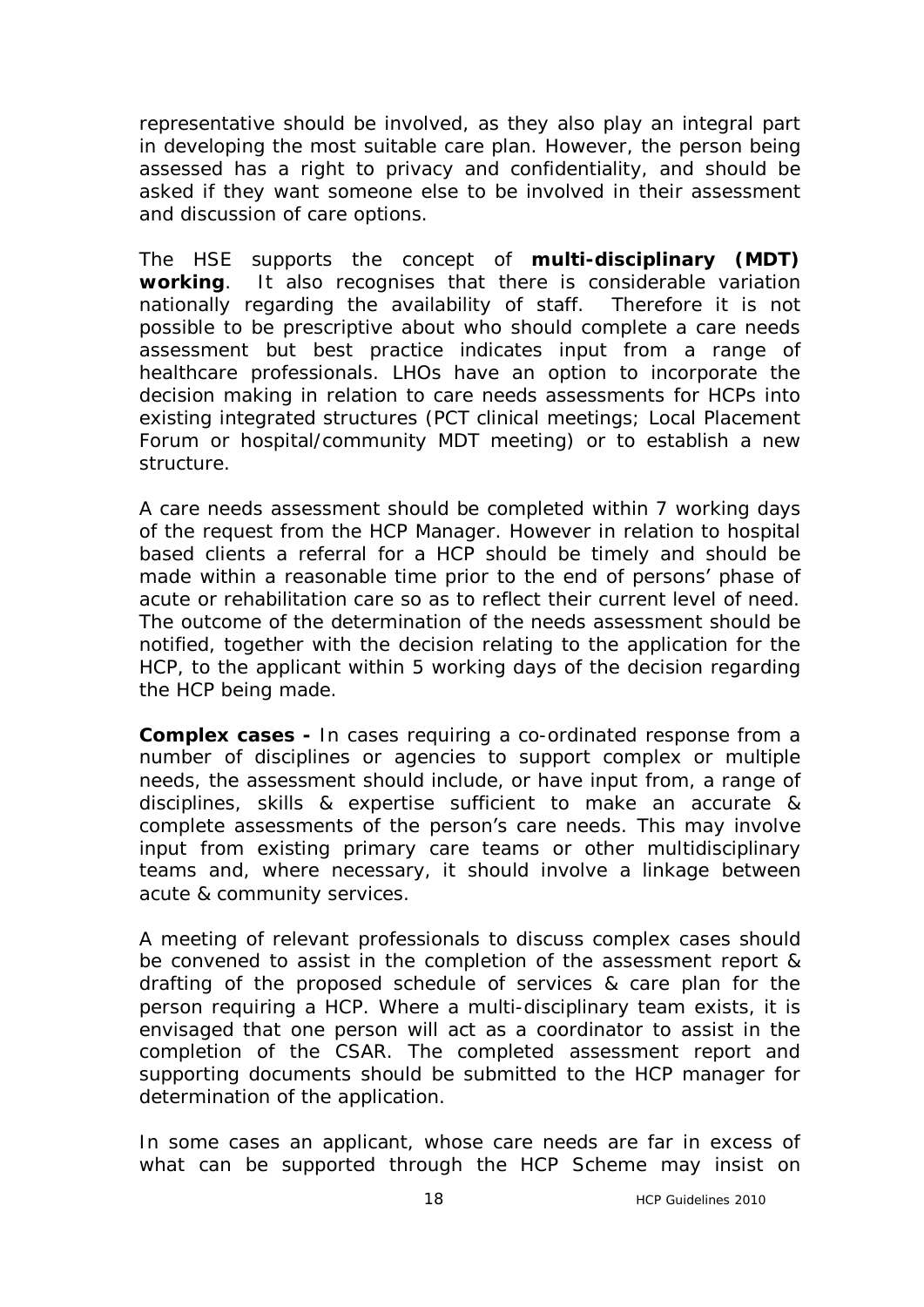representative should be involved, as they also play an integral part in developing the most suitable care plan. However, the person being assessed has a right to privacy and confidentiality, and should be asked if they want someone else to be involved in their assessment and discussion of care options.

The HSE supports the concept of **multi-disciplinary (MDT) working**. It also recognises that there is considerable variation nationally regarding the availability of staff. Therefore it is not possible to be prescriptive about who should complete a care needs assessment but best practice indicates input from a range of healthcare professionals*.* LHOs have an option to incorporate the decision making in relation to care needs assessments for HCPs into existing integrated structures (PCT clinical meetings; Local Placement Forum or hospital/community MDT meeting) or to establish a new structure.

A care needs assessment should be completed within 7 working days of the request from the HCP Manager. However in relation to hospital based clients a referral for a HCP should be timely and should be made within a reasonable time prior to the end of persons' phase of acute or rehabilitation care so as to reflect their current level of need. The outcome of the determination of the needs assessment should be notified, together with the decision relating to the application for the HCP, to the applicant within 5 working days of the decision regarding the HCP being made.

**Complex cases -** In cases requiring a co-ordinated response from a number of disciplines or agencies to support complex or multiple needs, the assessment should include, or have input from, a range of disciplines, skills & expertise sufficient to make an accurate & complete assessments of the person's care needs. This may involve input from existing primary care teams or other multidisciplinary teams and, where necessary, it should involve a linkage between acute & community services.

A meeting of relevant professionals to discuss complex cases should be convened to assist in the completion of the assessment report & drafting of the proposed schedule of services & care plan for the person requiring a HCP. Where a multi-disciplinary team exists, it is envisaged that one person will act as a coordinator to assist in the completion of the CSAR. The completed assessment report and supporting documents should be submitted to the HCP manager for determination of the application.

In some cases an applicant, whose care needs are far in excess of what can be supported through the HCP Scheme may insist on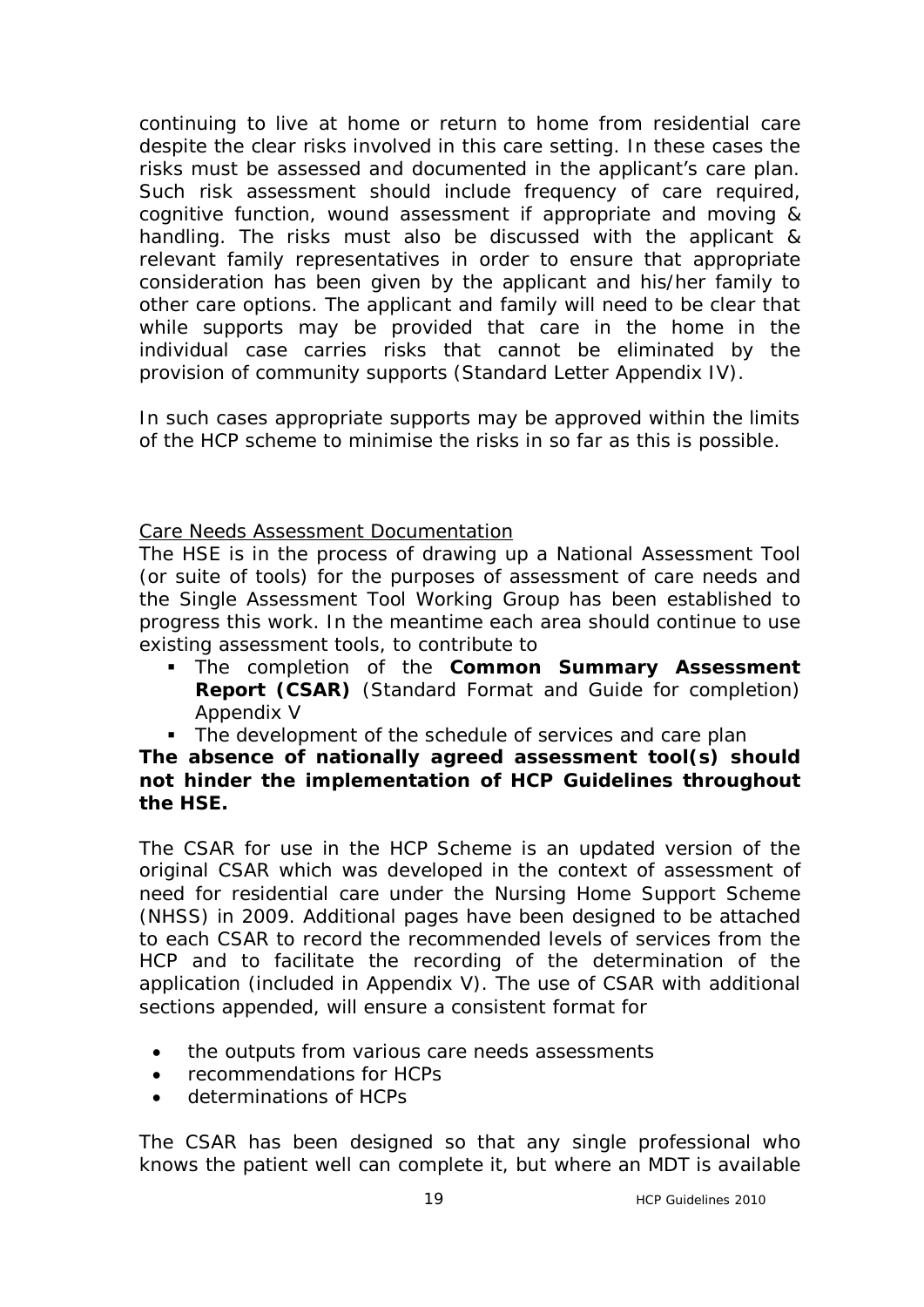continuing to live at home or return to home from residential care despite the clear risks involved in this care setting. In these cases the risks must be assessed and documented in the applicant's care plan. Such risk assessment should include frequency of care required, cognitive function, wound assessment if appropriate and moving & handling. The risks must also be discussed with the applicant & relevant family representatives in order to ensure that appropriate consideration has been given by the applicant and his/her family to other care options. The applicant and family will need to be clear that while supports may be provided that care in the home in the individual case carries risks that cannot be eliminated by the provision of community supports (Standard Letter Appendix IV).

In such cases appropriate supports may be approved within the limits of the HCP scheme to minimise the risks in so far as this is possible.

## Care Needs Assessment Documentation

The HSE is in the process of drawing up a National Assessment Tool (or suite of tools) for the purposes of assessment of care needs and the Single Assessment Tool Working Group has been established to progress this work. In the meantime each area should continue to use existing assessment tools, to contribute to

- **FILE COMPLET ASSESS TO THE COMMON Summary Assessment Report (CSAR)** (Standard Format and Guide for completion) Appendix V
- The development of the schedule of services and care plan

## **The absence of nationally agreed assessment tool(s) should not hinder the implementation of HCP Guidelines throughout the HSE.**

The CSAR for use in the HCP Scheme is an updated version of the original CSAR which was developed in the context of assessment of need for residential care under the Nursing Home Support Scheme (NHSS) in 2009. Additional pages have been designed to be attached to each CSAR to record the recommended levels of services from the HCP and to facilitate the recording of the determination of the application (included in Appendix V). The use of CSAR with additional sections appended, will ensure a consistent format for

- · the outputs from various care needs assessments
- · recommendations for HCPs
- determinations of HCPs

The CSAR has been designed so that any single professional who knows the patient well can complete it, but where an MDT is available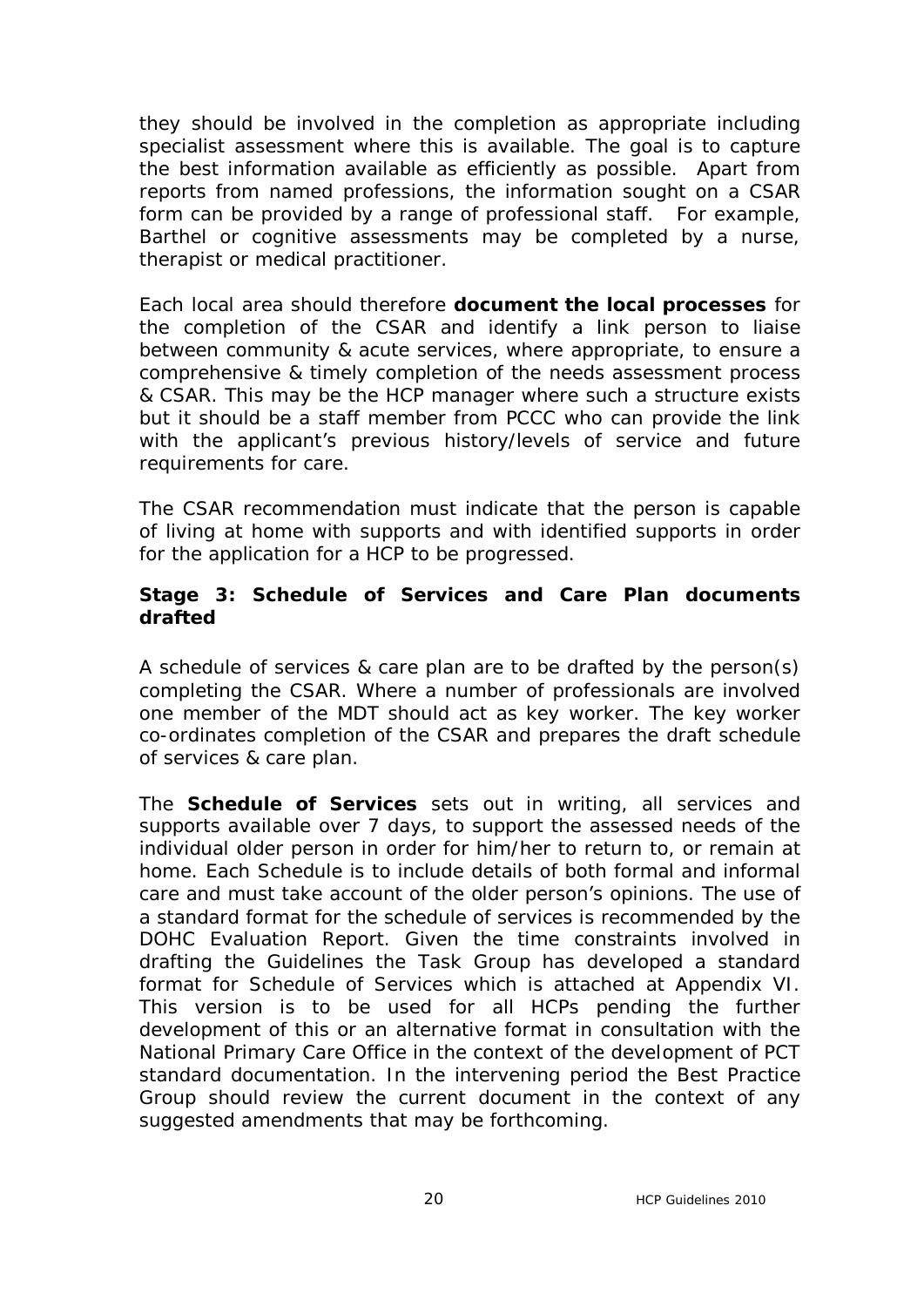they should be involved in the completion as appropriate including specialist assessment where this is available. The goal is to capture the best information available as efficiently as possible. Apart from reports from named professions, the information sought on a CSAR form can be provided by a range of professional staff. For example, Barthel or cognitive assessments may be completed by a nurse, therapist or medical practitioner.

Each local area should therefore **document the local processes** for the completion of the CSAR and identify a link person to liaise between community & acute services, where appropriate, to ensure a comprehensive & timely completion of the needs assessment process & CSAR. This may be the HCP manager where such a structure exists but it should be a staff member from PCCC who can provide the link with the applicant's previous history/levels of service and future requirements for care.

The CSAR recommendation must indicate that the person is capable of living at home with supports and with identified supports in order for the application for a HCP to be progressed.

## **Stage 3: Schedule of Services and Care Plan documents drafted**

A schedule of services & care plan are to be drafted by the person(s) completing the CSAR. Where a number of professionals are involved one member of the MDT should act as key worker. The key worker co-ordinates completion of the CSAR and prepares the draft schedule of services & care plan.

The **Schedule of Services** sets out in writing, all services and supports available over 7 days, to support the assessed needs of the individual older person in order for him/her to return to, or remain at home. Each Schedule is to include details of both formal and informal care and must take account of the older person's opinions. The use of a standard format for the schedule of services is recommended by the DOHC Evaluation Report. Given the time constraints involved in drafting the Guidelines the Task Group has developed a standard format for Schedule of Services which is attached at Appendix VI. This version is to be used for all HCPs pending the further development of this or an alternative format in consultation with the National Primary Care Office in the context of the development of PCT standard documentation. In the intervening period the Best Practice Group should review the current document in the context of any suggested amendments that may be forthcoming.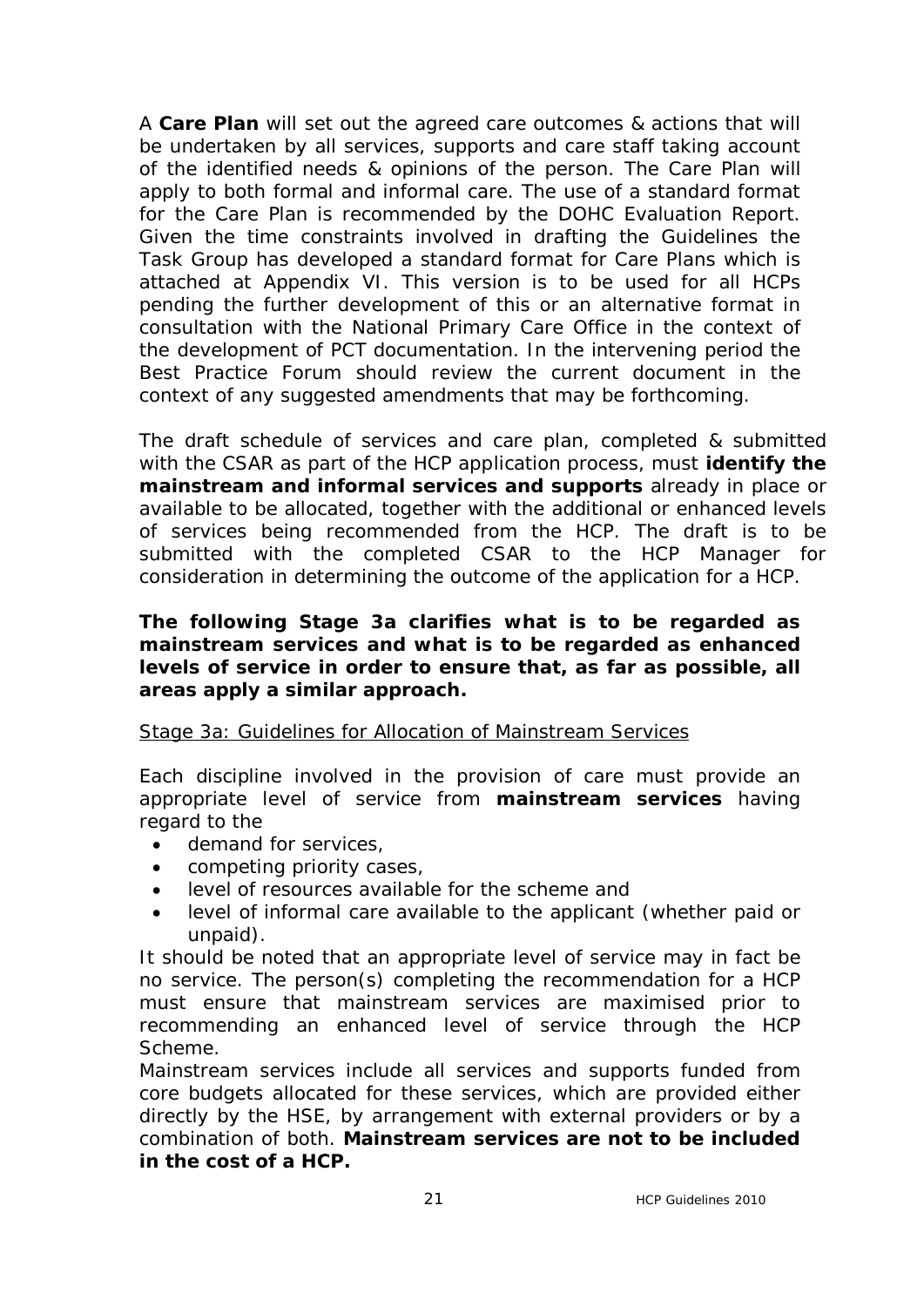A **Care Plan** will set out the agreed care outcomes & actions that will be undertaken by all services, supports and care staff taking account of the identified needs & opinions of the person. The Care Plan will apply to both formal and informal care. The use of a standard format for the Care Plan is recommended by the DOHC Evaluation Report. Given the time constraints involved in drafting the Guidelines the Task Group has developed a standard format for Care Plans which is attached at Appendix VI. This version is to be used for all HCPs pending the further development of this or an alternative format in consultation with the National Primary Care Office in the context of the development of PCT documentation. In the intervening period the Best Practice Forum should review the current document in the context of any suggested amendments that may be forthcoming.

The draft schedule of services and care plan, completed & submitted with the CSAR as part of the HCP application process, must **identify the mainstream and informal services and supports** already in place or available to be allocated, together with the additional or enhanced levels of services being recommended from the HCP. The draft is to be submitted with the completed CSAR to the HCP Manager for consideration in determining the outcome of the application for a HCP.

## **The following Stage 3a clarifies what is to be regarded as mainstream services and what is to be regarded as enhanced levels of service in order to ensure that, as far as possible, all areas apply a similar approach.**

#### Stage 3a: Guidelines for Allocation of Mainstream Services

Each discipline involved in the provision of care must provide an appropriate level of service from **mainstream services** having regard to the

- · demand for services,
- · competing priority cases,
- · level of resources available for the scheme and
- · level of informal care available to the applicant (whether paid or unpaid).

It should be noted that an appropriate level of service may in fact be no service. The person(s) completing the recommendation for a HCP must ensure that mainstream services are maximised prior to recommending an enhanced level of service through the HCP Scheme.

Mainstream services include all services and supports funded from core budgets allocated for these services, which are provided either directly by the HSE, by arrangement with external providers or by a combination of both. **Mainstream services are not to be included in the cost of a HCP.**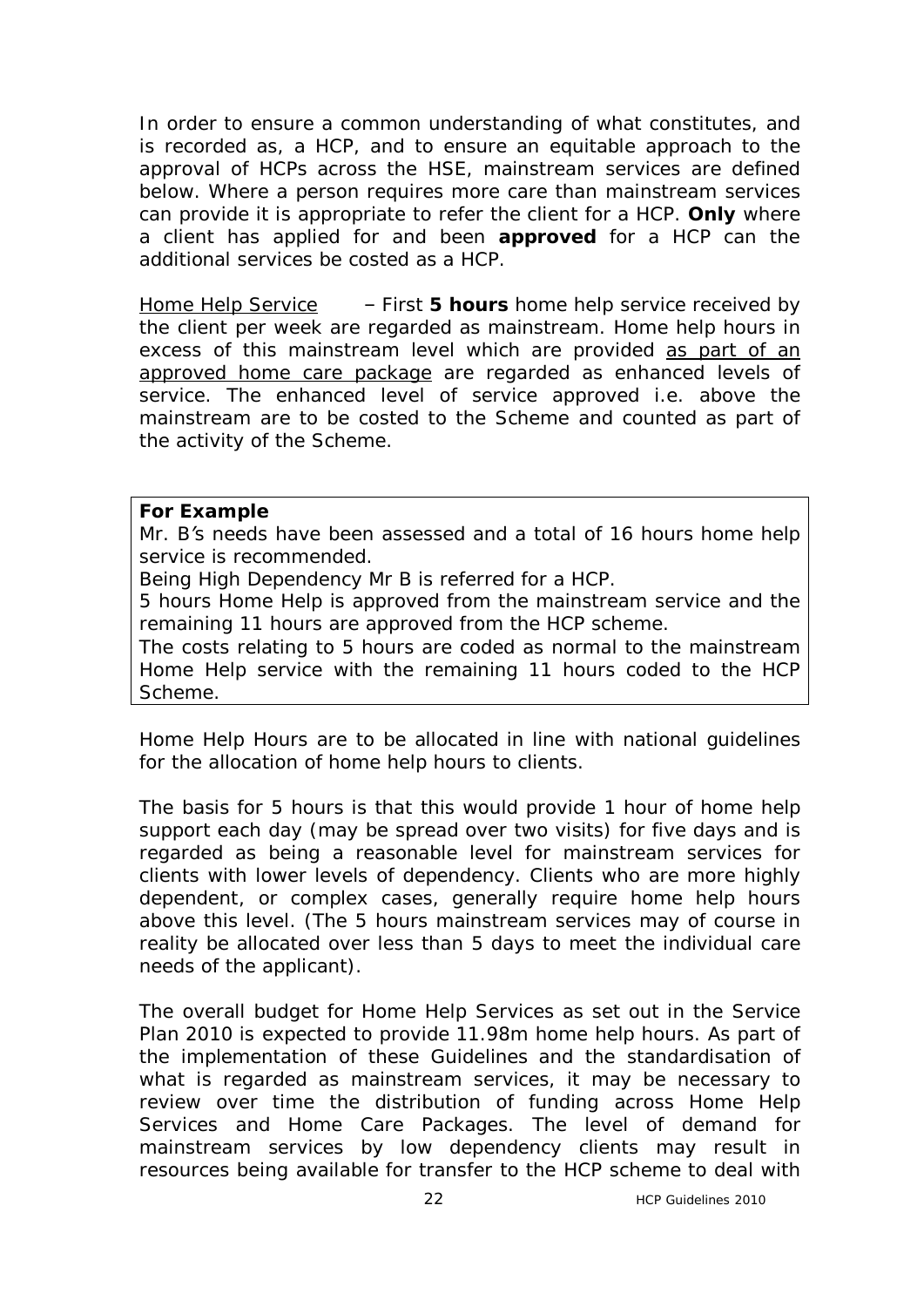In order to ensure a common understanding of what constitutes, and is recorded as, a HCP, and to ensure an equitable approach to the approval of HCPs across the HSE, mainstream services are defined below. Where a person requires more care than mainstream services can provide it is appropriate to refer the client for a HCP. **Only** where a client has applied for and been **approved** for a HCP can the additional services be costed as a HCP.

Home Help Service – First **5 hours** home help service received by the client per week are regarded as mainstream. Home help hours in excess of this mainstream level which are provided as part of an approved home care package are regarded as enhanced levels of service. The enhanced level of service approved i.e. above the mainstream are to be costed to the Scheme and counted as part of the activity of the Scheme.

#### **For Example**

*Mr. B's needs have been assessed and a total of 16 hours home help service is recommended.* 

*Being High Dependency Mr B is referred for a HCP.*

*5 hours Home Help is approved from the mainstream service and the remaining 11 hours are approved from the HCP scheme.*

*The costs relating to 5 hours are coded as normal to the mainstream Home Help service with the remaining 11 hours coded to the HCP Scheme.* 

Home Help Hours are to be allocated in line with national guidelines for the allocation of home help hours to clients.

The basis for 5 hours is that this would provide 1 hour of home help support each day (may be spread over two visits) for five days and is regarded as being a reasonable level for mainstream services for clients with lower levels of dependency. Clients who are more highly dependent, or complex cases, generally require home help hours above this level. (The 5 hours mainstream services may of course in reality be allocated over less than 5 days to meet the individual care needs of the applicant).

The overall budget for Home Help Services as set out in the Service Plan 2010 is expected to provide 11.98m home help hours. As part of the implementation of these Guidelines and the standardisation of what is regarded as mainstream services, it may be necessary to review over time the distribution of funding across Home Help Services and Home Care Packages. The level of demand for mainstream services by low dependency clients may result in resources being available for transfer to the HCP scheme to deal with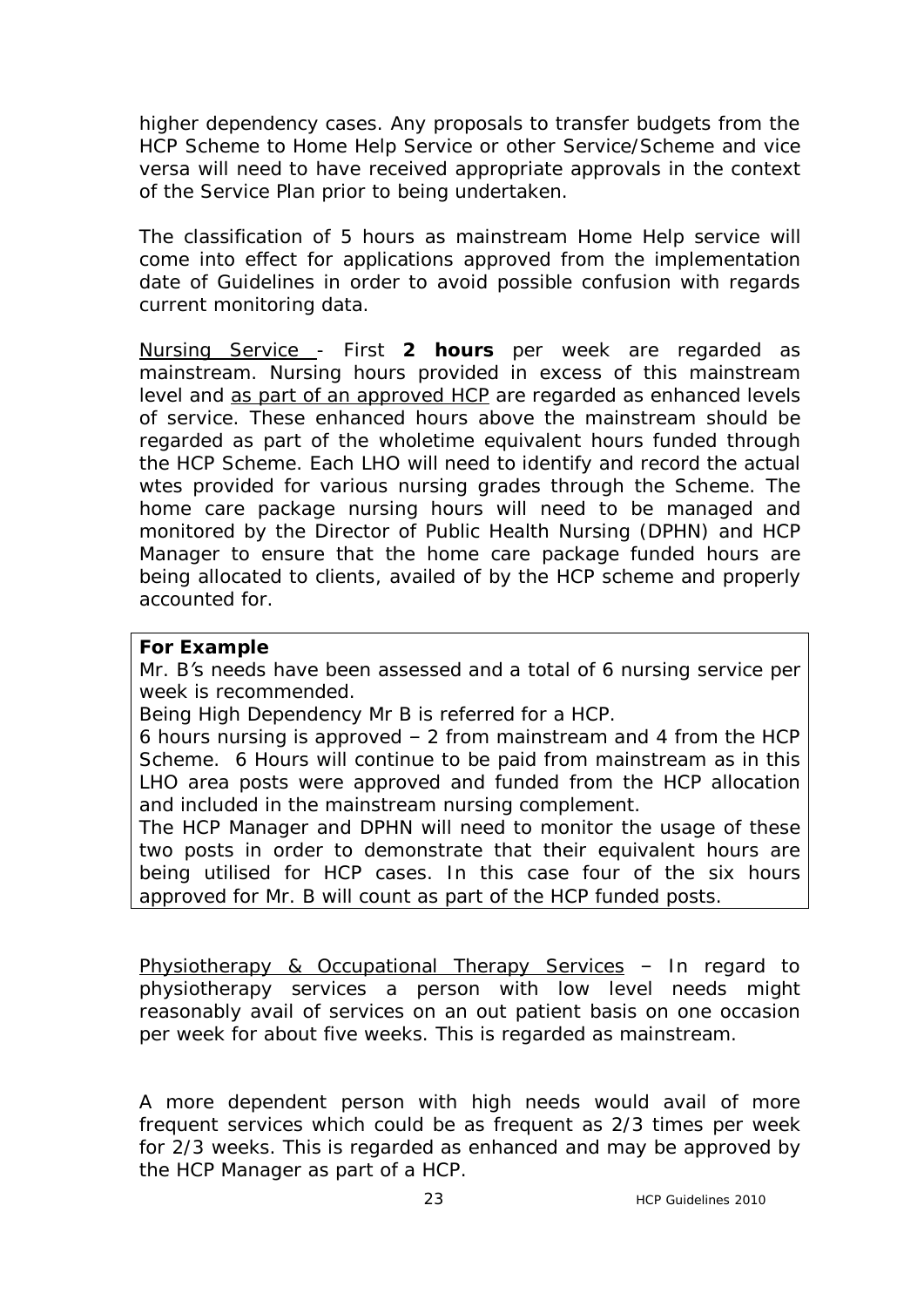higher dependency cases. Any proposals to transfer budgets from the HCP Scheme to Home Help Service or other Service/Scheme and vice versa will need to have received appropriate approvals in the context of the Service Plan prior to being undertaken.

The classification of 5 hours as mainstream Home Help service will come into effect for applications approved from the implementation date of Guidelines in order to avoid possible confusion with regards current monitoring data.

Nursing Service - First **2 hours** per week are regarded as mainstream. Nursing hours provided in excess of this mainstream level and as part of an approved HCP are regarded as enhanced levels of service. These enhanced hours above the mainstream should be regarded as part of the wholetime equivalent hours funded through the HCP Scheme. Each LHO will need to identify and record the actual wtes provided for various nursing grades through the Scheme. The home care package nursing hours will need to be managed and monitored by the Director of Public Health Nursing (DPHN) and HCP Manager to ensure that the home care package funded hours are being allocated to clients, availed of by the HCP scheme and properly accounted for.

#### **For Example**

*Mr. B's needs have been assessed and a total of 6 nursing service per week is recommended.* 

*Being High Dependency Mr B is referred for a HCP.*

*6 hours nursing is approved – 2 from mainstream and 4 from the HCP Scheme. 6 Hours will continue to be paid from mainstream as in this LHO area posts were approved and funded from the HCP allocation and included in the mainstream nursing complement.*

*The HCP Manager and DPHN will need to monitor the usage of these two posts in order to demonstrate that their equivalent hours are being utilised for HCP cases. In this case four of the six hours approved for Mr. B will count as part of the HCP funded posts.*

Physiotherapy & Occupational Therapy Services - In regard to physiotherapy services a person with low level needs might reasonably avail of services on an out patient basis on one occasion per week for about five weeks. This is regarded as mainstream.

A more dependent person with high needs would avail of more frequent services which could be as frequent as 2/3 times per week for 2/3 weeks. This is regarded as enhanced and may be approved by the HCP Manager as part of a HCP.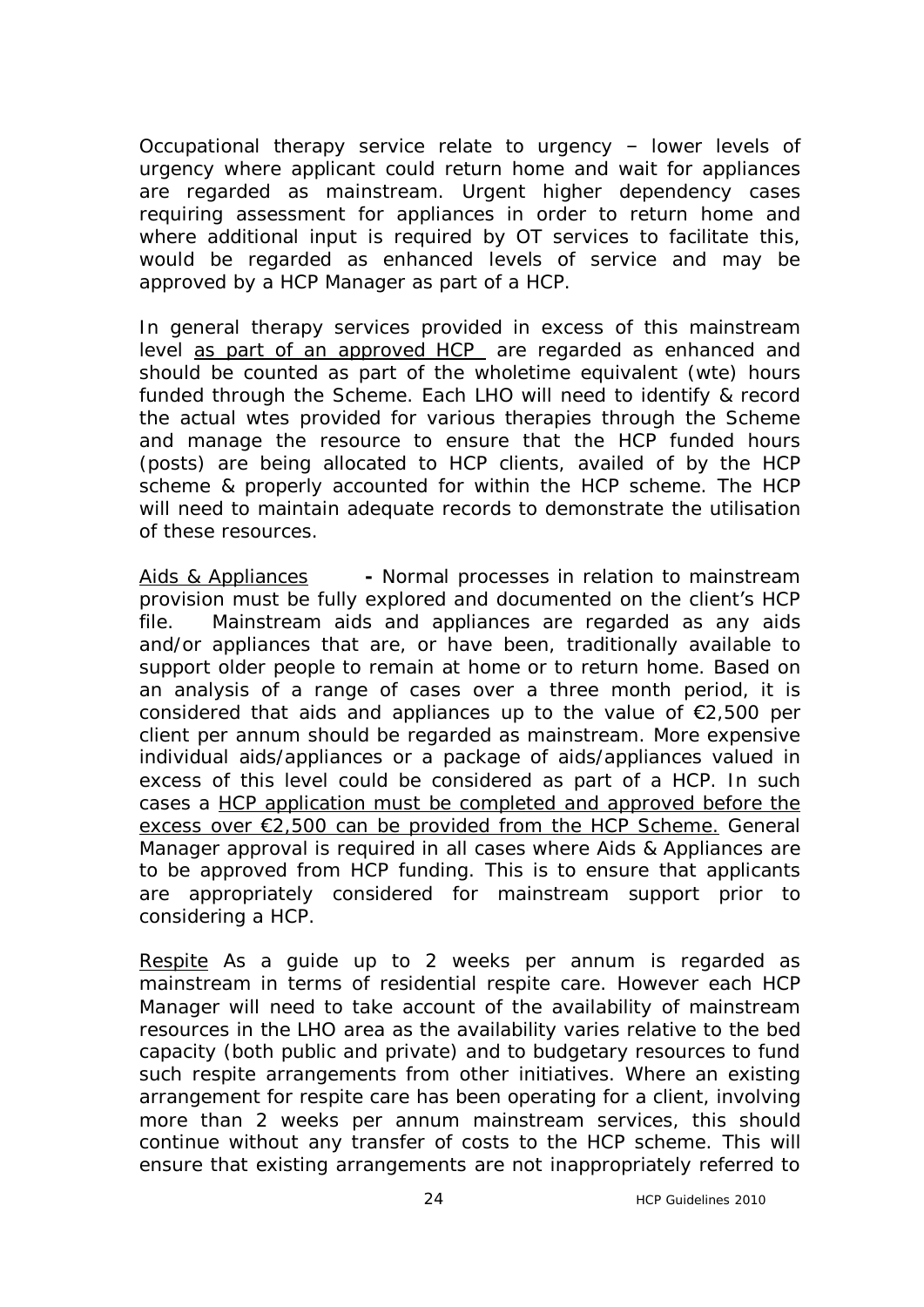Occupational therapy service relate to urgency – lower levels of urgency where applicant could return home and wait for appliances are regarded as mainstream. Urgent higher dependency cases requiring assessment for appliances in order to return home and where additional input is required by OT services to facilitate this, would be regarded as enhanced levels of service and may be approved by a HCP Manager as part of a HCP.

In general therapy services provided in excess of this mainstream level as part of an approved HCP are regarded as enhanced and should be counted as part of the wholetime equivalent (wte) hours funded through the Scheme. Each LHO will need to identify & record the actual wtes provided for various therapies through the Scheme and manage the resource to ensure that the HCP funded hours (posts) are being allocated to HCP clients, availed of by the HCP scheme & properly accounted for within the HCP scheme. The HCP will need to maintain adequate records to demonstrate the utilisation of these resources.

Aids & Appliances **-** Normal processes in relation to mainstream provision must be fully explored and documented on the client's HCP file. Mainstream aids and appliances are regarded as any aids and/or appliances that are, or have been, traditionally available to support older people to remain at home or to return home. Based on an analysis of a range of cases over a three month period, it is considered that aids and appliances up to the value of €2,500 per client per annum should be regarded as mainstream. More expensive individual aids/appliances or a package of aids/appliances valued in excess of this level could be considered as part of a HCP. In such cases a HCP application must be completed and approved before the excess over €2,500 can be provided from the HCP Scheme. General Manager approval is required in all cases where Aids & Appliances are to be approved from HCP funding. This is to ensure that applicants are appropriately considered for mainstream support prior to considering a HCP.

Respite As a guide up to 2 weeks per annum is regarded as mainstream in terms of residential respite care. However each HCP Manager will need to take account of the availability of mainstream resources in the LHO area as the availability varies relative to the bed capacity (both public and private) and to budgetary resources to fund such respite arrangements from other initiatives. Where an existing arrangement for respite care has been operating for a client, involving more than 2 weeks per annum mainstream services, this should continue without any transfer of costs to the HCP scheme. This will ensure that existing arrangements are not inappropriately referred to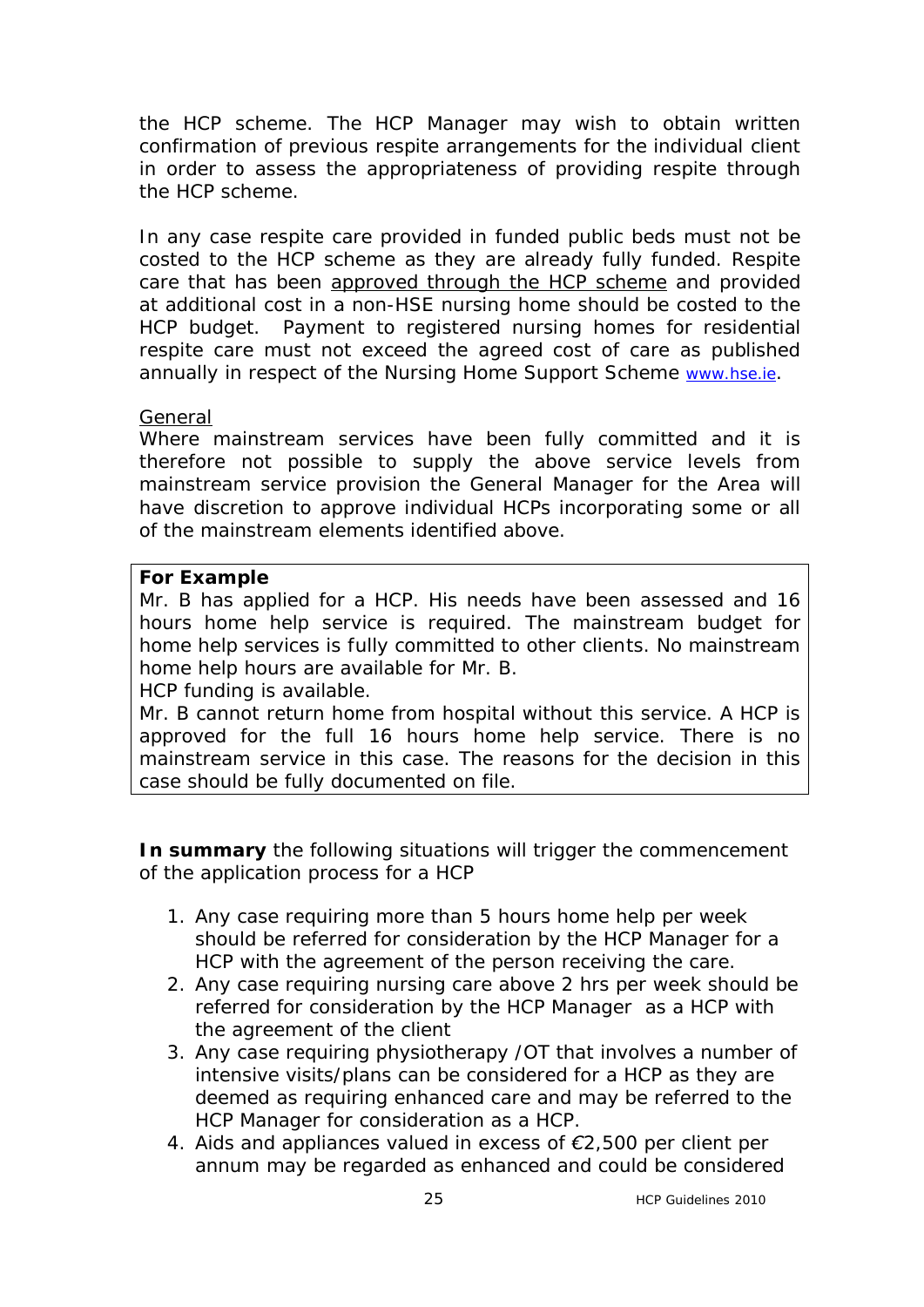the HCP scheme. The HCP Manager may wish to obtain written confirmation of previous respite arrangements for the individual client in order to assess the appropriateness of providing respite through the HCP scheme.

In any case respite care provided in funded public beds must not be costed to the HCP scheme as they are already fully funded. Respite care that has been approved through the HCP scheme and provided at additional cost in a non-HSE nursing home should be costed to the HCP budget. Payment to registered nursing homes for residential respite care must not exceed the agreed cost of care as published annually in respect of the Nursing Home Support Scheme [www.hse.ie.](http://www.hse.ie/)

#### General

Where mainstream services have been fully committed and it is therefore not possible to supply the above service levels from mainstream service provision the General Manager for the Area will have discretion to approve individual HCPs incorporating some or all of the mainstream elements identified above.

#### **For Example**

*Mr. B has applied for a HCP. His needs have been assessed and 16 hours home help service is required. The mainstream budget for home help services is fully committed to other clients. No mainstream home help hours are available for Mr. B.* 

#### *HCP funding is available.*

*Mr. B cannot return home from hospital without this service. A HCP is approved for the full 16 hours home help service. There is no mainstream service in this case. The reasons for the decision in this case should be fully documented on file.*

*In summary the following situations will trigger the commencement of the application process for a HCP* 

- *1. Any case requiring more than 5 hours home help per week should be referred for consideration by the HCP Manager for a HCP with the agreement of the person receiving the care.*
- *2. Any case requiring nursing care above 2 hrs per week should be referred for consideration by the HCP Manager as a HCP with the agreement of the client*
- *3. Any case requiring physiotherapy /OT that involves a number of intensive visits/plans can be considered for a HCP as they are deemed as requiring enhanced care and may be referred to the HCP Manager for consideration as a HCP.*
- *4. Aids and appliances valued in excess of €2,500 per client per annum may be regarded as enhanced and could be considered*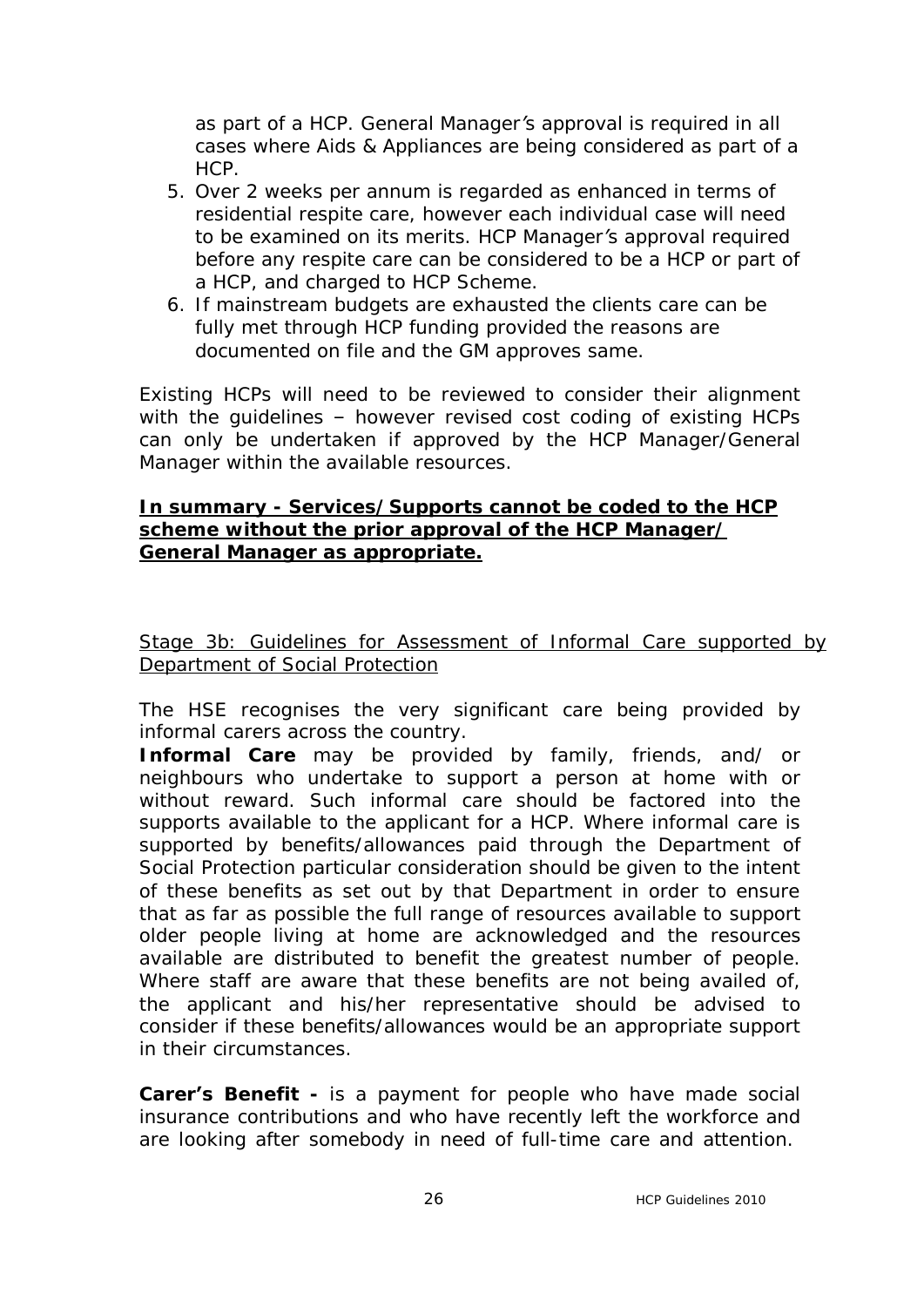*as part of a HCP. General Manager's approval is required in all cases where Aids & Appliances are being considered as part of a HCP.*

- *5. Over 2 weeks per annum is regarded as enhanced in terms of residential respite care, however each individual case will need to be examined on its merits. HCP Manager's approval required before any respite care can be considered to be a HCP or part of a HCP, and charged to HCP Scheme.*
- *6. If mainstream budgets are exhausted the clients care can be fully met through HCP funding provided the reasons are documented on file and the GM approves same.*

Existing HCPs will need to be reviewed to consider their alignment with the guidelines – however revised cost coding of existing HCPs can only be undertaken if approved by the HCP Manager/General Manager within the available resources.

## **In summary - Services/Supports cannot be coded to the HCP scheme without the prior approval of the HCP Manager/ General Manager as appropriate.**

Stage 3b: Guidelines for Assessment of Informal Care supported by Department of Social Protection

The HSE recognises the very significant care being provided by informal carers across the country.

**Informal Care** may be provided by family, friends, and/ or neighbours who undertake to support a person at home with or without reward. Such informal care should be factored into the supports available to the applicant for a HCP. Where informal care is supported by benefits/allowances paid through the Department of Social Protection particular consideration should be given to the intent of these benefits as set out by that Department in order to ensure that as far as possible the full range of resources available to support older people living at home are acknowledged and the resources available are distributed to benefit the greatest number of people. Where staff are aware that these benefits are not being availed of, the applicant and his/her representative should be advised to consider if these benefits/allowances would be an appropriate support in their circumstances.

**Carer's Benefit -** is a payment for people who have made social insurance contributions and who have recently left the workforce and are looking after somebody in need of full-time care and attention.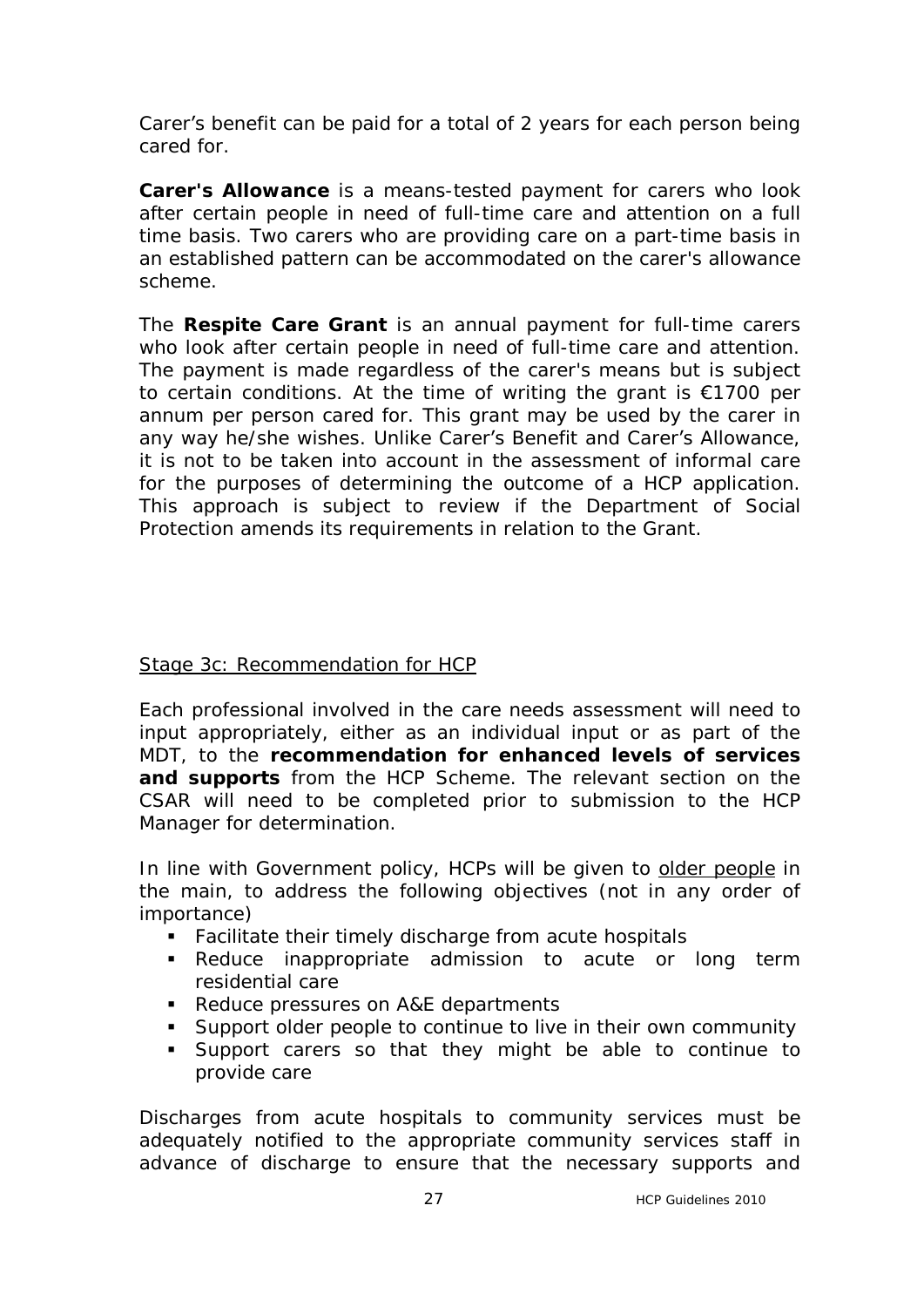Carer's benefit can be paid for a total of 2 years for each person being cared for.

**Carer's Allowance** is a means-tested payment for carers who look after certain people in need of full-time care and attention on a full time basis. Two carers who are providing care on a part-time basis in an established pattern can be accommodated on the carer's allowance scheme.

The **Respite Care Grant** is an annual payment for full-time carers who look after certain people in need of full-time care and attention. The payment is made regardless of the carer's means but is subject to certain conditions. At the time of writing the grant is €1700 per annum per person cared for. This grant may be used by the carer in any way he/she wishes. Unlike Carer's Benefit and Carer's Allowance, it is not to be taken into account in the assessment of informal care for the purposes of determining the outcome of a HCP application. This approach is subject to review if the Department of Social Protection amends its requirements in relation to the Grant.

#### Stage 3c: Recommendation for HCP

Each professional involved in the care needs assessment will need to input appropriately, either as an individual input or as part of the MDT, to the **recommendation for enhanced levels of services and supports** from the HCP Scheme. The relevant section on the CSAR will need to be completed prior to submission to the HCP Manager for determination.

In line with Government policy, HCPs will be given to older people in the main, to address the following objectives (not in any order of importance)

- **Facilitate their timely discharge from acute hospitals**
- Reduce inappropriate admission to acute or long term residential care
- Reduce pressures on A&E departments
- **Support older people to continue to live in their own community**
- **Support carers so that they might be able to continue to** provide care

Discharges from acute hospitals to community services must be adequately notified to the appropriate community services staff in advance of discharge to ensure that the necessary supports and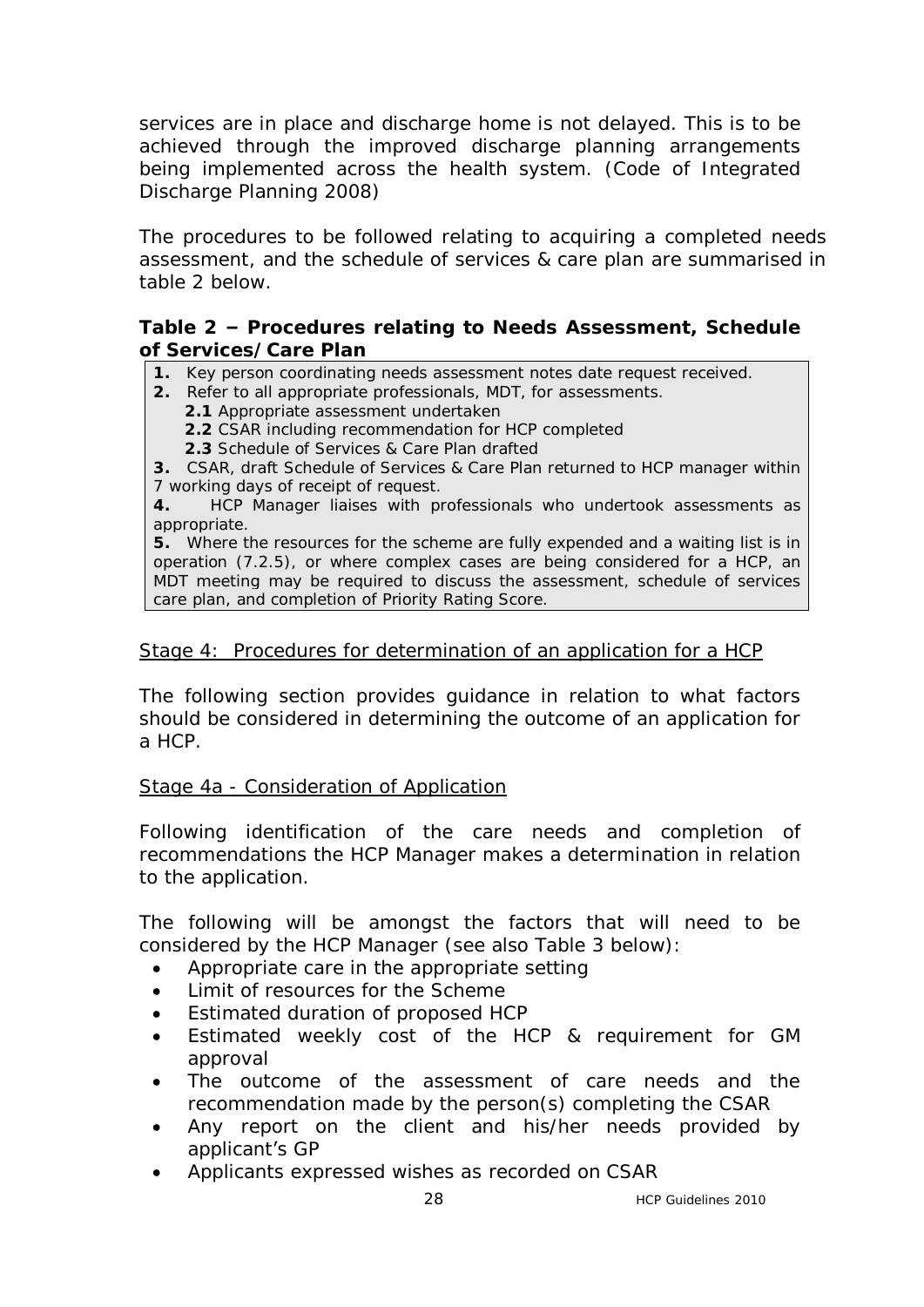services are in place and discharge home is not delayed. This is to be achieved through the improved discharge planning arrangements being implemented across the health system. (Code of Integrated Discharge Planning 2008)

The procedures to be followed relating to acquiring a completed needs assessment, and the schedule of services & care plan are summarised in table 2 below.

#### **Table 2 – Procedures relating to Needs Assessment, Schedule of Services/Care Plan**

**1.** Key person coordinating needs assessment notes date request received.

- **2.** Refer to all appropriate professionals, MDT, for assessments.
	- **2.1** Appropriate assessment undertaken
	- **2.2** CSAR including recommendation for HCP completed
	- **2.3** Schedule of Services & Care Plan drafted

**3.** CSAR, draft Schedule of Services & Care Plan returned to HCP manager within 7 working days of receipt of request.

**4.** HCP Manager liaises with professionals who undertook assessments as appropriate.

**5.** Where the resources for the scheme are fully expended and a waiting list is in operation (7.2.5), or where complex cases are being considered for a HCP, an MDT meeting may be required to discuss the assessment, schedule of services care plan, and completion of Priority Rating Score.

## Stage 4: Procedures for determination of an application for a HCP

The following section provides guidance in relation to what factors should be considered in determining the outcome of an application for a HCP.

Stage 4a - Consideration of Application

Following identification of the care needs and completion of recommendations the HCP Manager makes a determination in relation to the application.

The following will be amongst the factors that will need to be considered by the HCP Manager (see also Table 3 below):

- · Appropriate care in the appropriate setting
- · Limit of resources for the Scheme
- · Estimated duration of proposed HCP
- Estimated weekly cost of the HCP & requirement for GM approval
- The outcome of the assessment of care needs and the recommendation made by the person(s) completing the CSAR
- Any report on the client and his/her needs provided by applicant's GP
- Applicants expressed wishes as recorded on CSAR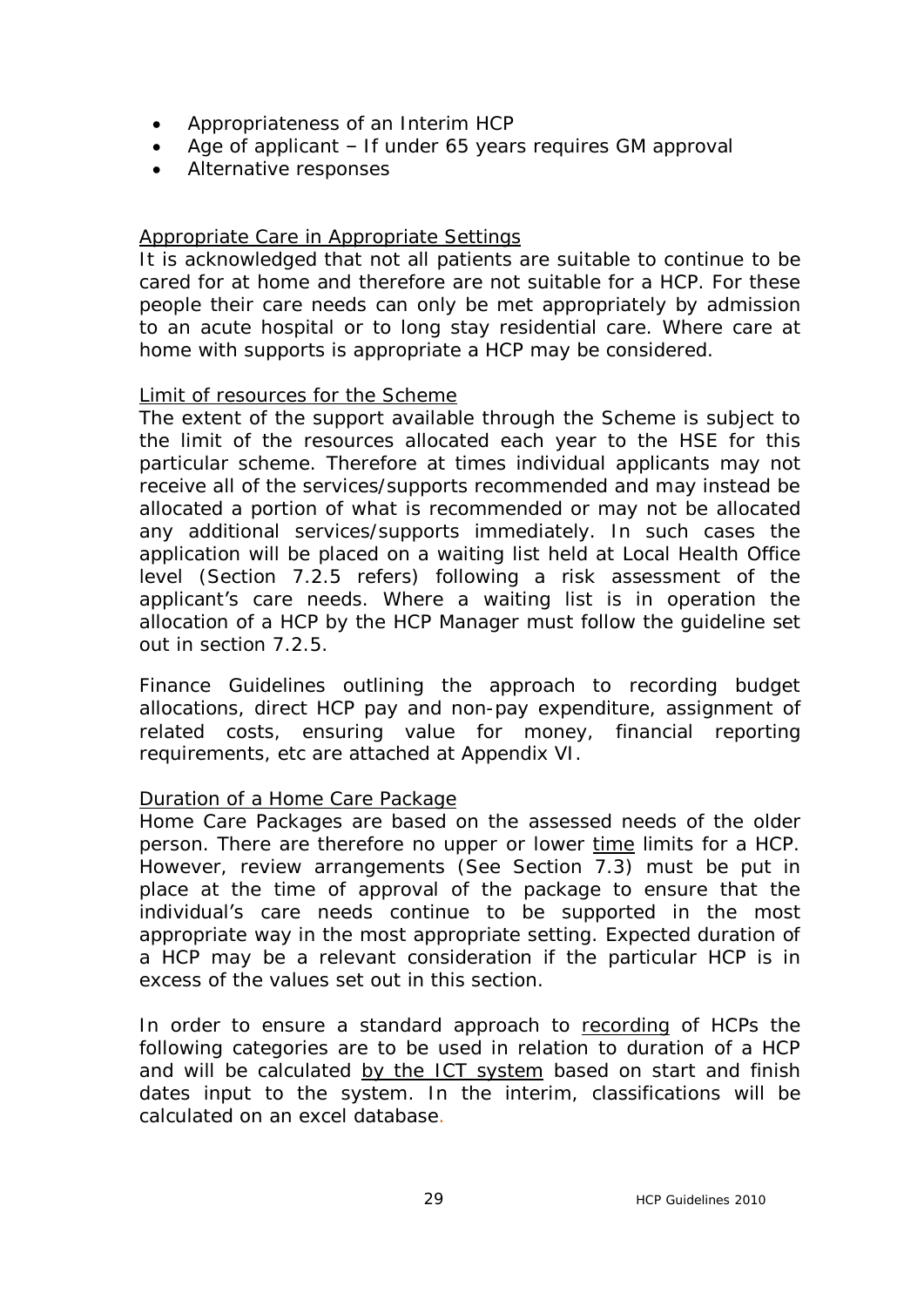- · Appropriateness of an Interim HCP
- · Age of applicant If under 65 years requires GM approval
- · Alternative responses

#### *Appropriate Care in Appropriate Settings*

It is acknowledged that not all patients are suitable to continue to be cared for at home and therefore are not suitable for a HCP. For these people their care needs can only be met appropriately by admission to an acute hospital or to long stay residential care. Where care at home with supports is appropriate a HCP may be considered.

## *Limit of resources for the Scheme*

The extent of the support available through the Scheme is subject to the limit of the resources allocated each year to the HSE for this particular scheme. Therefore at times individual applicants may not receive all of the services/supports recommended and may instead be allocated a portion of what is recommended or may not be allocated any additional services/supports immediately. In such cases the application will be placed on a waiting list held at Local Health Office level (Section 7.2.5 refers) following a risk assessment of the applicant's care needs. Where a waiting list is in operation the allocation of a HCP by the HCP Manager must follow the guideline set out in section 7.2.5.

Finance Guidelines outlining the approach to recording budget allocations, direct HCP pay and non-pay expenditure, assignment of related costs, ensuring value for money, financial reporting requirements, etc are attached at Appendix VI.

#### *Duration of a Home Care Package*

Home Care Packages are based on the assessed needs of the older person. There are therefore no upper or lower time limits for a HCP. However, review arrangements (See Section 7.3) must be put in place at the time of approval of the package to ensure that the individual's care needs continue to be supported in the most appropriate way in the most appropriate setting. Expected duration of a HCP may be a relevant consideration if the particular HCP is in excess of the values set out in this section.

In order to ensure a standard approach to recording of HCPs the following categories are to be used in relation to duration of a HCP and will be calculated by the ICT system based on start and finish dates input to the system. In the interim, classifications will be calculated on an excel database.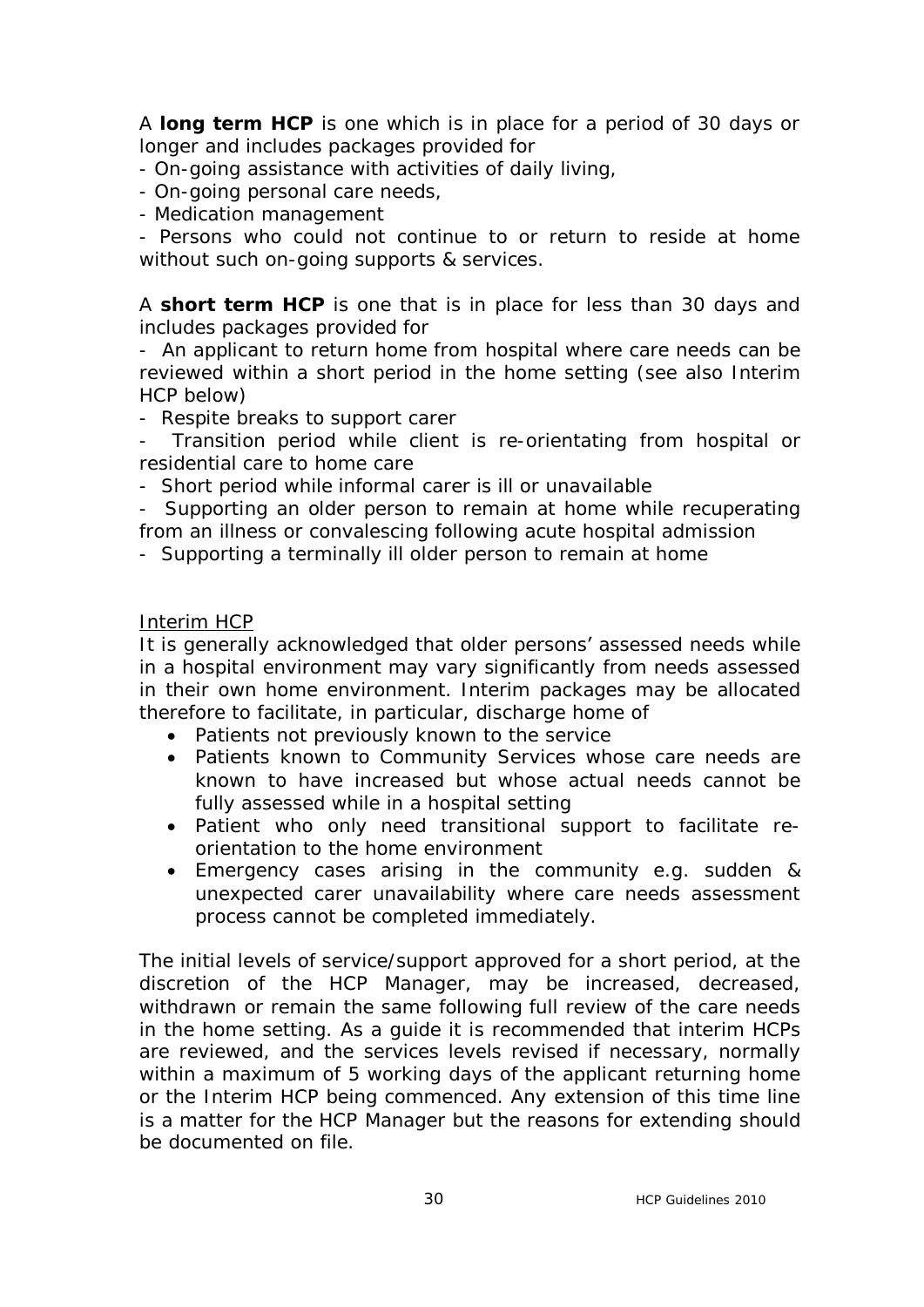A **long term HCP** is one which is in place for a period of 30 days or longer and includes packages provided for

- On-going assistance with activities of daily living,
- On-going personal care needs,
- Medication management

- Persons who could not continue to or return to reside at home without such on-going supports & services.

A **short term HCP** is one that is in place for less than 30 days and includes packages provided for

- An applicant to return home from hospital where care needs can be reviewed within a short period in the home setting (see also Interim HCP below)

- Respite breaks to support carer

- Transition period while client is re-orientating from hospital or residential care to home care

- Short period while informal carer is ill or unavailable

- Supporting an older person to remain at home while recuperating from an illness or convalescing following acute hospital admission

- Supporting a terminally ill older person to remain at home

## *Interim HCP*

It is generally acknowledged that older persons' assessed needs while in a hospital environment may vary significantly from needs assessed in their own home environment. Interim packages may be allocated therefore to facilitate, in particular, discharge home of

- · Patients not previously known to the service
- · Patients known to Community Services whose care needs are known to have increased but whose actual needs cannot be fully assessed while in a hospital setting
- · Patient who only need transitional support to facilitate reorientation to the home environment
- · Emergency cases arising in the community e.g. sudden & unexpected carer unavailability where care needs assessment process cannot be completed immediately.

The initial levels of service/support approved for a short period, at the discretion of the HCP Manager, may be increased, decreased, withdrawn or remain the same following full review of the care needs in the home setting. As a guide it is recommended that interim HCPs are reviewed, and the services levels revised if necessary, normally within a maximum of 5 working days of the applicant returning home or the Interim HCP being commenced. Any extension of this time line is a matter for the HCP Manager but the reasons for extending should be documented on file.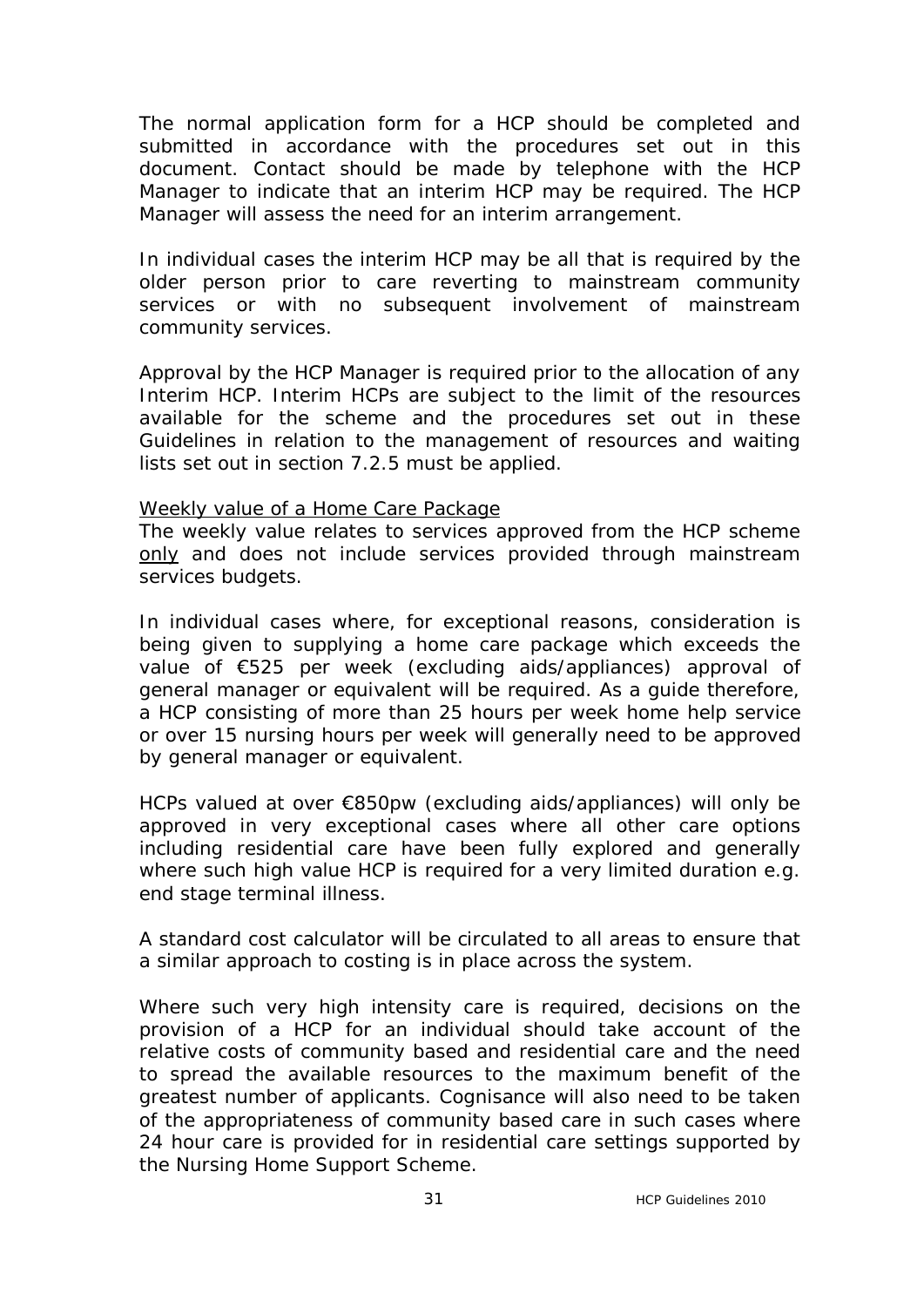The normal application form for a HCP should be completed and submitted in accordance with the procedures set out in this document. Contact should be made by telephone with the HCP Manager to indicate that an interim HCP may be required. The HCP Manager will assess the need for an interim arrangement.

In individual cases the interim HCP may be all that is required by the older person prior to care reverting to mainstream community services or with no subsequent involvement of mainstream community services.

Approval by the HCP Manager is required prior to the allocation of any Interim HCP. Interim HCPs are subject to the limit of the resources available for the scheme and the procedures set out in these Guidelines in relation to the management of resources and waiting lists set out in section 7.2.5 must be applied.

#### *Weekly value of a Home Care Package*

The weekly value relates to services approved from the HCP scheme only and does not include services provided through mainstream services budgets.

In individual cases where, for exceptional reasons, consideration is being given to supplying a home care package which exceeds the value of €525 per week (excluding aids/appliances) approval of general manager or equivalent will be required. As a guide therefore, a HCP consisting of more than 25 hours per week home help service or over 15 nursing hours per week will generally need to be approved by general manager or equivalent.

HCPs valued at over €850pw (excluding aids/appliances) will only be approved in very exceptional cases where all other care options including residential care have been fully explored and generally where such high value HCP is required for a very limited duration e.g. end stage terminal illness.

A standard cost calculator will be circulated to all areas to ensure that a similar approach to costing is in place across the system.

Where such very high intensity care is required, decisions on the provision of a HCP for an individual should take account of the relative costs of community based and residential care and the need to spread the available resources to the maximum benefit of the greatest number of applicants. Cognisance will also need to be taken of the appropriateness of community based care in such cases where 24 hour care is provided for in residential care settings supported by the Nursing Home Support Scheme.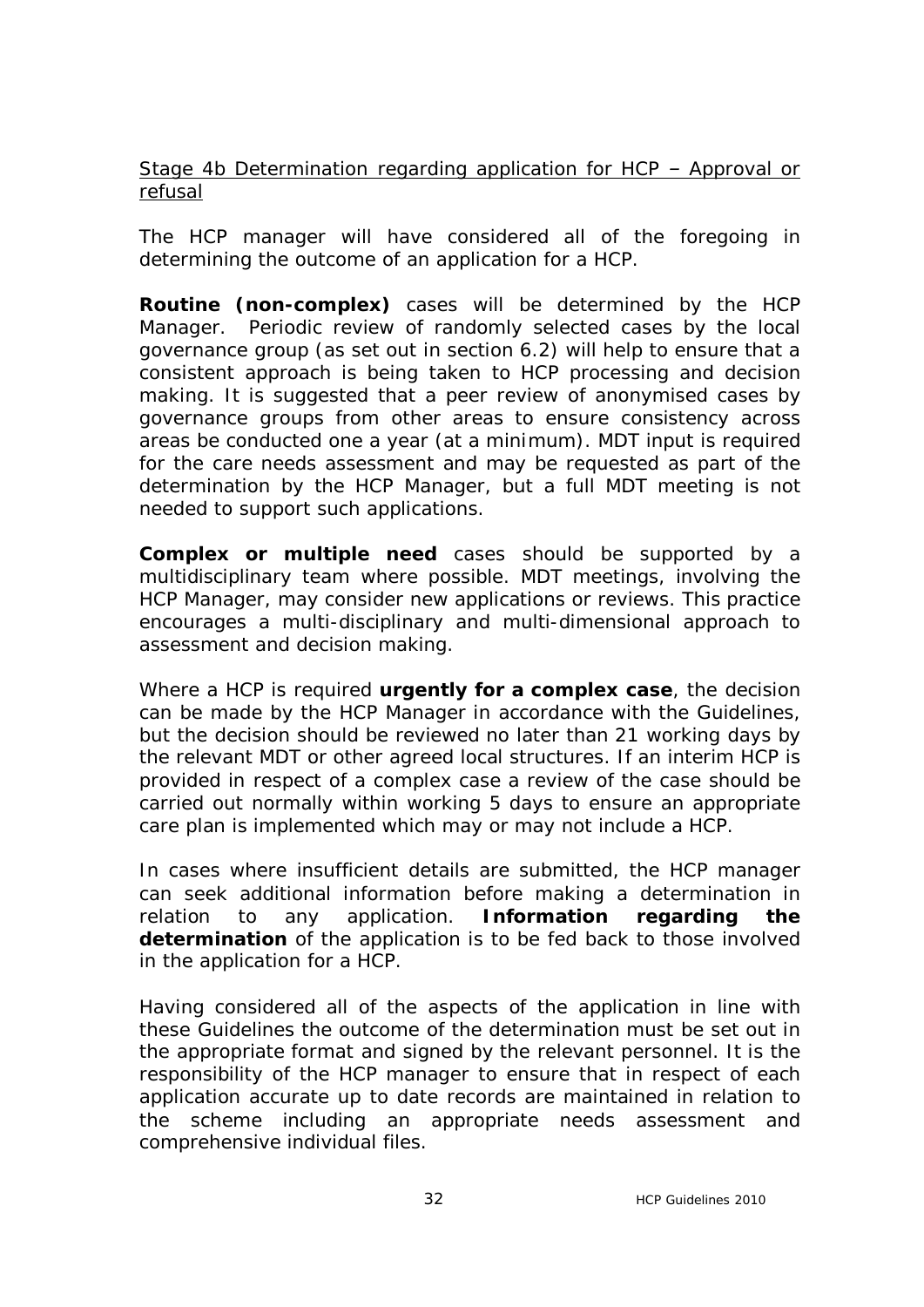## *Stage 4b Determination regarding application for HCP – Approval or refusal*

The HCP manager will have considered all of the foregoing in determining the outcome of an application for a HCP.

**Routine (non-complex)** cases will be determined by the HCP Manager. Periodic review of randomly selected cases by the local governance group (as set out in section 6.2) will help to ensure that a consistent approach is being taken to HCP processing and decision making. It is suggested that a peer review of anonymised cases by governance groups from other areas to ensure consistency across areas be conducted one a year (at a minimum)*.* MDT input is required for the care needs assessment and may be requested as part of the determination by the HCP Manager, but a full MDT meeting is not needed to support such applications.

**Complex or multiple need** cases should be supported by a multidisciplinary team where possible. MDT meetings, involving the HCP Manager, may consider new applications or reviews. This practice encourages a multi-disciplinary and multi-dimensional approach to assessment and decision making.

Where a HCP is required **urgently for a complex case**, the decision can be made by the HCP Manager in accordance with the Guidelines, but the decision should be reviewed no later than 21 working days by the relevant MDT or other agreed local structures. If an interim HCP is provided in respect of a complex case a review of the case should be carried out normally within working 5 days to ensure an appropriate care plan is implemented which may or may not include a HCP.

In cases where insufficient details are submitted, the HCP manager can seek additional information before making a determination in relation to any application. **Information regarding the determination** of the application is to be fed back to those involved in the application for a HCP.

Having considered all of the aspects of the application in line with these Guidelines the outcome of the determination must be set out in the appropriate format and signed by the relevant personnel. It is the responsibility of the HCP manager to ensure that in respect of each application accurate up to date records are maintained in relation to the scheme including an appropriate needs assessment and comprehensive individual files.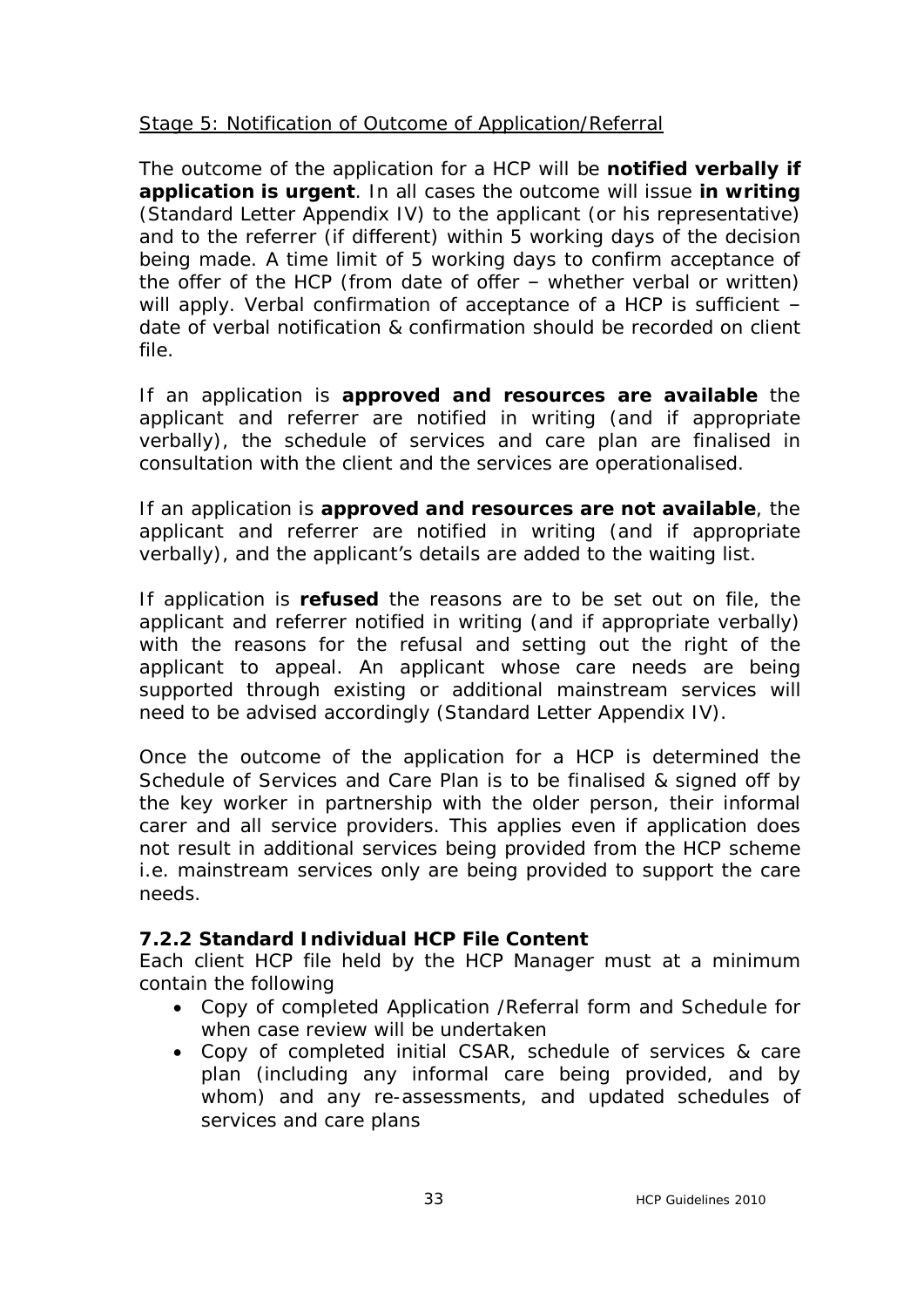# *Stage 5: Notification of Outcome of Application/Referral*

The outcome of the application for a HCP will be **notified verbally if application is urgent**. In all cases the outcome will issue **in writing** (Standard Letter Appendix IV) to the applicant (or his representative) and to the referrer (if different) within 5 working days of the decision being made. A time limit of 5 working days to confirm acceptance of the offer of the HCP (from date of offer – whether verbal or written) will apply. Verbal confirmation of acceptance of a HCP is sufficient date of verbal notification & confirmation should be recorded on client file.

If an application is **approved and resources are available** the applicant and referrer are notified in writing (and if appropriate verbally), the schedule of services and care plan are finalised in consultation with the client and the services are operationalised.

If an application is **approved and resources are not available**, the applicant and referrer are notified in writing (and if appropriate verbally), and the applicant's details are added to the waiting list.

If application is **refused** the reasons are to be set out on file, the applicant and referrer notified in writing (and if appropriate verbally) with the reasons for the refusal and setting out the right of the applicant to appeal. An applicant whose care needs are being supported through existing or additional mainstream services will need to be advised accordingly (Standard Letter Appendix IV).

Once the outcome of the application for a HCP is determined the Schedule of Services and Care Plan is to be finalised & signed off by the key worker in partnership with the older person, their informal carer and all service providers. This applies even if application does not result in additional services being provided from the HCP scheme i.e. mainstream services only are being provided to support the care needs.

## **7.2.2 Standard Individual HCP File Content**

Each client HCP file held by the HCP Manager must at a minimum contain the following

- · Copy of completed Application /Referral form and Schedule for when case review will be undertaken
- · Copy of completed initial CSAR, schedule of services & care plan (including any informal care being provided, and by whom) and any re-assessments, and updated schedules of services and care plans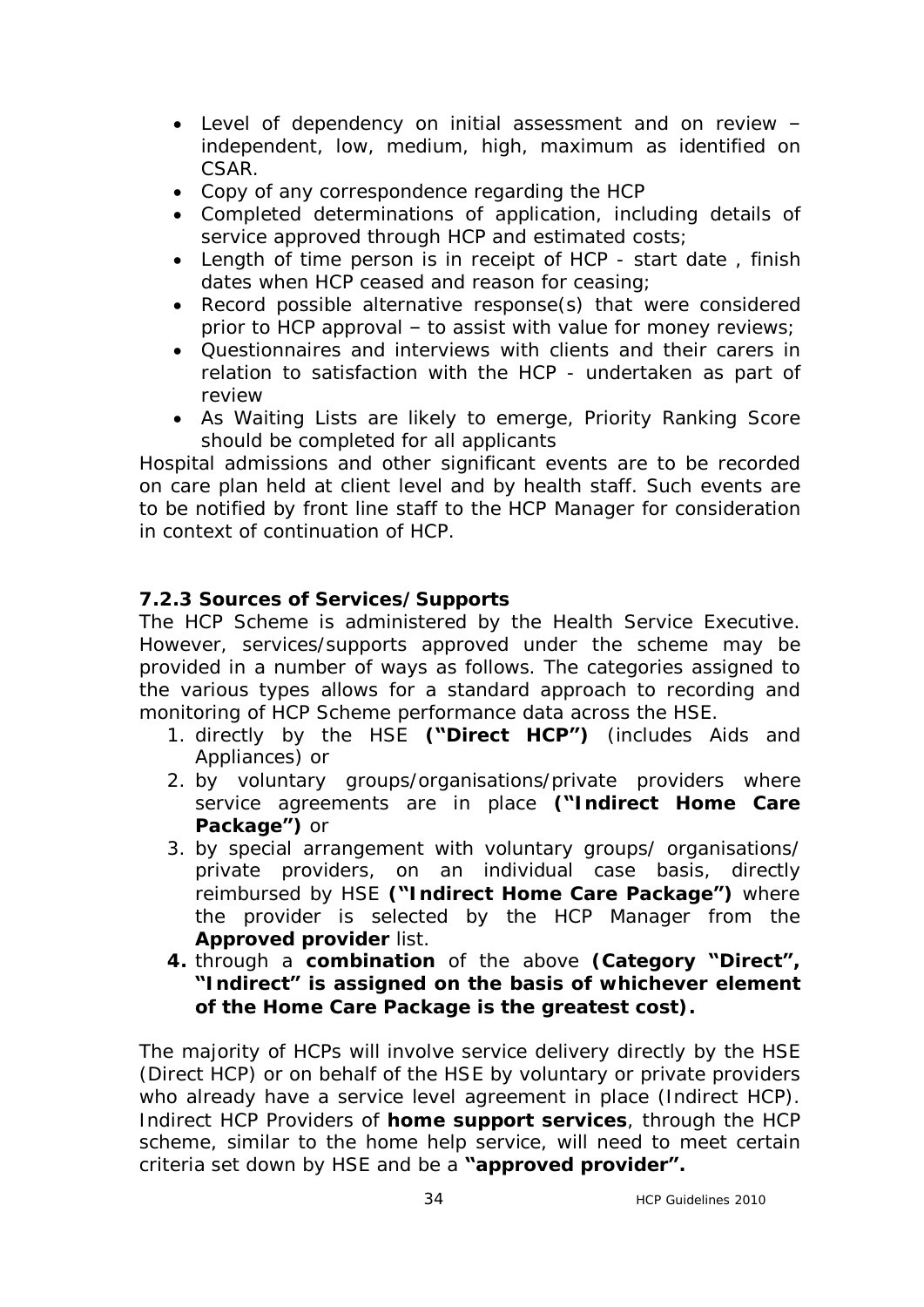- · Level of dependency on initial assessment and on review independent, low, medium, high, maximum as identified on CSAR.
- · Copy of any correspondence regarding the HCP
- · Completed determinations of application, including details of service approved through HCP and estimated costs;
- · Length of time person is in receipt of HCP start date , finish dates when HCP ceased and reason for ceasing;
- · Record possible alternative response(s) that were considered prior to HCP approval – to assist with value for money reviews;
- · Questionnaires and interviews with clients and their carers in relation to satisfaction with the HCP - undertaken as part of review
- · As Waiting Lists are likely to emerge, Priority Ranking Score should be completed for all applicants

Hospital admissions and other significant events are to be recorded on care plan held at client level and by health staff. Such events are to be notified by front line staff to the HCP Manager for consideration in context of continuation of HCP.

# **7.2.3 Sources of Services/Supports**

The HCP Scheme is administered by the Health Service Executive. However, services/supports approved under the scheme may be provided in a number of ways as follows. The categories assigned to the various types allows for a standard approach to recording and monitoring of HCP Scheme performance data across the HSE.

- 1. directly by the HSE **("Direct HCP")** (includes Aids and Appliances) or
- 2. by voluntary groups/organisations/private providers where service agreements are in place **("Indirect Home Care Package")** or
- 3. by special arrangement with voluntary groups/ organisations/ private providers, on an individual case basis, directly reimbursed by HSE **("Indirect Home Care Package")** where the provider is selected by the HCP Manager from the **Approved provider** list.
- **4.** through a **combination** of the above **(Category "Direct", "Indirect" is assigned on the basis of whichever element of the Home Care Package is the greatest cost).**

The majority of HCPs will involve service delivery directly by the HSE (Direct HCP) or on behalf of the HSE by voluntary or private providers who already have a service level agreement in place (Indirect HCP). Indirect HCP Providers of **home support services**, through the HCP scheme, similar to the home help service, will need to meet certain criteria set down by HSE and be a **"approved provider".**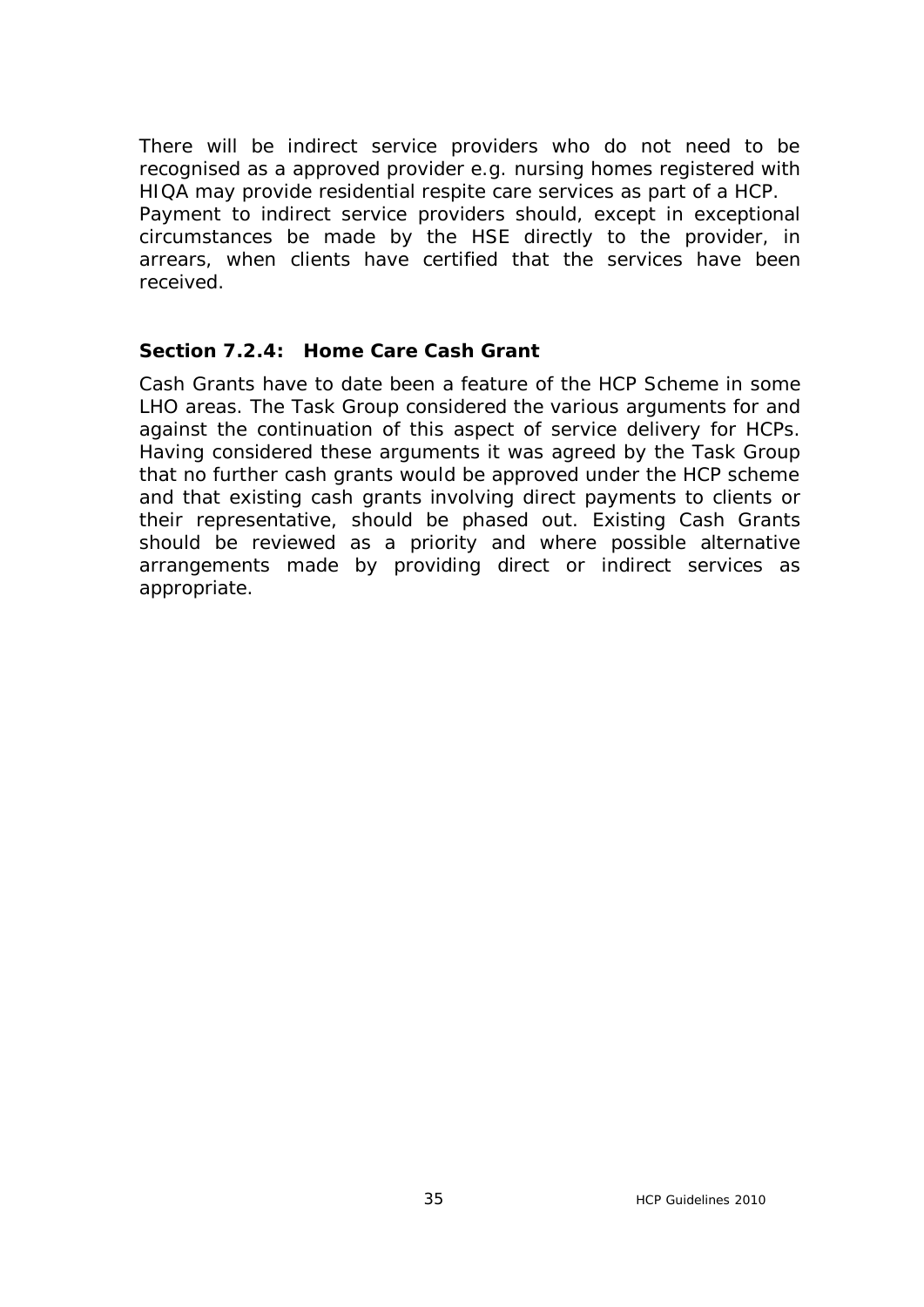There will be indirect service providers who do not need to be recognised as a approved provider e.g. nursing homes registered with HIQA may provide residential respite care services as part of a HCP. Payment to indirect service providers should, except in exceptional circumstances be made by the HSE directly to the provider, in arrears, when clients have certified that the services have been received.

#### **Section 7.2.4: Home Care Cash Grant**

Cash Grants have to date been a feature of the HCP Scheme in some LHO areas. The Task Group considered the various arguments for and against the continuation of this aspect of service delivery for HCPs. Having considered these arguments it was agreed by the Task Group that no further cash grants would be approved under the HCP scheme and that existing cash grants involving direct payments to clients or their representative, should be phased out. Existing Cash Grants should be reviewed as a priority and where possible alternative arrangements made by providing direct or indirect services as appropriate.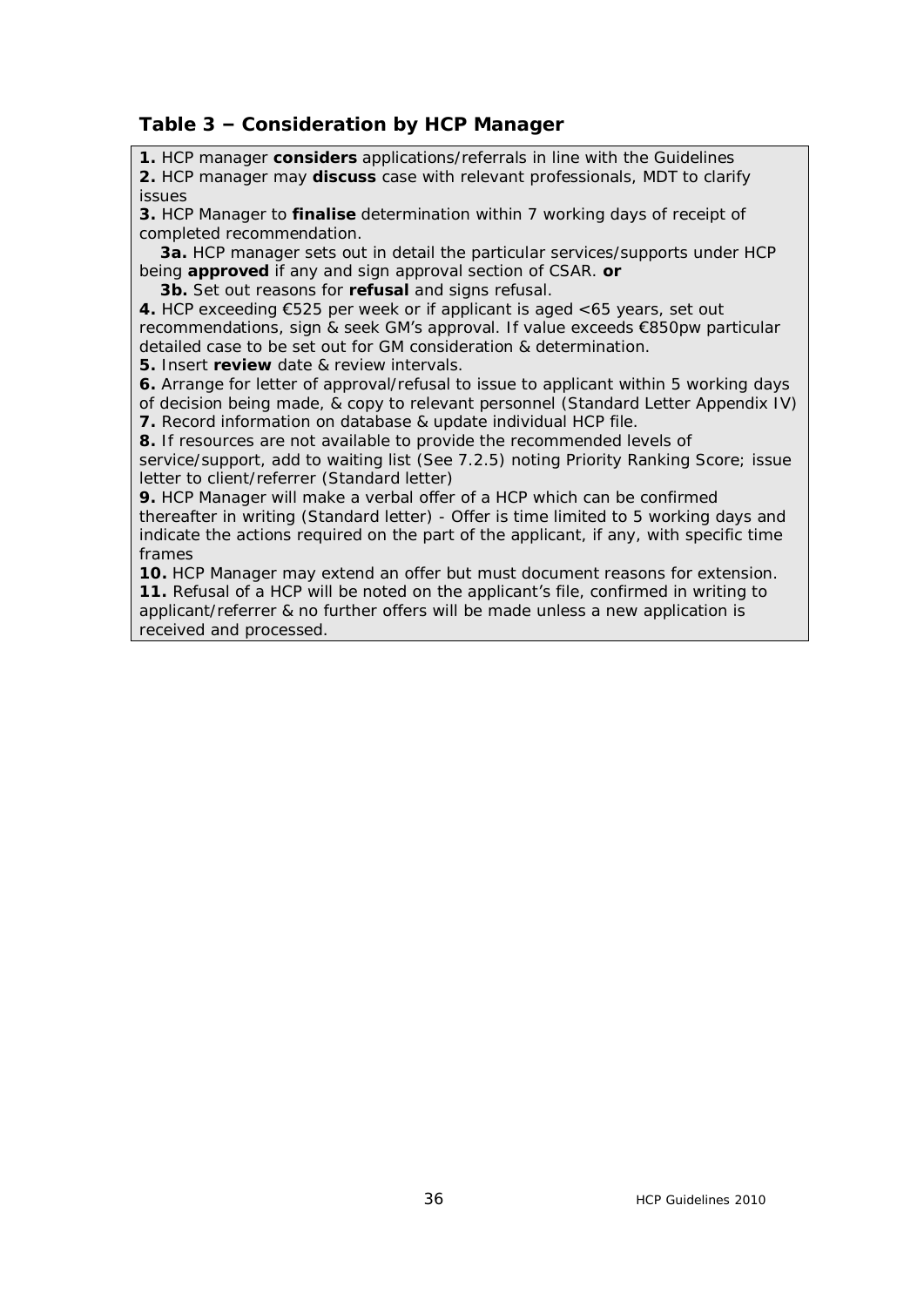#### **Table 3 – Consideration by HCP Manager**

**1.** HCP manager **considers** applications/referrals in line with the Guidelines **2.** HCP manager may **discuss** case with relevant professionals, MDT to clarify issues

**3.** HCP Manager to **finalise** determination within 7 working days of receipt of completed recommendation.

 **3a.** HCP manager sets out in detail the particular services/supports under HCP being **approved** if any and sign approval section of CSAR. **or**

 **3b.** Set out reasons for **refusal** and signs refusal.

**4.** HCP exceeding €525 per week or if applicant is aged <65 years, set out recommendations, sign & seek GM's approval. If value exceeds €850pw particular detailed case to be set out for GM consideration & determination.

**5.** Insert **review** date & review intervals.

**6.** Arrange for letter of approval/refusal to issue to applicant within 5 working days of decision being made, & copy to relevant personnel (Standard Letter Appendix IV)

**7.** Record information on database & update individual HCP file.

**8.** If resources are not available to provide the recommended levels of

service/support, add to waiting list (See 7.2.5) noting Priority Ranking Score; issue letter to client/referrer (Standard letter)

**9.** HCP Manager will make a verbal offer of a HCP which can be confirmed thereafter in writing (Standard letter) - Offer is time limited to 5 working days and indicate the actions required on the part of the applicant, if any, with specific time frames

**10.** HCP Manager may extend an offer but must document reasons for extension. **11.** Refusal of a HCP will be noted on the applicant's file, confirmed in writing to applicant/referrer & no further offers will be made unless a new application is received and processed.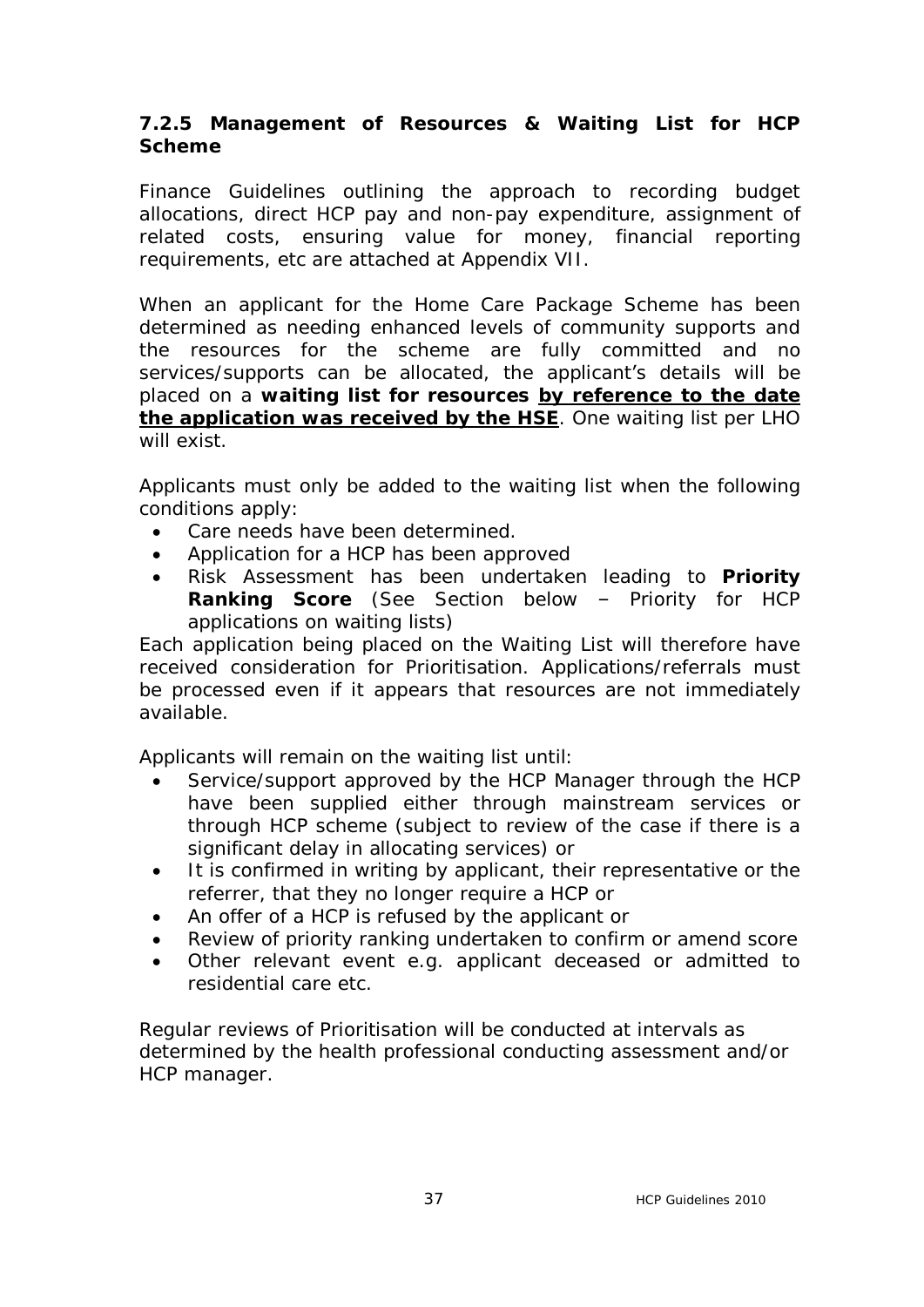# **7.2.5 Management of Resources & Waiting List for HCP Scheme**

Finance Guidelines outlining the approach to recording budget allocations, direct HCP pay and non-pay expenditure, assignment of related costs, ensuring value for money, financial reporting requirements, etc are attached at Appendix VII.

When an applicant for the Home Care Package Scheme has been determined as needing enhanced levels of community supports and the resources for the scheme are fully committed and no services/supports can be allocated, the applicant's details will be placed on a **waiting list for resources by reference to the date the application was received by the HSE**. One waiting list per LHO will exist.

Applicants must only be added to the waiting list when the following conditions apply:

- Care needs have been determined.
- Application for a HCP has been approved
- · Risk Assessment has been undertaken leading to **Priority Ranking Score** (See Section below – Priority for HCP applications on waiting lists)

Each application being placed on the Waiting List will therefore have received consideration for Prioritisation. Applications/referrals must be processed even if it appears that resources are not immediately available.

Applicants will remain on the waiting list until:

- Service/support approved by the HCP Manager through the HCP have been supplied either through mainstream services or through HCP scheme (subject to review of the case if there is a significant delay in allocating services) or
- · It is confirmed in writing by applicant, their representative or the referrer, that they no longer require a HCP or
- · An offer of a HCP is refused by the applicant or
- · Review of priority ranking undertaken to confirm or amend score
- · Other relevant event e.g. applicant deceased or admitted to residential care etc.

Regular reviews of Prioritisation will be conducted at intervals as determined by the health professional conducting assessment and/or HCP manager.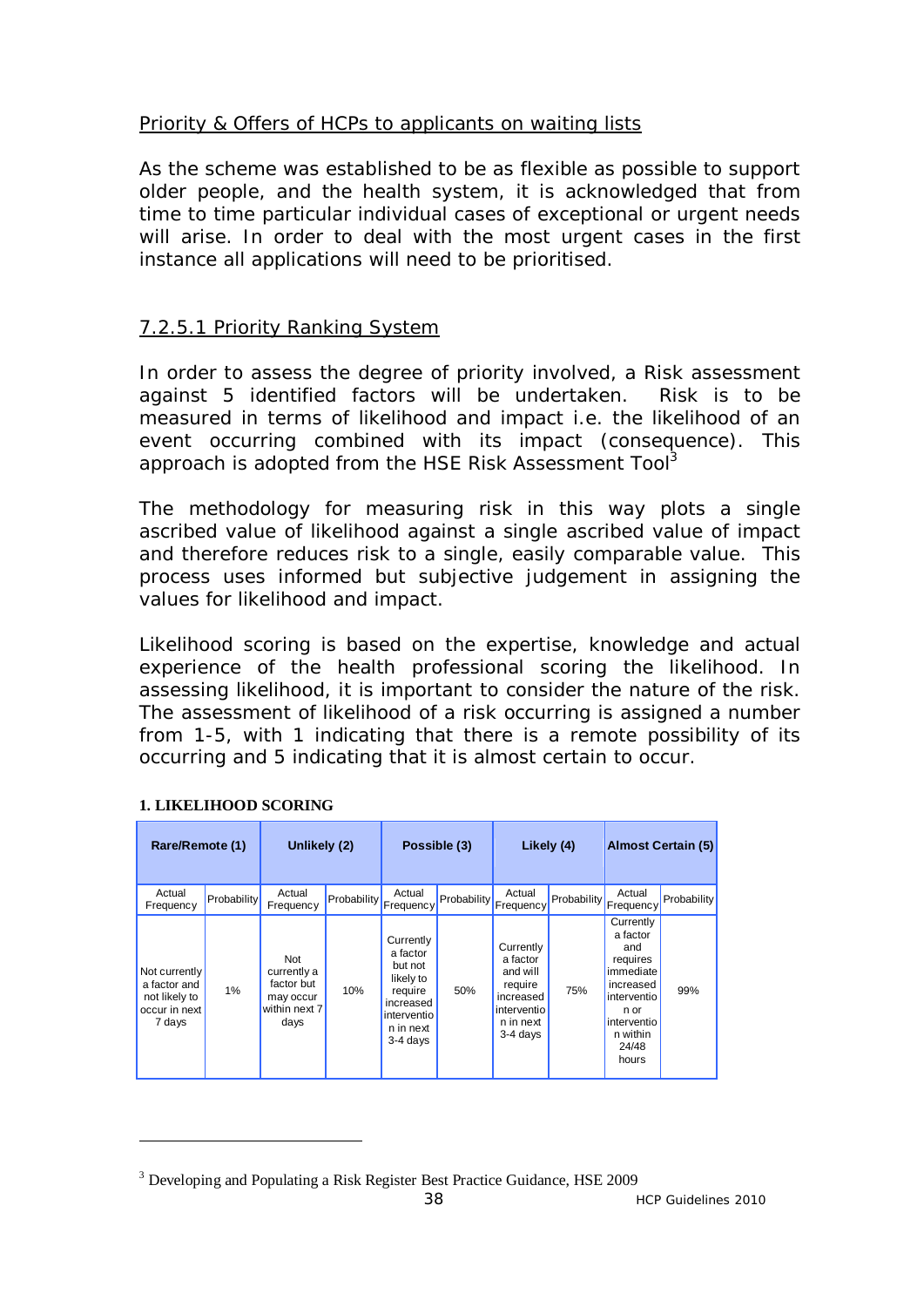# Priority & Offers of HCPs to applicants on waiting lists

As the scheme was established to be as flexible as possible to support older people, and the health system, it is acknowledged that from time to time particular individual cases of exceptional or urgent needs will arise. In order to deal with the most urgent cases in the first instance all applications will need to be prioritised.

# 7.2.5.1 Priority Ranking System

In order to assess the degree of priority involved, a Risk assessment against 5 identified factors will be undertaken. Risk is to be measured in terms of likelihood and impact i.e. the likelihood of an event occurring combined with its impact (consequence). This approach is adopted from the HSE Risk Assessment Tool<sup>3</sup>

The methodology for measuring risk in this way plots a single ascribed value of likelihood against a single ascribed value of impact and therefore reduces risk to a single, easily comparable value. This process uses informed but subjective judgement in assigning the values for likelihood and impact.

Likelihood scoring is based on the expertise, knowledge and actual experience of the health professional scoring the likelihood. In assessing likelihood, it is important to consider the nature of the risk. The assessment of likelihood of a risk occurring is assigned a number from 1-5, with 1 indicating that there is a remote possibility of its occurring and 5 indicating that it is almost certain to occur.

| Rare/Remote (1)                                                           |             | Unlikely (2)                                                           |             |                                                                                                                 | Possible (3) |                                                                                                     | Likely (4)  |                                                                                                                                        | <b>Almost Certain (5)</b> |
|---------------------------------------------------------------------------|-------------|------------------------------------------------------------------------|-------------|-----------------------------------------------------------------------------------------------------------------|--------------|-----------------------------------------------------------------------------------------------------|-------------|----------------------------------------------------------------------------------------------------------------------------------------|---------------------------|
| Actual<br>Frequency                                                       | Probability | Actual<br>Frequency                                                    | Probability | Actual<br>Frequency                                                                                             | Probability  | Actual<br>Frequency                                                                                 | Probability | Actual<br>Frequency <sup>1</sup>                                                                                                       | Probability               |
| Not currently<br>a factor and<br>not likely to<br>occur in next<br>7 days | 1%          | Not<br>currently a<br>factor but<br>may occur<br>within next 7<br>days | 10%         | Currently<br>a factor<br>but not<br>likely to<br>require<br>increased<br>interventio<br>n in next<br>$3-4$ days | 50%          | Currently<br>a factor<br>and will<br>require<br>increased<br>interventio<br>n in next<br>$3-4$ days | 75%         | Currently<br>a factor<br>and<br>requires<br>immediate<br>increased<br>interventio<br>n or<br>interventio<br>n within<br>24/48<br>hours | 99%                       |

### **1. LIKELIHOOD SCORING**

 $\overline{a}$ 

<sup>&</sup>lt;sup>3</sup> Developing and Populating a Risk Register Best Practice Guidance, HSE 2009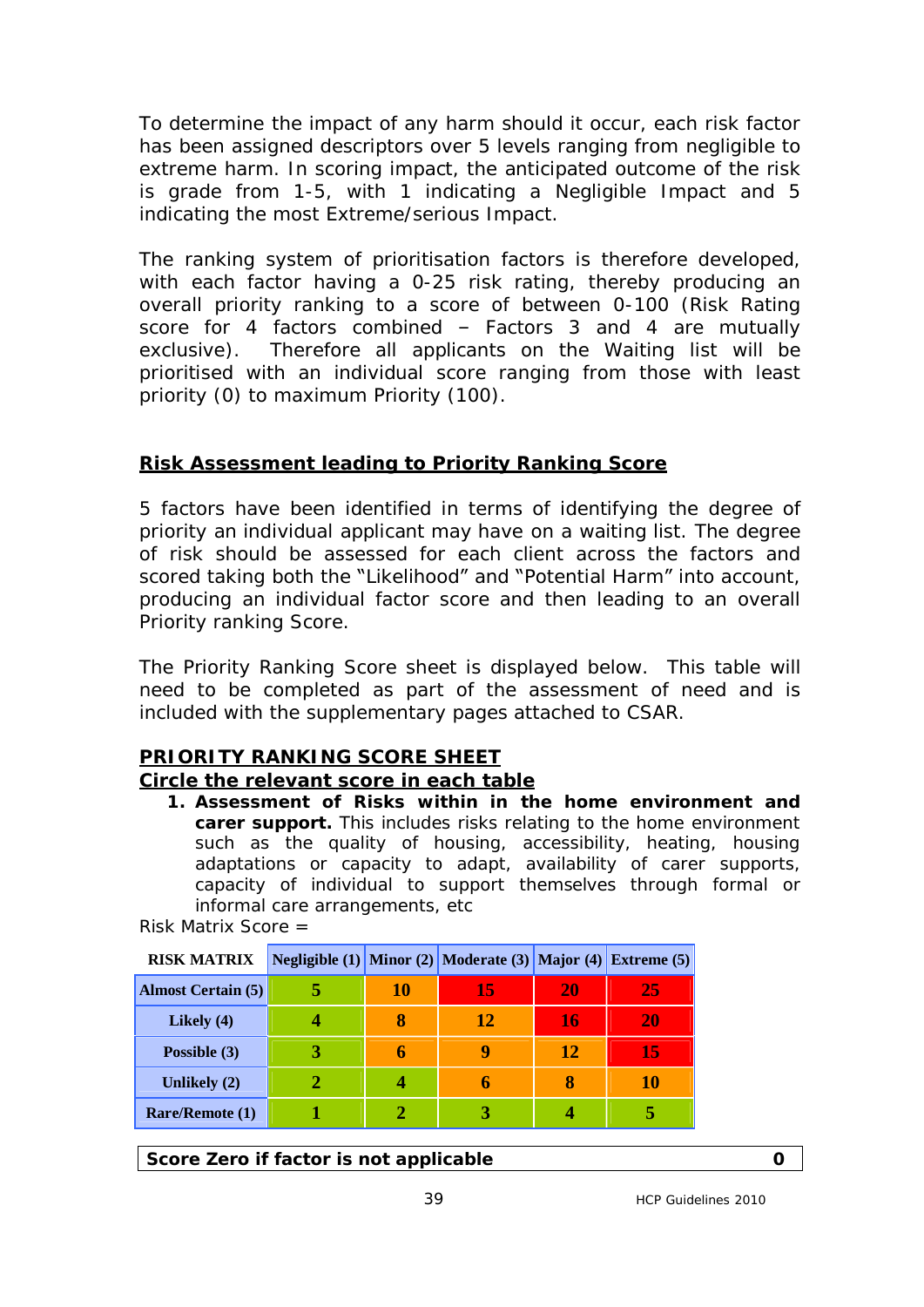To determine the impact of any harm should it occur, each risk factor has been assigned descriptors over 5 levels ranging from negligible to extreme harm. In scoring impact, the anticipated outcome of the risk is grade from 1-5, with 1 indicating a Negligible Impact and 5 indicating the most Extreme/serious Impact.

The ranking system of prioritisation factors is therefore developed, with each factor having a 0-25 risk rating, thereby producing an overall priority ranking to a score of between 0-100 (Risk Rating score for 4 factors combined – Factors 3 and 4 are mutually exclusive). Therefore all applicants on the Waiting list will be prioritised with an individual score ranging from those with least priority (0) to maximum Priority (100).

# **Risk Assessment leading to Priority Ranking Score**

5 factors have been identified in terms of identifying the degree of priority an individual applicant may have on a waiting list. The degree of risk should be assessed for each client across the factors and scored taking both the "Likelihood" and "Potential Harm" into account, producing an individual factor score and then leading to an overall Priority ranking Score.

The Priority Ranking Score sheet is displayed below. This table will need to be completed as part of the assessment of need and is included with the supplementary pages attached to CSAR.

# **PRIORITY RANKING SCORE SHEET**

# **Circle the relevant score in each table**

**1. Assessment of Risks within in the home environment and carer support.** This includes risks relating to the home environment such as the quality of housing, accessibility, heating, housing adaptations or capacity to adapt, availability of carer supports, capacity of individual to support themselves through formal or informal care arrangements, etc

| <b>RISK MATRIX</b>        |    | <b>Negligible (1)</b> Minor (2) Moderate (3) Major (4) Extreme (5) |    |    |
|---------------------------|----|--------------------------------------------------------------------|----|----|
| <b>Almost Certain (5)</b> | 10 | 15                                                                 | 20 | 25 |
| Likely (4)                |    | 12                                                                 | 16 | 20 |
| Possible (3)              | h  | g                                                                  | 12 | 15 |
| Unlikely (2)              |    | 6                                                                  | 8  | 10 |
| <b>Rare/Remote (1)</b>    |    |                                                                    |    |    |

Risk Matrix Score =

**Score Zero if factor is not applicable 0**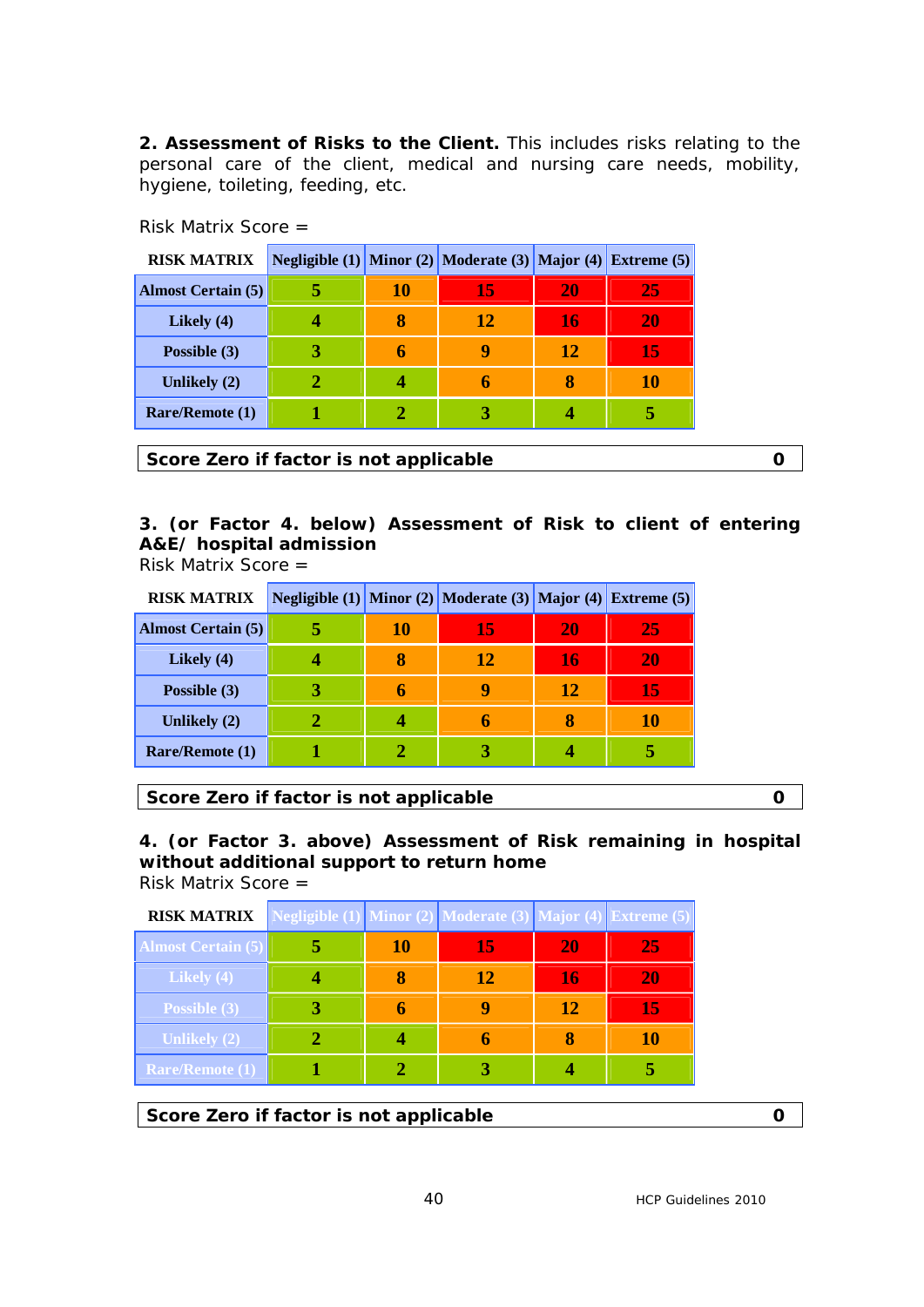**2. Assessment of Risks to the Client.** This includes risks relating to the personal care of the client, medical and nursing care needs, mobility, hygiene, toileting, feeding, etc.

| <b>RISK MATRIX</b>        |    | Negligible (1) Minor (2) Moderate (3) Major (4) Extreme (5) |    |    |
|---------------------------|----|-------------------------------------------------------------|----|----|
| <b>Almost Certain (5)</b> | 10 | 15                                                          | 20 | 25 |
| Likely $(4)$              |    | 12                                                          | 16 | 20 |
| Possible (3)              | h  | Q                                                           | 12 | 15 |
| Unlikely (2)              |    | 6                                                           | X  | 10 |
| Rare/Remote (1)           |    |                                                             |    |    |

Risk Matrix Score =

**Score Zero if factor is not applicable 0 0** 

# **3. (or Factor 4. below) Assessment of Risk to client of entering A&E/ hospital admission**

Risk Matrix Score =

| <b>RISK MATRIX</b>        |    | Negligible (1) Minor (2) Moderate (3) Major (4) Extreme (5) |    |    |
|---------------------------|----|-------------------------------------------------------------|----|----|
| <b>Almost Certain (5)</b> | 10 | 15                                                          | 20 | 25 |
| Likely $(4)$              |    | 12                                                          | 16 | 20 |
| Possible (3)              | h  | q                                                           | 12 | 15 |
| Unlikely (2)              |    | h                                                           |    | 10 |
| Rare/Remote (1)           |    |                                                             |    |    |

**Score Zero if factor is not applicable 0 0** 

**4. (or Factor 3. above) Assessment of Risk remaining in hospital without additional support to return home**  Risk Matrix Score =

| <b>RISK MATRIX</b>        |    | <b>Negligible (1)</b> Minor (2) Moderate (3) Major (4) Extreme (5) |    |    |
|---------------------------|----|--------------------------------------------------------------------|----|----|
| <b>Almost Certain (5)</b> | 10 | 15                                                                 | 20 | 25 |
| Likely $(4)$              |    | 12                                                                 | 16 | 20 |
| Possible (3)              |    |                                                                    | 12 | 15 |
| <b>Unlikely (2)</b>       |    | n                                                                  |    | 10 |
| <b>Rare/Remote (1)</b>    |    |                                                                    |    |    |

**Score Zero if factor is not applicable 0 0**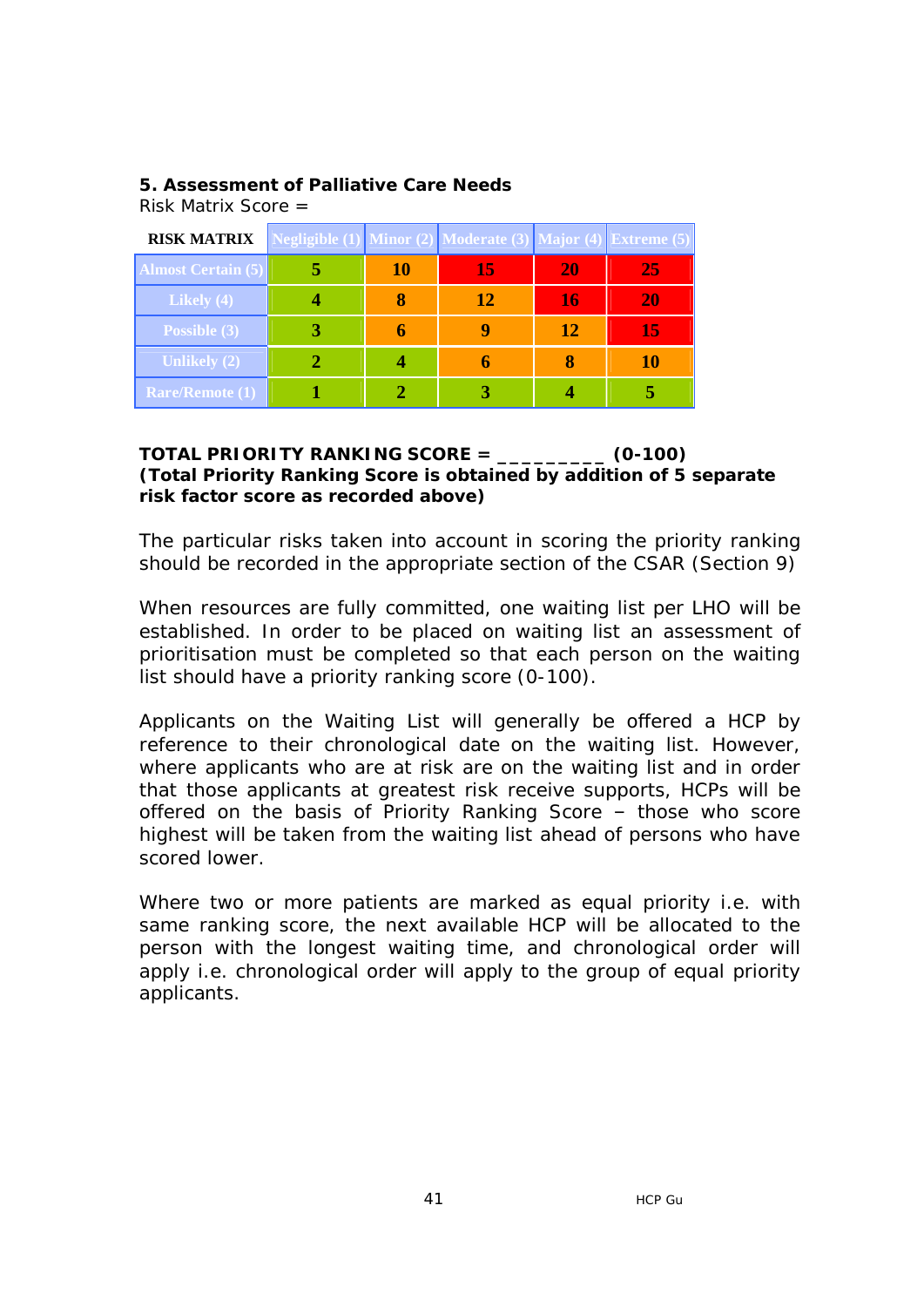# **5. Assessment of Palliative Care Needs**

Risk Matrix Score =

| <b>RISK MATRIX</b>        |    | Negligible (1) Minor (2) Moderate (3) Major (4) Extreme (5) |    |    |
|---------------------------|----|-------------------------------------------------------------|----|----|
| <b>Almost Certain (5)</b> | 10 | 15                                                          | 20 | 25 |
| Likely $(4)$              |    | 12                                                          | 16 | 20 |
| Possible (3)              |    |                                                             | 12 | 15 |
| <b>Unlikely (2)</b>       |    |                                                             |    | 10 |
| <b>Rare/Remote (1)</b>    |    |                                                             |    |    |

### **TOTAL PRIORITY RANKING SCORE = \_\_\_\_\_\_\_\_\_ (0-100) (Total Priority Ranking Score is obtained by addition of 5 separate risk factor score as recorded above)**

The particular risks taken into account in scoring the priority ranking should be recorded in the appropriate section of the CSAR (Section 9)

When resources are fully committed, one waiting list per LHO will be established. In order to be placed on waiting list an assessment of prioritisation must be completed so that each person on the waiting list should have a priority ranking score (0-100).

Applicants on the Waiting List will generally be offered a HCP by reference to their chronological date on the waiting list. However, where applicants who are at risk are on the waiting list and in order that those applicants at greatest risk receive supports, HCPs will be offered on the basis of Priority Ranking Score – those who score highest will be taken from the waiting list ahead of persons who have scored lower.

Where two or more patients are marked as equal priority i.e. with same ranking score, the next available HCP will be allocated to the person with the longest waiting time, and chronological order will apply i.e. chronological order will apply to the group of equal priority applicants.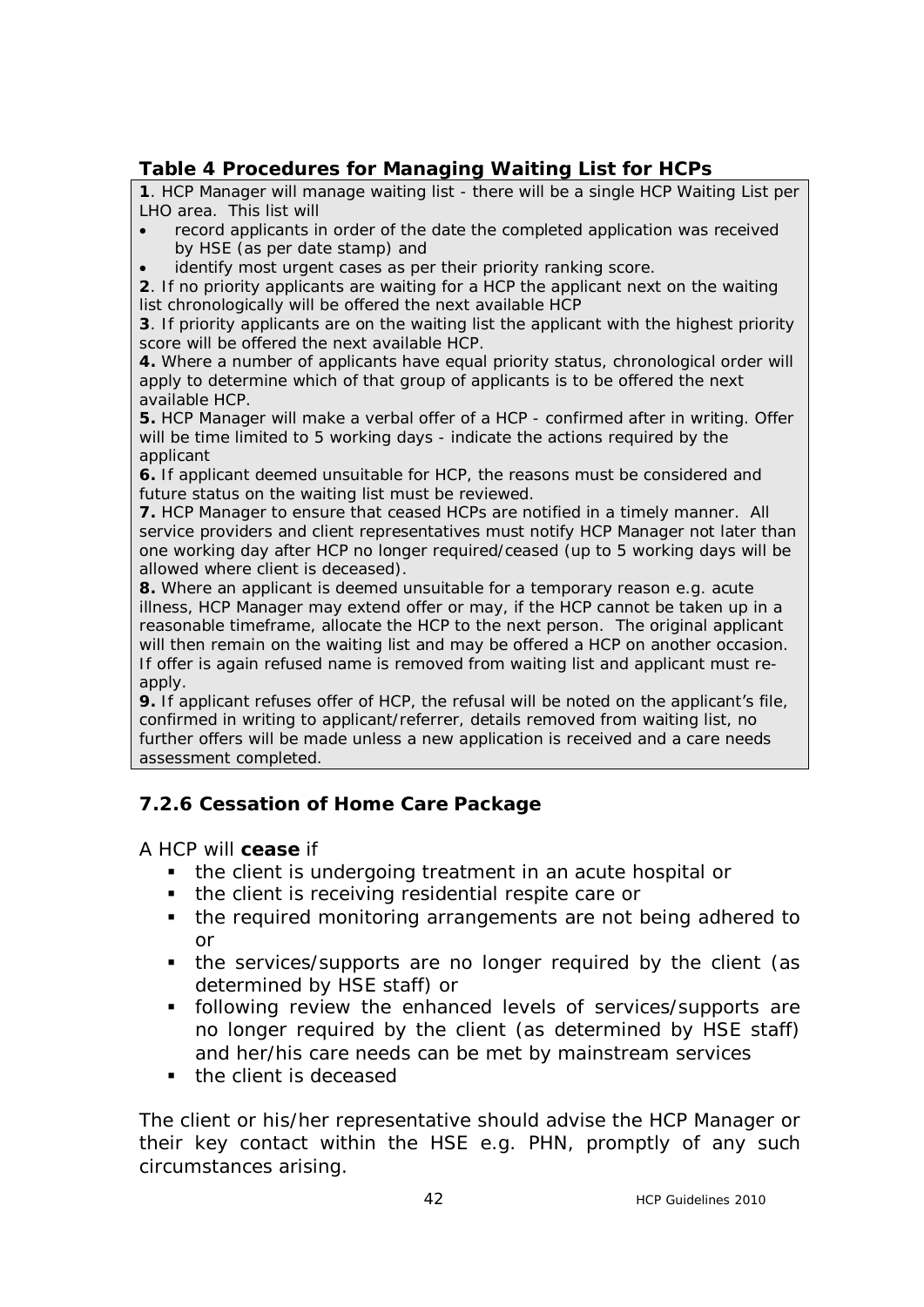# **Table 4 Procedures for Managing Waiting List for HCPs**

**1**. HCP Manager will manage waiting list - there will be a single HCP Waiting List per LHO area. This list will

- · record applicants in order of the date the completed application was received by HSE (as per date stamp) and
- identify most urgent cases as per their priority ranking score.

**2**. If no priority applicants are waiting for a HCP the applicant next on the waiting list chronologically will be offered the next available HCP

**3**. If priority applicants are on the waiting list the applicant with the highest priority score will be offered the next available HCP.

**4.** Where a number of applicants have equal priority status, chronological order will apply to determine which of that group of applicants is to be offered the next available HCP.

**5.** HCP Manager will make a verbal offer of a HCP - confirmed after in writing. Offer will be time limited to 5 working days - indicate the actions required by the applicant

**6.** If applicant deemed unsuitable for HCP, the reasons must be considered and future status on the waiting list must be reviewed.

**7.** HCP Manager to ensure that ceased HCPs are notified in a timely manner. All service providers and client representatives must notify HCP Manager not later than one working day after HCP no longer required/ceased (up to 5 working days will be allowed where client is deceased).

**8.** Where an applicant is deemed unsuitable for a temporary reason e.g. acute illness, HCP Manager may extend offer or may, if the HCP cannot be taken up in a reasonable timeframe, allocate the HCP to the next person. The original applicant will then remain on the waiting list and may be offered a HCP on another occasion. If offer is again refused name is removed from waiting list and applicant must reapply.

**9.** If applicant refuses offer of HCP, the refusal will be noted on the applicant's file, confirmed in writing to applicant/referrer, details removed from waiting list, no further offers will be made unless a new application is received and a care needs assessment completed.

# **7.2.6 Cessation of Home Care Package**

A HCP will **cease** if

- the client is undergoing treatment in an acute hospital or
- the client is receiving residential respite care or
- the required monitoring arrangements are not being adhered to or
- the services/supports are no longer required by the client (as determined by HSE staff) or
- **following review the enhanced levels of services/supports are** no longer required by the client (as determined by HSE staff) and her/his care needs can be met by mainstream services
- the client is deceased

The client or his/her representative should advise the HCP Manager or their key contact within the HSE e.g. PHN, promptly of any such circumstances arising.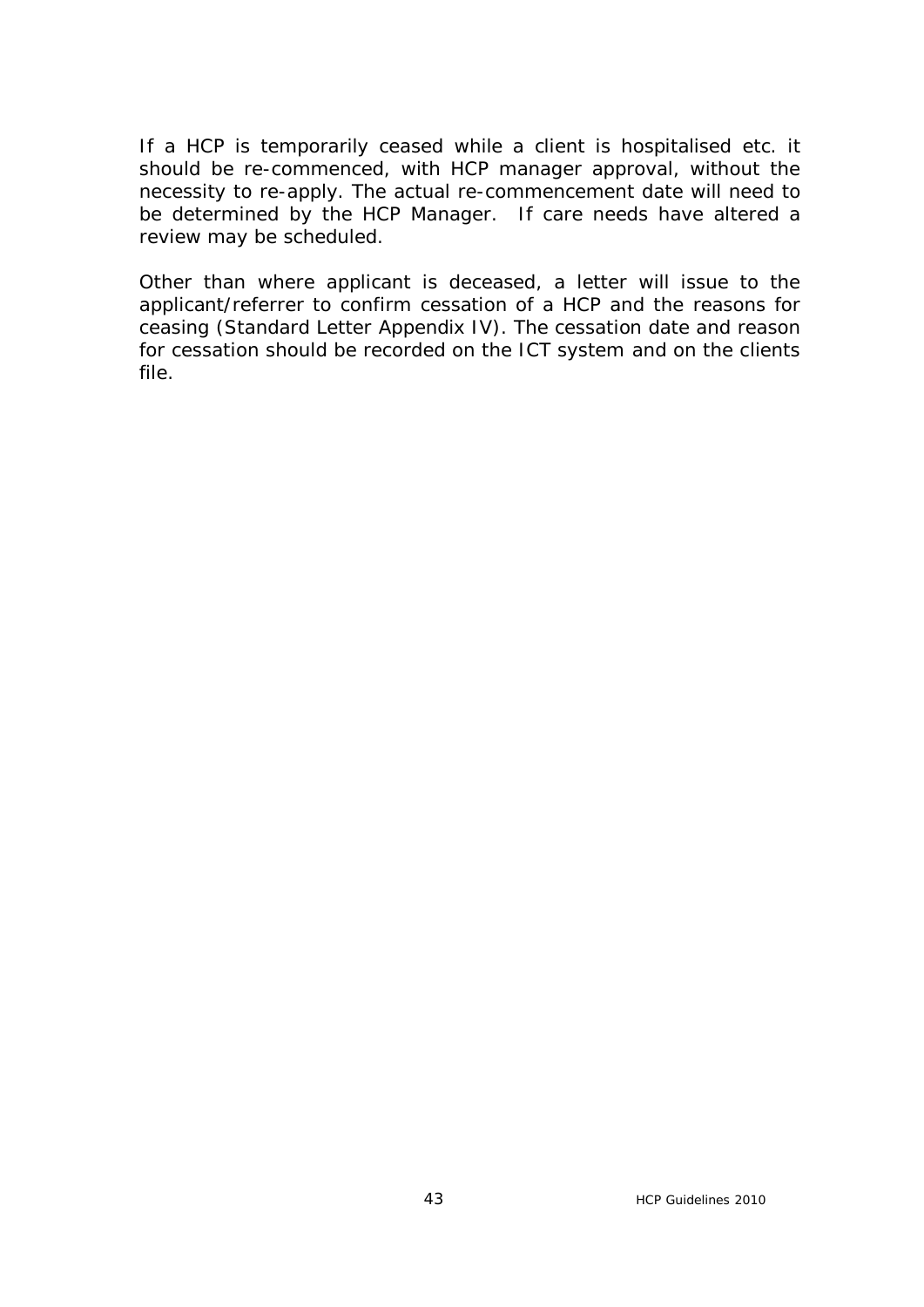If a HCP is temporarily ceased while a client is hospitalised etc. it should be re-commenced, with HCP manager approval, without the necessity to re-apply. The actual re-commencement date will need to be determined by the HCP Manager. If care needs have altered a review may be scheduled.

Other than where applicant is deceased, a letter will issue to the applicant/referrer to confirm cessation of a HCP and the reasons for ceasing (Standard Letter Appendix IV). The cessation date and reason for cessation should be recorded on the ICT system and on the clients file.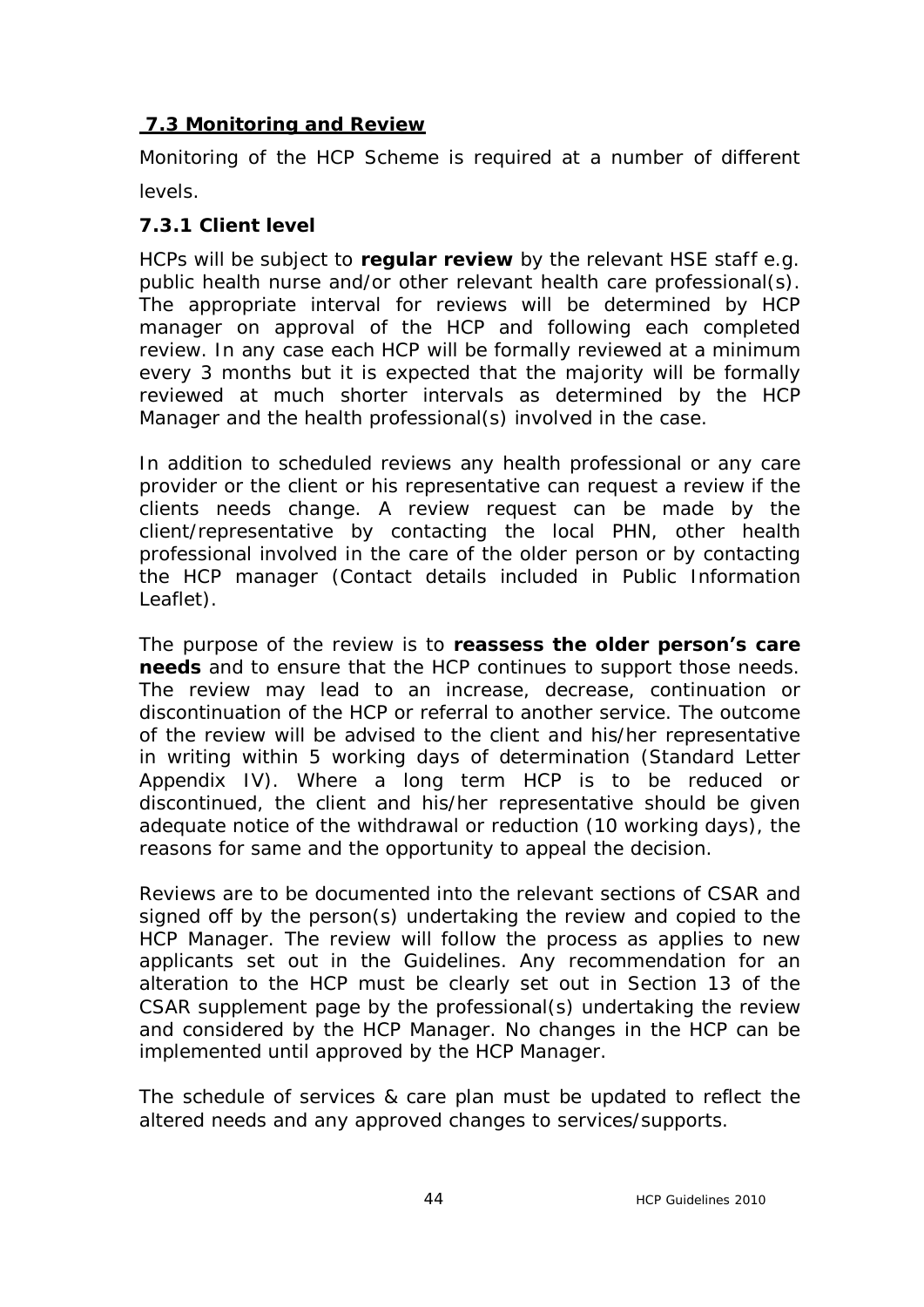# **7.3 Monitoring and Review**

Monitoring of the HCP Scheme is required at a number of different levels.

# **7.3.1 Client level**

HCPs will be subject to **regular review** by the relevant HSE staff e.g. public health nurse and/or other relevant health care professional(s). The appropriate interval for reviews will be determined by HCP manager on approval of the HCP and following each completed review. In any case each HCP will be formally reviewed at a minimum every 3 months but it is expected that the majority will be formally reviewed at much shorter intervals as determined by the HCP Manager and the health professional(s) involved in the case.

In addition to scheduled reviews any health professional or any care provider or the client or his representative can request a review if the clients needs change. A review request can be made by the client/representative by contacting the local PHN, other health professional involved in the care of the older person or by contacting the HCP manager (Contact details included in Public Information Leaflet).

The purpose of the review is to **reassess the older person's care needs** and to ensure that the HCP continues to support those needs. The review may lead to an increase, decrease, continuation or discontinuation of the HCP or referral to another service. The outcome of the review will be advised to the client and his/her representative in writing within 5 working days of determination (Standard Letter Appendix IV). Where a long term HCP is to be reduced or discontinued, the client and his/her representative should be given adequate notice of the withdrawal or reduction (10 working days), the reasons for same and the opportunity to appeal the decision.

Reviews are to be documented into the relevant sections of CSAR and signed off by the person(s) undertaking the review and copied to the HCP Manager. The review will follow the process as applies to new applicants set out in the Guidelines. Any recommendation for an alteration to the HCP must be clearly set out in Section 13 of the CSAR supplement page by the professional(s) undertaking the review and considered by the HCP Manager. No changes in the HCP can be implemented until approved by the HCP Manager.

The schedule of services & care plan must be updated to reflect the altered needs and any approved changes to services/supports.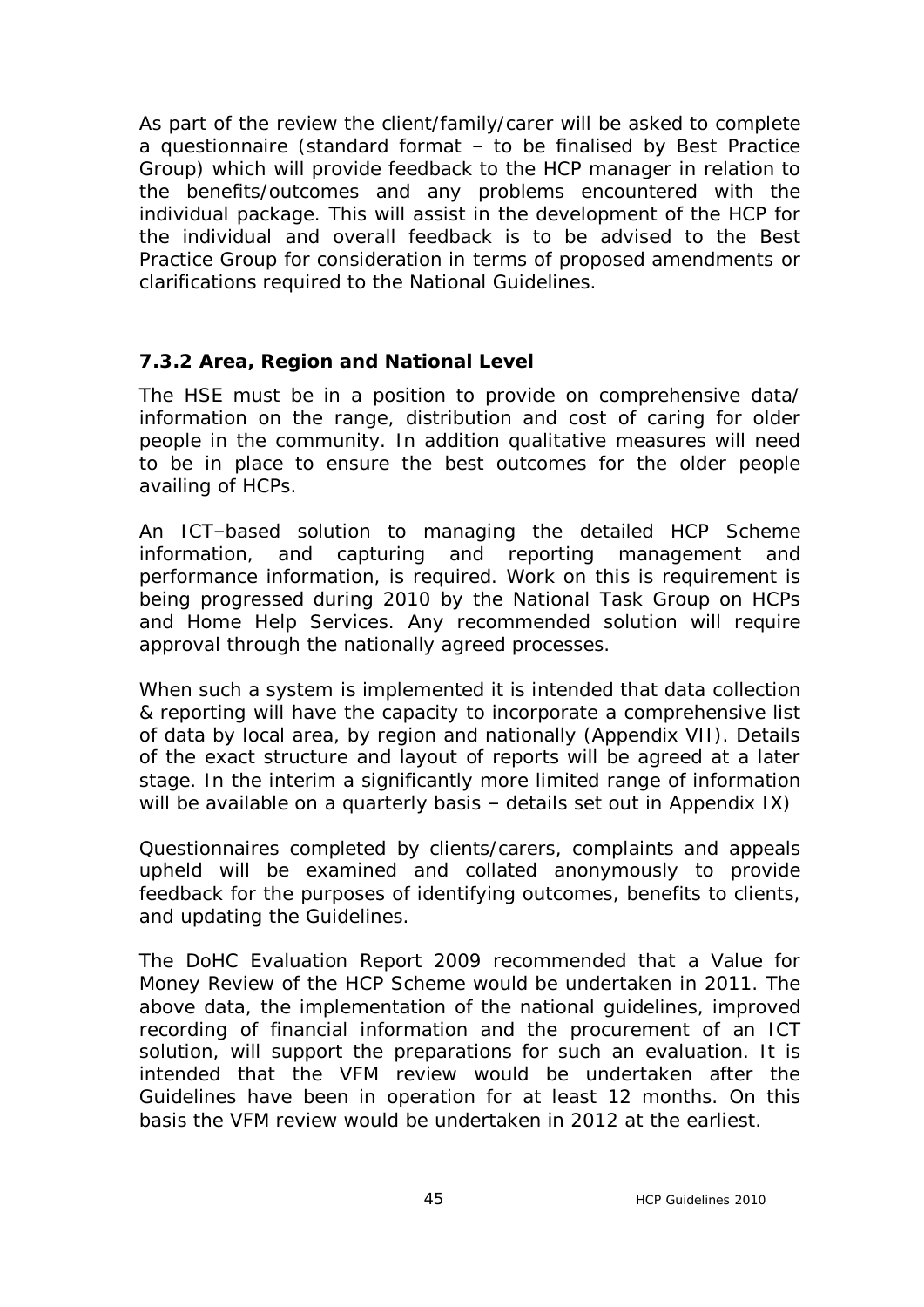As part of the review the client/family/carer will be asked to complete a questionnaire (standard format – to be finalised by Best Practice Group) which will provide feedback to the HCP manager in relation to the benefits/outcomes and any problems encountered with the individual package. This will assist in the development of the HCP for the individual and overall feedback is to be advised to the Best Practice Group for consideration in terms of proposed amendments or clarifications required to the National Guidelines.

# **7.3.2 Area, Region and National Level**

The HSE must be in a position to provide on comprehensive data/ information on the range, distribution and cost of caring for older people in the community. In addition qualitative measures will need to be in place to ensure the best outcomes for the older people availing of HCPs.

An ICT–based solution to managing the detailed HCP Scheme information, and capturing and reporting management and performance information, is required. Work on this is requirement is being progressed during 2010 by the National Task Group on HCPs and Home Help Services. Any recommended solution will require approval through the nationally agreed processes.

When such a system is implemented it is intended that data collection & reporting will have the capacity to incorporate a comprehensive list of data by local area, by region and nationally (Appendix VII). Details of the exact structure and layout of reports will be agreed at a later stage. In the interim a significantly more limited range of information will be available on a quarterly basis - details set out in Appendix IX)

Questionnaires completed by clients/carers, complaints and appeals upheld will be examined and collated anonymously to provide feedback for the purposes of identifying outcomes, benefits to clients, and updating the Guidelines.

The DoHC Evaluation Report 2009 recommended that a Value for Money Review of the HCP Scheme would be undertaken in 2011. The above data, the implementation of the national guidelines, improved recording of financial information and the procurement of an ICT solution, will support the preparations for such an evaluation. It is intended that the VFM review would be undertaken after the Guidelines have been in operation for at least 12 months. On this basis the VFM review would be undertaken in 2012 at the earliest.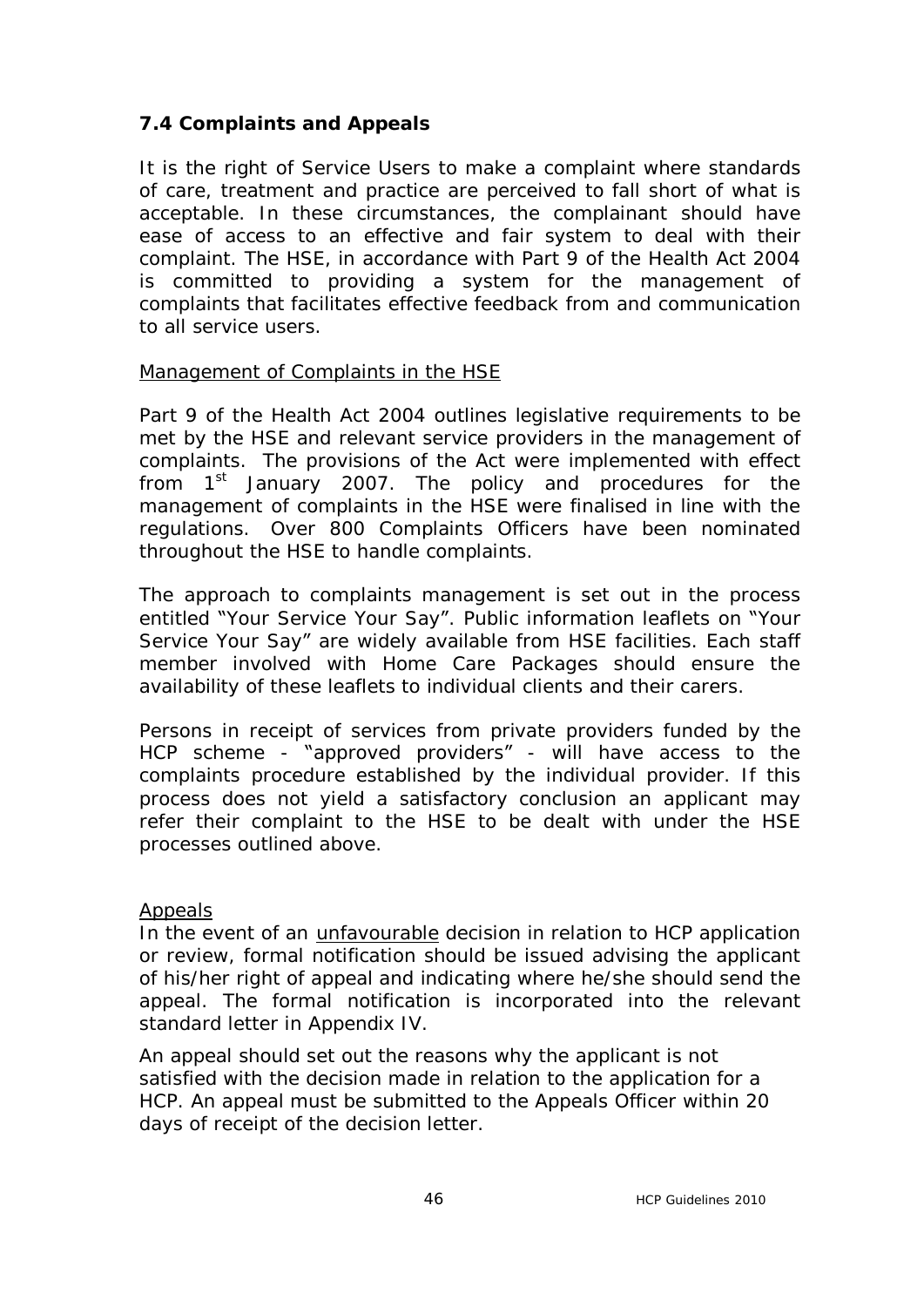# **7.4 Complaints and Appeals**

It is the right of Service Users to make a complaint where standards of care, treatment and practice are perceived to fall short of what is acceptable. In these circumstances, the complainant should have ease of access to an effective and fair system to deal with their complaint. The HSE, in accordance with Part 9 of the Health Act 2004 is committed to providing a system for the management of complaints that facilitates effective feedback from and communication to all service users.

### Management of Complaints in the HSE

Part 9 of the Health Act 2004 outlines legislative requirements to be met by the HSE and relevant service providers in the management of complaints. The provisions of the Act were implemented with effect from  $1<sup>st</sup>$  January 2007. The policy and procedures for the management of complaints in the HSE were finalised in line with the regulations. Over 800 Complaints Officers have been nominated throughout the HSE to handle complaints.

The approach to complaints management is set out in the process entitled "Your Service Your Say". Public information leaflets on "Your Service Your Say" are widely available from HSE facilities. Each staff member involved with Home Care Packages should ensure the availability of these leaflets to individual clients and their carers.

Persons in receipt of services from private providers funded by the HCP scheme - "approved providers" - will have access to the complaints procedure established by the individual provider. If this process does not yield a satisfactory conclusion an applicant may refer their complaint to the HSE to be dealt with under the HSE processes outlined above.

### Appeals

In the event of an unfavourable decision in relation to HCP application or review, formal notification should be issued advising the applicant of his/her right of appeal and indicating where he/she should send the appeal. The formal notification is incorporated into the relevant standard letter in Appendix IV.

An appeal should set out the reasons why the applicant is not satisfied with the decision made in relation to the application for a HCP. An appeal must be submitted to the Appeals Officer within 20 days of receipt of the decision letter.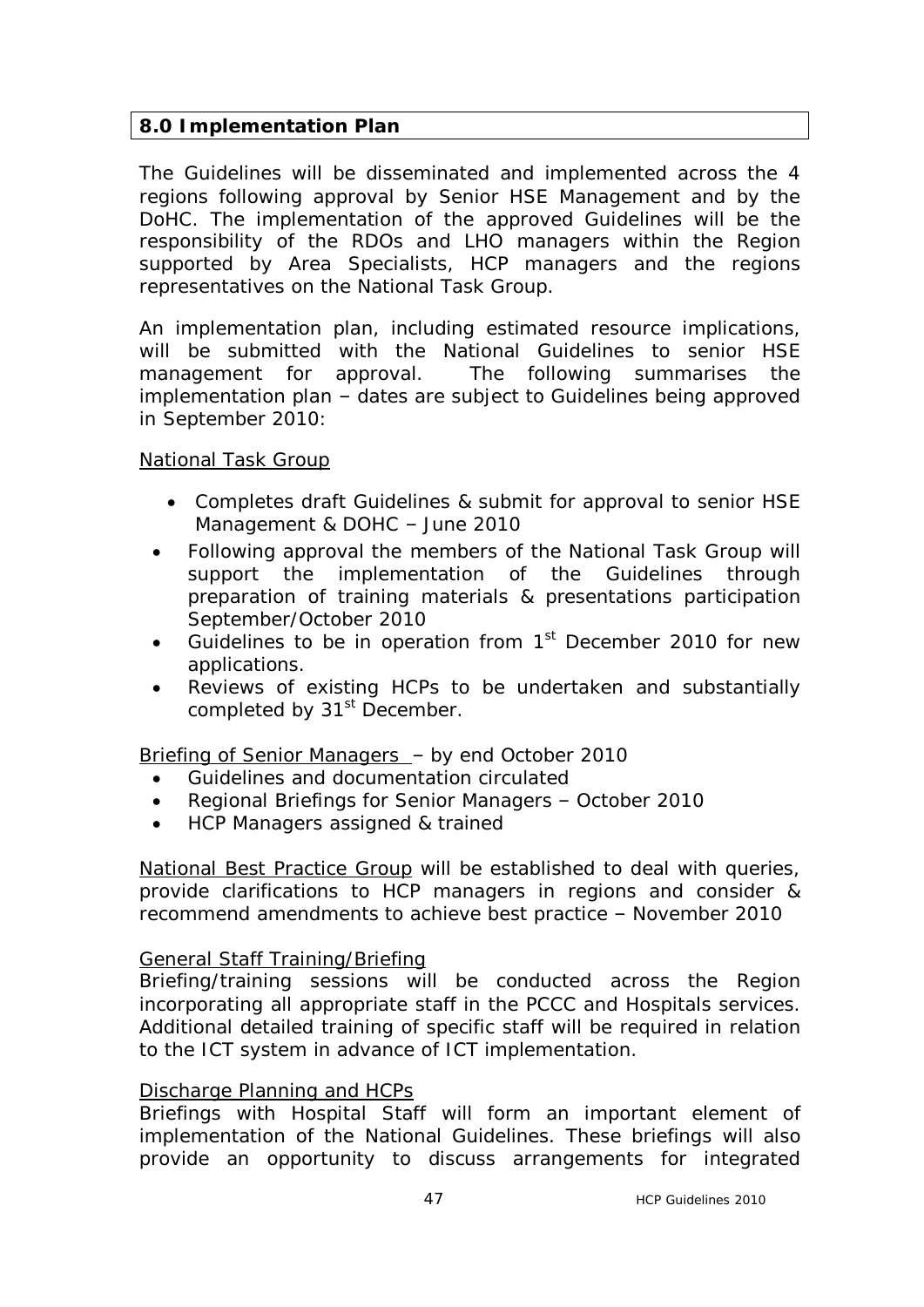# **8.0 Implementation Plan**

The Guidelines will be disseminated and implemented across the 4 regions following approval by Senior HSE Management and by the DoHC. The implementation of the approved Guidelines will be the responsibility of the RDOs and LHO managers within the Region supported by Area Specialists, HCP managers and the regions representatives on the National Task Group.

An implementation plan, including estimated resource implications, will be submitted with the National Guidelines to senior HSE management for approval. The following summarises the implementation plan – dates are subject to Guidelines being approved in September 2010:

### National Task Group

- · Completes draft Guidelines & submit for approval to senior HSE Management & DOHC – June 2010
- Following approval the members of the National Task Group will support the implementation of the Guidelines through preparation of training materials & presentations participation September/October 2010
- Guidelines to be in operation from  $1<sup>st</sup>$  December 2010 for new applications.
- Reviews of existing HCPs to be undertaken and substantially completed by 31<sup>st</sup> December.

Briefing of Senior Managers – by end October 2010

- · Guidelines and documentation circulated
- · Regional Briefings for Senior Managers October 2010
- · HCP Managers assigned & trained

National Best Practice Group will be established to deal with queries, provide clarifications to HCP managers in regions and consider & recommend amendments to achieve best practice – November 2010

### General Staff Training/Briefing

Briefing/training sessions will be conducted across the Region incorporating all appropriate staff in the PCCC and Hospitals services. Additional detailed training of specific staff will be required in relation to the ICT system in advance of ICT implementation.

### Discharge Planning and HCPs

Briefings with Hospital Staff will form an important element of implementation of the National Guidelines. These briefings will also provide an opportunity to discuss arrangements for integrated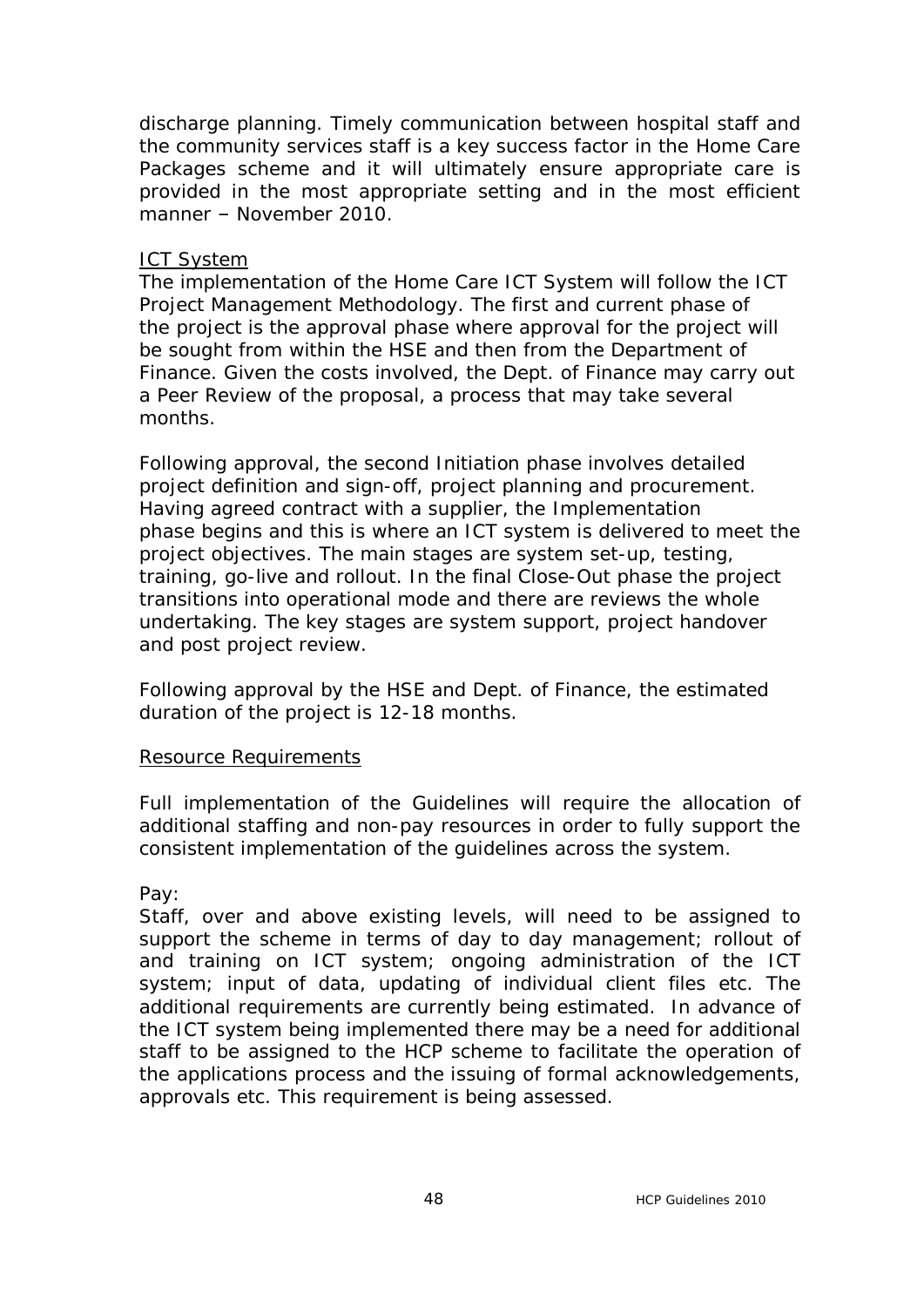discharge planning. Timely communication between hospital staff and the community services staff is a key success factor in the Home Care Packages scheme and it will ultimately ensure appropriate care is provided in the most appropriate setting and in the most efficient manner – November 2010.

### ICT System

The implementation of the Home Care ICT System will follow the ICT Project Management Methodology. The first and current phase of the project is the approval phase where approval for the project will be sought from within the HSE and then from the Department of Finance. Given the costs involved, the Dept. of Finance may carry out a Peer Review of the proposal, a process that may take several months.

Following approval, the second Initiation phase involves detailed project definition and sign-off, project planning and procurement. Having agreed contract with a supplier, the Implementation phase begins and this is where an ICT system is delivered to meet the project objectives. The main stages are system set-up, testing, training, go-live and rollout. In the final Close-Out phase the project transitions into operational mode and there are reviews the whole undertaking. The key stages are system support, project handover and post project review.

Following approval by the HSE and Dept. of Finance, the estimated duration of the project is 12-18 months.

### Resource Requirements

Full implementation of the Guidelines will require the allocation of additional staffing and non-pay resources in order to fully support the consistent implementation of the guidelines across the system.

Pay:

Staff, over and above existing levels, will need to be assigned to support the scheme in terms of day to day management; rollout of and training on ICT system; ongoing administration of the ICT system; input of data, updating of individual client files etc. The additional requirements are currently being estimated. In advance of the ICT system being implemented there may be a need for additional staff to be assigned to the HCP scheme to facilitate the operation of the applications process and the issuing of formal acknowledgements, approvals etc. This requirement is being assessed.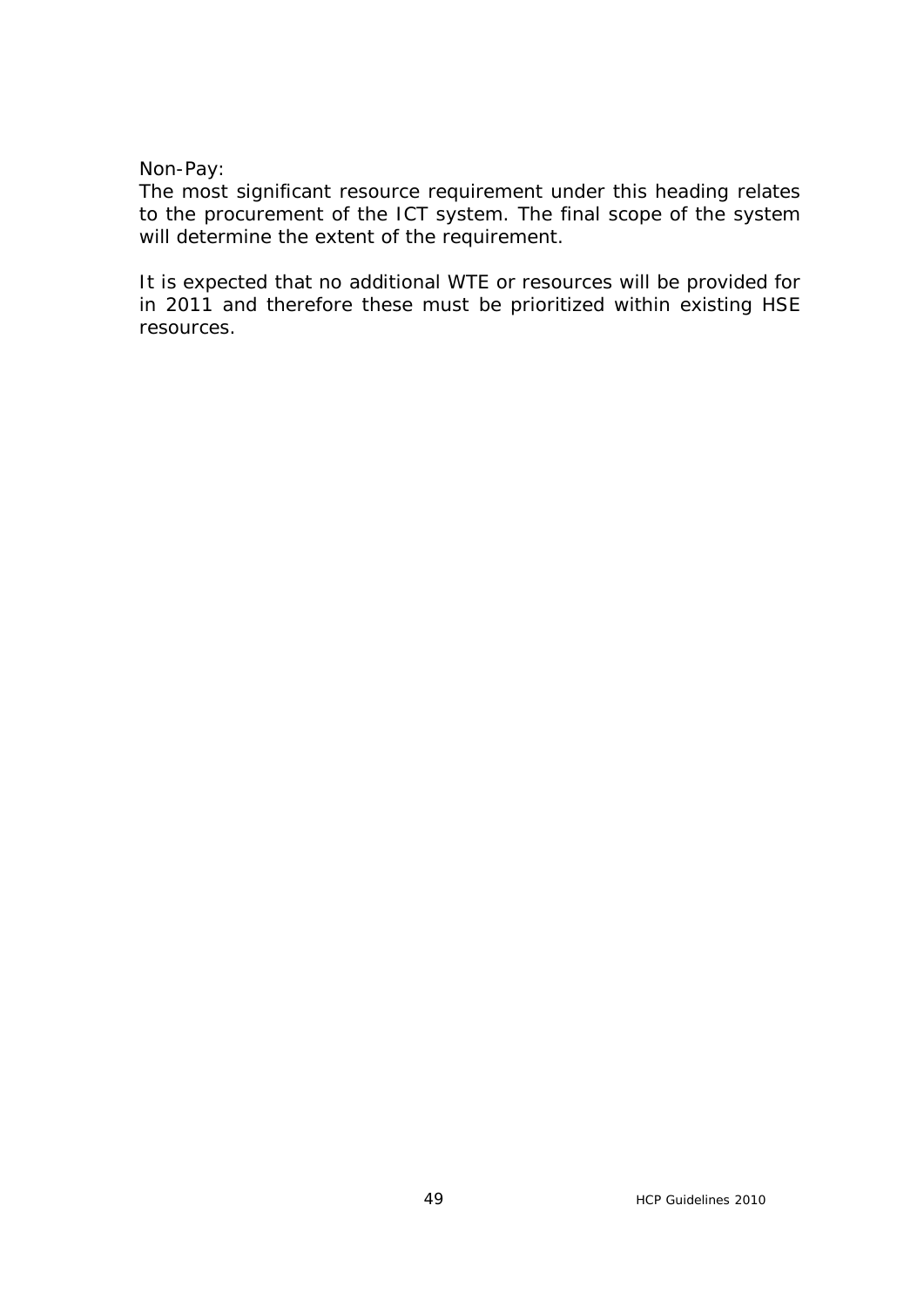Non-Pay:

The most significant resource requirement under this heading relates to the procurement of the ICT system. The final scope of the system will determine the extent of the requirement.

It is expected that no additional WTE or resources will be provided for in 2011 and therefore these must be prioritized within existing HSE resources.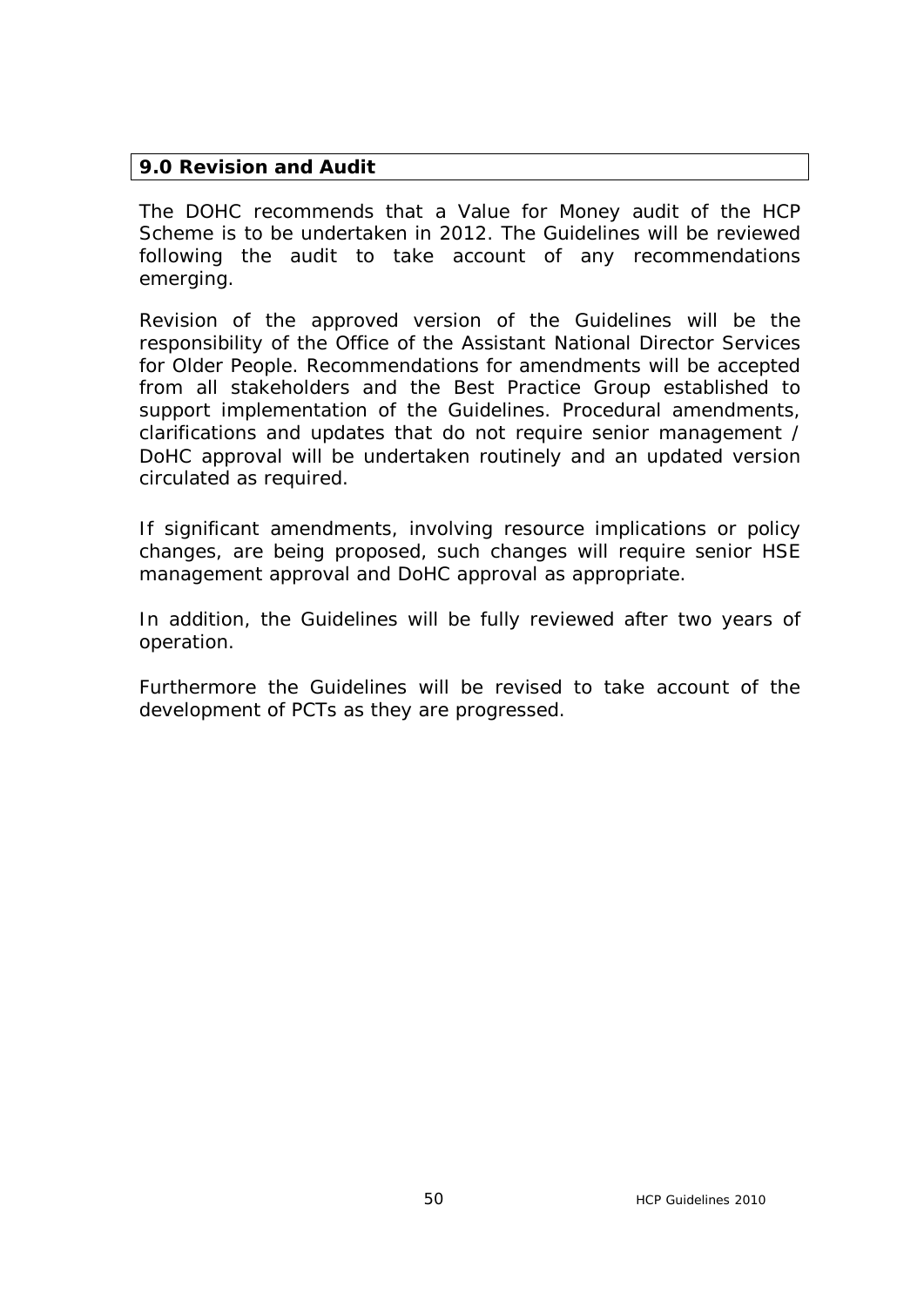# **9.0 Revision and Audit**

The DOHC recommends that a Value for Money audit of the HCP Scheme is to be undertaken in 2012. The Guidelines will be reviewed following the audit to take account of any recommendations emerging.

Revision of the approved version of the Guidelines will be the responsibility of the Office of the Assistant National Director Services for Older People. Recommendations for amendments will be accepted from all stakeholders and the Best Practice Group established to support implementation of the Guidelines. Procedural amendments, clarifications and updates that do not require senior management / DoHC approval will be undertaken routinely and an updated version circulated as required.

If significant amendments, involving resource implications or policy changes, are being proposed, such changes will require senior HSE management approval and DoHC approval as appropriate.

In addition, the Guidelines will be fully reviewed after two years of operation.

Furthermore the Guidelines will be revised to take account of the development of PCTs as they are progressed.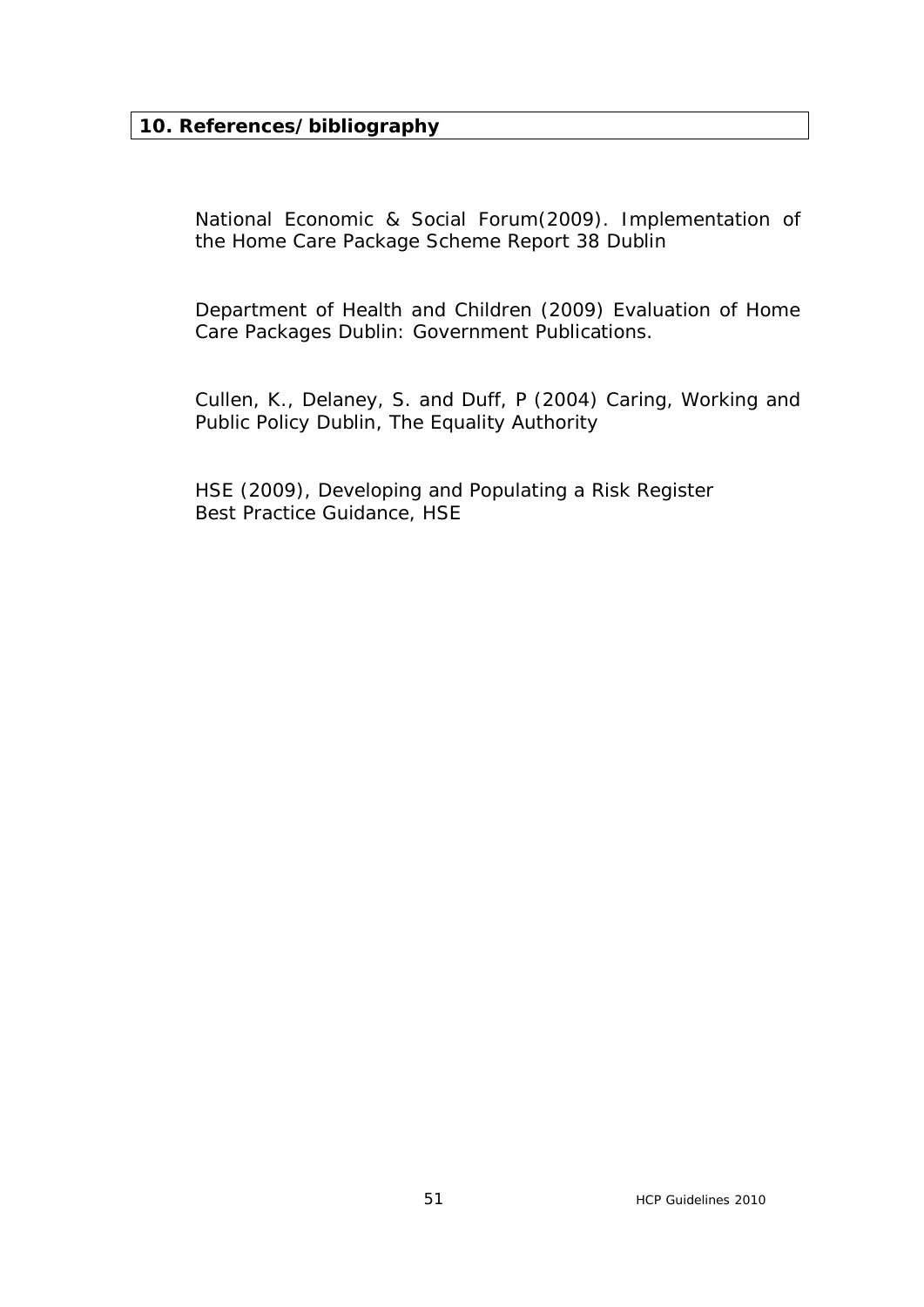# **10. References/bibliography**

National Economic & Social Forum(2009). *Implementation of the Home Care Package Scheme Report 38* Dublin

Department of Health and Children (2009) *Evaluation of Home Care Packages* Dublin: Government Publications.

Cullen, K., Delaney, S. and Duff, P (2004) *Caring, Working and*  **Public Policy** Dublin, The Equality Authority

HSE (2009), *Developing and Populating a Risk Register Best Practice Guidance*, HSE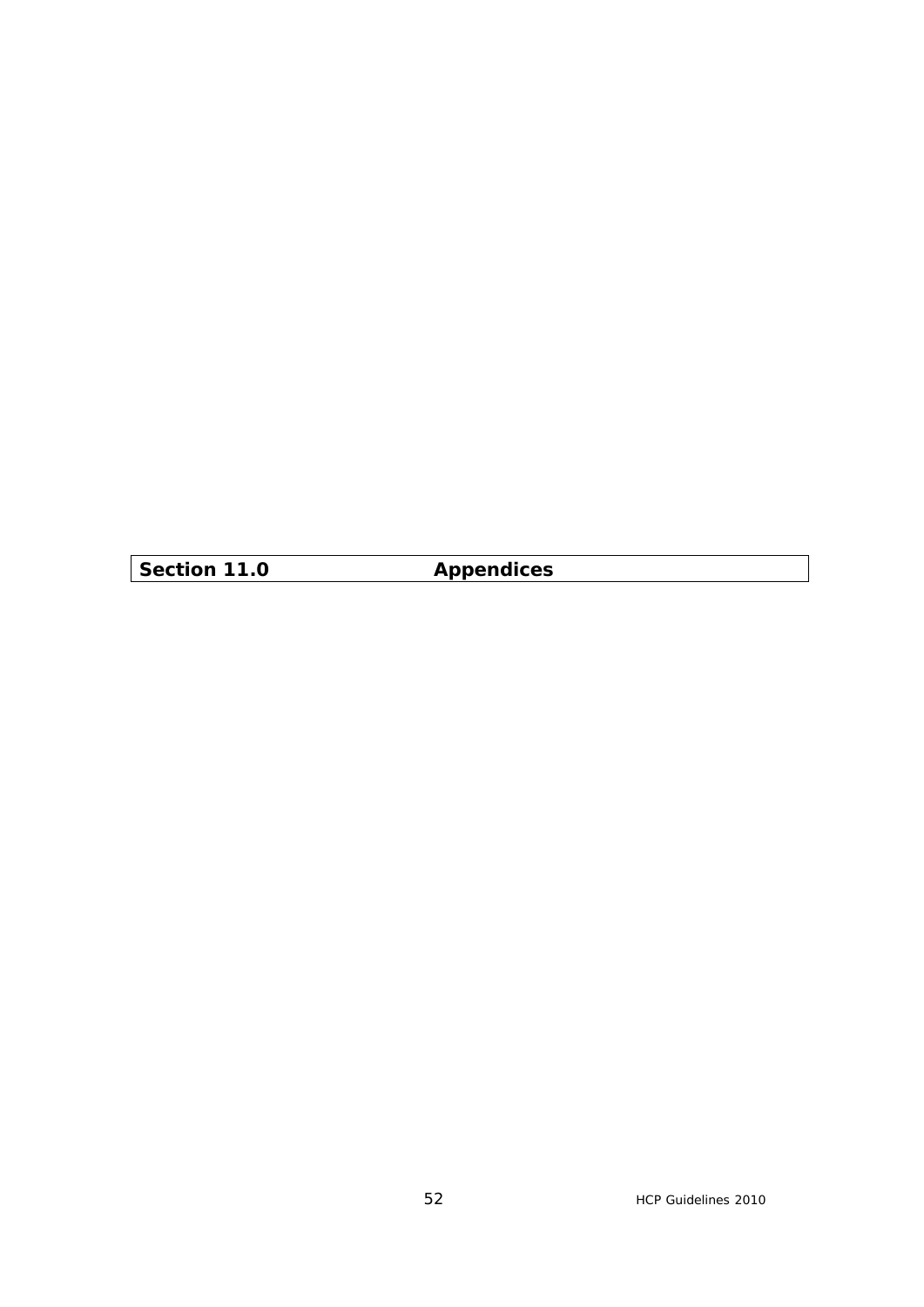**Section 11.0 Appendices**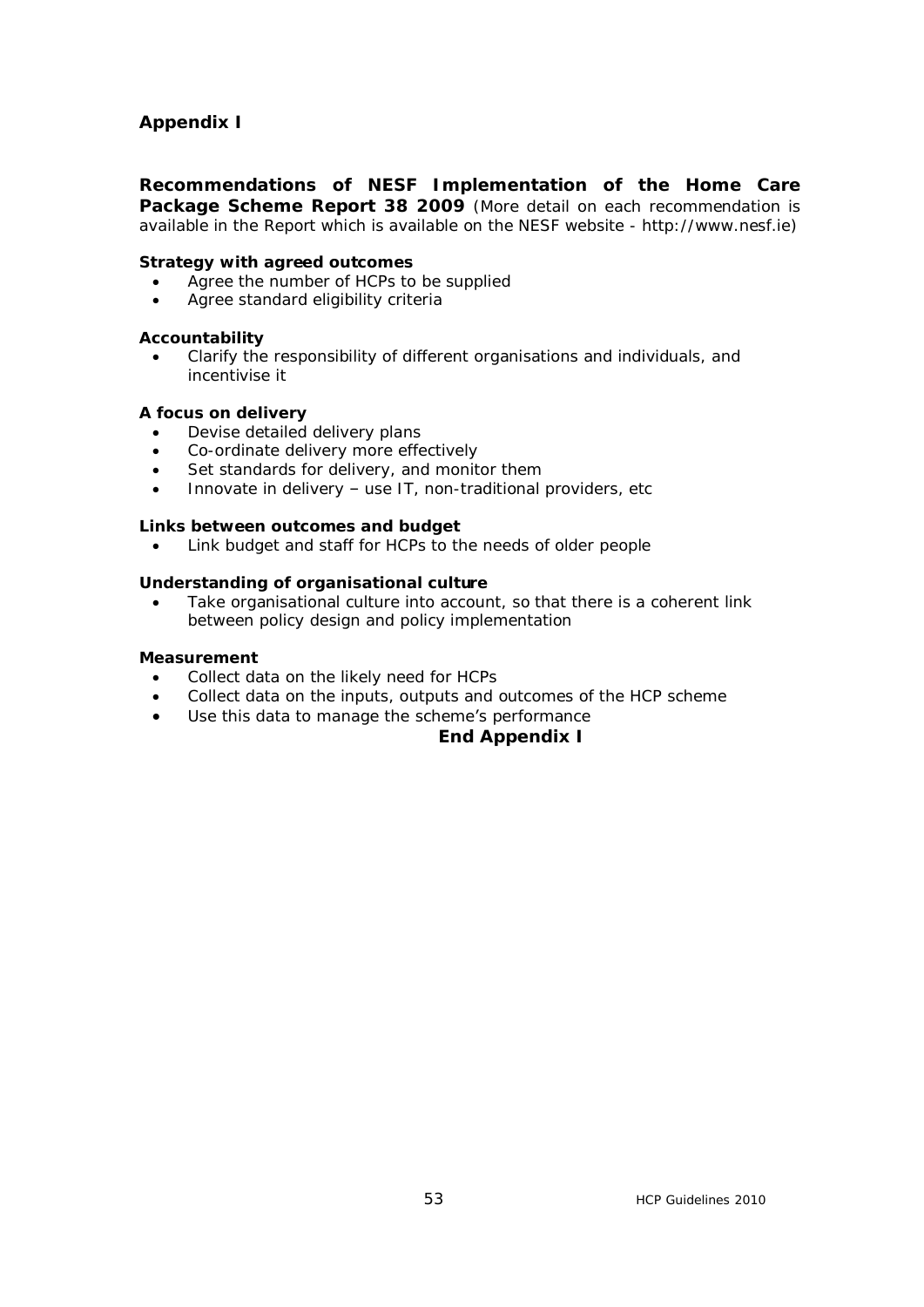# **Appendix I**

**Recommendations of NESF Implementation of the Home Care Package Scheme Report 38 2009** (More detail on each recommendation is available in the Report which is available on the NESF website - http://www.nesf.ie)

#### **Strategy with agreed outcomes**

- · Agree the number of HCPs to be supplied
- · Agree standard eligibility criteria

#### **Accountability**

Clarify the responsibility of different organisations and individuals, and incentivise it

#### **A focus on delivery**

- Devise detailed delivery plans
- · Co-ordinate delivery more effectively
- Set standards for delivery, and monitor them
- · Innovate in delivery use IT, non-traditional providers, etc

#### **Links between outcomes and budget**

· Link budget and staff for HCPs to the needs of older people

#### **Understanding of organisational culture**

Take organisational culture into account, so that there is a coherent link between policy design and policy implementation

#### **Measurement**

- Collect data on the likely need for HCPs
- Collect data on the inputs, outputs and outcomes of the HCP scheme
- · Use this data to manage the scheme's performance

#### **End Appendix I**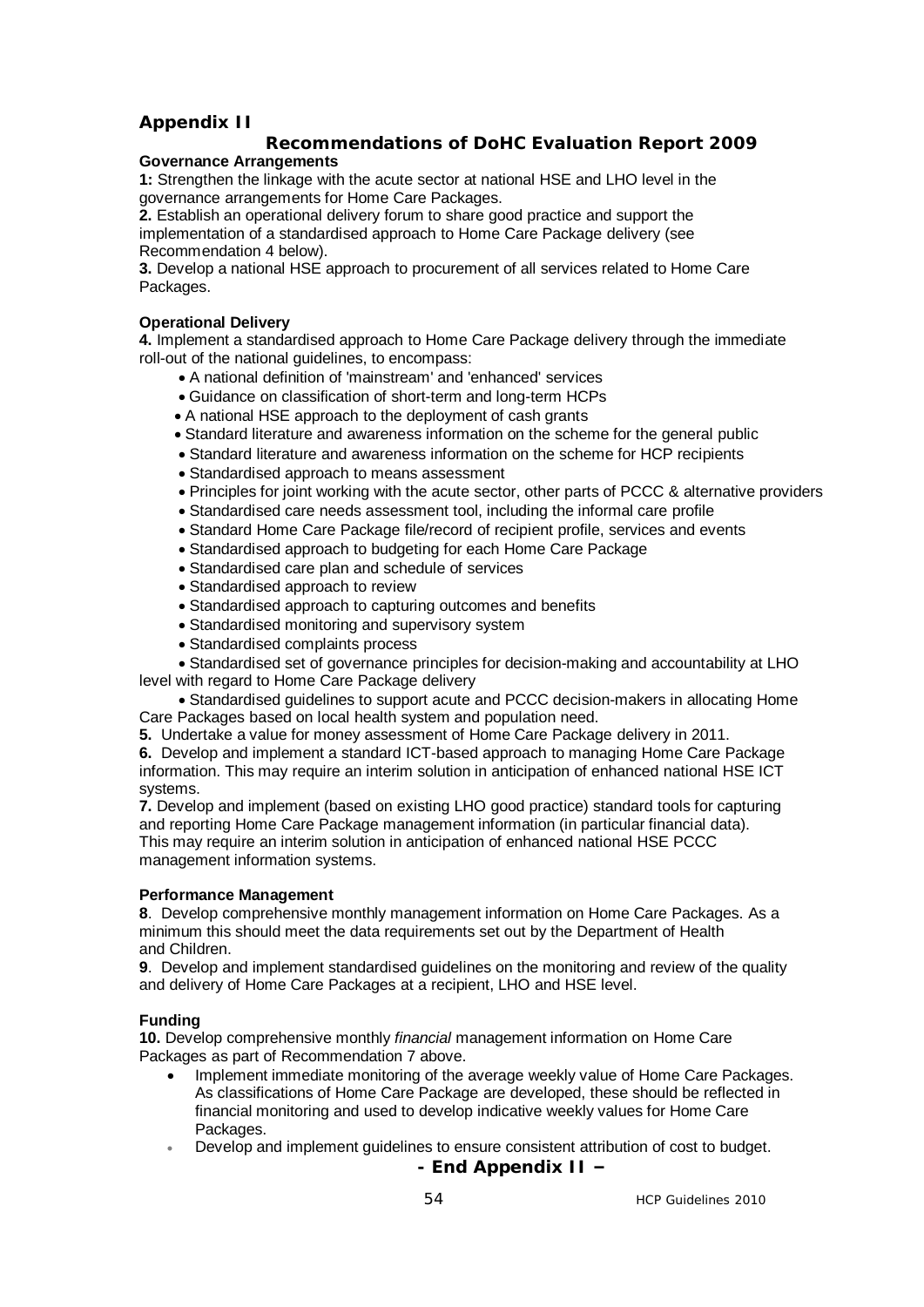### **Appendix II**

#### **Recommendations of DoHC Evaluation Report 2009 Governance Arrangements**

**1:** Strengthen the linkage with the acute sector at national HSE and LHO level in the governance arrangements for Home Care Packages.

**2.** Establish an operational delivery forum to share good practice and support the implementation of a standardised approach to Home Care Package delivery (see Recommendation 4 below).

**3.** Develop a national HSE approach to procurement of all services related to Home Care Packages.

#### **Operational Delivery**

**4.** Implement a standardised approach to Home Care Package delivery through the immediate roll-out of the national guidelines, to encompass:

- · A national definition of 'mainstream' and 'enhanced' services
- · Guidance on classification of short-term and long-term HCPs
- · A national HSE approach to the deployment of cash grants
- · Standard literature and awareness information on the scheme for the general public
- · Standard literature and awareness information on the scheme for HCP recipients
- · Standardised approach to means assessment
- · Principles for joint working with the acute sector, other parts of PCCC & alternative providers
- · Standardised care needs assessment tool, including the informal care profile
- · Standard Home Care Package file/record of recipient profile, services and events
- · Standardised approach to budgeting for each Home Care Package
- · Standardised care plan and schedule of services
- · Standardised approach to review
- · Standardised approach to capturing outcomes and benefits
- · Standardised monitoring and supervisory system
- · Standardised complaints process

 · Standardised set of governance principles for decision-making and accountability at LHO level with regard to Home Care Package delivery

 · Standardised guidelines to support acute and PCCC decision-makers in allocating Home Care Packages based on local health system and population need.

**5.** Undertake a value for money assessment of Home Care Package delivery in 2011.

**6.** Develop and implement a standard ICT-based approach to managing Home Care Package information. This may require an interim solution in anticipation of enhanced national HSE ICT systems.

**7.** Develop and implement (based on existing LHO good practice) standard tools for capturing and reporting Home Care Package management information (in particular financial data). This may require an interim solution in anticipation of enhanced national HSE PCCC management information systems.

#### **Performance Management**

**8**. Develop comprehensive monthly management information on Home Care Packages. As a minimum this should meet the data requirements set out by the Department of Health and Children.

**9**. Develop and implement standardised guidelines on the monitoring and review of the quality and delivery of Home Care Packages at a recipient, LHO and HSE level.

#### **Funding**

**10.** Develop comprehensive monthly *financial* management information on Home Care Packages as part of Recommendation 7 above.

- · Implement immediate monitoring of the average weekly value of Home Care Packages. As classifications of Home Care Package are developed, these should be reflected in financial monitoring and used to develop indicative weekly values for Home Care Packages.
- Develop and implement guidelines to ensure consistent attribution of cost to budget.

**- End Appendix II –**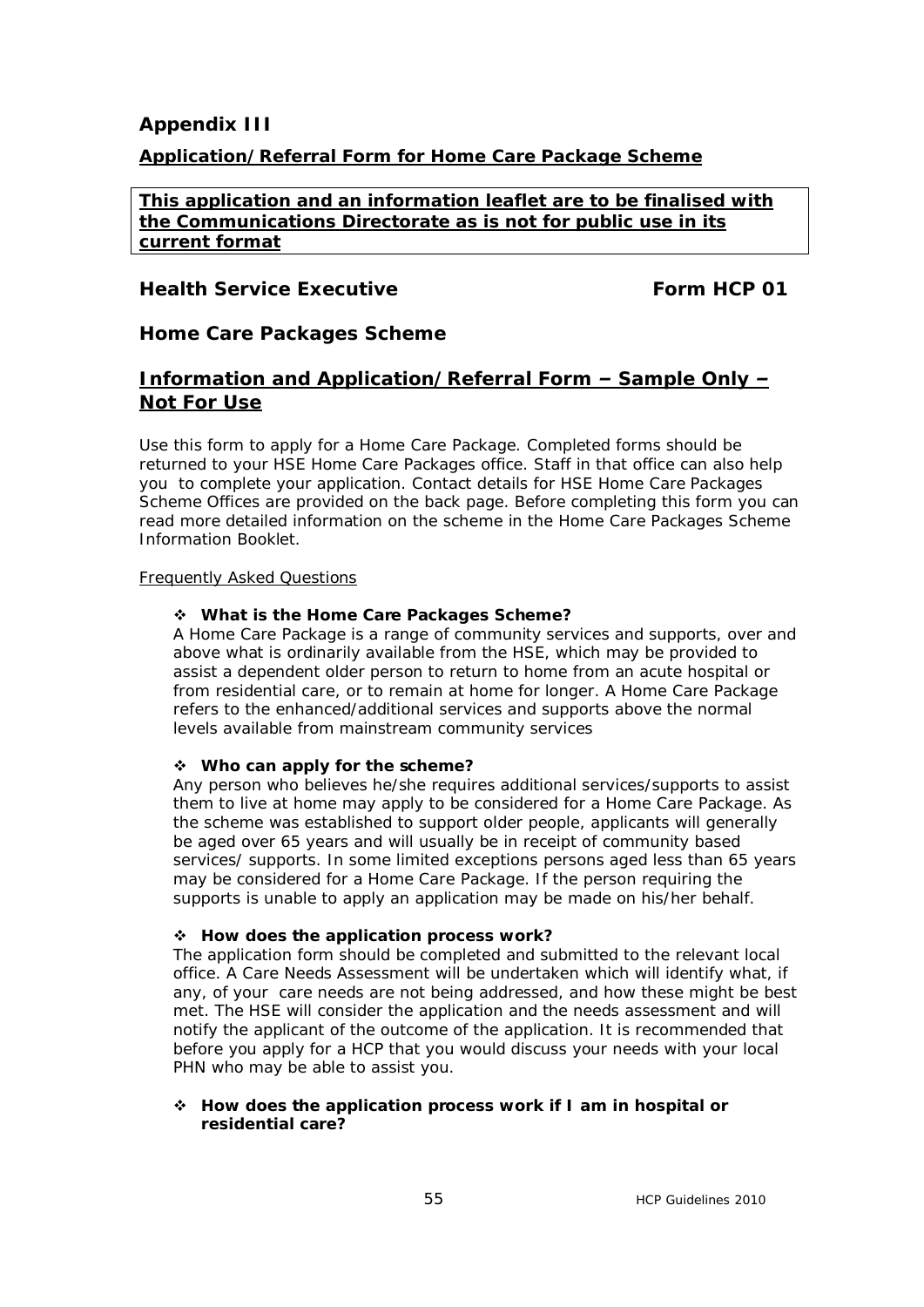### **Appendix III**

### **Application/Referral Form for Home Care Package Scheme**

**This application and an information leaflet are to be finalised with the Communications Directorate as is not for public use in its current format** 

### *Health Service Executive Form HCP 01*

### *Home Care Packages Scheme*

### *Information and Application/Referral Form – Sample Only – Not For Use*

*Use this form to apply for a Home Care Package. Completed forms should be returned to your HSE Home Care Packages office. Staff in that office can also help you to complete your application. Contact details for HSE Home Care Packages Scheme Offices are provided on the back page. Before completing this form you can read more detailed information on the scheme in the Home Care Packages Scheme Information Booklet.*

#### *Frequently Asked Questions*

#### v *What is the Home Care Packages Scheme?*

*A Home Care Package is a range of community services and supports, over and above what is ordinarily available from the HSE, which may be provided to assist a dependent older person to return to home from an acute hospital or from residential care, or to remain at home for longer. A Home Care Package refers to the enhanced/additional services and supports above the normal levels available from mainstream community services*

#### v *Who can apply for the scheme?*

*Any person who believes he/she requires additional services/supports to assist them to live at home may apply to be considered for a Home Care Package. As the scheme was established to support older people, applicants will generally be aged over 65 years and will usually be in receipt of community based services/ supports. In some limited exceptions persons aged less than 65 years may be considered for a Home Care Package. If the person requiring the supports is unable to apply an application may be made on his/her behalf.*

#### v *How does the application process work?*

*The application form should be completed and submitted to the relevant local office. A Care Needs Assessment will be undertaken which will identify what, if any, of your care needs are not being addressed, and how these might be best*  met. The HSE will consider the application and the needs assessment and will *notify the applicant of the outcome of the application. It is recommended that before you apply for a HCP that you would discuss your needs with your local PHN who may be able to assist you.* 

#### v *How does the application process work if I am in hospital or residential care?*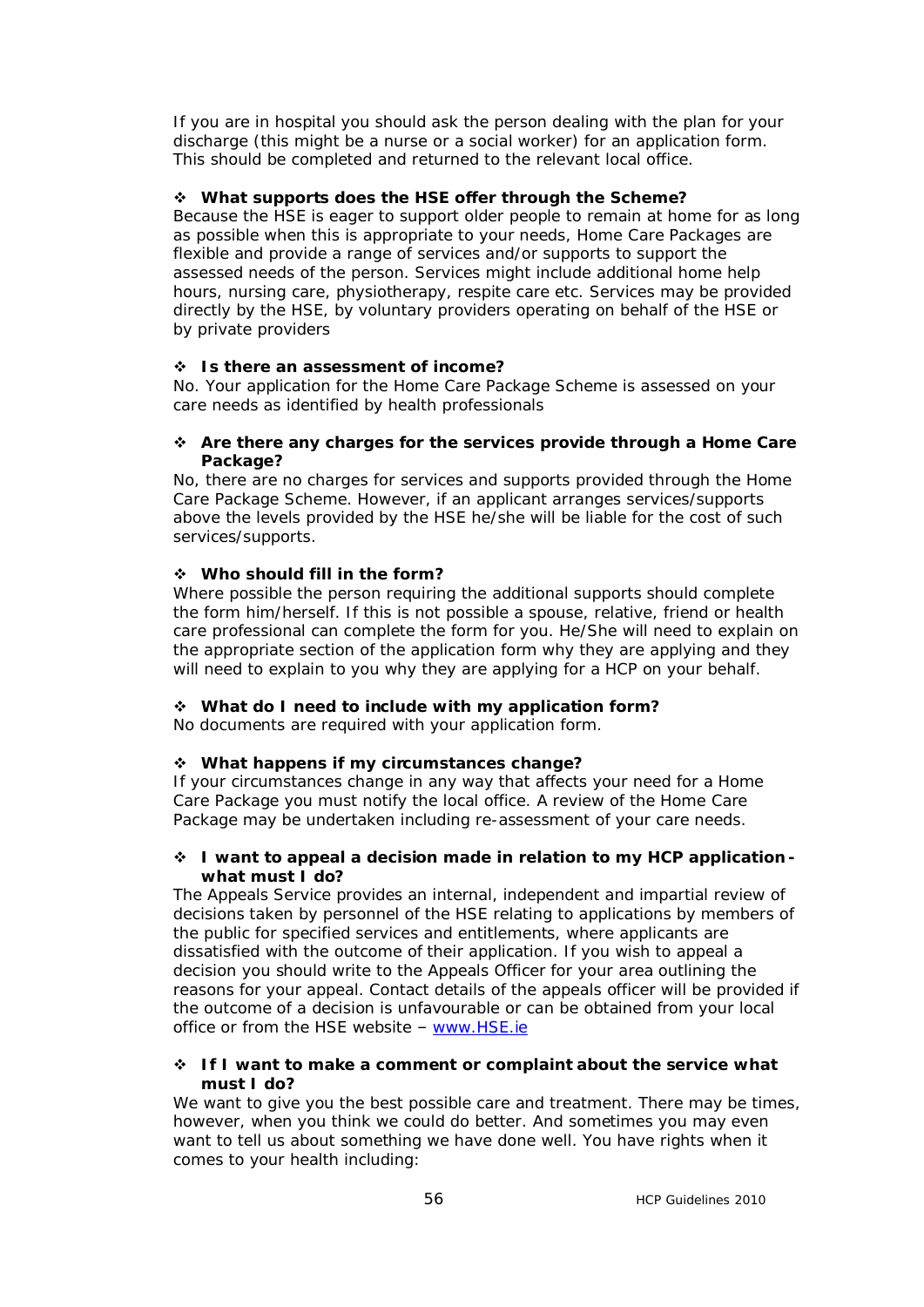*If you are in hospital you should ask the person dealing with the plan for your discharge (this might be a nurse or a social worker) for an application form. This should be completed and returned to the relevant local office.* 

#### v *What supports does the HSE offer through the Scheme?*

*Because the HSE is eager to support older people to remain at home for as long as possible when this is appropriate to your needs, Home Care Packages are flexible and provide a range of services and/or supports to support the assessed needs of the person. Services might include additional home help hours, nursing care, physiotherapy, respite care etc. Services may be provided directly by the HSE, by voluntary providers operating on behalf of the HSE or by private providers*

#### v *Is there an assessment of income?*

*No. Your application for the Home Care Package Scheme is assessed on your care needs as identified by health professionals*

v *Are there any charges for the services provide through a Home Care Package?*

*No, there are no charges for services and supports provided through the Home Care Package Scheme. However, if an applicant arranges services/supports above the levels provided by the HSE he/she will be liable for the cost of such services/supports.*

#### v *Who should fill in the form?*

*Where possible the person requiring the additional supports should complete the form him/herself. If this is not possible a spouse, relative, friend or health care professional can complete the form for you. He/She will need to explain on the appropriate section of the application form why they are applying and they will need to explain to you why they are applying for a HCP on your behalf.* 

#### v *What do I need to include with my application form? No documents are required with your application form.*

#### v *What happens if my circumstances change?*

*If your circumstances change in any way that affects your need for a Home Care Package you must notify the local office. A review of the Home Care Package may be undertaken including re-assessment of your care needs.*

#### v *I want to appeal a decision made in relation to my HCP application what must I do?*

*The Appeals Service provides an internal, independent and impartial review of decisions taken by personnel of the HSE relating to applications by members of the public for specified services and entitlements, where applicants are dissatisfied with the outcome of their application. If you wish to appeal a decision you should write to the Appeals Officer for your area outlining the reasons for your appeal. Contact details of the appeals officer will be provided if the outcome of a decision is unfavourable or can be obtained from your local office or from the HSE website – [www.HSE.ie](http://www.hse.ie/)*

#### v *If I want to make a comment or complaint about the service what must I do?*

*We want to give you the best possible care and treatment. There may be times, however, when you think we could do better. And sometimes you may even want to tell us about something we have done well. You have rights when it comes to your health including:*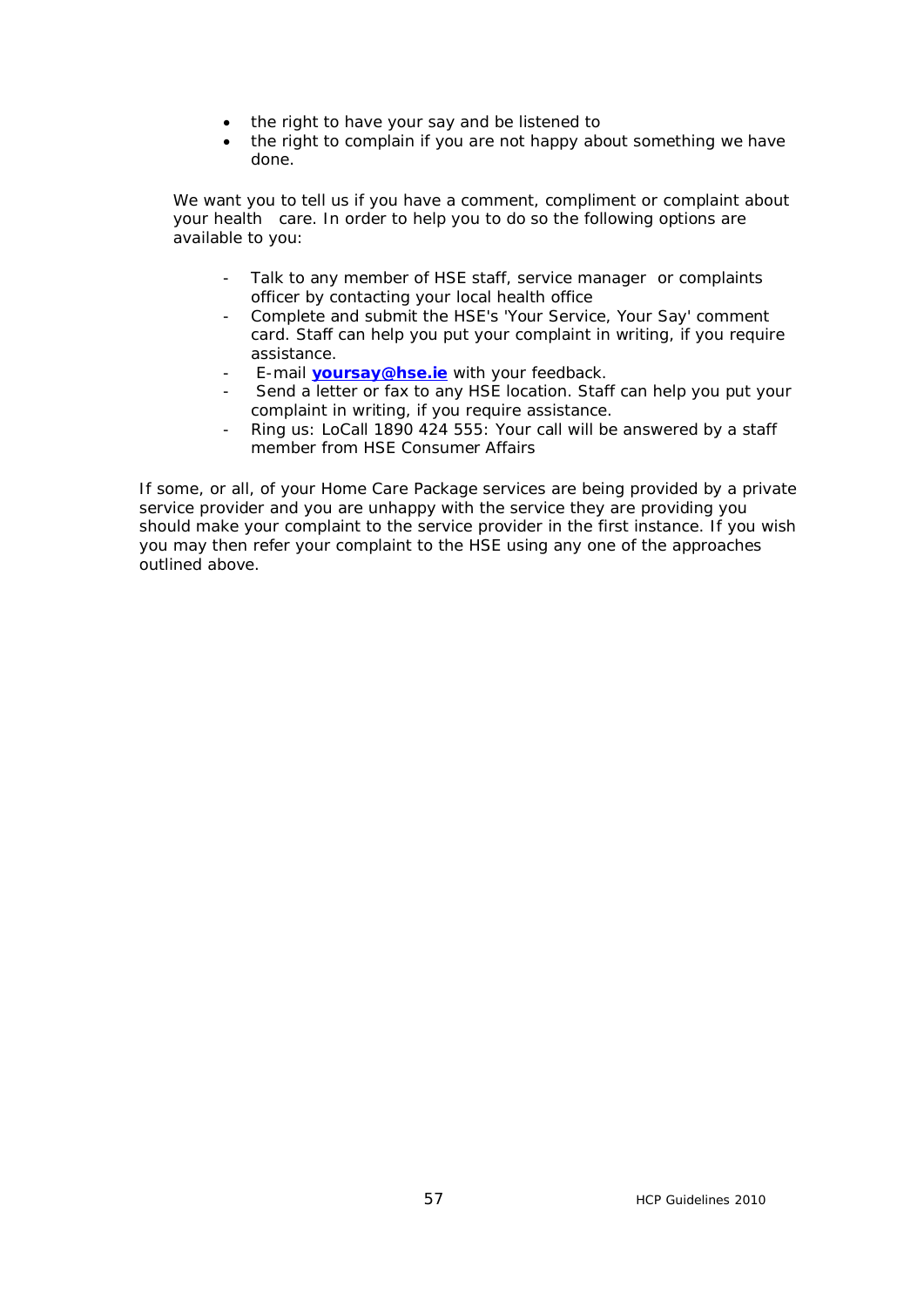- · *the right to have your say and be listened to*
- · *the right to complain if you are not happy about something we have done.*

*We want you to tell us if you have a comment, compliment or complaint about your health care. In order to help you to do so the following options are available to you:* 

- *Talk to any member of HSE staff, service manager or complaints officer by contacting your local health office*
- *Complete and submit the HSE's '[Your Service, Your Say'](http://www.hse.ie/eng/services/ysys/Complaint/Leaflets/Leaflets.html) comment card. Staff can help you put your complaint in writing, if you require assistance.*
- *E-mail [yoursay@hse.ie](mailto:yoursay@hse.ie) with your feedback.*
- *Send a letter or fax to any HSE location. Staff can help you put your complaint in writing, if you require assistance.*
- *Ring us: LoCall 1890 424 555: Your call will be answered by a staff member from HSE Consumer Affairs*

*If some, or all, of your Home Care Package services are being provided by a private service provider and you are unhappy with the service they are providing you should make your complaint to the service provider in the first instance. If you wish you may then refer your complaint to the HSE using any one of the approaches outlined above.*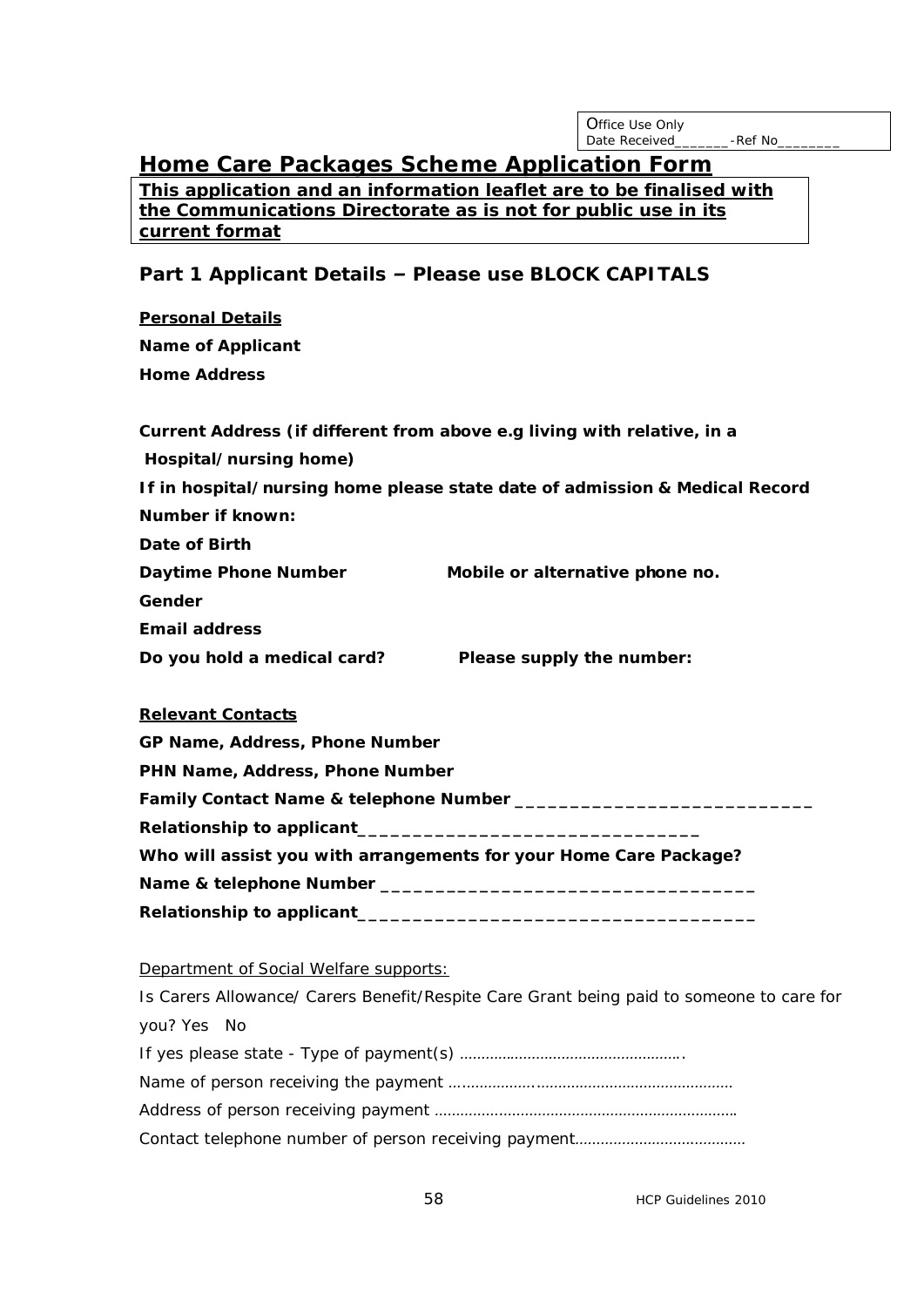| <b>Office Use Only</b> |          |
|------------------------|----------|
| Date Received          | -Ref No_ |

# *Home Care Packages Scheme Application Form*

**This application and an information leaflet are to be finalised with the Communications Directorate as is not for public use in its current format** 

### *Part 1 Applicant Details – Please use BLOCK CAPITALS*

| <b>Personal Details</b>     |                                                                             |
|-----------------------------|-----------------------------------------------------------------------------|
| <b>Name of Applicant</b>    |                                                                             |
| <b>Home Address</b>         |                                                                             |
|                             | Current Address (if different from above e.g living with relative, in a     |
| Hospital/nursing home)      |                                                                             |
|                             | If in hospital/nursing home please state date of admission & Medical Record |
| <b>Number if known:</b>     |                                                                             |
| <b>Date of Birth</b>        |                                                                             |
| <b>Daytime Phone Number</b> | Mobile or alternative phone no.                                             |
| Gender                      |                                                                             |
| <b>Email address</b>        |                                                                             |
| Do you hold a medical card? | <b>Please supply the number:</b>                                            |

#### **Relevant Contacts**

| <b>GP Name, Address, Phone Number</b>                                 |  |
|-----------------------------------------------------------------------|--|
| PHN Name, Address, Phone Number                                       |  |
| <i>Family Contact Name &amp; telephone Number _________________</i> _ |  |
|                                                                       |  |
| Who will assist you with arrangements for your Home Care Package?     |  |
| <i><b>Name &amp; telephone Number ______</b>_</i>                     |  |
| <b>Relationship to applicant</b>                                      |  |

#### Department of Social Welfare supports:

| Is Carers Allowance/ Carers Benefit/Respite Care Grant being paid to someone to care for |
|------------------------------------------------------------------------------------------|
| you? Yes No                                                                              |
|                                                                                          |
|                                                                                          |
|                                                                                          |
|                                                                                          |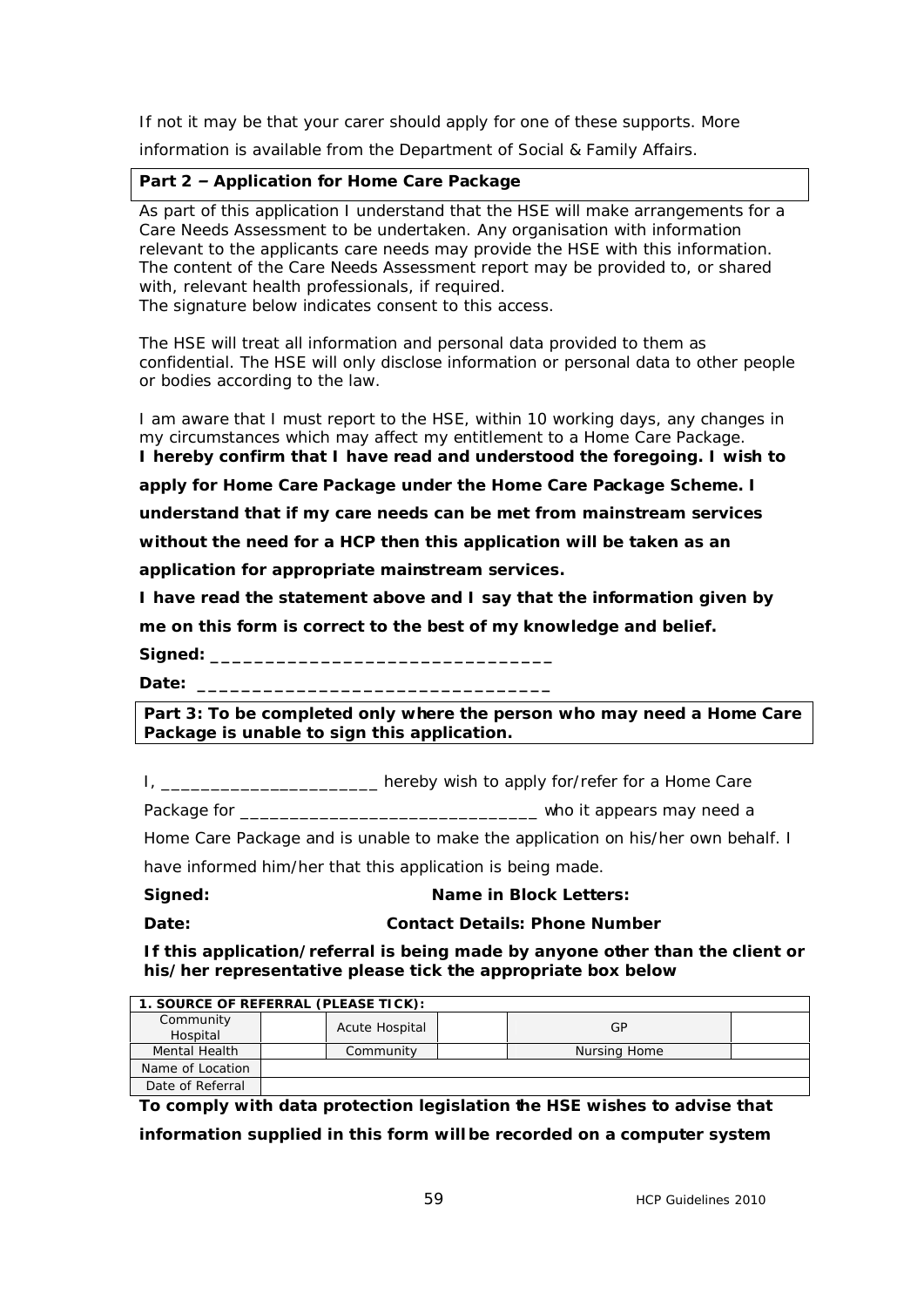*If not it may be that your carer should apply for one of these supports. More* 

*information is available from the Department of Social & Family Affairs.*

*Part 2 – Application for Home Care Package*

*As part of this application I understand that the HSE will make arrangements for a Care Needs Assessment to be undertaken. Any organisation with information relevant to the applicants care needs may provide the HSE with this information. The content of the Care Needs Assessment report may be provided to, or shared with, relevant health professionals, if required. The signature below indicates consent to this access.* 

*The HSE will treat all information and personal data provided to them as confidential. The HSE will only disclose information or personal data to other people or bodies according to the law.*

*I am aware that I must report to the HSE, within 10 working days, any changes in my circumstances which may affect my entitlement to a Home Care Package. I hereby confirm that I have read and understood the foregoing. I wish to*

*apply for Home Care Package under the Home Care Package Scheme. I* 

*understand that if my care needs can be met from mainstream services* 

*without the need for a HCP then this application will be taken as an* 

*application for appropriate mainstream services.*

*I have read the statement above and I say that the information given by* 

*me on this form is correct to the best of my knowledge and belief.*

*Signed: \_\_\_\_\_\_\_\_\_\_\_\_\_\_\_\_\_\_\_\_\_\_\_\_\_\_\_\_\_\_\_* 

*Date: \_\_\_\_\_\_\_\_\_\_\_\_\_\_\_\_\_\_\_\_\_\_\_\_\_\_\_\_\_\_\_\_*

*Part 3: To be completed only where the person who may need a Home Care Package is unable to sign this application.*

*I, \_\_\_\_\_\_\_\_\_\_\_\_\_\_\_\_\_\_\_\_\_\_ hereby wish to apply for/refer for a Home Care* 

*Package for \_\_\_\_\_\_\_\_\_\_\_\_\_\_\_\_\_\_\_\_\_\_\_\_\_\_\_\_\_\_ who it appears may need a* 

*Home Care Package and is unable to make the application on his/her own behalf. I* 

*have informed him/her that this application is being made.*

*Signed: Name in Block Letters:* 

*Date: Contact Details: Phone Number*

*If this application/referral is being made by anyone other than the client or his/her representative please tick the appropriate box below*

| 1. SOURCE OF REFERRAL (PLEASE TICK): |                |              |  |  |  |  |
|--------------------------------------|----------------|--------------|--|--|--|--|
| Community<br>Hospital                | Acute Hospital | GP           |  |  |  |  |
| Mental Health                        | Community      | Nursing Home |  |  |  |  |
| Name of Location                     |                |              |  |  |  |  |
| Date of Referral                     |                |              |  |  |  |  |

**To comply with data protection legislation the HSE wishes to advise that information supplied in this form will be recorded on a computer system**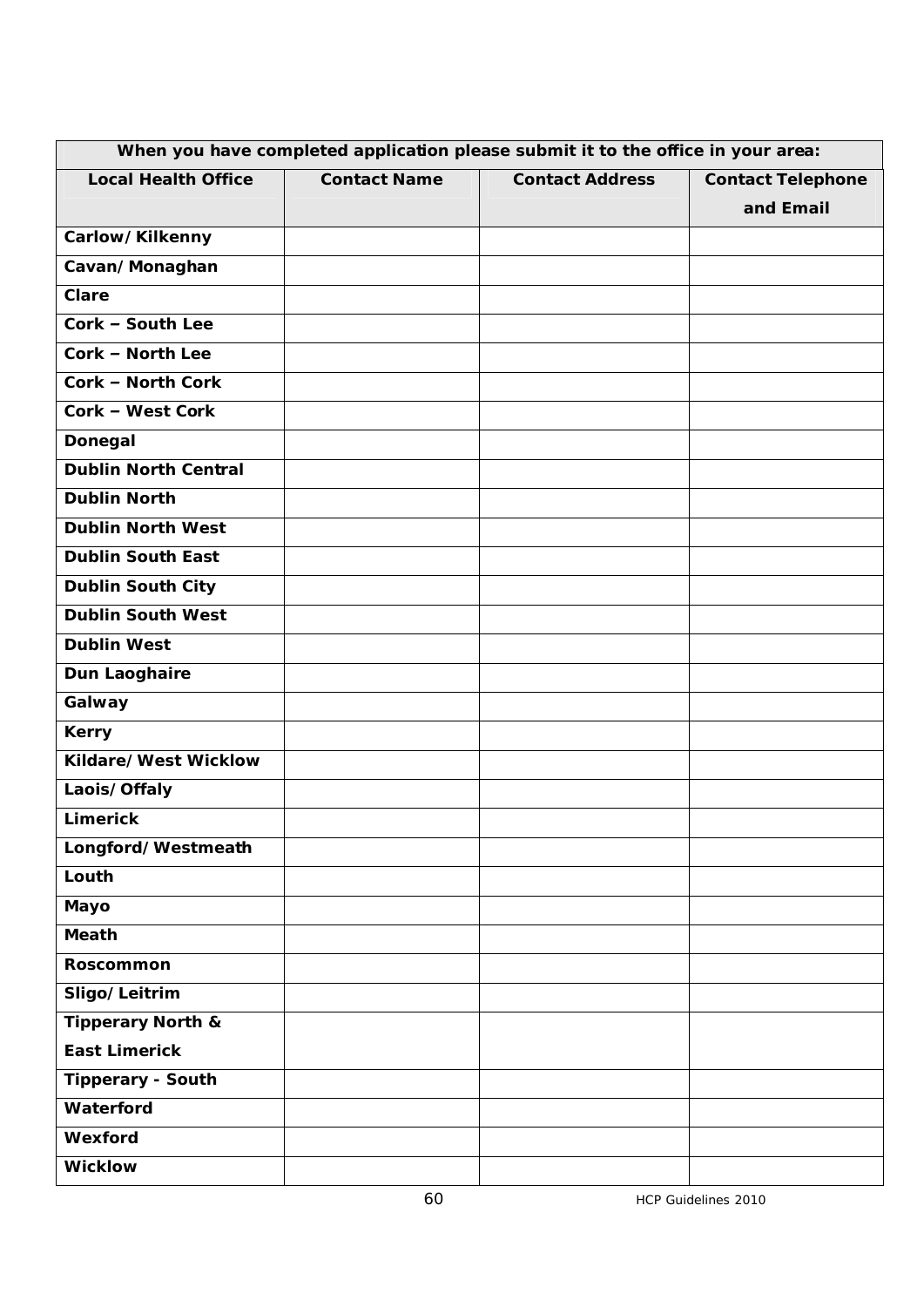| When you have completed application please submit it to the office in your area: |                     |                        |                          |  |  |  |
|----------------------------------------------------------------------------------|---------------------|------------------------|--------------------------|--|--|--|
| <b>Local Health Office</b>                                                       | <b>Contact Name</b> | <b>Contact Address</b> | <b>Contact Telephone</b> |  |  |  |
|                                                                                  |                     |                        | and Email                |  |  |  |
| <b>Carlow/Kilkenny</b>                                                           |                     |                        |                          |  |  |  |
| Cavan/Monaghan                                                                   |                     |                        |                          |  |  |  |
| <b>Clare</b>                                                                     |                     |                        |                          |  |  |  |
| <b>Cork - South Lee</b>                                                          |                     |                        |                          |  |  |  |
| <b>Cork - North Lee</b>                                                          |                     |                        |                          |  |  |  |
| <b>Cork - North Cork</b>                                                         |                     |                        |                          |  |  |  |
| <b>Cork - West Cork</b>                                                          |                     |                        |                          |  |  |  |
| <b>Donegal</b>                                                                   |                     |                        |                          |  |  |  |
| <b>Dublin North Central</b>                                                      |                     |                        |                          |  |  |  |
| <b>Dublin North</b>                                                              |                     |                        |                          |  |  |  |
| <b>Dublin North West</b>                                                         |                     |                        |                          |  |  |  |
| <b>Dublin South East</b>                                                         |                     |                        |                          |  |  |  |
| <b>Dublin South City</b>                                                         |                     |                        |                          |  |  |  |
| <b>Dublin South West</b>                                                         |                     |                        |                          |  |  |  |
| <b>Dublin West</b>                                                               |                     |                        |                          |  |  |  |
| <b>Dun Laoghaire</b>                                                             |                     |                        |                          |  |  |  |
| Galway                                                                           |                     |                        |                          |  |  |  |
| <b>Kerry</b>                                                                     |                     |                        |                          |  |  |  |
| <b>Kildare/West Wicklow</b>                                                      |                     |                        |                          |  |  |  |
| Laois/Offaly                                                                     |                     |                        |                          |  |  |  |
| <b>Limerick</b>                                                                  |                     |                        |                          |  |  |  |
| Longford/Westmeath                                                               |                     |                        |                          |  |  |  |
| Louth                                                                            |                     |                        |                          |  |  |  |
| <b>Mayo</b>                                                                      |                     |                        |                          |  |  |  |
| <b>Meath</b>                                                                     |                     |                        |                          |  |  |  |
| <b>Roscommon</b>                                                                 |                     |                        |                          |  |  |  |
| <b>Sligo/Leitrim</b>                                                             |                     |                        |                          |  |  |  |
| <b>Tipperary North &amp;</b>                                                     |                     |                        |                          |  |  |  |
| <b>East Limerick</b>                                                             |                     |                        |                          |  |  |  |
| <b>Tipperary - South</b>                                                         |                     |                        |                          |  |  |  |
| <b>Waterford</b>                                                                 |                     |                        |                          |  |  |  |
| <b>Wexford</b>                                                                   |                     |                        |                          |  |  |  |
| <b>Wicklow</b>                                                                   |                     |                        |                          |  |  |  |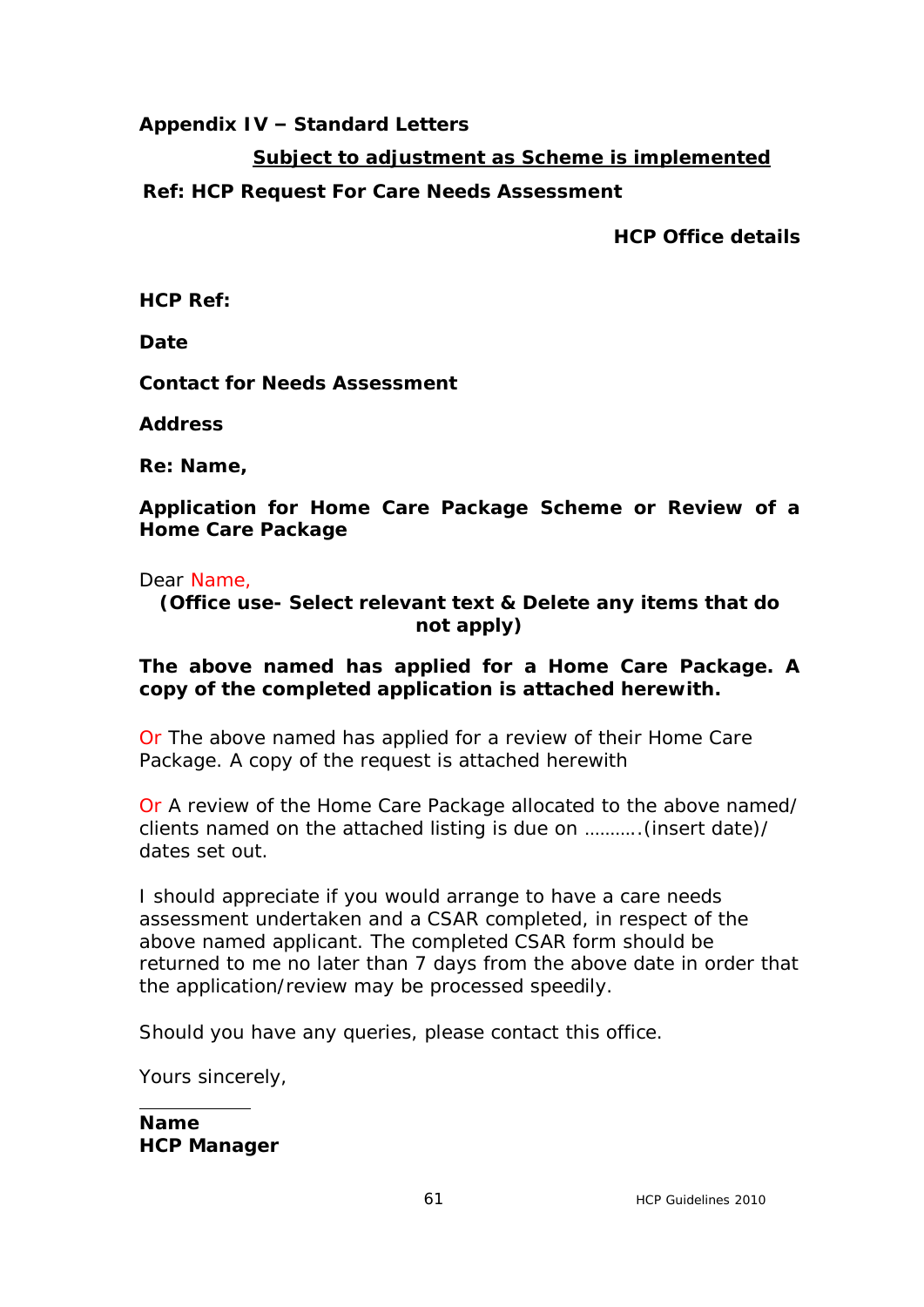# **Appendix IV – Standard Letters**

# **Subject to adjustment as Scheme is implemented**

# **Ref: HCP Request For Care Needs Assessment**

**HCP Office details**

**HCP Ref:**

**Date**

**Contact for Needs Assessment**

**Address** 

**Re: Name,** 

**Application for Home Care Package Scheme or Review of a Home Care Package**

Dear Name,

**(Office use- Select relevant text & Delete any items that do not apply)**

# **The above named has applied for a Home Care Package. A copy of the completed application is attached herewith.**

Or The above named has applied for a review of their Home Care Package. A copy of the request is attached herewith

Or A review of the Home Care Package allocated to the above named/ clients named on the attached listing is due on ………..(insert date)/ dates set out.

I should appreciate if you would arrange to have a care needs assessment undertaken and a CSAR completed, in respect of the above named applicant. The completed CSAR form should be returned to me no later than 7 days from the above date in order that the application/review may be processed speedily.

Should you have any queries, please contact this office.

Yours sincerely,

**Name HCP Manager**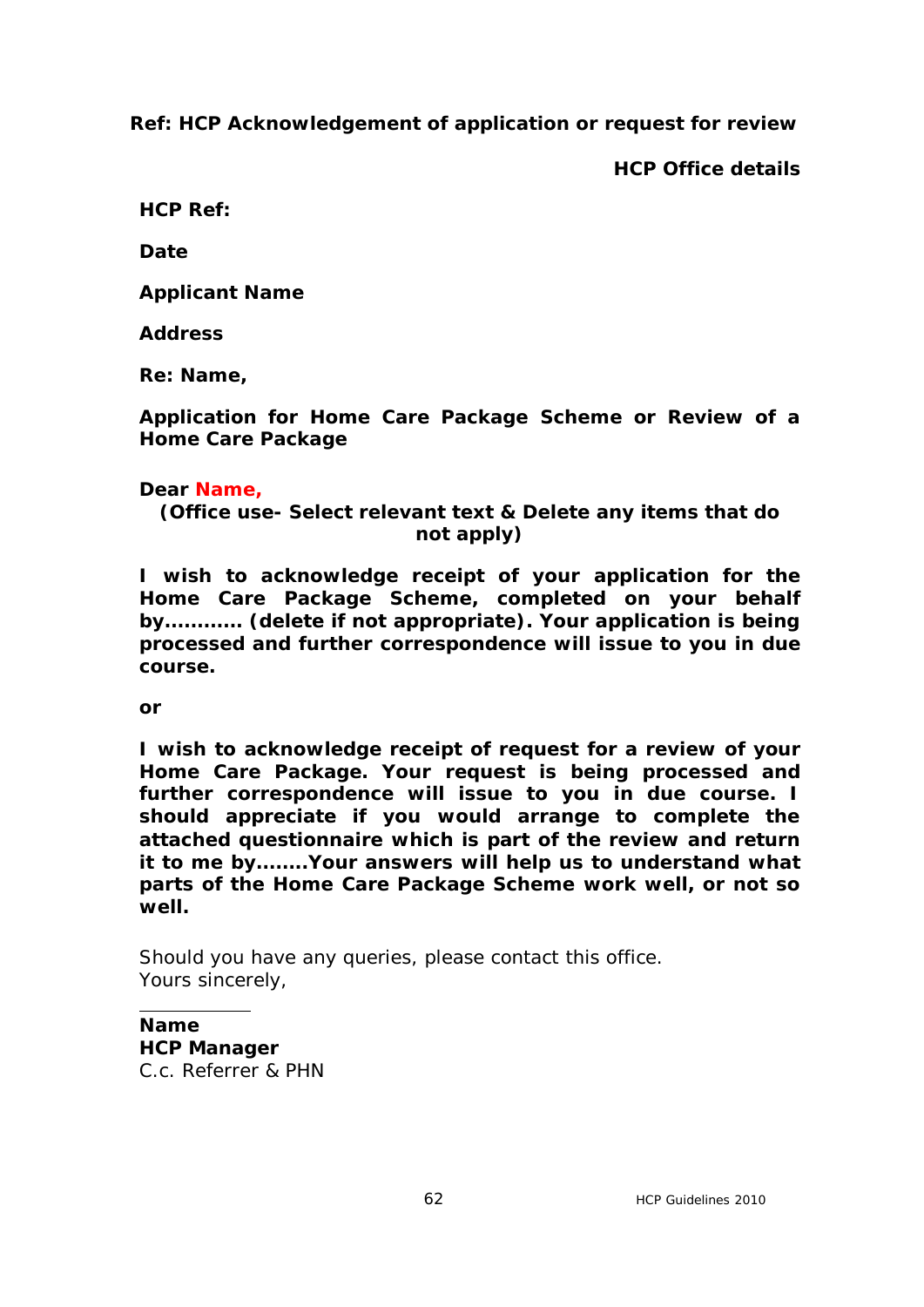**Ref: HCP Acknowledgement of application or request for review**

**HCP Office details**

**HCP Ref:**

**Date**

**Applicant Name**

**Address** 

**Re: Name,** 

**Application for Home Care Package Scheme or Review of a Home Care Package**

# **Dear Name,**

**(Office use- Select relevant text & Delete any items that do not apply)**

**I wish to acknowledge receipt of your application for the Home Care Package Scheme, completed on your behalf by………… (delete if not appropriate). Your application is being processed and further correspondence will issue to you in due course.**

**or**

**I wish to acknowledge receipt of request for a review of your Home Care Package. Your request is being processed and further correspondence will issue to you in due course. I should appreciate if you would arrange to complete the attached questionnaire which is part of the review and return it to me by……..Your answers will help us to understand what parts of the Home Care Package Scheme work well, or not so well.**

Should you have any queries, please contact this office. Yours sincerely,

# **Name**

**HCP Manager**  C.c. Referrer & PHN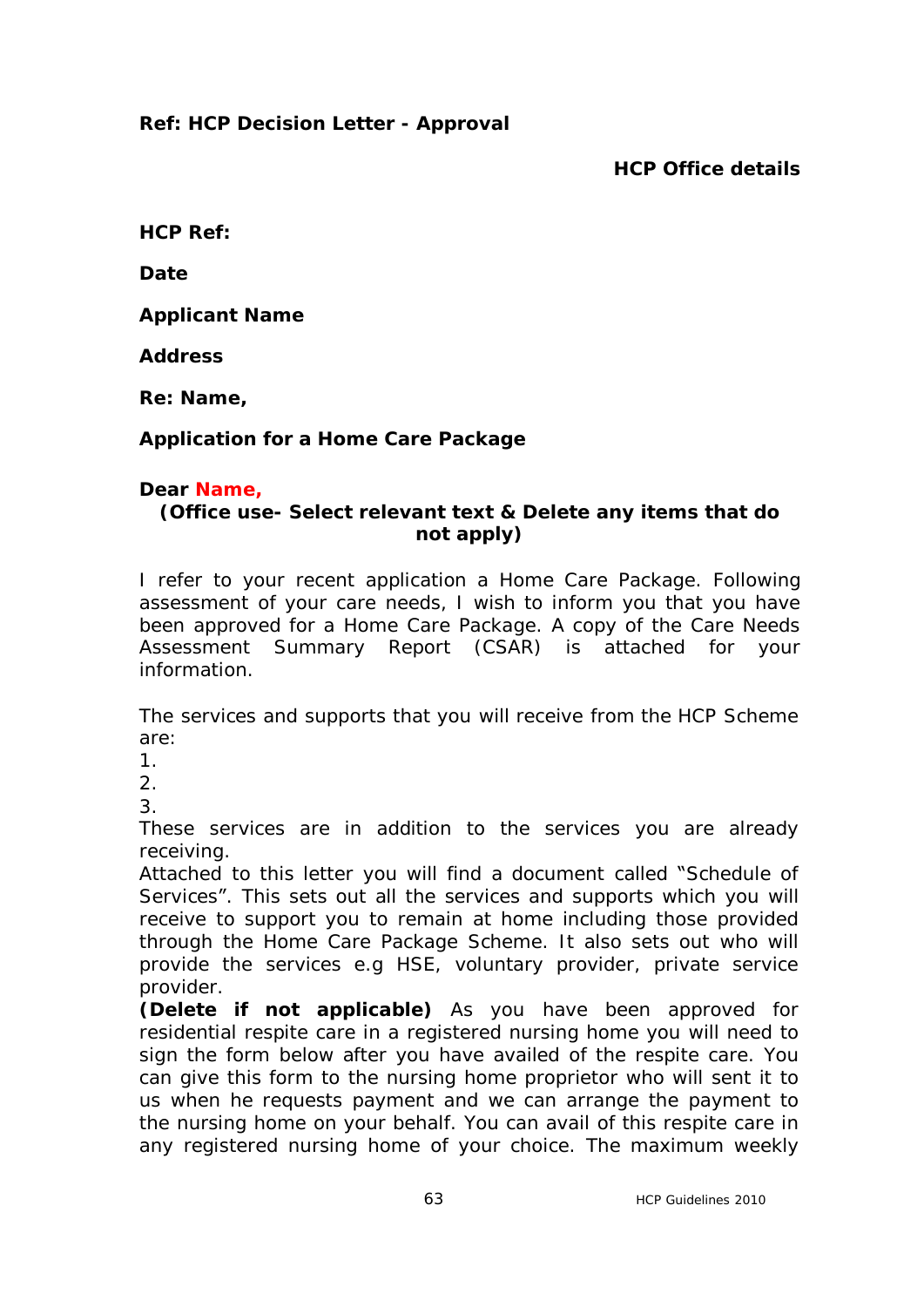# **Ref: HCP Decision Letter - Approval**

**HCP Office details**

**HCP Ref:**

**Date**

**Applicant Name**

**Address** 

**Re: Name,** 

# **Application for a Home Care Package**

### **Dear Name,**

# **(Office use- Select relevant text & Delete any items that do not apply)**

I refer to your recent application a Home Care Package. Following assessment of your care needs, I wish to inform you that you have been approved for a Home Care Package. A copy of the Care Needs Assessment Summary Report (CSAR) is attached for your information.

The services and supports that you will receive from the HCP Scheme are:

1.

2.

3.

These services are in addition to the services you are already receiving.

Attached to this letter you will find a document called "Schedule of Services". This sets out all the services and supports which you will receive to support you to remain at home including those provided through the Home Care Package Scheme. It also sets out who will provide the services e.g HSE, voluntary provider, private service provider.

**(Delete if not applicable)** As you have been approved for residential respite care in a registered nursing home you will need to sign the form below after you have availed of the respite care. You can give this form to the nursing home proprietor who will sent it to us when he requests payment and we can arrange the payment to the nursing home on your behalf. You can avail of this respite care in any registered nursing home of your choice. The maximum weekly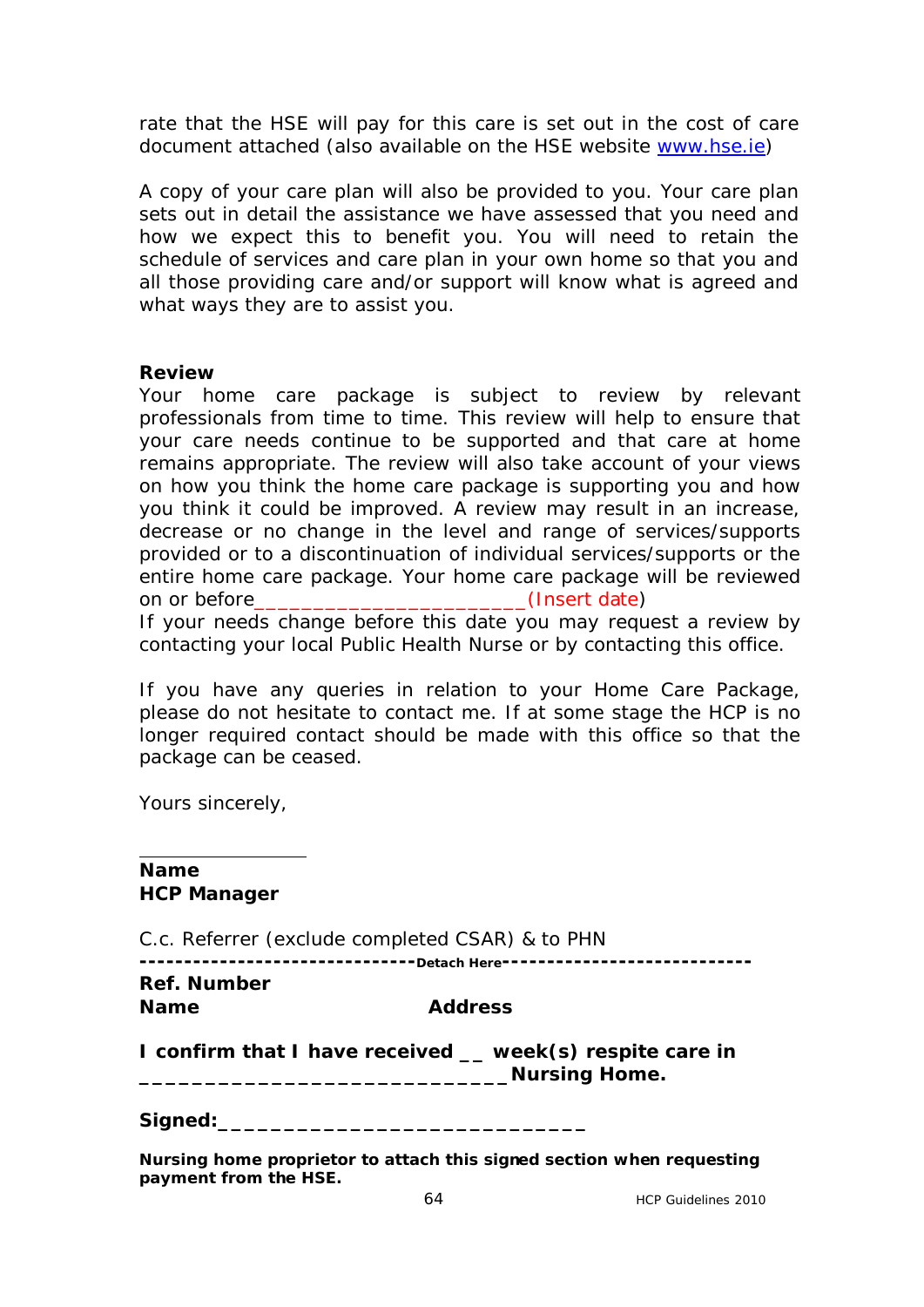rate that the HSE will pay for this care is set out in the cost of care document attached (also available on the HSE website [www.hse.ie\)](http://www.hse.ie/)

A copy of your care plan will also be provided to you. Your care plan sets out in detail the assistance we have assessed that you need and how we expect this to benefit you. You will need to retain the schedule of services and care plan in your own home so that you and all those providing care and/or support will know what is agreed and what ways they are to assist you.

### **Review**

Your home care package is subject to review by relevant professionals from time to time. This review will help to ensure that your care needs continue to be supported and that care at home remains appropriate. The review will also take account of your views on how you think the home care package is supporting you and how you think it could be improved. A review may result in an increase, decrease or no change in the level and range of services/supports provided or to a discontinuation of individual services/supports or the entire home care package. Your home care package will be reviewed on or before\_\_\_\_\_\_\_\_\_\_\_\_\_\_\_\_\_\_\_\_\_\_\_(Insert date) If your needs change before this date you may request a review by contacting your local Public Health Nurse or by contacting this office.

If you have any queries in relation to your Home Care Package, please do not hesitate to contact me. If at some stage the HCP is no longer required contact should be made with this office so that the package can be ceased.

Yours sincerely,

### **Name HCP Manager**

C.c. Referrer (exclude completed CSAR) & to PHN

**-------------------------------Detach Here---------------------------- Ref. Number**

**Name Address**

**I confirm that I have received \_\_ week(s) respite care in \_\_\_\_\_\_\_\_\_\_\_\_\_\_\_\_\_\_\_\_\_\_\_\_\_\_\_\_Nursing Home.**

Signed:

**Nursing home proprietor to attach this signed section when requesting payment from the HSE.**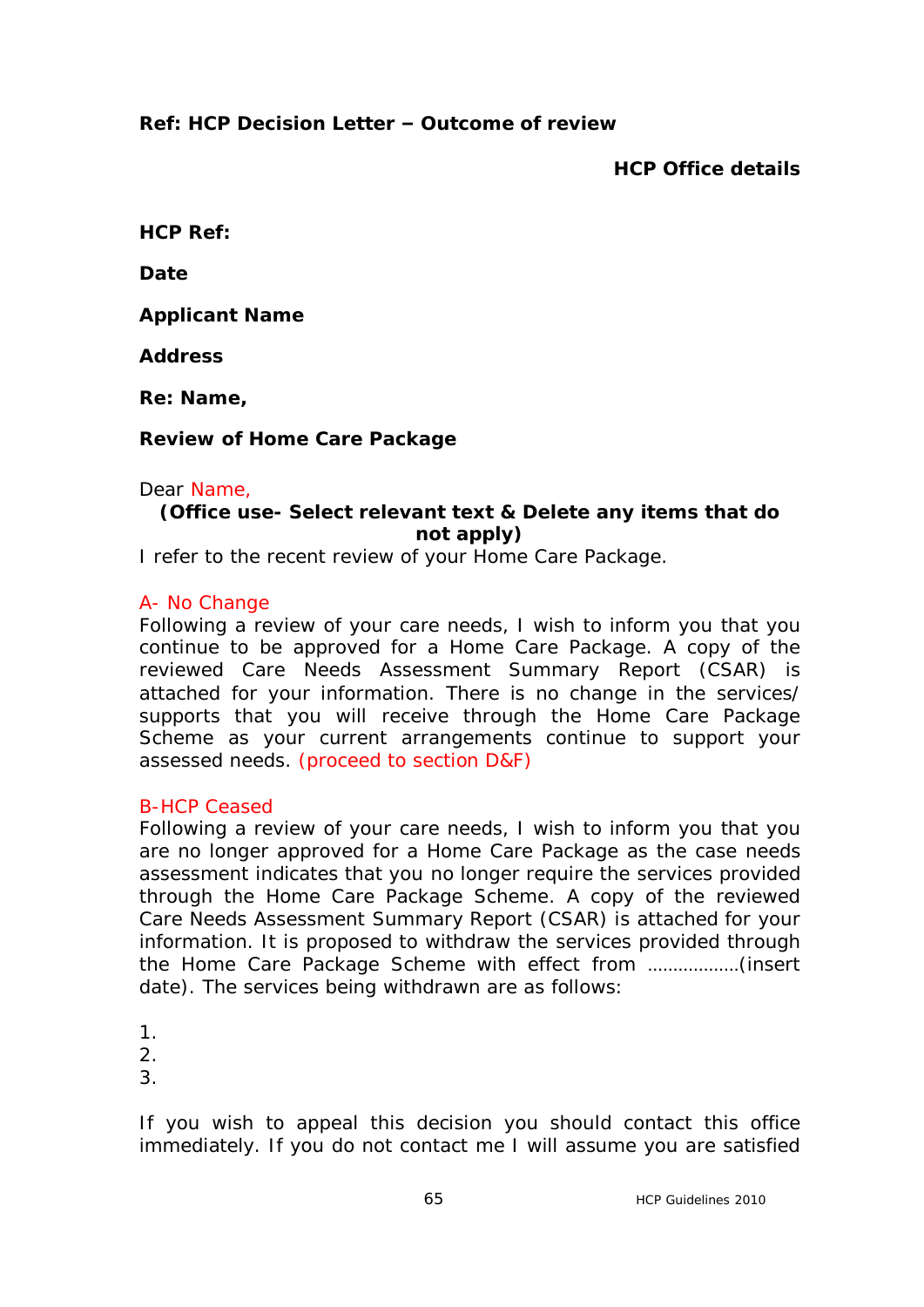# **Ref: HCP Decision Letter – Outcome of review**

**HCP Office details**

**HCP Ref:**

**Date**

**Applicant Name**

**Address** 

**Re: Name,** 

### **Review of Home Care Package**

### Dear Name,

# **(Office use- Select relevant text & Delete any items that do not apply)**

I refer to the recent review of your Home Care Package.

### A- No Change

Following a review of your care needs, I wish to inform you that you continue to be approved for a Home Care Package. A copy of the reviewed Care Needs Assessment Summary Report (CSAR) is attached for your information. There is no change in the services/ supports that you will receive through the Home Care Package Scheme as your current arrangements continue to support your assessed needs. (proceed to section D&F)

### B-HCP Ceased

Following a review of your care needs, I wish to inform you that you are no longer approved for a Home Care Package as the case needs assessment indicates that you no longer require the services provided through the Home Care Package Scheme. A copy of the reviewed Care Needs Assessment Summary Report (CSAR) is attached for your information. It is proposed to withdraw the services provided through the Home Care Package Scheme with effect from ………………(insert date). The services being withdrawn are as follows:

1.  $\mathcal{P}$ 3.

If you wish to appeal this decision you should contact this office immediately. If you do not contact me I will assume you are satisfied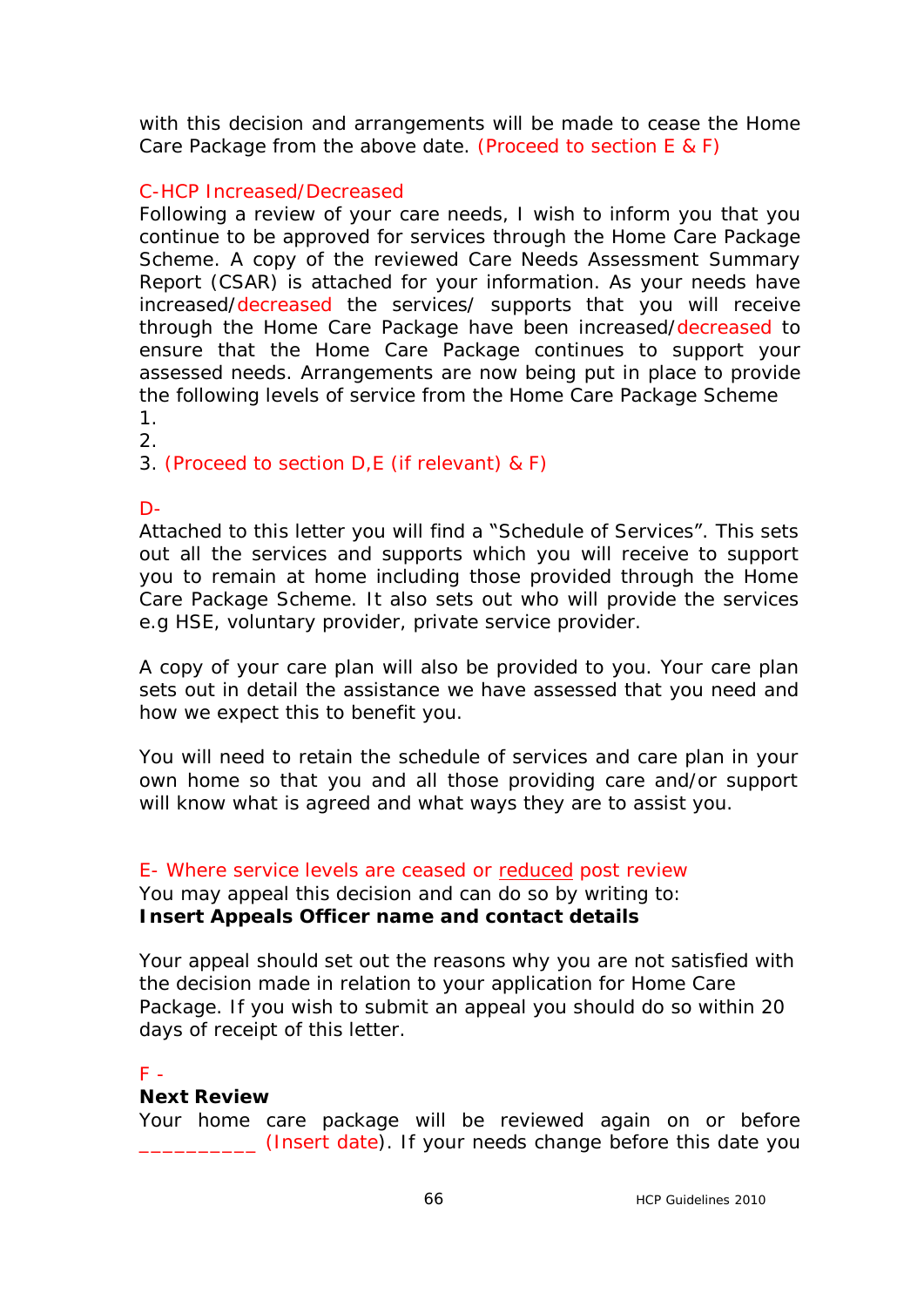with this decision and arrangements will be made to cease the Home Care Package from the above date. (Proceed to section E & F)

# C-HCP Increased/Decreased

Following a review of your care needs, I wish to inform you that you continue to be approved for services through the Home Care Package Scheme. A copy of the reviewed Care Needs Assessment Summary Report (CSAR) is attached for your information. As your needs have increased/decreased the services/ supports that you will receive through the Home Care Package have been increased/decreased to ensure that the Home Care Package continues to support your assessed needs. Arrangements are now being put in place to provide the following levels of service from the Home Care Package Scheme 1.

2.

3. (Proceed to section D,E (if relevant) & F)

D-

Attached to this letter you will find a "Schedule of Services". This sets out all the services and supports which you will receive to support you to remain at home including those provided through the Home Care Package Scheme. It also sets out who will provide the services e.g HSE, voluntary provider, private service provider.

A copy of your care plan will also be provided to you. Your care plan sets out in detail the assistance we have assessed that you need and how we expect this to benefit you.

You will need to retain the schedule of services and care plan in your own home so that you and all those providing care and/or support will know what is agreed and what ways they are to assist you.

### E- Where service levels are ceased or reduced post review

You may appeal this decision and can do so by writing to: **Insert Appeals Officer name and contact details**

Your appeal should set out the reasons why you are not satisfied with the decision made in relation to your application for Home Care Package. If you wish to submit an appeal you should do so within 20 days of receipt of this letter.

### $F =$

### **Next Review**

Your home care package will be reviewed again on or before \_\_\_\_\_\_\_\_\_\_ (Insert date). If your needs change before this date you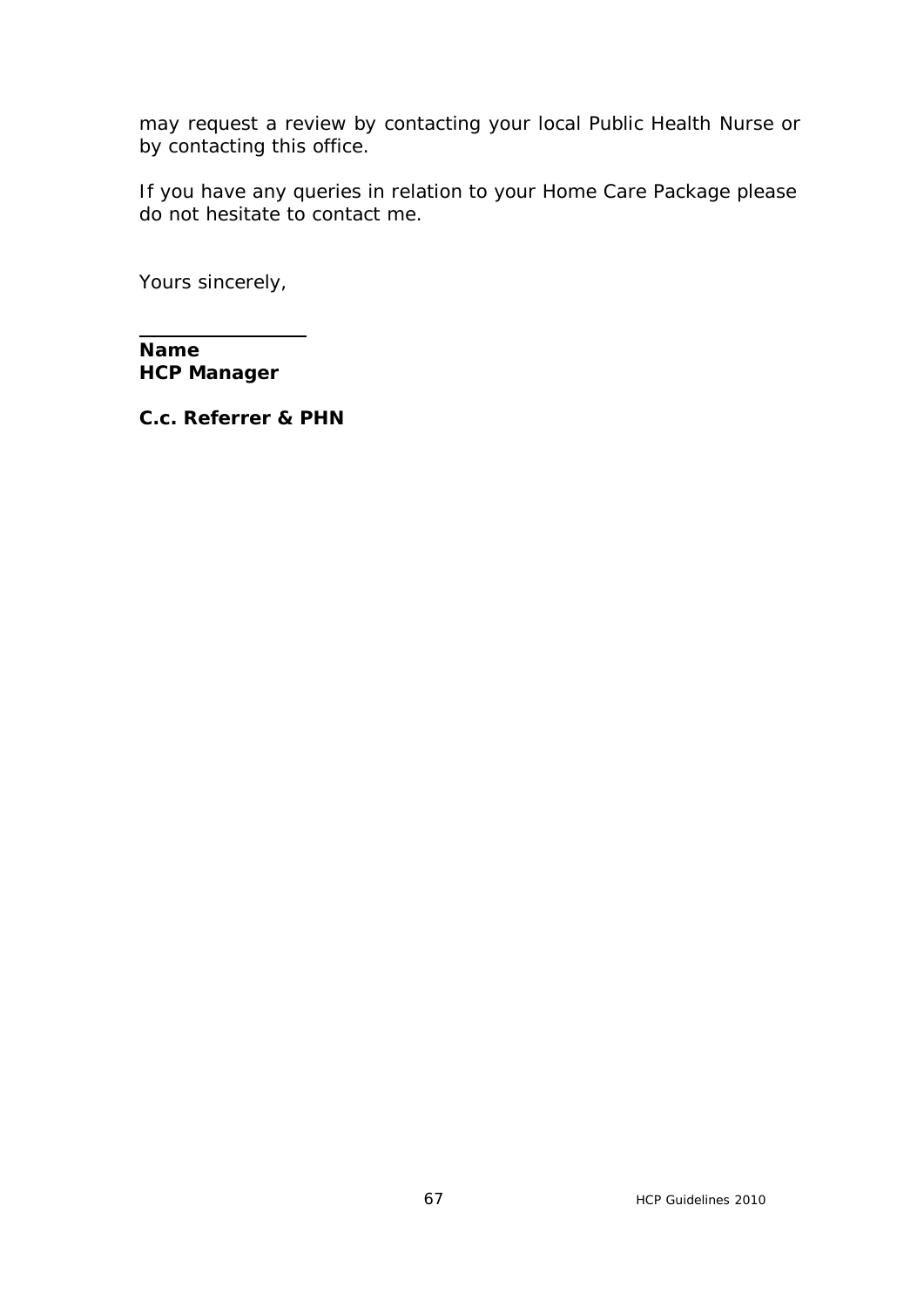may request a review by contacting your local Public Health Nurse or by contacting this office.

If you have any queries in relation to your Home Care Package please do not hesitate to contact me.

Yours sincerely,

**Name HCP Manager**

**C.c. Referrer & PHN**

 $\overline{a}$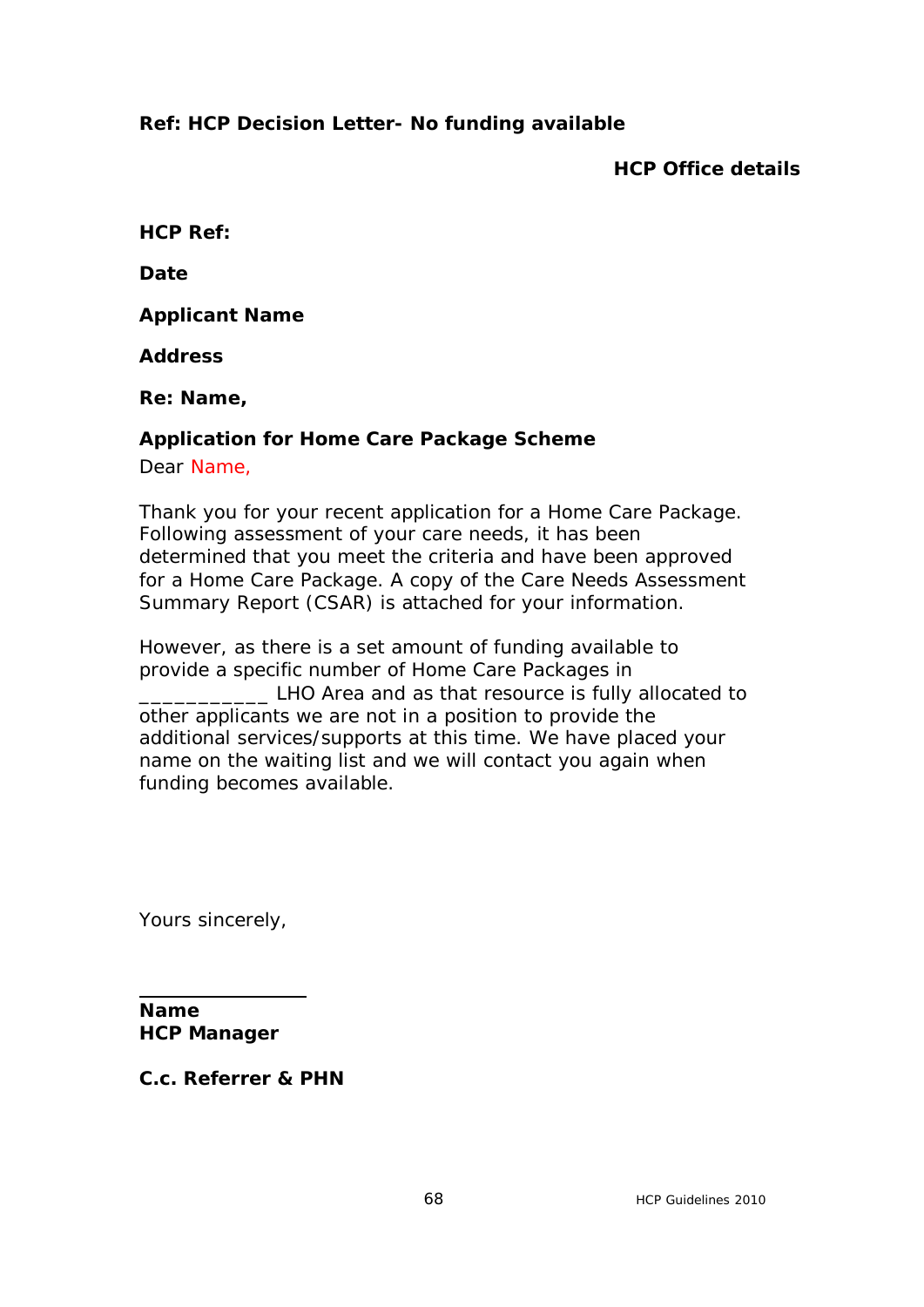# **Ref: HCP Decision Letter- No funding available**

**HCP Office details**

**HCP Ref:**

**Date**

**Applicant Name**

**Address** 

**Re: Name,** 

### **Application for Home Care Package Scheme**

Dear Name,

Thank you for your recent application for a Home Care Package. Following assessment of your care needs, it has been determined that you meet the criteria and have been approved for a Home Care Package. A copy of the Care Needs Assessment Summary Report (CSAR) is attached for your information.

However, as there is a set amount of funding available to provide a specific number of Home Care Packages in **EXECUTE:** LHO Area and as that resource is fully allocated to other applicants we are not in a position to provide the additional services/supports at this time. We have placed your name on the waiting list and we will contact you again when funding becomes available.

Yours sincerely,

**Name HCP Manager**

**C.c. Referrer & PHN**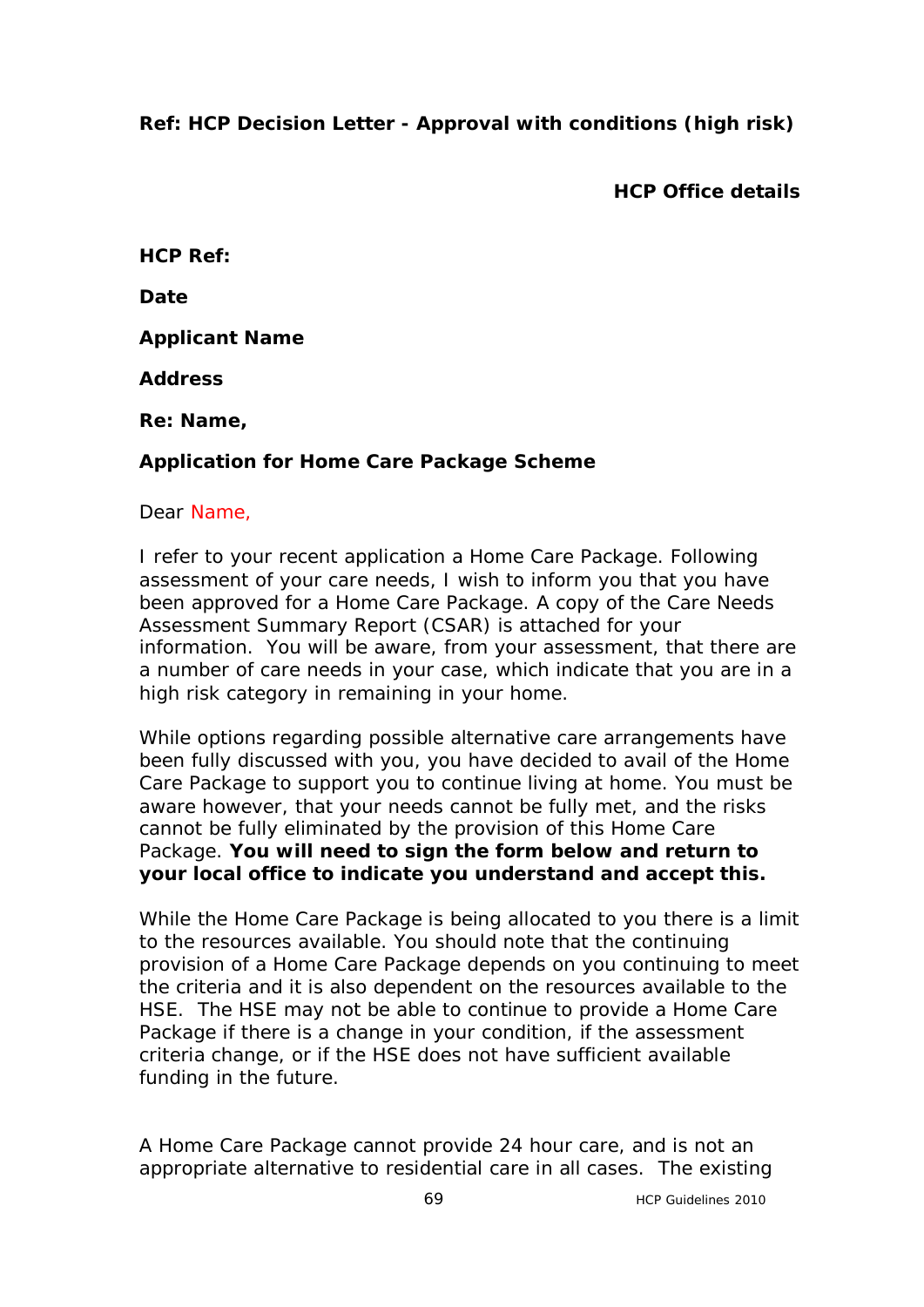# **Ref: HCP Decision Letter - Approval with conditions (high risk)**

**HCP Office details**

**HCP Ref:**

**Date**

**Applicant Name**

**Address** 

**Re: Name,** 

# **Application for Home Care Package Scheme**

### Dear Name,

I refer to your recent application a Home Care Package. Following assessment of your care needs, I wish to inform you that you have been approved for a Home Care Package. A copy of the Care Needs Assessment Summary Report (CSAR) is attached for your information. You will be aware, from your assessment, that there are a number of care needs in your case, which indicate that you are in a high risk category in remaining in your home.

While options regarding possible alternative care arrangements have been fully discussed with you, you have decided to avail of the Home Care Package to support you to continue living at home. You must be aware however, that your needs cannot be fully met, and the risks cannot be fully eliminated by the provision of this Home Care Package. **You will need to sign the form below and return to your local office to indicate you understand and accept this.** 

While the Home Care Package is being allocated to you there is a limit to the resources available. You should note that the continuing provision of a Home Care Package depends on you continuing to meet the criteria and it is also dependent on the resources available to the HSE. The HSE may not be able to continue to provide a Home Care Package if there is a change in your condition, if the assessment criteria change, or if the HSE does not have sufficient available funding in the future.

A Home Care Package cannot provide 24 hour care, and is not an appropriate alternative to residential care in all cases. The existing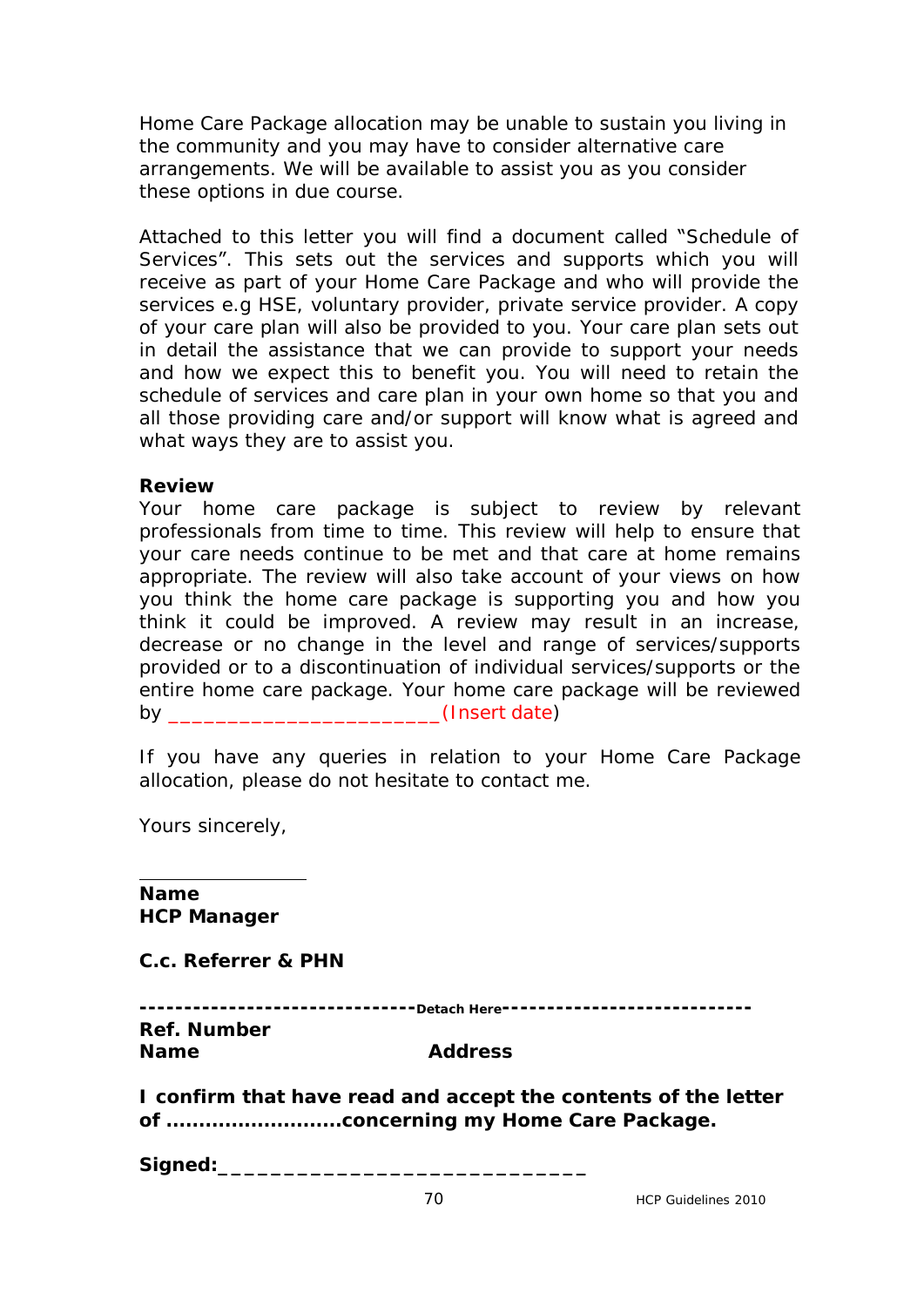Home Care Package allocation may be unable to sustain you living in the community and you may have to consider alternative care arrangements. We will be available to assist you as you consider these options in due course.

Attached to this letter you will find a document called "Schedule of Services". This sets out the services and supports which you will receive as part of your Home Care Package and who will provide the services e.g HSE, voluntary provider, private service provider. A copy of your care plan will also be provided to you. Your care plan sets out in detail the assistance that we can provide to support your needs and how we expect this to benefit you. You will need to retain the schedule of services and care plan in your own home so that you and all those providing care and/or support will know what is agreed and what ways they are to assist you.

### **Review**

Your home care package is subject to review by relevant professionals from time to time. This review will help to ensure that your care needs continue to be met and that care at home remains appropriate. The review will also take account of your views on how you think the home care package is supporting you and how you think it could be improved. A review may result in an increase, decrease or no change in the level and range of services/supports provided or to a discontinuation of individual services/supports or the entire home care package. Your home care package will be reviewed by **Example 20** (Insert date)

If you have any queries in relation to your Home Care Package allocation, please do not hesitate to contact me.

Yours sincerely,

**Name HCP Manager**

**C.c. Referrer & PHN**

|                    | ------------------------------Detach Here----------------------------- |  |
|--------------------|------------------------------------------------------------------------|--|
|                    |                                                                        |  |
| <b>Ref. Number</b> |                                                                        |  |
| <b>Name</b>        | <b>Address</b>                                                         |  |

**I confirm that have read and accept the contents of the letter of ………………………concerning my Home Care Package.**

Signed: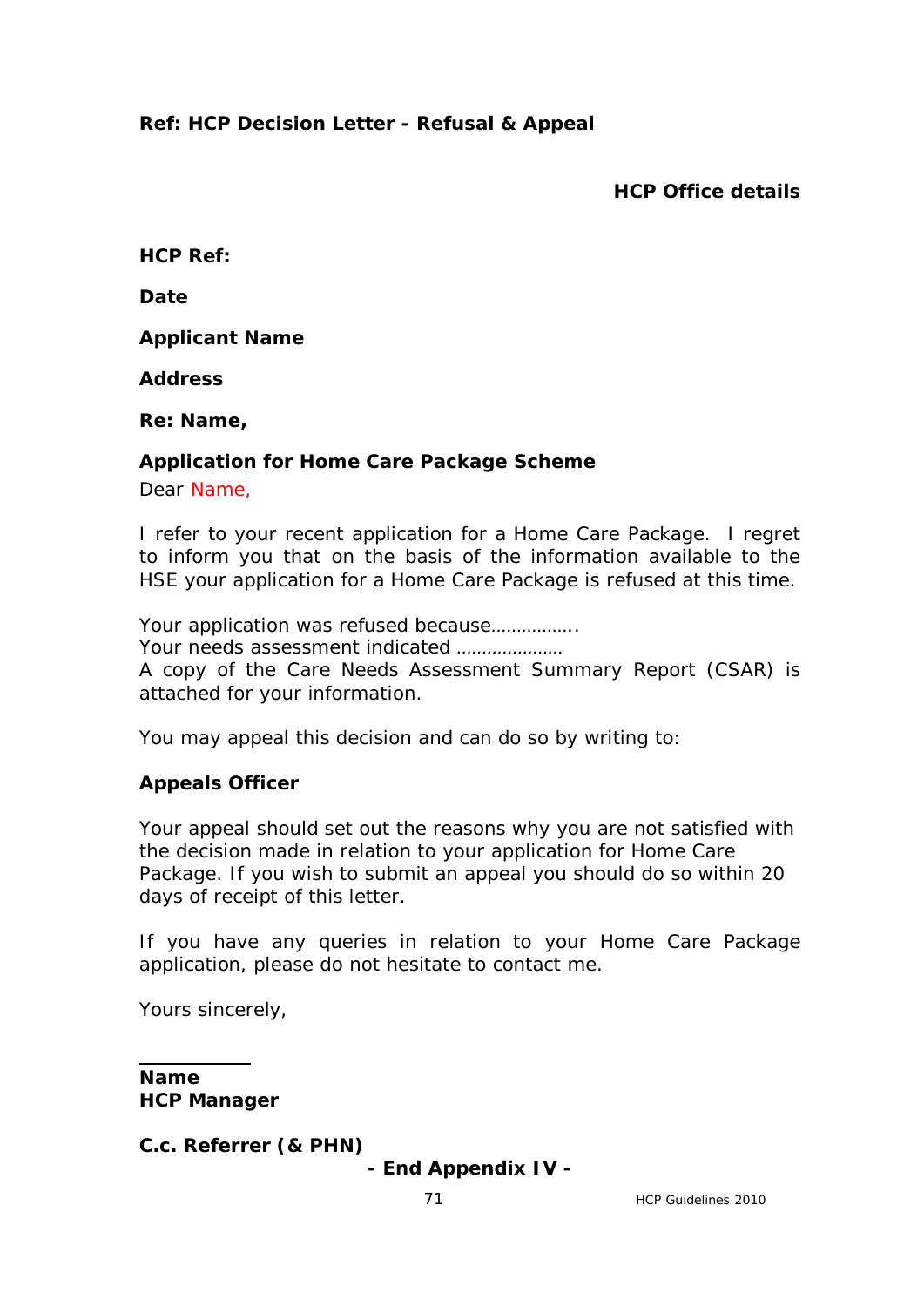# **Ref: HCP Decision Letter - Refusal & Appeal**

**HCP Office details**

**HCP Ref:**

**Date**

**Applicant Name**

**Address** 

**Re: Name,** 

### **Application for Home Care Package Scheme**

Dear Name,

I refer to your recent application for a Home Care Package. I regret to inform you that on the basis of the information available to the HSE your application for a Home Care Package is refused at this time.

Your application was refused because.................

*Your needs assessment indicated …………………*

A copy of the Care Needs Assessment Summary Report (CSAR) is attached for your information.

You may appeal this decision and can do so by writing to:

### **Appeals Officer**

Your appeal should set out the reasons why you are not satisfied with the decision made in relation to your application for Home Care Package. If you wish to submit an appeal you should do so within 20 days of receipt of this letter.

If you have any queries in relation to your Home Care Package application, please do not hesitate to contact me.

Yours sincerely,

**Name HCP Manager**

**C.c. Referrer (& PHN)**

**- End Appendix IV -**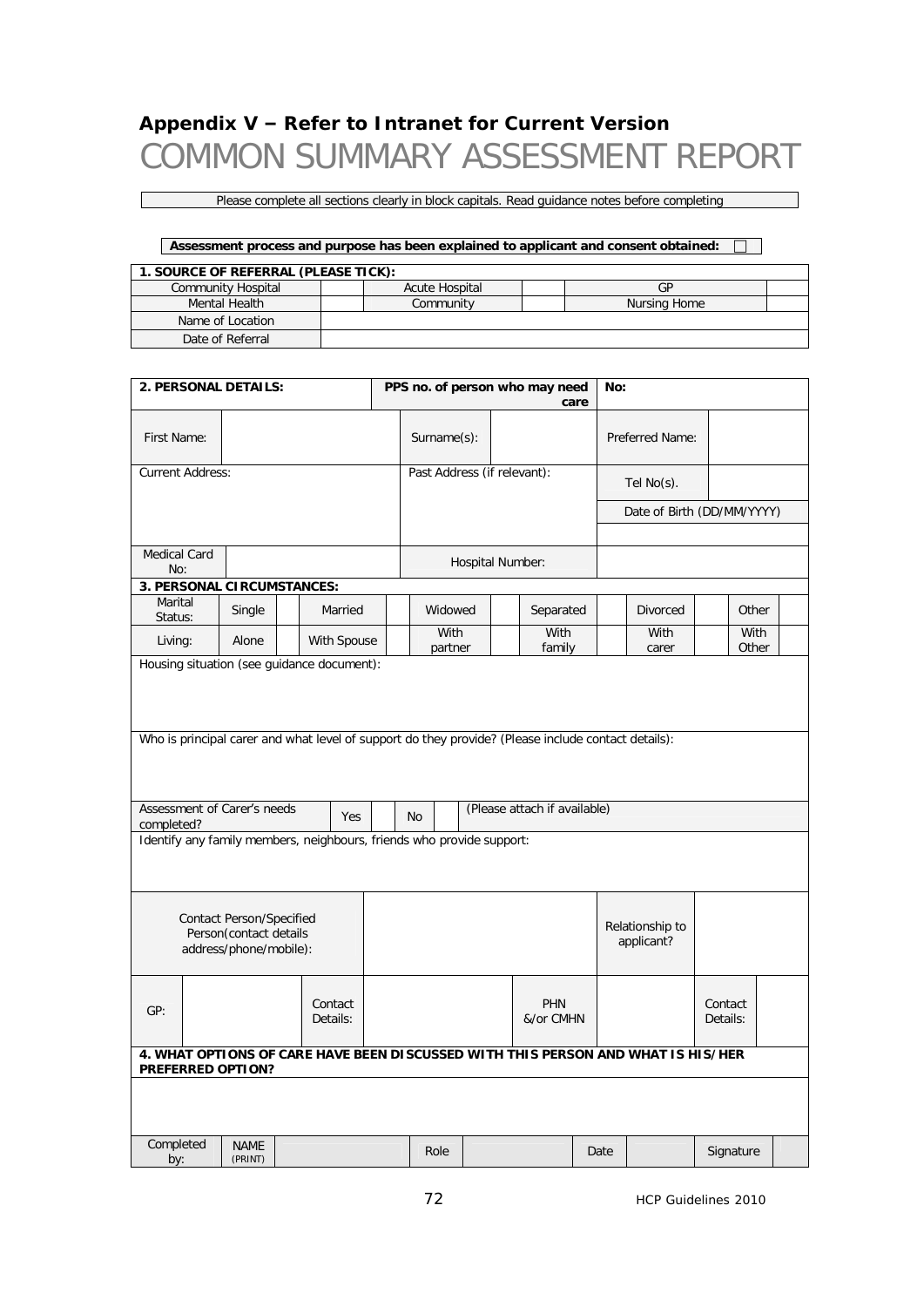# **Appendix V – Refer to Intranet for Current Version** COMMON SUMMARY ASSESSMENT REPORT

Please complete all sections clearly in block capitals. Read guidance notes before completing

| Assessment process and purpose has been explained to applicant and consent obtained: |  |                |              |  |  |  |  |  |  |  |
|--------------------------------------------------------------------------------------|--|----------------|--------------|--|--|--|--|--|--|--|
| 1. SOURCE OF REFERRAL (PLEASE TICK):                                                 |  |                |              |  |  |  |  |  |  |  |
| <b>Community Hospital</b>                                                            |  | Acute Hospital | GP           |  |  |  |  |  |  |  |
| Mental Health                                                                        |  | Community      | Nursing Home |  |  |  |  |  |  |  |
| Name of Location                                                                     |  |                |              |  |  |  |  |  |  |  |
| Date of Referral                                                                     |  |                |              |  |  |  |  |  |  |  |

|                                                                                                       | 2. PERSONAL DETAILS:<br>PPS no. of person who may need |  |                     |                             |                                           |                  | No: |                         |                |                               |               |                     |  |               |  |
|-------------------------------------------------------------------------------------------------------|--------------------------------------------------------|--|---------------------|-----------------------------|-------------------------------------------|------------------|-----|-------------------------|----------------|-------------------------------|---------------|---------------------|--|---------------|--|
| First Name:                                                                                           |                                                        |  |                     |                             | care<br>Surname(s):                       |                  |     | Preferred Name:         |                |                               |               |                     |  |               |  |
| <b>Current Address:</b>                                                                               |                                                        |  |                     | Past Address (if relevant): |                                           |                  |     | Tel $No(s)$ .           |                |                               |               |                     |  |               |  |
|                                                                                                       |                                                        |  |                     |                             |                                           |                  |     |                         |                | Date of Birth (DD/MM/YYYY)    |               |                     |  |               |  |
|                                                                                                       |                                                        |  |                     |                             |                                           |                  |     |                         |                |                               |               |                     |  |               |  |
| <b>Medical Card</b><br>No:                                                                            |                                                        |  |                     |                             |                                           | Hospital Number: |     |                         |                |                               |               |                     |  |               |  |
| 3. PERSONAL CIRCUMSTANCES:                                                                            |                                                        |  |                     |                             |                                           |                  |     |                         |                |                               |               |                     |  |               |  |
| Marital<br>Status:                                                                                    | Single                                                 |  | Married             |                             | Widowed                                   |                  |     |                         | Separated      |                               |               | <b>Divorced</b>     |  | Other         |  |
| Living:                                                                                               | Alone                                                  |  | With Spouse         |                             | With<br>partner                           |                  |     |                         | With<br>family |                               | With<br>carer |                     |  | With<br>Other |  |
| Housing situation (see guidance document):                                                            |                                                        |  |                     |                             |                                           |                  |     |                         |                |                               |               |                     |  |               |  |
| Who is principal carer and what level of support do they provide? (Please include contact details):   |                                                        |  |                     |                             |                                           |                  |     |                         |                |                               |               |                     |  |               |  |
|                                                                                                       |                                                        |  |                     |                             |                                           |                  |     |                         |                |                               |               |                     |  |               |  |
| completed?                                                                                            | Assessment of Carer's needs<br>Yes                     |  |                     |                             | (Please attach if available)<br><b>No</b> |                  |     |                         |                |                               |               |                     |  |               |  |
| Identify any family members, neighbours, friends who provide support:                                 |                                                        |  |                     |                             |                                           |                  |     |                         |                |                               |               |                     |  |               |  |
| <b>Contact Person/Specified</b><br>Person(contact details<br>address/phone/mobile):                   |                                                        |  |                     |                             |                                           |                  |     |                         |                | Relationship to<br>applicant? |               |                     |  |               |  |
| GP:                                                                                                   |                                                        |  | Contact<br>Details: |                             |                                           |                  |     | <b>PHN</b><br>&/or CMHN |                |                               |               | Contact<br>Details: |  |               |  |
| 4. WHAT OPTIONS OF CARE HAVE BEEN DISCUSSED WITH THIS PERSON AND WHAT IS HIS/HER<br>PREFERRED OPTION? |                                                        |  |                     |                             |                                           |                  |     |                         |                |                               |               |                     |  |               |  |
|                                                                                                       |                                                        |  |                     |                             |                                           |                  |     |                         |                |                               |               |                     |  |               |  |
| Completed<br>by:                                                                                      | <b>NAME</b><br>(PRINT)                                 |  |                     |                             | Role                                      |                  |     |                         |                |                               | Date          |                     |  | Signature     |  |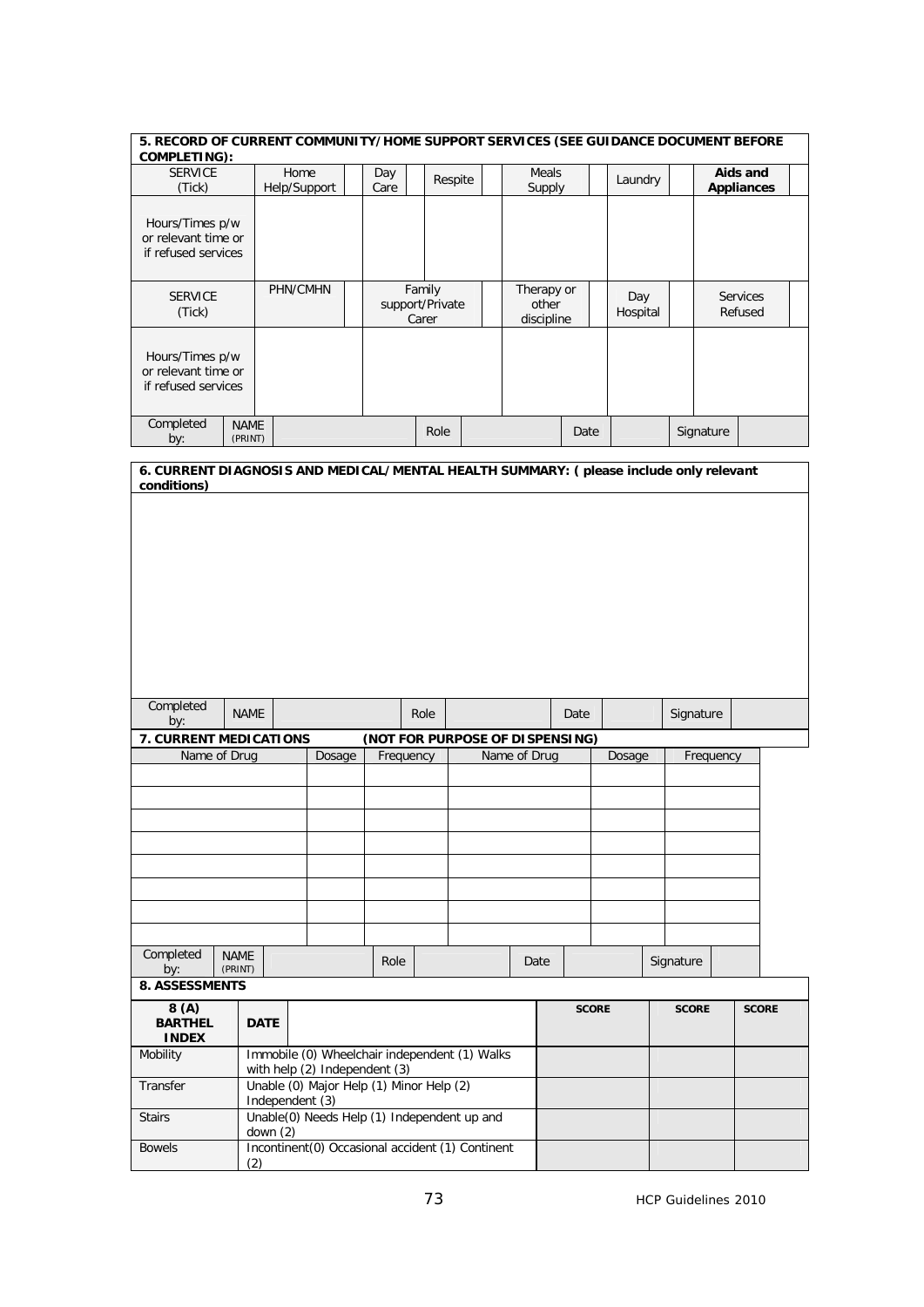| 5. RECORD OF CURRENT COMMUNITY/HOME SUPPORT SERVICES (SEE GUIDANCE DOCUMENT BEFORE<br><b>COMPLETING):</b> |                                                                                |                                                             |  |           |        |                                             |              |                     |              |          |              |                   |              |
|-----------------------------------------------------------------------------------------------------------|--------------------------------------------------------------------------------|-------------------------------------------------------------|--|-----------|--------|---------------------------------------------|--------------|---------------------|--------------|----------|--------------|-------------------|--------------|
| <b>SERVICE</b>                                                                                            |                                                                                | Home                                                        |  | Day       |        | Respite                                     |              | Meals               |              | Laundry  |              | Aids and          |              |
| (Tick)                                                                                                    |                                                                                | Help/Support                                                |  | Care      |        |                                             |              | Supply              |              |          |              | <b>Appliances</b> |              |
| Hours/Times p/w<br>or relevant time or<br>if refused services                                             |                                                                                |                                                             |  |           |        |                                             |              |                     |              |          |              |                   |              |
| <b>SERVICE</b>                                                                                            |                                                                                | PHN/CMHN                                                    |  |           | Family |                                             |              | Therapy or          |              | Day      |              | <b>Services</b>   |              |
| (Tick)                                                                                                    |                                                                                |                                                             |  |           | Carer  | support/Private                             |              | other<br>discipline |              | Hospital |              | Refused           |              |
| Hours/Times p/w<br>or relevant time or<br>if refused services                                             |                                                                                |                                                             |  |           |        |                                             |              |                     |              |          |              |                   |              |
| Completed<br>by:                                                                                          | <b>NAME</b><br>(PRINT)                                                         |                                                             |  |           |        | Role                                        |              |                     | Date         |          | Signature    |                   |              |
| 6. CURRENT DIAGNOSIS AND MEDICAL/MENTAL HEALTH SUMMARY: (please include only relevant                     |                                                                                |                                                             |  |           |        |                                             |              |                     |              |          |              |                   |              |
|                                                                                                           |                                                                                |                                                             |  |           |        |                                             |              |                     |              |          |              |                   |              |
| Completed<br>by:                                                                                          | <b>NAME</b>                                                                    |                                                             |  |           | Role   |                                             |              |                     | Date         |          | Signature    |                   |              |
| 7. CURRENT MEDICATIONS                                                                                    |                                                                                |                                                             |  |           |        | (NOT FOR PURPOSE OF DISPENSING)             |              |                     |              |          |              |                   |              |
| Name of Drug                                                                                              |                                                                                | Dosage                                                      |  | Frequency |        |                                             | Name of Drug |                     |              | Dosage   |              | Frequency         |              |
|                                                                                                           |                                                                                |                                                             |  |           |        |                                             |              |                     |              |          |              |                   |              |
|                                                                                                           |                                                                                |                                                             |  |           |        |                                             |              |                     |              |          |              |                   |              |
|                                                                                                           |                                                                                |                                                             |  |           |        |                                             |              |                     |              |          |              |                   |              |
|                                                                                                           |                                                                                |                                                             |  |           |        |                                             |              |                     |              |          |              |                   |              |
|                                                                                                           |                                                                                |                                                             |  |           |        |                                             |              |                     |              |          |              |                   |              |
|                                                                                                           |                                                                                |                                                             |  |           |        |                                             |              |                     |              |          |              |                   |              |
|                                                                                                           |                                                                                |                                                             |  |           |        |                                             |              |                     |              |          |              |                   |              |
| Completed<br>by:                                                                                          | <b>NAME</b><br>(PRINT)                                                         |                                                             |  | Role      |        |                                             |              | Date                |              |          | Signature    |                   |              |
| <b>8. ASSESSMENTS</b>                                                                                     |                                                                                |                                                             |  |           |        |                                             |              |                     |              |          |              |                   |              |
| 8(A)<br><b>BARTHEL</b><br><b>INDEX</b>                                                                    | <b>DATE</b>                                                                    |                                                             |  |           |        |                                             |              |                     | <b>SCORE</b> |          | <b>SCORE</b> |                   | <b>SCORE</b> |
| Mobility                                                                                                  | Immobile (0) Wheelchair independent (1) Walks<br>with help (2) Independent (3) |                                                             |  |           |        |                                             |              |                     |              |          |              |                   |              |
| Transfer                                                                                                  |                                                                                | Unable (0) Major Help (1) Minor Help (2)<br>Independent (3) |  |           |        |                                             |              |                     |              |          |              |                   |              |
| <b>Stairs</b>                                                                                             | down $(2)$                                                                     |                                                             |  |           |        | Unable(0) Needs Help (1) Independent up and |              |                     |              |          |              |                   |              |
| <b>Bowels</b>                                                                                             | Incontinent(0) Occasional accident (1) Continent<br>(2)                        |                                                             |  |           |        |                                             |              |                     |              |          |              |                   |              |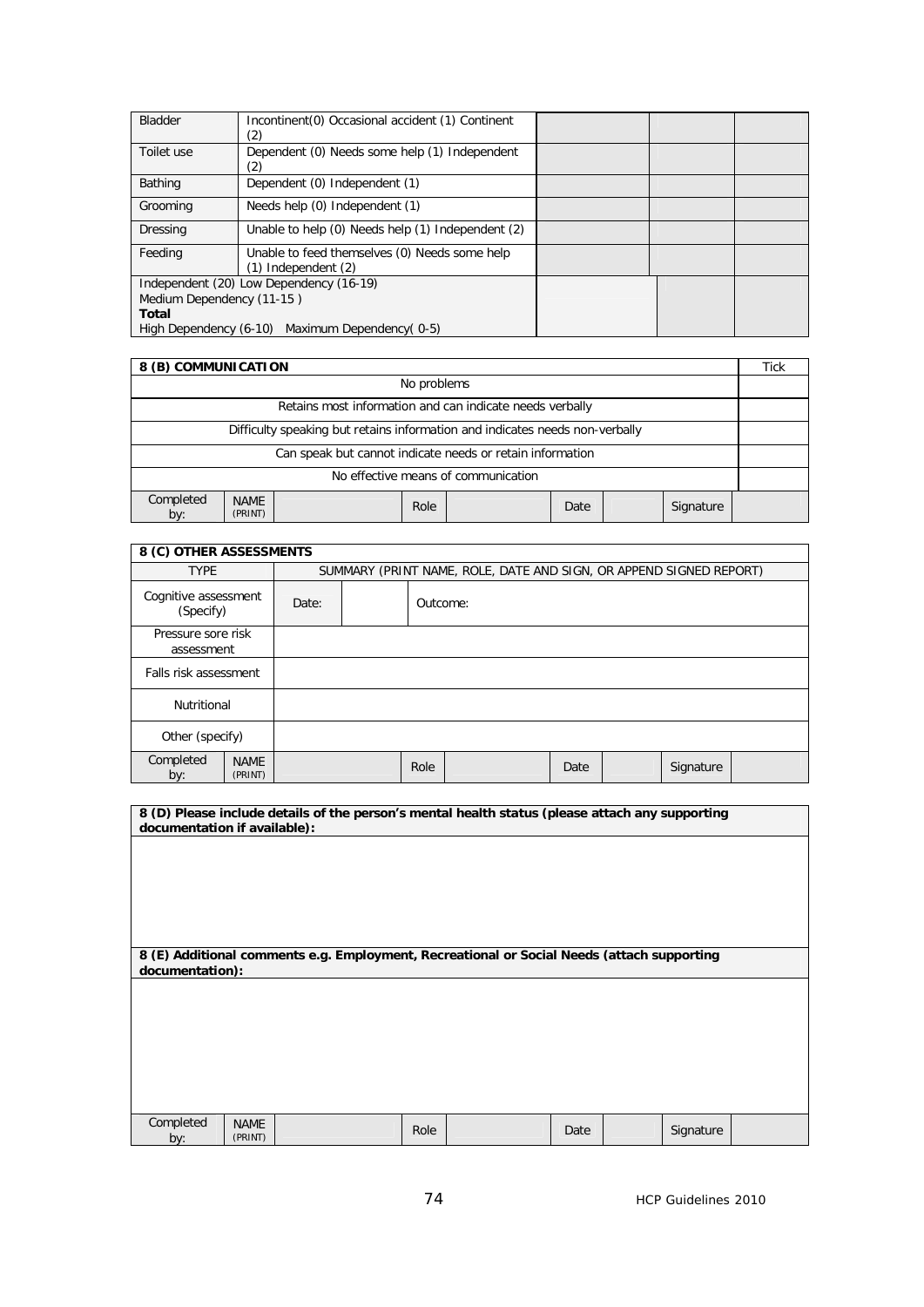| <b>Bladder</b>            | Incontinent (0) Occasional accident (1) Continent<br>(2)                 |  |  |
|---------------------------|--------------------------------------------------------------------------|--|--|
| Toilet use                | Dependent (0) Needs some help (1) Independent<br>(2)                     |  |  |
| Bathing                   | Dependent (0) Independent (1)                                            |  |  |
| Grooming                  | Needs help (0) Independent (1)                                           |  |  |
| Dressing                  | Unable to help (0) Needs help (1) Independent (2)                        |  |  |
| Feeding                   | Unable to feed themselves (0) Needs some help<br>$(1)$ Independent $(2)$ |  |  |
|                           | Independent (20) Low Dependency (16-19)                                  |  |  |
| Medium Dependency (11-15) |                                                                          |  |  |
| <b>Total</b>              |                                                                          |  |  |
|                           | High Dependency (6-10) Maximum Dependency (0-5)                          |  |  |

| 8 (B) COMMUNICATION                                                     |                                     |                                                                              |  |  |  |  |  | <b>Tick</b> |
|-------------------------------------------------------------------------|-------------------------------------|------------------------------------------------------------------------------|--|--|--|--|--|-------------|
| No problems                                                             |                                     |                                                                              |  |  |  |  |  |             |
| Retains most information and can indicate needs verbally                |                                     |                                                                              |  |  |  |  |  |             |
|                                                                         |                                     | Difficulty speaking but retains information and indicates needs non-verbally |  |  |  |  |  |             |
|                                                                         |                                     | Can speak but cannot indicate needs or retain information                    |  |  |  |  |  |             |
|                                                                         | No effective means of communication |                                                                              |  |  |  |  |  |             |
| Completed<br><b>NAME</b><br>Role<br>Signature<br>Date<br>by:<br>(PRINT) |                                     |                                                                              |  |  |  |  |  |             |

| 8 (C) OTHER ASSESSMENTS           |                        |       |  |          |                                                                    |      |  |           |  |  |  |
|-----------------------------------|------------------------|-------|--|----------|--------------------------------------------------------------------|------|--|-----------|--|--|--|
| <b>TYPE</b>                       |                        |       |  |          | SUMMARY (PRINT NAME, ROLE, DATE AND SIGN, OR APPEND SIGNED REPORT) |      |  |           |  |  |  |
| Cognitive assessment<br>(Specify) |                        | Date: |  | Outcome: |                                                                    |      |  |           |  |  |  |
| Pressure sore risk<br>assessment  |                        |       |  |          |                                                                    |      |  |           |  |  |  |
| Falls risk assessment             |                        |       |  |          |                                                                    |      |  |           |  |  |  |
| Nutritional                       |                        |       |  |          |                                                                    |      |  |           |  |  |  |
| Other (specify)                   |                        |       |  |          |                                                                    |      |  |           |  |  |  |
| Completed<br>by:                  | <b>NAME</b><br>(PRINT) |       |  | Role     |                                                                    | Date |  | Signature |  |  |  |

|                  | 8 (D) Please include details of the person's mental health status (please attach any supporting<br>documentation if available): |  |      |  |      |  |           |  |  |  |  |
|------------------|---------------------------------------------------------------------------------------------------------------------------------|--|------|--|------|--|-----------|--|--|--|--|
|                  |                                                                                                                                 |  |      |  |      |  |           |  |  |  |  |
|                  |                                                                                                                                 |  |      |  |      |  |           |  |  |  |  |
|                  |                                                                                                                                 |  |      |  |      |  |           |  |  |  |  |
|                  |                                                                                                                                 |  |      |  |      |  |           |  |  |  |  |
| documentation):  | 8 (E) Additional comments e.g. Employment, Recreational or Social Needs (attach supporting                                      |  |      |  |      |  |           |  |  |  |  |
|                  |                                                                                                                                 |  |      |  |      |  |           |  |  |  |  |
|                  |                                                                                                                                 |  |      |  |      |  |           |  |  |  |  |
|                  |                                                                                                                                 |  |      |  |      |  |           |  |  |  |  |
|                  |                                                                                                                                 |  |      |  |      |  |           |  |  |  |  |
|                  |                                                                                                                                 |  |      |  |      |  |           |  |  |  |  |
| Completed<br>by: | <b>NAME</b><br>(PRINT)                                                                                                          |  | Role |  | Date |  | Signature |  |  |  |  |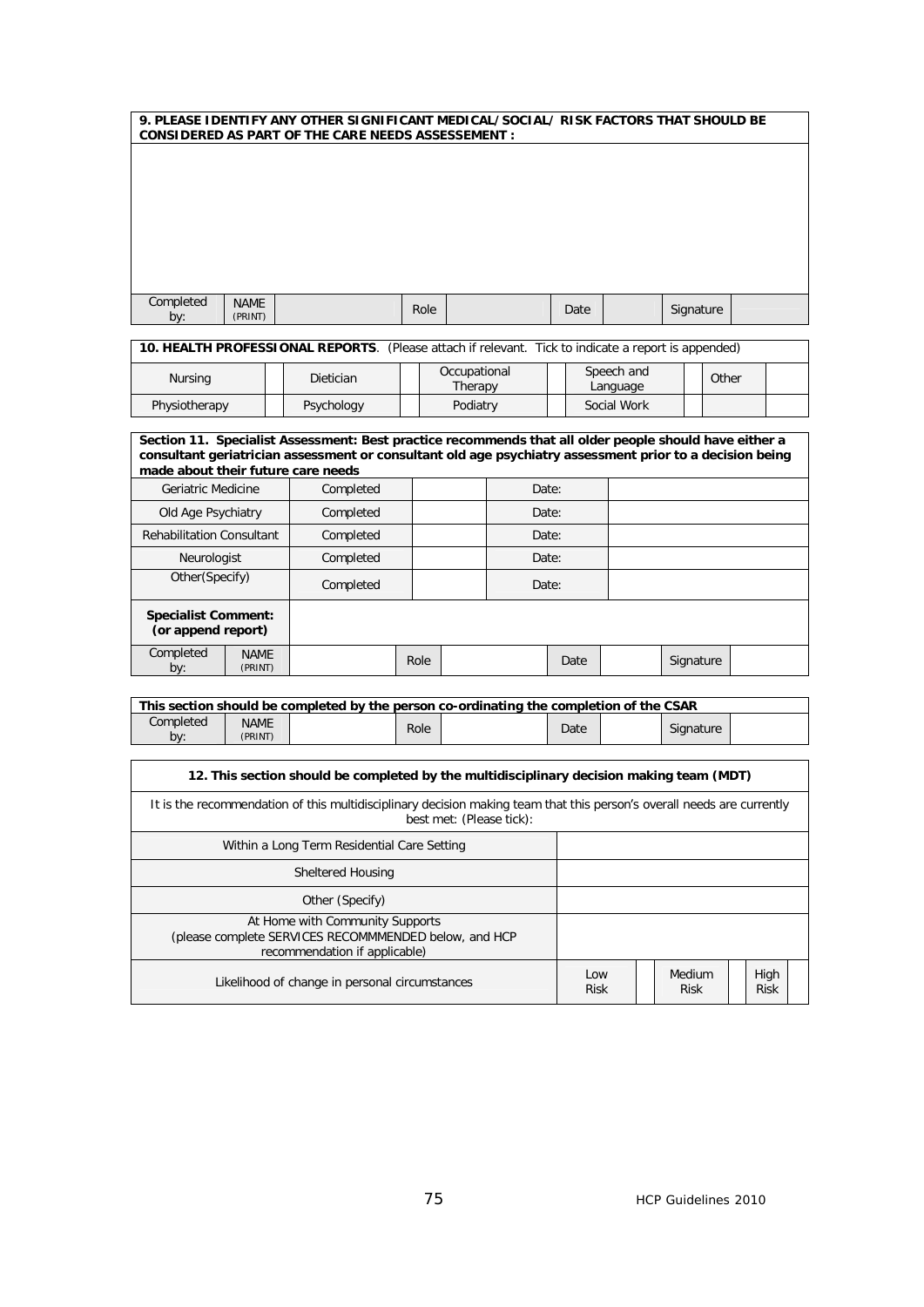|                  | 9. PLEASE IDENTIFY ANY OTHER SIGNIFICANT MEDICAL/SOCIAL/RISK FACTORS THAT SHOULD BE<br><b>CONSIDERED AS PART OF THE CARE NEEDS ASSESSEMENT :</b> |  |      |  |      |  |           |  |  |  |  |
|------------------|--------------------------------------------------------------------------------------------------------------------------------------------------|--|------|--|------|--|-----------|--|--|--|--|
|                  |                                                                                                                                                  |  |      |  |      |  |           |  |  |  |  |
|                  |                                                                                                                                                  |  |      |  |      |  |           |  |  |  |  |
|                  |                                                                                                                                                  |  |      |  |      |  |           |  |  |  |  |
|                  |                                                                                                                                                  |  |      |  |      |  |           |  |  |  |  |
|                  |                                                                                                                                                  |  |      |  |      |  |           |  |  |  |  |
|                  |                                                                                                                                                  |  |      |  |      |  |           |  |  |  |  |
| Completed<br>by: | <b>NAME</b><br>(PRINT)                                                                                                                           |  | Role |  | Date |  | Signature |  |  |  |  |

**10. HEALTH PROFESSIONAL REPORTS**. (Please attach if relevant. Tick to indicate a report is appended)

| Nursing       | <b>Dietician</b> |  | Occupational<br>Therapy |  | Speech and<br>Language | Other |  |
|---------------|------------------|--|-------------------------|--|------------------------|-------|--|
| Physiotherapy | Psychology       |  | Podiatry                |  | Social Work            |       |  |

|                                                  | Section 11. Specialist Assessment: Best practice recommends that all older people should have either a<br>consultant geriatrician assessment or consultant old age psychiatry assessment prior to a decision being<br>made about their future care needs |           |      |       |       |      |  |           |  |  |  |  |
|--------------------------------------------------|----------------------------------------------------------------------------------------------------------------------------------------------------------------------------------------------------------------------------------------------------------|-----------|------|-------|-------|------|--|-----------|--|--|--|--|
| Geriatric Medicine                               |                                                                                                                                                                                                                                                          | Completed |      |       | Date: |      |  |           |  |  |  |  |
| Old Age Psychiatry                               |                                                                                                                                                                                                                                                          | Completed |      | Date: |       |      |  |           |  |  |  |  |
| <b>Rehabilitation Consultant</b>                 |                                                                                                                                                                                                                                                          | Completed |      | Date: |       |      |  |           |  |  |  |  |
| Neurologist                                      |                                                                                                                                                                                                                                                          | Completed |      |       | Date: |      |  |           |  |  |  |  |
| Other(Specify)                                   |                                                                                                                                                                                                                                                          | Completed |      |       | Date: |      |  |           |  |  |  |  |
| <b>Specialist Comment:</b><br>(or append report) |                                                                                                                                                                                                                                                          |           |      |       |       |      |  |           |  |  |  |  |
| Completed<br>by:                                 | <b>NAME</b><br>(PRINT)                                                                                                                                                                                                                                   |           | Role |       |       | Date |  | Signature |  |  |  |  |

| This section should be completed by the person co-ordinating the completion of the CSAR |             |  |      |  |      |  |           |  |  |  |
|-----------------------------------------------------------------------------------------|-------------|--|------|--|------|--|-----------|--|--|--|
| Completed                                                                               | <b>NAME</b> |  | Role |  | Date |  | Signature |  |  |  |
| bv:                                                                                     | (PRINT)     |  |      |  |      |  |           |  |  |  |

| 12. This section should be completed by the multidisciplinary decision making team (MDT)                                                           |                     |                       |  |                     |  |  |  |  |  |
|----------------------------------------------------------------------------------------------------------------------------------------------------|---------------------|-----------------------|--|---------------------|--|--|--|--|--|
| It is the recommendation of this multidisciplinary decision making team that this person's overall needs are currently<br>best met: (Please tick): |                     |                       |  |                     |  |  |  |  |  |
| Within a Long Term Residential Care Setting                                                                                                        |                     |                       |  |                     |  |  |  |  |  |
| Sheltered Housing                                                                                                                                  |                     |                       |  |                     |  |  |  |  |  |
| Other (Specify)                                                                                                                                    |                     |                       |  |                     |  |  |  |  |  |
| At Home with Community Supports<br>(please complete SERVICES RECOMMMENDED below, and HCP<br>recommendation if applicable)                          |                     |                       |  |                     |  |  |  |  |  |
| Likelihood of change in personal circumstances                                                                                                     | l ow<br><b>Risk</b> | Medium<br><b>Risk</b> |  | High<br><b>Risk</b> |  |  |  |  |  |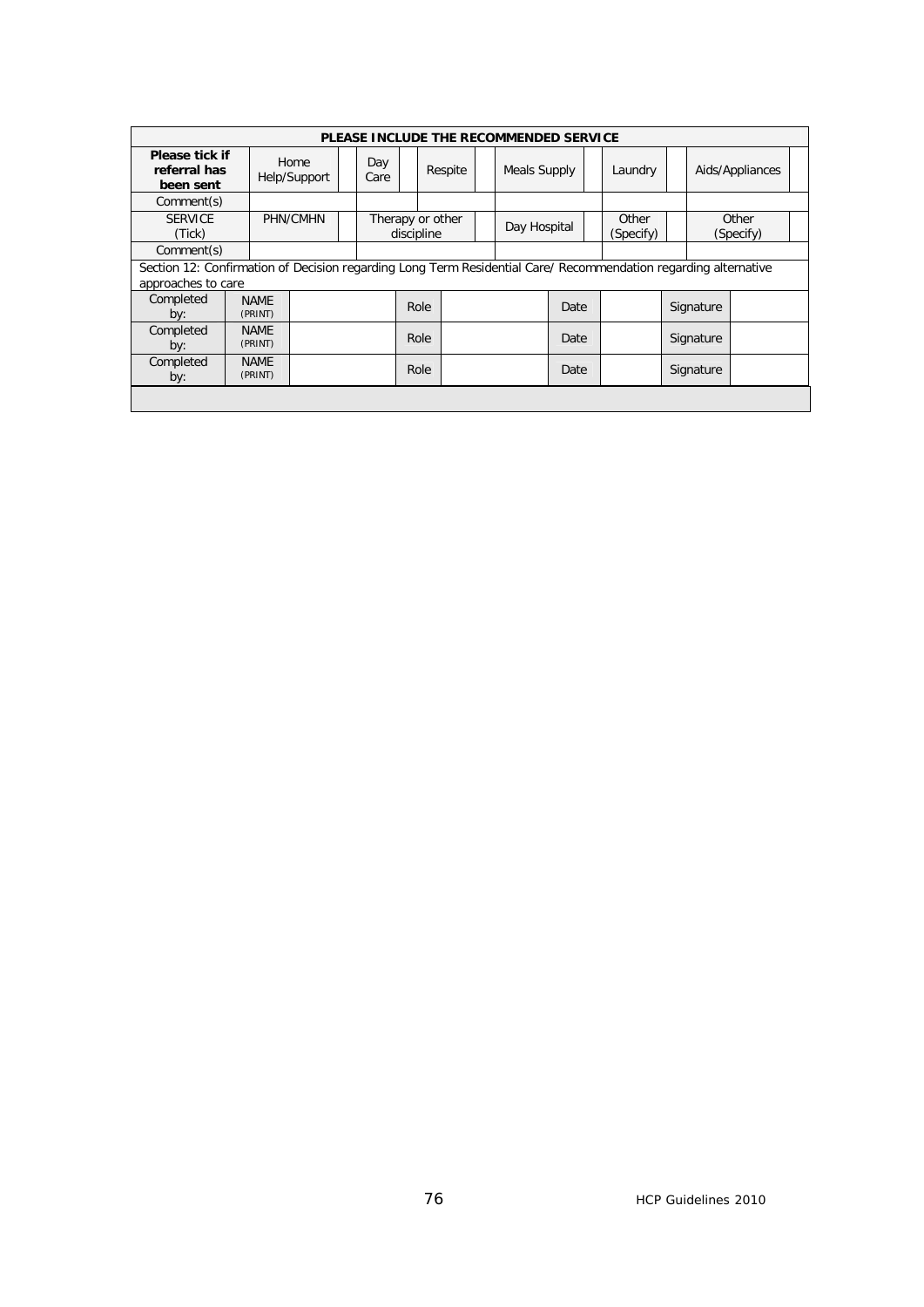|                                                                                                                                       |                        |                      |             | PLEASE INCLUDE THE RECOMMENDED SERVICE |              |      |         |                    |                 |           |                    |  |
|---------------------------------------------------------------------------------------------------------------------------------------|------------------------|----------------------|-------------|----------------------------------------|--------------|------|---------|--------------------|-----------------|-----------|--------------------|--|
| Please tick if<br>referral has<br>been sent                                                                                           |                        | Home<br>Help/Support | Day<br>Care | Respite                                | Meals Supply |      | Laundry |                    | Aids/Appliances |           |                    |  |
| Comment(s)                                                                                                                            |                        |                      |             |                                        |              |      |         |                    |                 |           |                    |  |
| <b>SERVICE</b><br>(Tick)                                                                                                              |                        | PHN/CMHN             |             | Therapy or other<br>discipline         | Day Hospital |      |         | Other<br>(Specify) |                 |           | Other<br>(Specify) |  |
| Comment(s)                                                                                                                            |                        |                      |             |                                        |              |      |         |                    |                 |           |                    |  |
| Section 12: Confirmation of Decision regarding Long Term Residential Care/ Recommendation regarding alternative<br>approaches to care |                        |                      |             |                                        |              |      |         |                    |                 |           |                    |  |
| Completed<br>by:                                                                                                                      | <b>NAME</b><br>(PRINT) |                      |             | Role                                   |              | Date |         |                    |                 | Signature |                    |  |
| Completed<br>by:                                                                                                                      | <b>NAME</b><br>(PRINT) |                      |             | Role                                   |              | Date |         |                    |                 | Signature |                    |  |
| Completed<br>by:                                                                                                                      | <b>NAME</b><br>(PRINT) |                      |             | Role                                   |              | Date |         | Signature          |                 |           |                    |  |
|                                                                                                                                       |                        |                      |             |                                        |              |      |         |                    |                 |           |                    |  |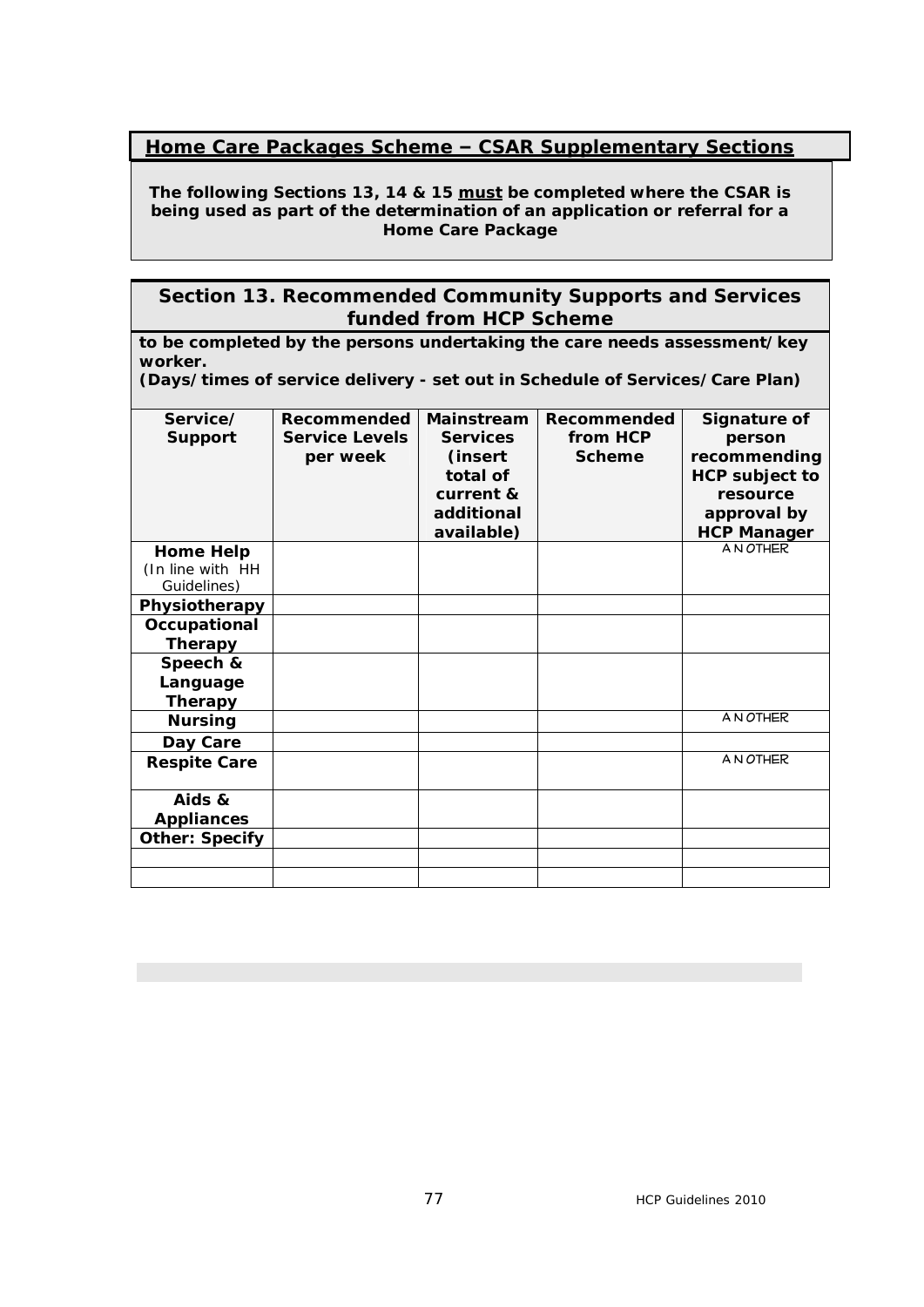# **Home Care Packages Scheme – CSAR Supplementary Sections**

**The following Sections 13, 14 & 15 must be completed where the CSAR is being used as part of the determination of an application or referral for a Home Care Package**

### **Section 13. Recommended Community Supports and Services funded from HCP Scheme**

**to be completed by the persons undertaking the care needs assessment/key worker.**

**(Days/times of service delivery - set out in Schedule of Services/Care Plan)**

| Service/<br><b>Support</b>                          | <b>Recommended</b><br><b>Service Levels</b><br>per week | <b>Mainstream</b><br><b>Services</b><br>(insert<br>total of<br>current &<br>additional<br>available) | Recommended<br>from HCP<br><b>Scheme</b> | Signature of<br>person<br>recommending<br><b>HCP subject to</b><br>resource<br>approval by<br><b>HCP Manager</b> |
|-----------------------------------------------------|---------------------------------------------------------|------------------------------------------------------------------------------------------------------|------------------------------------------|------------------------------------------------------------------------------------------------------------------|
| <b>Home Help</b><br>(In line with HH<br>Guidelines) |                                                         |                                                                                                      |                                          | A N OTHER                                                                                                        |
| Physiotherapy                                       |                                                         |                                                                                                      |                                          |                                                                                                                  |
| Occupational<br><b>Therapy</b>                      |                                                         |                                                                                                      |                                          |                                                                                                                  |
| Speech &<br>Language<br><b>Therapy</b>              |                                                         |                                                                                                      |                                          |                                                                                                                  |
| <b>Nursing</b>                                      |                                                         |                                                                                                      |                                          | A N OTHER                                                                                                        |
| Day Care                                            |                                                         |                                                                                                      |                                          |                                                                                                                  |
| <b>Respite Care</b>                                 |                                                         |                                                                                                      |                                          | A N OTHER                                                                                                        |
| Aids &<br><b>Appliances</b>                         |                                                         |                                                                                                      |                                          |                                                                                                                  |
| <b>Other: Specify</b>                               |                                                         |                                                                                                      |                                          |                                                                                                                  |
|                                                     |                                                         |                                                                                                      |                                          |                                                                                                                  |
|                                                     |                                                         |                                                                                                      |                                          |                                                                                                                  |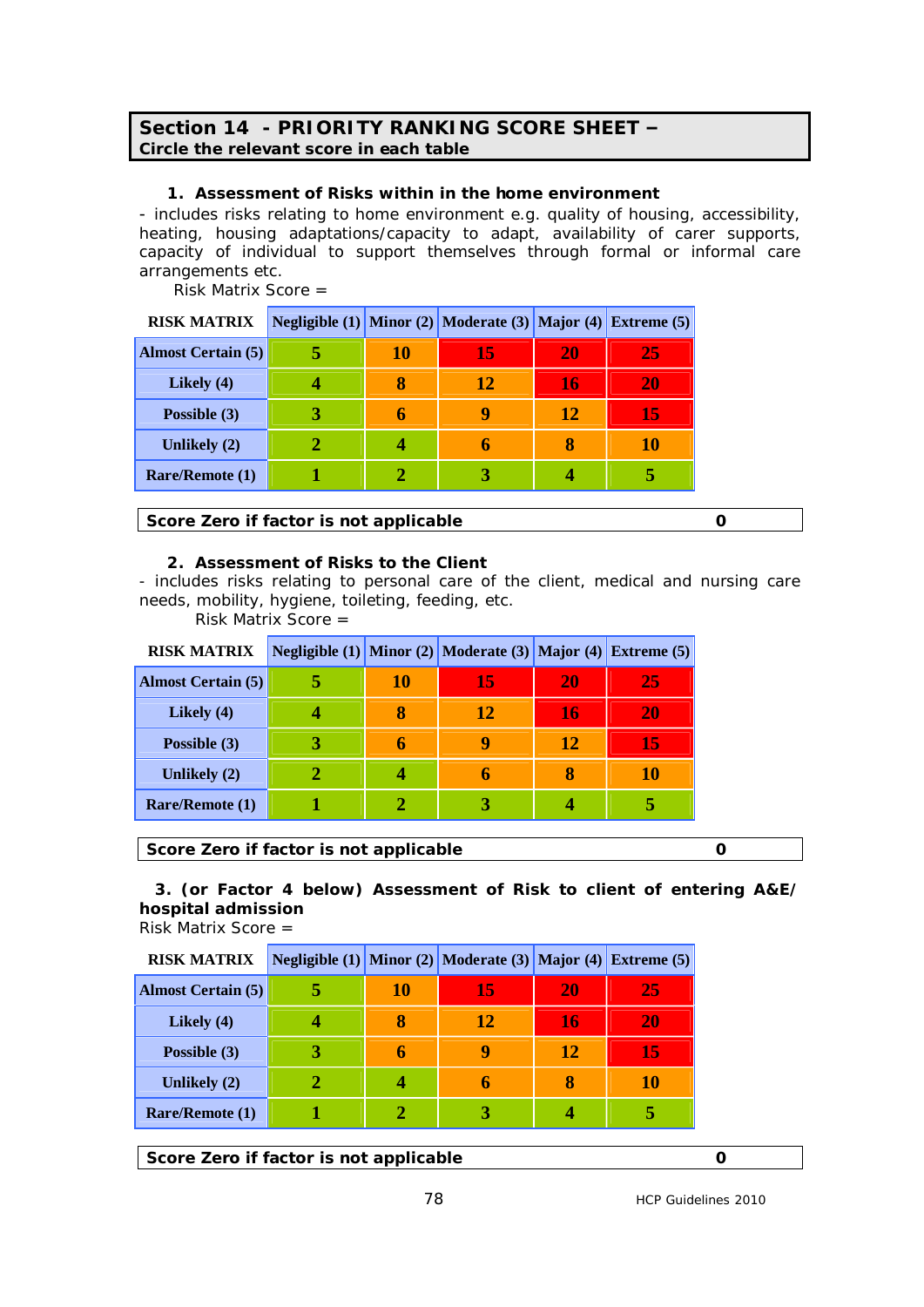#### **Section 14 - PRIORITY RANKING SCORE SHEET – Circle the relevant score in each table**

#### **1. Assessment of Risks within in the home environment**

- includes risks relating to home environment e.g. quality of housing, accessibility, heating, housing adaptations/capacity to adapt, availability of carer supports, capacity of individual to support themselves through formal or informal care arrangements etc.

Risk Matrix Score =

| <b>RISK MATRIX</b>        |    | Negligible (1) Minor (2) Moderate (3) Major (4) Extreme (5) |    |           |
|---------------------------|----|-------------------------------------------------------------|----|-----------|
| <b>Almost Certain (5)</b> | 10 | 15                                                          | 20 | 25        |
| Likely $(4)$              |    | 12                                                          | 16 | <b>20</b> |
| Possible (3)              |    | g                                                           | 12 | 15        |
| Unlikely (2)              |    | h                                                           |    | 10        |
| Rare/Remote (1)           |    |                                                             |    |           |

**Score Zero if factor is not applicable 0 0** 

#### **2. Assessment of Risks to the Client**

- includes risks relating to personal care of the client, medical and nursing care needs, mobility, hygiene, toileting, feeding, etc.

Risk Matrix Score =

| <b>RISK MATRIX</b>        |    | Negligible (1) Minor (2) Moderate (3) Major (4) Extreme (5) |    |           |
|---------------------------|----|-------------------------------------------------------------|----|-----------|
| <b>Almost Certain (5)</b> | 10 | 15                                                          | 20 | 25        |
| Likely $(4)$              |    | 12                                                          | 16 | <b>20</b> |
| Possible (3)              | 6  | q                                                           | 12 | 15        |
| Unlikely (2)              |    | n                                                           |    | 10        |
| <b>Rare/Remote (1)</b>    |    |                                                             |    |           |

**Score Zero if factor is not applicable 0 0** 

 **3. (or Factor 4 below) Assessment of Risk to client of entering A&E/ hospital admission**

Risk Matrix Score =

| <b>RISK MATRIX</b>        |    | <b>Negligible (1)</b> Minor (2) Moderate (3) Major (4) Extreme (5) |    |           |
|---------------------------|----|--------------------------------------------------------------------|----|-----------|
| <b>Almost Certain (5)</b> | 10 | 15                                                                 | 20 | 25        |
| Likely $(4)$              |    | 12                                                                 | 16 | <b>20</b> |
| Possible (3)              |    | q                                                                  | 12 | 15        |
| Unlikely (2)              |    | 6                                                                  | 8  | 10        |
| Rare/Remote (1)           |    |                                                                    |    |           |

**Score Zero if factor is not applicable 0 0**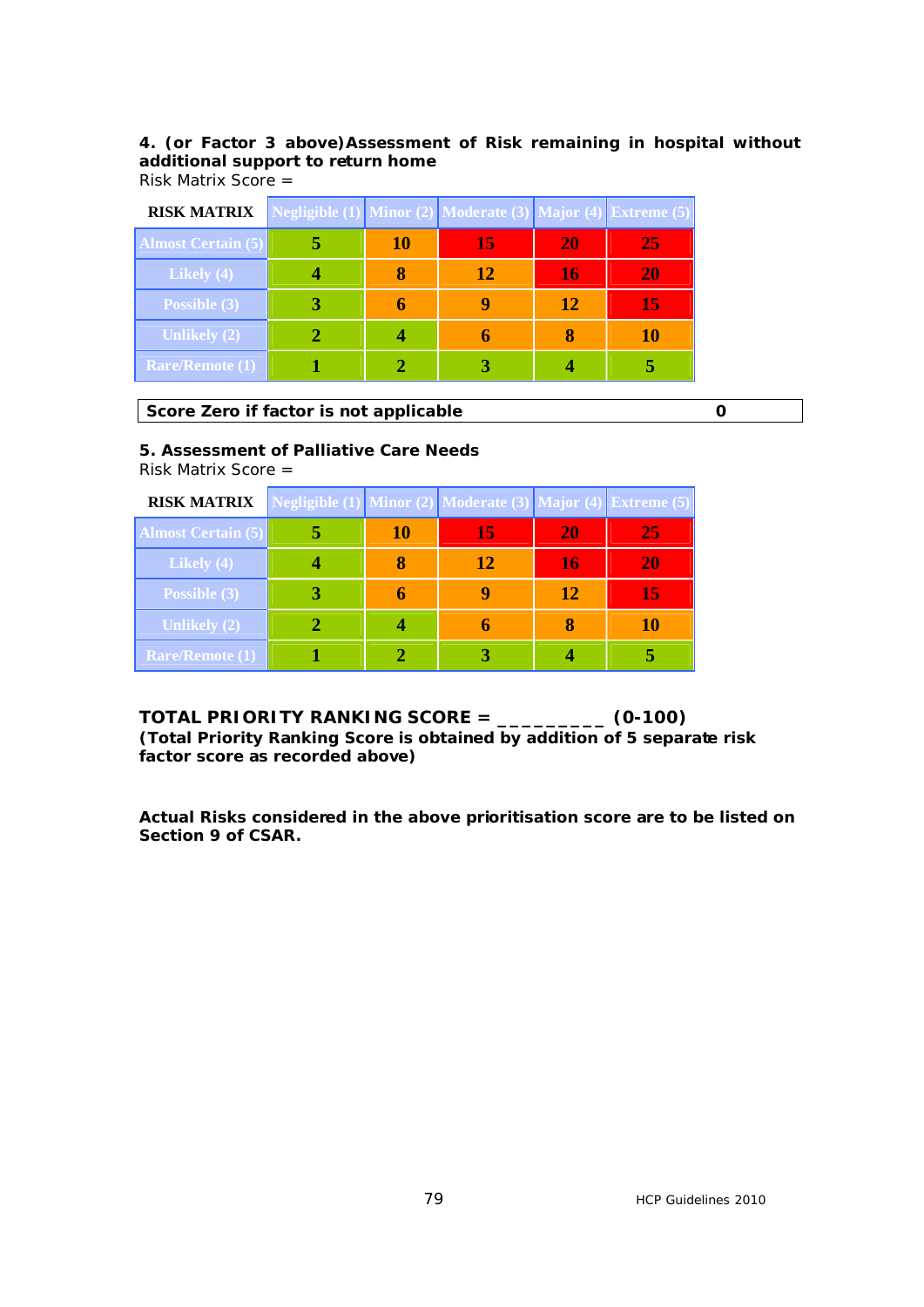# **4. (or Factor 3 above)Assessment of Risk remaining in hospital without additional support to return home**

Risk Matrix Score =

| <b>RISK MATRIX</b>        | Negligible (1) Minor (2) Moderate (3) Major (4) Extreme (5) |    |    |    |    |
|---------------------------|-------------------------------------------------------------|----|----|----|----|
| <b>Almost Certain (5)</b> |                                                             | 10 | 15 | 20 | 25 |
| Likely (4)                |                                                             |    | 12 | 16 | 20 |
| Possible (3)              |                                                             | h  |    | 12 | 15 |
| <b>Unlikely (2)</b>       |                                                             |    |    |    | 10 |
| <b>Rare/Remote (1)</b>    |                                                             |    |    |    |    |

**Score Zero if factor is not applicable 0 0** 

#### **5. Assessment of Palliative Care Needs**

Risk Matrix Score =

| <b>RISK MATRIX</b>        |    | Negligible (1) Minor (2) Moderate (3) Major (4) Extreme (5) |    |    |
|---------------------------|----|-------------------------------------------------------------|----|----|
| <b>Almost Certain (5)</b> | 10 | 15                                                          | 20 | 25 |
| Likely $(4)$              |    | 12                                                          | 16 | 20 |
| Possible (3)              |    |                                                             | 12 | 15 |
| <b>Unlikely (2)</b>       |    |                                                             |    | 10 |
| <b>Rare/Remote (1)</b>    |    |                                                             |    |    |

**TOTAL PRIORITY RANKING SCORE = \_\_\_\_\_\_\_\_\_ (0-100) (Total Priority Ranking Score is obtained by addition of 5 separate risk factor score as recorded above)**

**Actual Risks considered in the above prioritisation score are to be listed on Section 9 of CSAR.**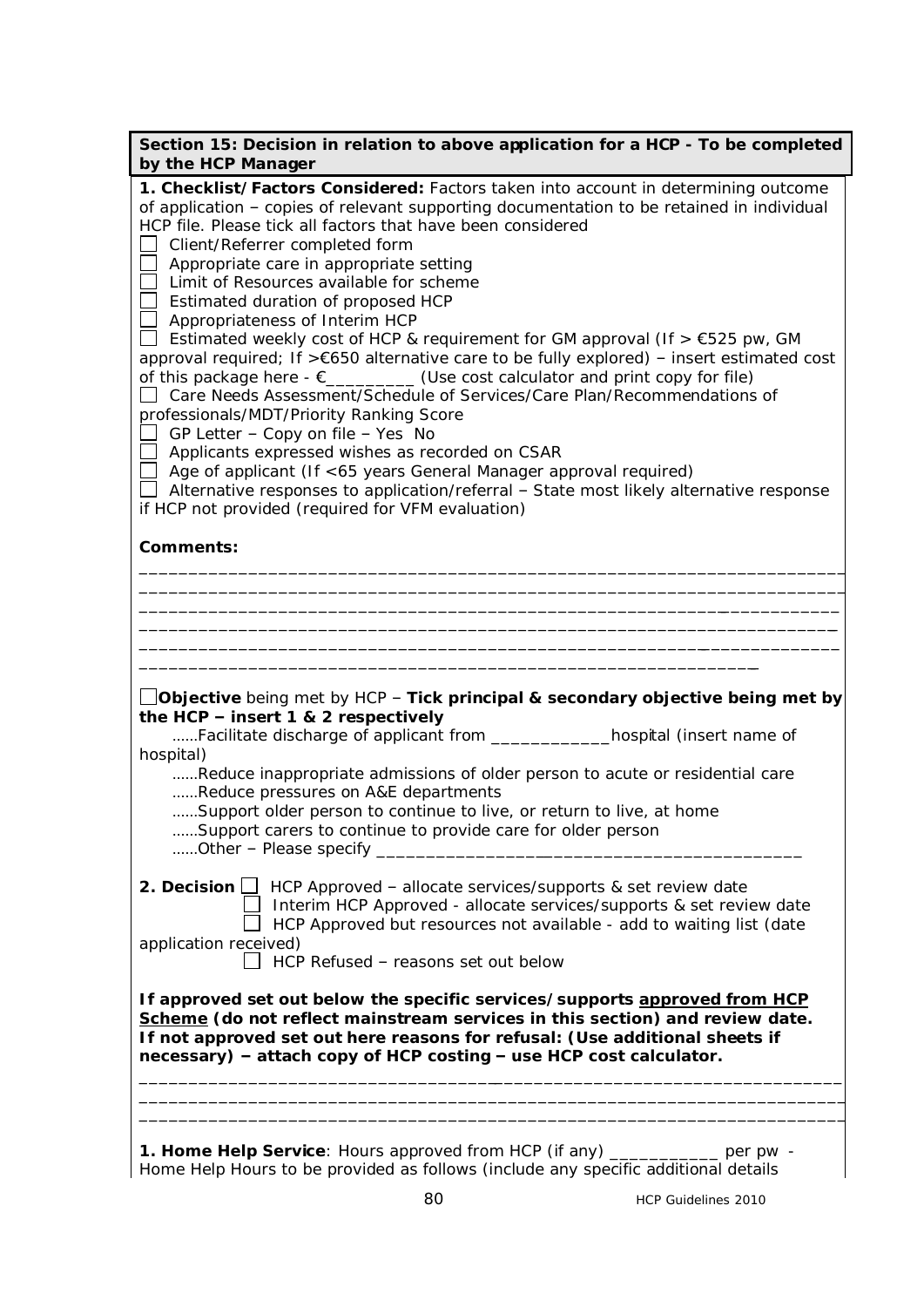| Section 15: Decision in relation to above application for a HCP - To be completed<br>by the HCP Manager                                                                                                                                                                                                                                                                                                                                                                                                                                                                                                                                                                                                                                                                                                                                                                                                                                                                                                                                                                                                                                                                        |
|--------------------------------------------------------------------------------------------------------------------------------------------------------------------------------------------------------------------------------------------------------------------------------------------------------------------------------------------------------------------------------------------------------------------------------------------------------------------------------------------------------------------------------------------------------------------------------------------------------------------------------------------------------------------------------------------------------------------------------------------------------------------------------------------------------------------------------------------------------------------------------------------------------------------------------------------------------------------------------------------------------------------------------------------------------------------------------------------------------------------------------------------------------------------------------|
| 1. Checklist/Factors Considered: Factors taken into account in determining outcome<br>of application - copies of relevant supporting documentation to be retained in individual<br>HCP file. Please tick all factors that have been considered<br>Client/Referrer completed form<br>Appropriate care in appropriate setting<br>Limit of Resources available for scheme<br>Estimated duration of proposed HCP<br>Appropriateness of Interim HCP<br>Estimated weekly cost of HCP & requirement for GM approval (If $> \epsilon$ 525 pw, GM<br>approval required; If >€650 alternative care to be fully explored) - insert estimated cost<br>of this package here $-\varepsilon$ _________(Use cost calculator and print copy for file)<br>Care Needs Assessment/Schedule of Services/Care Plan/Recommendations of<br>professionals/MDT/Priority Ranking Score<br>GP Letter - Copy on file - Yes No<br>Applicants expressed wishes as recorded on CSAR<br>Age of applicant (If <65 years General Manager approval required)<br>$\Box$ Alternative responses to application/referral - State most likely alternative response<br>if HCP not provided (required for VFM evaluation) |
| <b>Comments:</b>                                                                                                                                                                                                                                                                                                                                                                                                                                                                                                                                                                                                                                                                                                                                                                                                                                                                                                                                                                                                                                                                                                                                                               |
|                                                                                                                                                                                                                                                                                                                                                                                                                                                                                                                                                                                                                                                                                                                                                                                                                                                                                                                                                                                                                                                                                                                                                                                |
|                                                                                                                                                                                                                                                                                                                                                                                                                                                                                                                                                                                                                                                                                                                                                                                                                                                                                                                                                                                                                                                                                                                                                                                |
|                                                                                                                                                                                                                                                                                                                                                                                                                                                                                                                                                                                                                                                                                                                                                                                                                                                                                                                                                                                                                                                                                                                                                                                |
| $\bigsqcup$ Objective being met by HCP - Tick principal & secondary objective being met by<br>the HCP $-$ insert 1 & 2 respectively<br>Facilitate discharge of applicant from ______________hospital (insert name of<br>hospital)<br>Reduce inappropriate admissions of older person to acute or residential care<br>Reduce pressures on A&E departments<br>Support older person to continue to live, or return to live, at home                                                                                                                                                                                                                                                                                                                                                                                                                                                                                                                                                                                                                                                                                                                                               |
| Support carers to continue to provide care for older person<br>Other - Please specify _                                                                                                                                                                                                                                                                                                                                                                                                                                                                                                                                                                                                                                                                                                                                                                                                                                                                                                                                                                                                                                                                                        |
| <b>2. Decision</b> $\Box$ HCP Approved - allocate services/supports & set review date<br>Interim HCP Approved - allocate services/supports & set review date<br>HCP Approved but resources not available - add to waiting list (date<br>application received)                                                                                                                                                                                                                                                                                                                                                                                                                                                                                                                                                                                                                                                                                                                                                                                                                                                                                                                  |
| HCP Refused - reasons set out below                                                                                                                                                                                                                                                                                                                                                                                                                                                                                                                                                                                                                                                                                                                                                                                                                                                                                                                                                                                                                                                                                                                                            |
| If approved set out below the specific services/supports approved from HCP<br>Scheme (do not reflect mainstream services in this section) and review date.<br>If not approved set out here reasons for refusal: (Use additional sheets if<br>necessary) - attach copy of HCP costing - use HCP cost calculator.                                                                                                                                                                                                                                                                                                                                                                                                                                                                                                                                                                                                                                                                                                                                                                                                                                                                |
| 1. Home Help Service: Hours approved from HCP (if any) __________ per pw -<br>Home Help Hours to be provided as follows (include any specific additional details                                                                                                                                                                                                                                                                                                                                                                                                                                                                                                                                                                                                                                                                                                                                                                                                                                                                                                                                                                                                               |

Home Help Hours to be provided as follows (include any specific additional details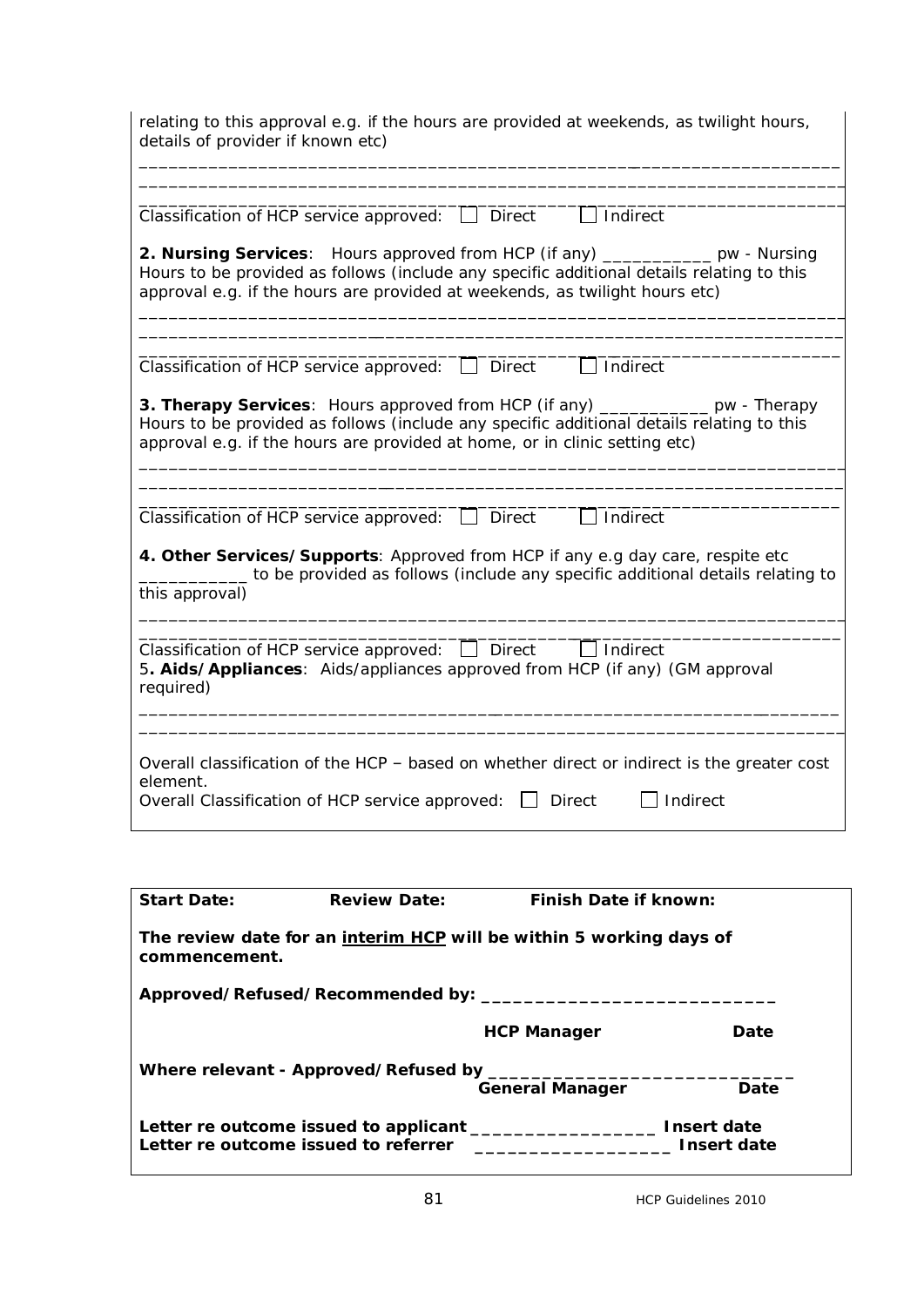| relating to this approval e.g. if the hours are provided at weekends, as twilight hours,<br>details of provider if known etc)                                                                                                                                     |
|-------------------------------------------------------------------------------------------------------------------------------------------------------------------------------------------------------------------------------------------------------------------|
|                                                                                                                                                                                                                                                                   |
| $\Box$ Indirect<br>Classification of HCP service approved:<br><b>Direct</b>                                                                                                                                                                                       |
| 2. Nursing Services: Hours approved from HCP (if any) __________ pw - Nursing<br>Hours to be provided as follows (include any specific additional details relating to this<br>approval e.g. if the hours are provided at weekends, as twilight hours etc)         |
|                                                                                                                                                                                                                                                                   |
| Classification of HCP service approved:<br><b>Direct</b><br>Indirect                                                                                                                                                                                              |
| <b>3. Therapy Services:</b> Hours approved from HCP (if any) ____________ pw - Therapy<br>Hours to be provided as follows (include any specific additional details relating to this<br>approval e.g. if the hours are provided at home, or in clinic setting etc) |
|                                                                                                                                                                                                                                                                   |
| Classification of HCP service approved:<br>Indirect<br><b>Direct</b>                                                                                                                                                                                              |
| 4. Other Services/Supports: Approved from HCP if any e.g day care, respite etc<br>to be provided as follows (include any specific additional details relating to<br>this approval)                                                                                |
|                                                                                                                                                                                                                                                                   |
| Classification of HCP service approved: $\Box$ Direct<br>5. Aids/Appliances: Aids/appliances approved from HCP (if any) (GM approval<br>required)                                                                                                                 |
|                                                                                                                                                                                                                                                                   |
| Overall classification of the HCP - based on whether direct or indirect is the greater cost<br>element.<br>Indirect<br>Overall Classification of HCP service approved: □<br><b>Direct</b>                                                                         |

| <b>Start Date:</b>                                                                   | <b>Review Date:</b>                    | <b>Finish Date if known:</b>                                                                                          |             |  |  |  |  |  |  |  |
|--------------------------------------------------------------------------------------|----------------------------------------|-----------------------------------------------------------------------------------------------------------------------|-------------|--|--|--|--|--|--|--|
| The review date for an interim HCP will be within 5 working days of<br>commencement. |                                        |                                                                                                                       |             |  |  |  |  |  |  |  |
|                                                                                      |                                        |                                                                                                                       |             |  |  |  |  |  |  |  |
|                                                                                      |                                        | <b>HCP Manager</b>                                                                                                    | Date        |  |  |  |  |  |  |  |
|                                                                                      | Where relevant - Approved/Refused by _ |                                                                                                                       |             |  |  |  |  |  |  |  |
|                                                                                      |                                        | <b>General Manager</b>                                                                                                | Date        |  |  |  |  |  |  |  |
|                                                                                      |                                        |                                                                                                                       |             |  |  |  |  |  |  |  |
| Letter re outcome issued to referrer                                                 |                                        | <u> 1980 - Johann Stein, mars and de Britain and de Britain and de Britain and de Britain and de Britain and de B</u> | Insert date |  |  |  |  |  |  |  |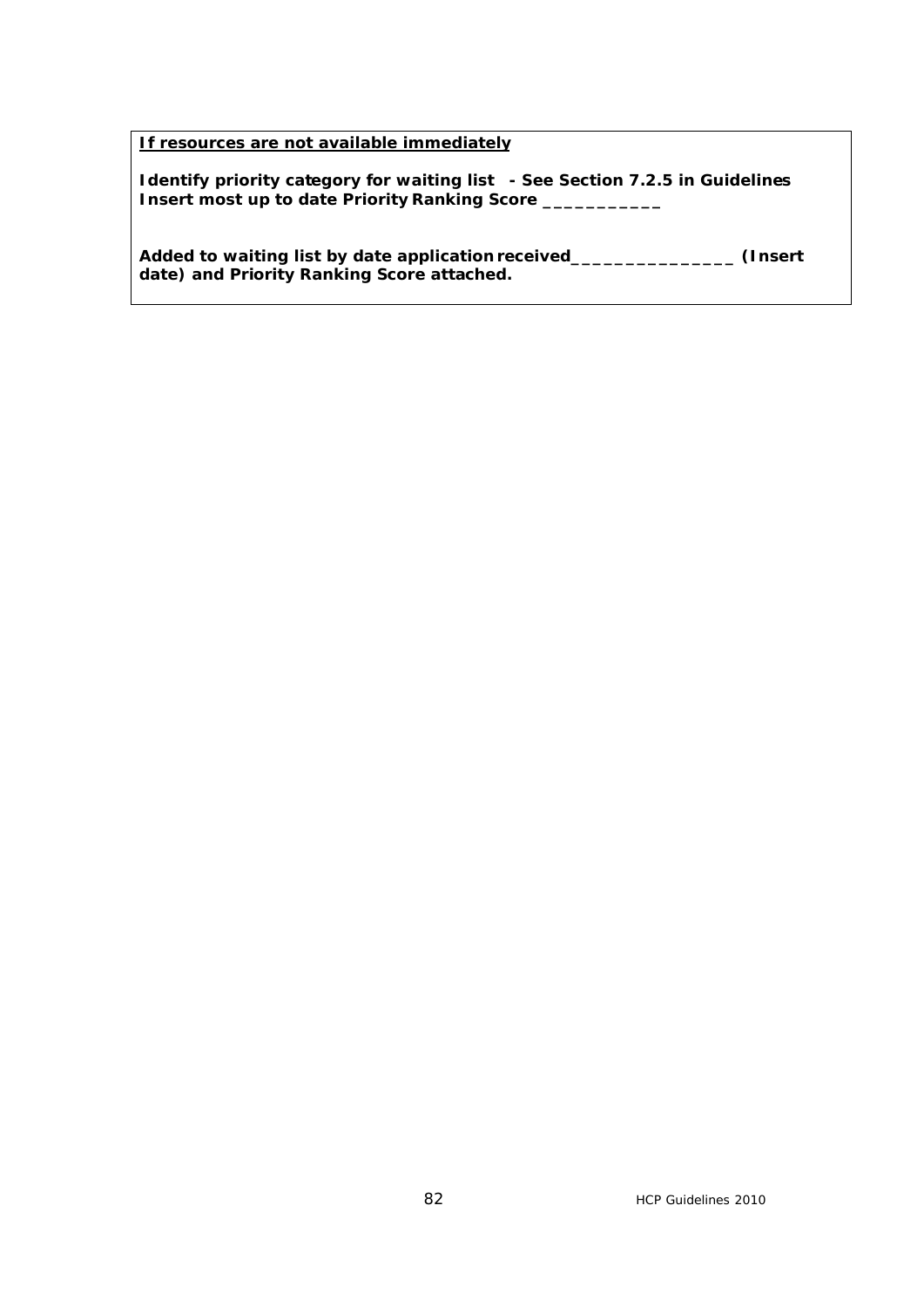**If resources are not available immediately** 

**Identify priority category for waiting list - See Section 7.2.5 in Guidelines Insert most up to date Priority Ranking Score \_\_\_\_\_\_\_\_\_\_\_** 

**Added to waiting list by date application received\_\_\_\_\_\_\_\_\_\_\_\_\_\_\_ (Insert date) and Priority Ranking Score attached.**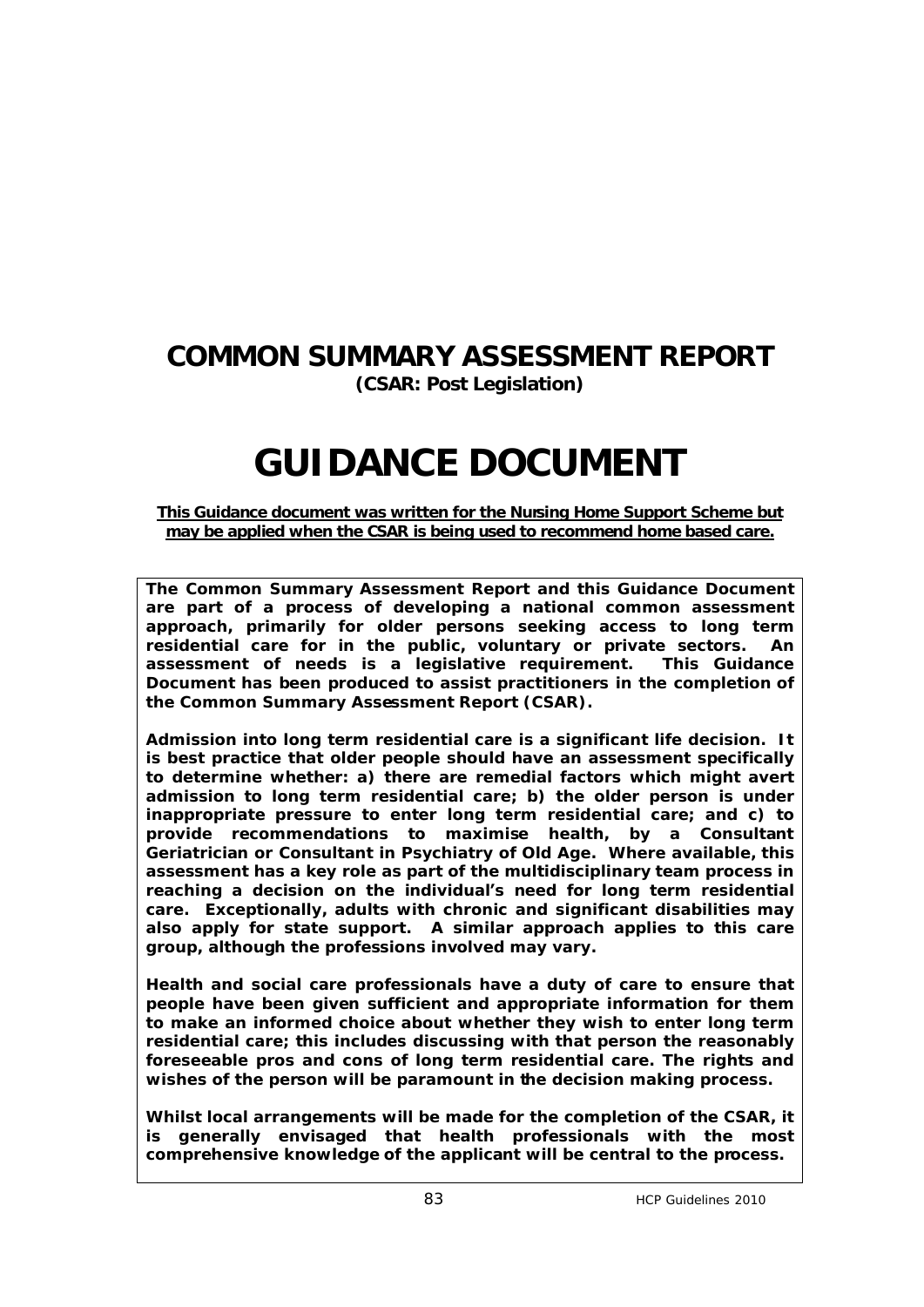# **COMMON SUMMARY ASSESSMENT REPORT (CSAR: Post Legislation)**

# **GUIDANCE DOCUMENT**

#### **This Guidance document was written for the Nursing Home Support Scheme but may be applied when the CSAR is being used to recommend home based care.**

**The Common Summary Assessment Report and this Guidance Document are part of a process of developing a national common assessment approach, primarily for older persons seeking access to long term residential care for in the public, voluntary or private sectors. An assessment of needs is a legislative requirement. This Guidance Document has been produced to assist practitioners in the completion of the Common Summary Assessment Report (CSAR).** 

**Admission into long term residential care is a significant life decision. It is best practice that older people should have an assessment specifically to determine whether: a) there are remedial factors which might avert admission to long term residential care; b) the older person is under inappropriate pressure to enter long term residential care; and c) to provide recommendations to maximise health, by a Consultant Geriatrician or Consultant in Psychiatry of Old Age. Where available, this assessment has a key role as part of the multidisciplinary team process in reaching a decision on the individual's need for long term residential care. Exceptionally, adults with chronic and significant disabilities may also apply for state support. A similar approach applies to this care group, although the professions involved may vary.** 

**Health and social care professionals have a duty of care to ensure that people have been given sufficient and appropriate information for them to make an informed choice about whether they wish to enter long term residential care; this includes discussing with that person the reasonably foreseeable pros and cons of long term residential care. The rights and wishes of the person will be paramount in the decision making process.**

**Whilst local arrangements will be made for the completion of the CSAR, it is generally envisaged that health professionals with the most comprehensive knowledge of the applicant will be central to the process.**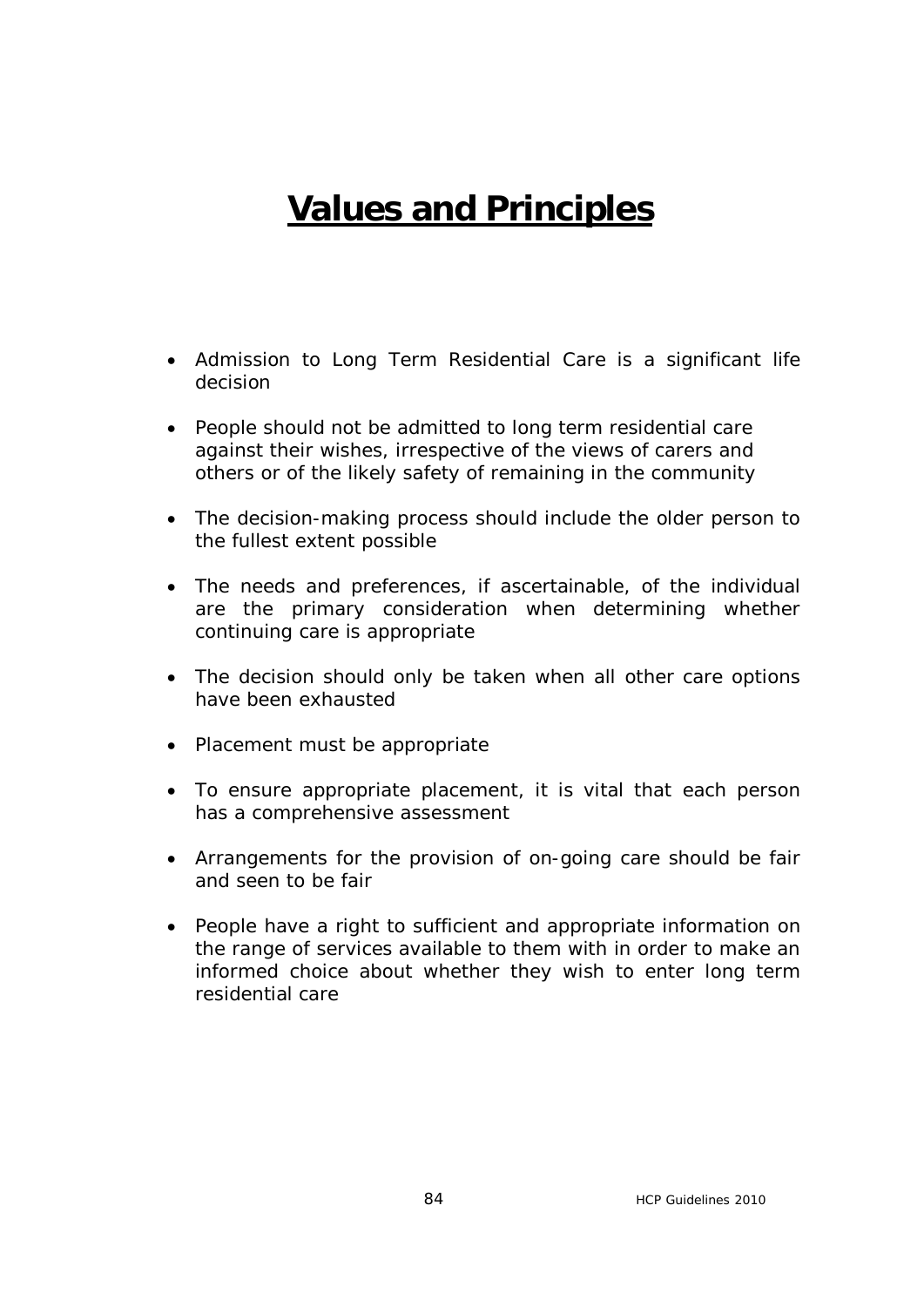# **Values and Principles**

- · Admission to Long Term Residential Care is a significant life decision
- · People should not be admitted to long term residential care against their wishes, irrespective of the views of carers and others or of the likely safety of remaining in the community
- · The decision-making process should include the older person to the fullest extent possible
- · The needs and preferences, if ascertainable, of the individual are the primary consideration when determining whether continuing care is appropriate
- The decision should only be taken when all other care options have been exhausted
- · Placement must be appropriate
- · To ensure appropriate placement, it is vital that each person has a comprehensive assessment
- · Arrangements for the provision of on-going care should be fair and seen to be fair
- · People have a right to sufficient and appropriate information on the range of services available to them with in order to make an informed choice about whether they wish to enter long term residential care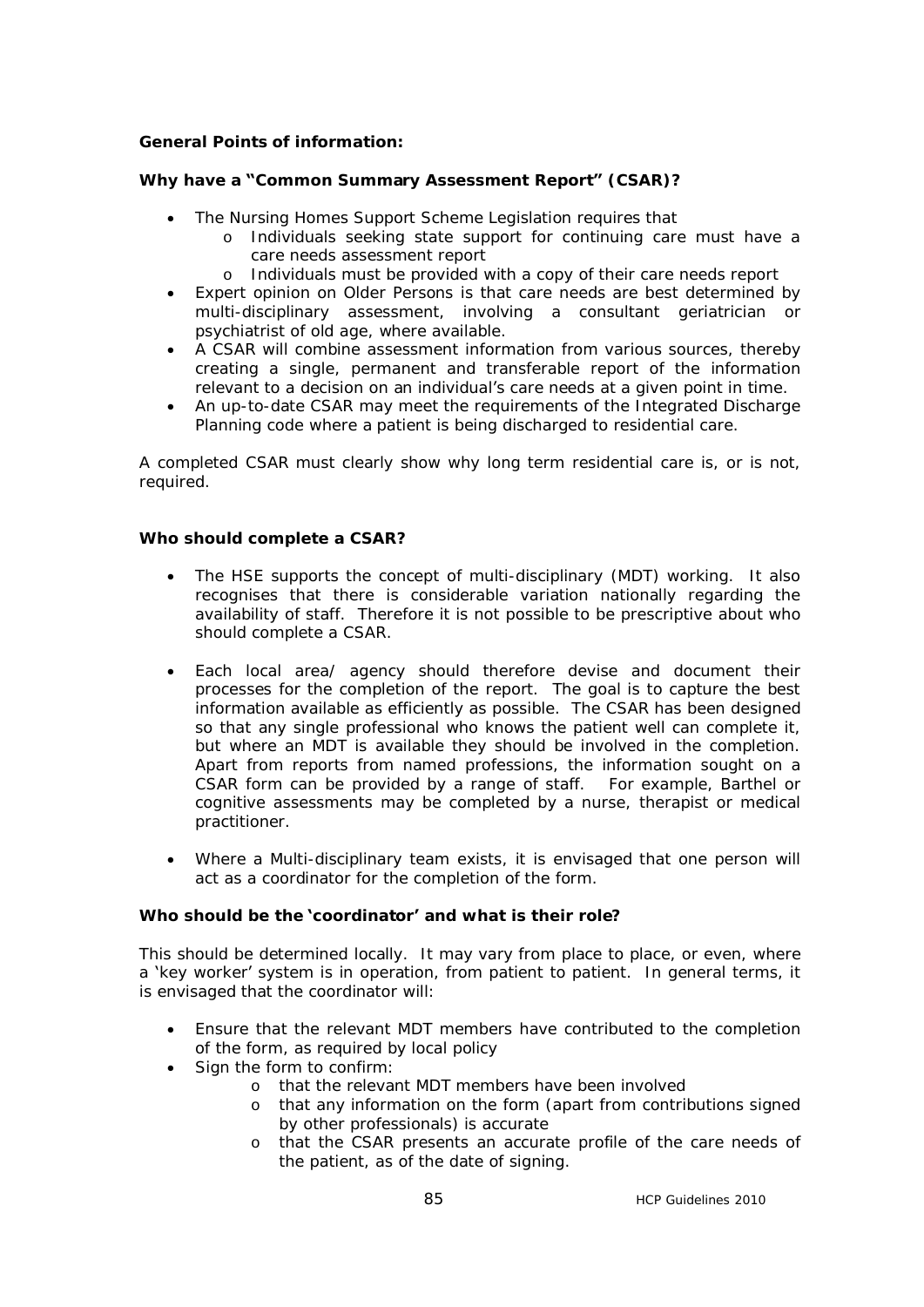#### **General Points of information:**

#### **Why have a "Common Summary Assessment Report" (CSAR)?**

- The Nursing Homes Support Scheme Legislation requires that
	- o Individuals seeking state support for continuing care must have a care needs assessment report
		- o Individuals must be provided with a copy of their care needs report
- · Expert opinion on Older Persons is that care needs are best determined by multi-disciplinary assessment, involving a consultant geriatrician or psychiatrist of old age, where available.
- · A CSAR will combine assessment information from various sources, thereby creating a single, permanent and transferable report of the information relevant to a decision on an individual's care needs at a given point in time.
- · An up-to-date CSAR may meet the requirements of the Integrated Discharge Planning code where a patient is being discharged to residential care.

A completed CSAR must clearly show why long term residential care is, or is not, required.

#### **Who should complete a CSAR?**

- The HSE supports the concept of multi-disciplinary (MDT) working. It also recognises that there is considerable variation nationally regarding the availability of staff. Therefore it is not possible to be prescriptive about who should complete a CSAR.
- · Each local area/ agency should therefore devise and document their processes for the completion of the report. The goal is to capture the best information available as efficiently as possible. The CSAR has been designed so that any single professional who knows the patient well can complete it, but where an MDT is available they should be involved in the completion. Apart from reports from named professions, the information sought on a CSAR form can be provided by a range of staff. For example, Barthel or cognitive assessments may be completed by a nurse, therapist or medical practitioner.
- · Where a Multi-disciplinary team exists, it is envisaged that one person will act as a coordinator for the completion of the form.

#### **Who should be the 'coordinator' and what is their role?**

This should be determined locally. It may vary from place to place, or even, where a 'key worker' system is in operation, from patient to patient. In general terms, it is envisaged that the coordinator will:

- · Ensure that the relevant MDT members have contributed to the completion of the form, as required by local policy
- Sign the form to confirm:
	- o that the relevant MDT members have been involved
	- o that any information on the form (apart from contributions signed by other professionals) is accurate
	- o that the CSAR presents an accurate profile of the care needs of the patient, as of the date of signing.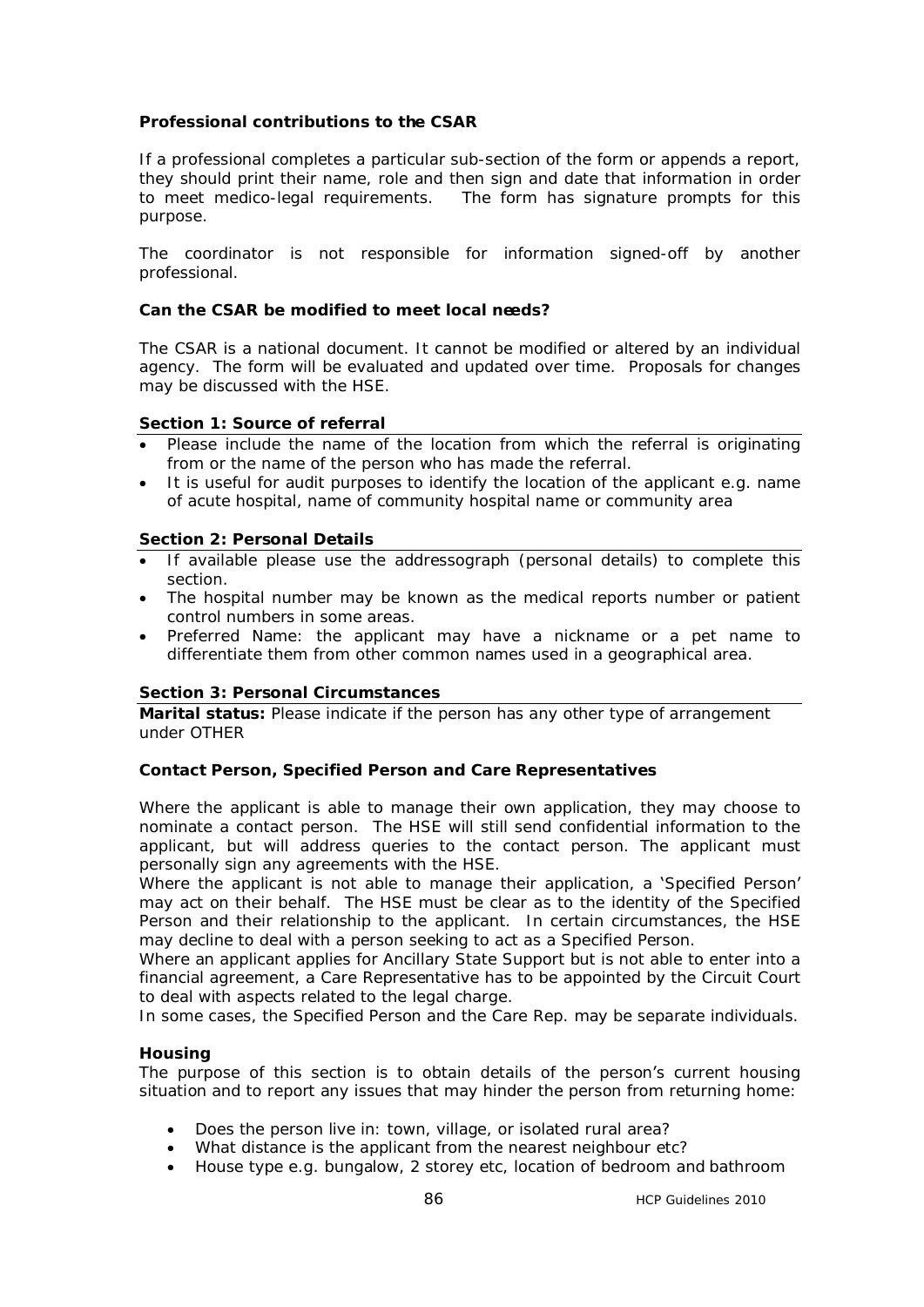#### **Professional contributions to the CSAR**

If a professional completes a particular sub-section of the form or appends a report, they should print their name, role and then sign and date that information in order to meet medico-legal requirements. The form has signature prompts for this purpose.

The coordinator is not responsible for information signed-off by another professional.

#### **Can the CSAR be modified to meet local needs?**

The CSAR is a national document. It cannot be modified or altered by an individual agency. The form will be evaluated and updated over time. Proposals for changes may be discussed with the HSE.

#### **Section 1: Source of referral**

- Please include the name of the location from which the referral is originating from or the name of the person who has made the referral.
- · It is useful for audit purposes to identify the location of the applicant e.g. name of acute hospital, name of community hospital name or community area

#### **Section 2: Personal Details**

- · If available please use the addressograph (personal details) to complete this section.
- · The hospital number may be known as the medical reports number or patient control numbers in some areas.
- · Preferred Name: the applicant may have a nickname or a pet name to differentiate them from other common names used in a geographical area.

#### **Section 3: Personal Circumstances**

**Marital status:** Please indicate if the person has any other type of arrangement under OTHER

#### **Contact Person, Specified Person and Care Representatives**

Where the applicant is able to manage their own application, they may choose to nominate a contact person. The HSE will still send confidential information to the applicant, but will address queries to the contact person. The applicant must personally sign any agreements with the HSE.

Where the applicant is not able to manage their application, a 'Specified Person' may act on their behalf. The HSE must be clear as to the identity of the Specified Person and their relationship to the applicant. In certain circumstances, the HSE may decline to deal with a person seeking to act as a Specified Person.

Where an applicant applies for Ancillary State Support but is not able to enter into a financial agreement, a Care Representative has to be appointed by the Circuit Court to deal with aspects related to the legal charge.

In some cases, the Specified Person and the Care Rep. may be separate individuals.

#### **Housing**

The purpose of this section is to obtain details of the person's current housing situation and to report any issues that may hinder the person from returning home:

- Does the person live in: town, village, or isolated rural area?
- · What distance is the applicant from the nearest neighbour etc?
- · House type e.g. bungalow, 2 storey etc, location of bedroom and bathroom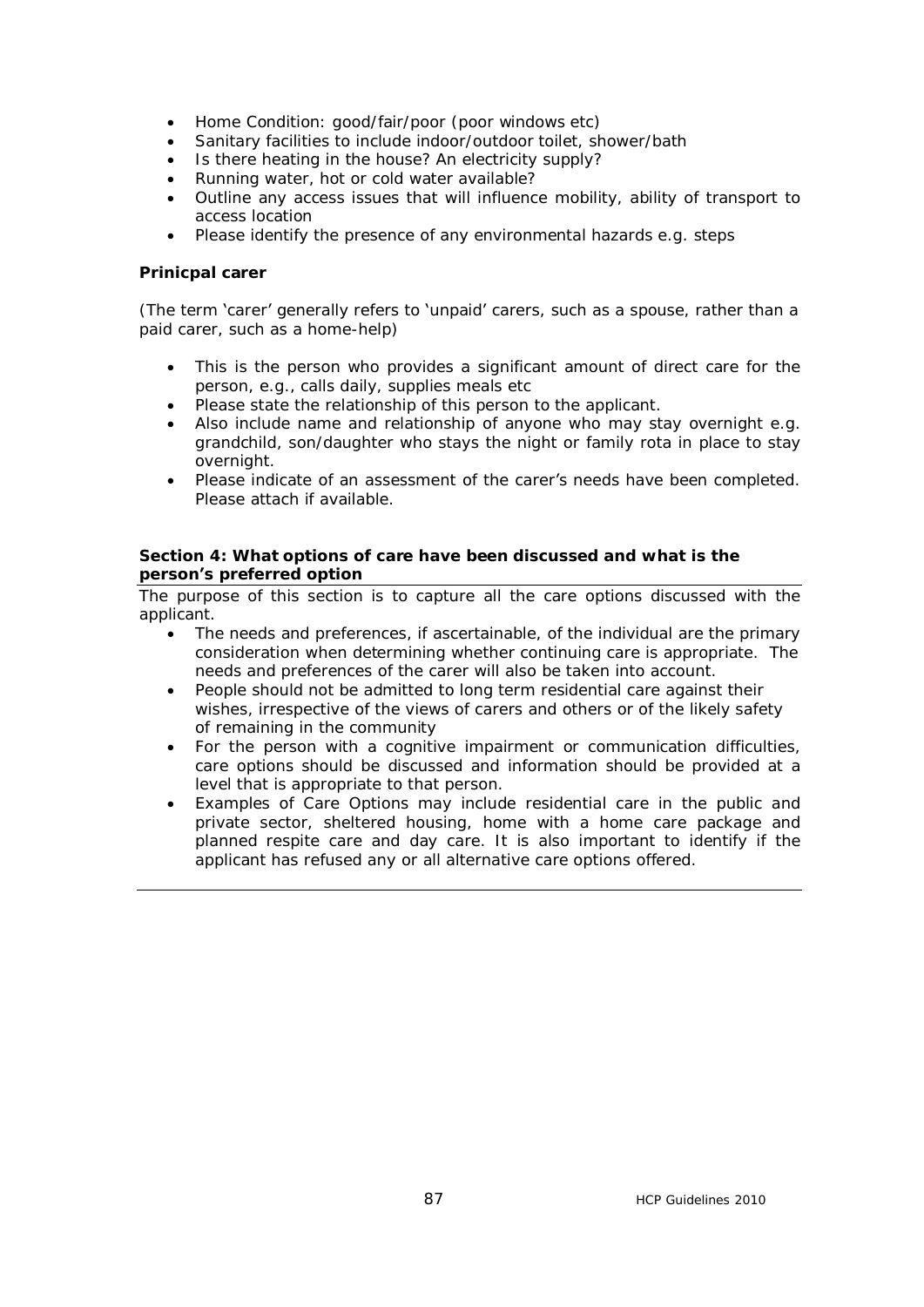- Home Condition: good/fair/poor (poor windows etc)
- Sanitary facilities to include indoor/outdoor toilet, shower/bath
- Is there heating in the house? An electricity supply?
- · Running water, hot or cold water available?
- · Outline any access issues that will influence mobility, ability of transport to access location
- Please identify the presence of any environmental hazards e.g. steps

#### **Prinicpal carer**

(The term 'carer' generally refers to 'unpaid' carers, such as a spouse, rather than a paid carer, such as a home-help)

- · This is the person who provides a significant amount of direct care for the person, e.g., calls daily, supplies meals etc
- · Please state the relationship of this person to the applicant.
- · Also include name and relationship of anyone who may stay overnight e.g. grandchild, son/daughter who stays the night or family rota in place to stay overnight.
- Please indicate of an assessment of the carer's needs have been completed. Please attach if available.

#### **Section 4: What options of care have been discussed and what is the person's preferred option**

The purpose of this section is to capture all the care options discussed with the applicant.

- · The needs and preferences, if ascertainable, of the individual are the primary consideration when determining whether continuing care is appropriate. The needs and preferences of the carer will also be taken into account.
- · People should not be admitted to long term residential care against their wishes, irrespective of the views of carers and others or of the likely safety of remaining in the community
- · For the person with a cognitive impairment or communication difficulties, care options should be discussed and information should be provided at a level that is appropriate to that person.
- · Examples of Care Options may include residential care in the public and private sector, sheltered housing, home with a home care package and planned respite care and day care. It is also important to identify if the applicant has refused any or all alternative care options offered.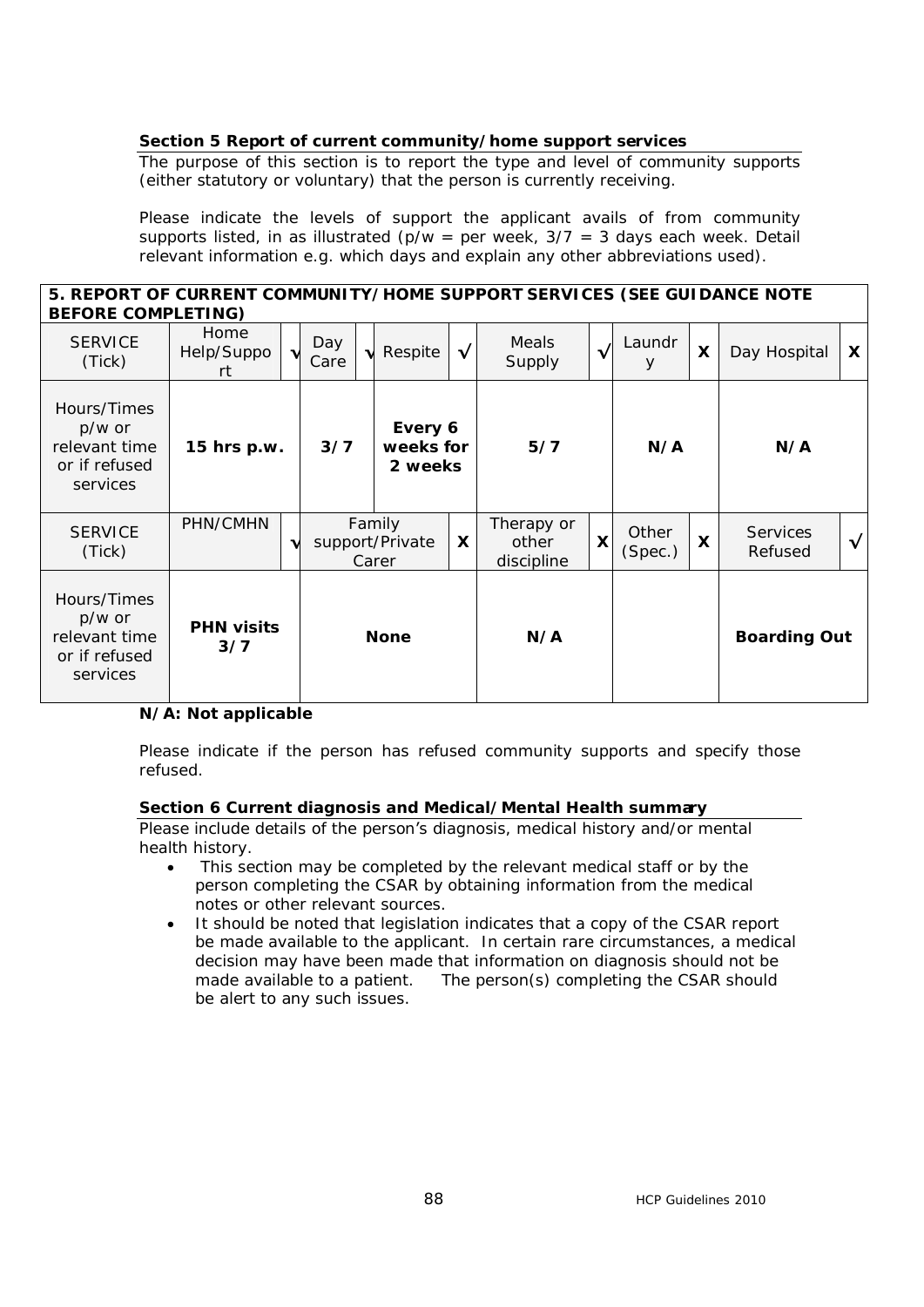#### **Section 5 Report of current community/home support services**

The purpose of this section is to report the type and level of community supports (either statutory or voluntary) that the person is currently receiving.

Please indicate the levels of support the applicant avails of from community supports listed, in as illustrated ( $p/w = per$  week,  $3/7 = 3$  days each week. Detail relevant information e.g. which days and explain any other abbreviations used).

#### **5. REPORT OF CURRENT COMMUNITY/HOME SUPPORT SERVICES (SEE GUIDANCE NOTE BEFORE COMPLETING)**

| <u>DLI ONL COMFILLINO)</u>                                          |                          |   |                                        |  |             |                                   |                 |                  |                           |                            |                     |   |
|---------------------------------------------------------------------|--------------------------|---|----------------------------------------|--|-------------|-----------------------------------|-----------------|------------------|---------------------------|----------------------------|---------------------|---|
| <b>SERVICE</b><br>(Tick)                                            | Home<br>Help/Suppo<br>rt |   | Day<br>Care                            |  | Respite     | $\sqrt{ }$                        | Meals<br>Supply | $\checkmark$     | Laundr<br>У               | $\boldsymbol{\mathsf{x}}$  | Day Hospital        | X |
| Hours/Times<br>p/w or<br>relevant time<br>or if refused<br>services | 15 hrs p.w.              |   | Every 6<br>3/7<br>weeks for<br>2 weeks |  | 5/7         |                                   | N/A             |                  | N/A                       |                            |                     |   |
| <b>SERVICE</b><br>(Tick)                                            | PHN/CMHN                 | v | Family<br>support/Private<br>Carer     |  | X           | Therapy or<br>other<br>discipline | X               | Other<br>(Spec.) | $\boldsymbol{\mathsf{X}}$ | <b>Services</b><br>Refused | $\sqrt{ }$          |   |
| Hours/Times<br>p/w or<br>relevant time<br>or if refused<br>services | <b>PHN visits</b><br>3/7 |   |                                        |  | <b>None</b> |                                   | N/A             |                  |                           |                            | <b>Boarding Out</b> |   |

#### **N/A: Not applicable**

Please indicate if the person has refused community supports and specify those refused.

#### **Section 6 Current diagnosis and Medical/Mental Health summary**

Please include details of the person's diagnosis, medical history and/or mental health history.

- This section may be completed by the relevant medical staff or by the person completing the CSAR by obtaining information from the medical notes or other relevant sources.
- · It should be noted that legislation indicates that a copy of the CSAR report be made available to the applicant. In certain rare circumstances, a medical decision may have been made that information on diagnosis should not be made available to a patient. The person(s) completing the CSAR should be alert to any such issues.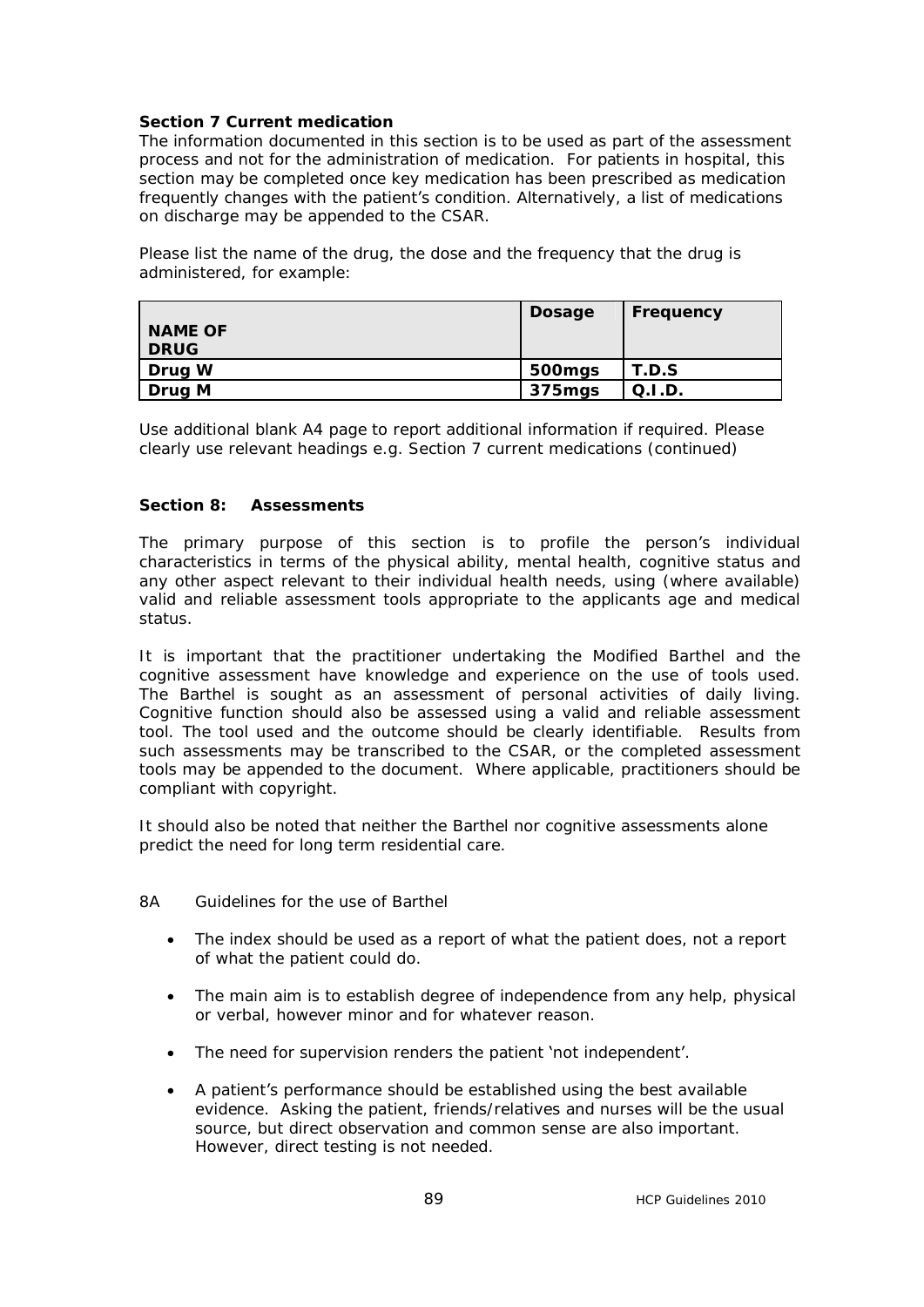#### **Section 7 Current medication**

The information documented in this section is to be used as part of the assessment process and not for the administration of medication. For patients in hospital, this section may be completed once key medication has been prescribed as medication frequently changes with the patient's condition. Alternatively, a list of medications on discharge may be appended to the CSAR.

Please list the name of the drug, the dose and the frequency that the drug is administered, for example:

|                | <b>Dosage</b> | Frequency |
|----------------|---------------|-----------|
| <b>NAME OF</b> |               |           |
| <b>DRUG</b>    |               |           |
| Drug W         | 500mgs        | T.D.S     |
| Drug M         | 375mgs        | Q.I.D.    |

Use additional blank A4 page to report additional information if required. Please clearly use relevant headings e.g. Section 7 current medications (continued)

#### **Section 8: Assessments**

The primary purpose of this section is to profile the person's individual characteristics in terms of the physical ability, mental health, cognitive status and any other aspect relevant to their individual health needs, using (where available) valid and reliable assessment tools appropriate to the applicants age and medical status.

It is important that the practitioner undertaking the Modified Barthel and the cognitive assessment have knowledge and experience on the use of tools used. The Barthel is sought as an assessment of personal activities of daily living. Cognitive function should also be assessed using a valid and reliable assessment tool. The tool used and the outcome should be clearly identifiable. Results from such assessments may be transcribed to the CSAR, or the completed assessment tools may be appended to the document. Where applicable, practitioners should be compliant with copyright.

It should also be noted that neither the Barthel nor cognitive assessments alone predict the need for long term residential care.

- 8A Guidelines for the use of Barthel
	- · The index should be used as a report of what the patient does, not a report of what the patient could do.
	- · The main aim is to establish degree of independence from any help, physical or verbal, however minor and for whatever reason.
	- · The need for supervision renders the patient 'not independent'.
	- · A patient's performance should be established using the best available evidence. Asking the patient, friends/relatives and nurses will be the usual source, but direct observation and common sense are also important. However, direct testing is not needed.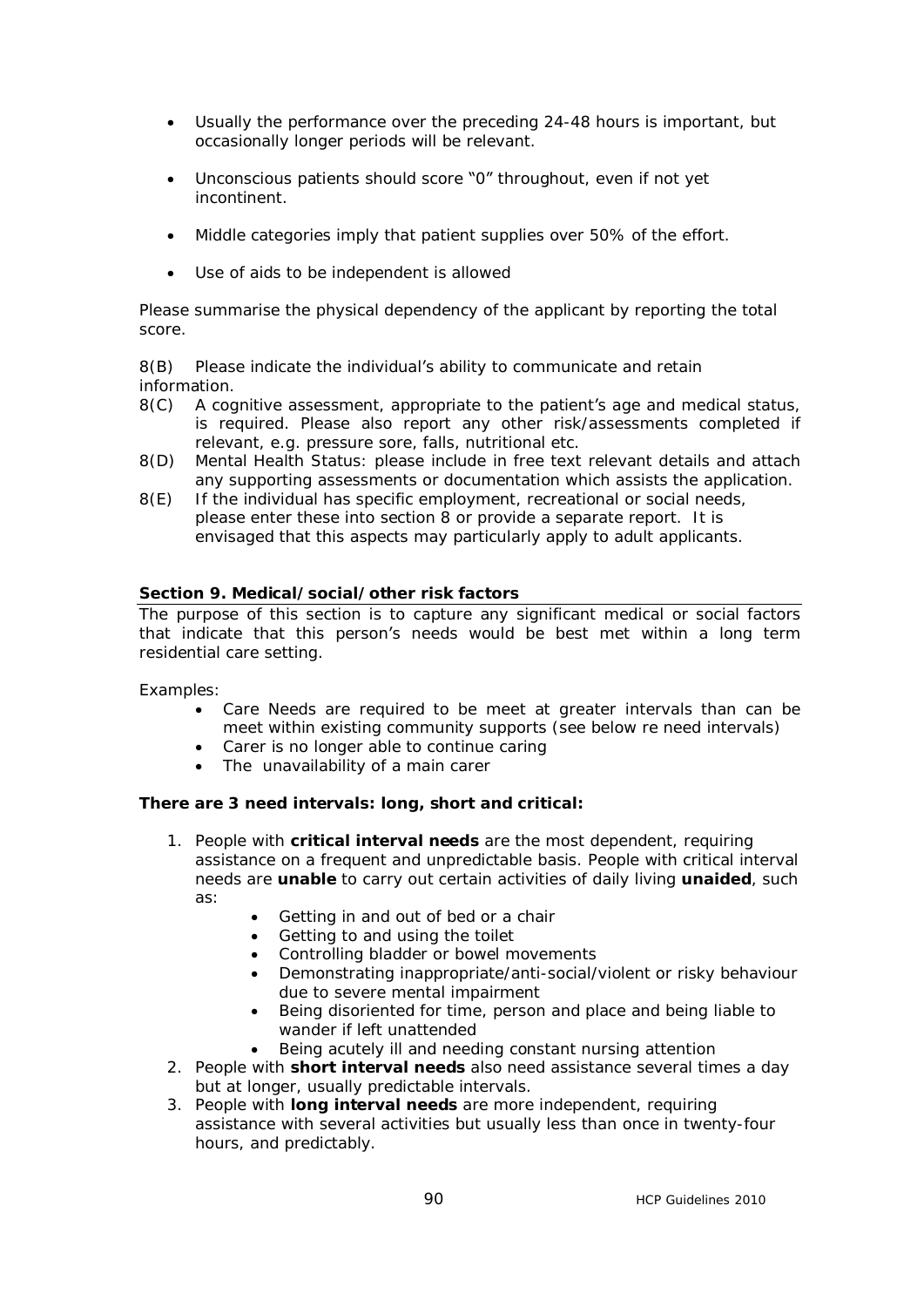- · Usually the performance over the preceding 24-48 hours is important, but occasionally longer periods will be relevant.
- Unconscious patients should score "0" throughout, even if not yet incontinent.
- · Middle categories imply that patient supplies over 50% of the effort.
- · Use of aids to be independent is allowed

Please summarise the physical dependency of the applicant by reporting the total score.

8(B) Please indicate the individual's ability to communicate and retain information.

- 8(C) A cognitive assessment, appropriate to the patient's age and medical status, is required. Please also report any other risk/assessments completed if relevant, e.g. pressure sore, falls, nutritional etc.
- 8(D) Mental Health Status: please include in free text relevant details and attach any supporting assessments or documentation which assists the application.
- 8(E) If the individual has specific employment, recreational or social needs, please enter these into section 8 or provide a separate report. It is envisaged that this aspects may particularly apply to adult applicants.

#### **Section 9. Medical/social/other risk factors**

The purpose of this section is to capture any significant medical or social factors that indicate that this person's needs would be best met within a long term residential care setting.

#### Examples:

- · Care Needs are required to be meet at greater intervals than can be meet within existing community supports (see below re need intervals)
- · Carer is no longer able to continue caring
- · The unavailability of a main carer

#### **There are 3 need intervals: long, short and critical:**

- 1. People with **critical interval needs** are the most dependent, requiring assistance on a frequent and unpredictable basis. People with critical interval needs are **unable** to carry out certain activities of daily living **unaided**, such as:
	- · Getting in and out of bed or a chair
	- · Getting to and using the toilet
	- · Controlling bladder or bowel movements
	- · Demonstrating inappropriate/anti-social/violent or risky behaviour due to severe mental impairment
	- · Being disoriented for time, person and place and being liable to wander if left unattended
	- Being acutely ill and needing constant nursing attention
- 2. People with **short interval needs** also need assistance several times a day but at longer, usually predictable intervals.
- 3. People with **long interval needs** are more independent, requiring assistance with several activities but usually less than once in twenty-four hours, and predictably.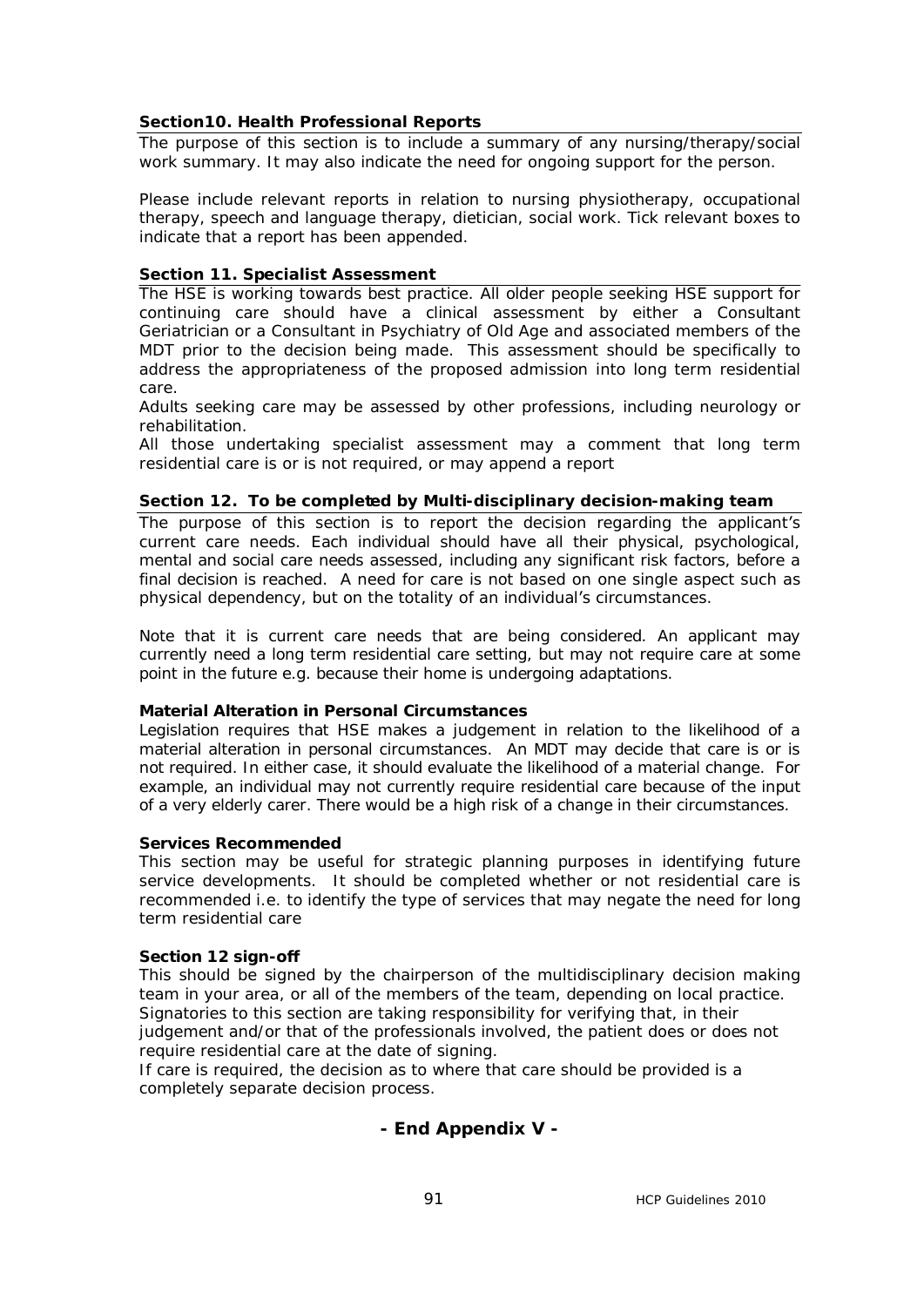#### **Section10. Health Professional Reports**

The purpose of this section is to include a summary of any nursing/therapy/social work summary. It may also indicate the need for ongoing support for the person.

Please include relevant reports in relation to nursing physiotherapy, occupational therapy, speech and language therapy, dietician, social work. Tick relevant boxes to indicate that a report has been appended.

#### **Section 11. Specialist Assessment**

The HSE is working towards best practice. All older people seeking HSE support for continuing care should have a clinical assessment by either a Consultant Geriatrician or a Consultant in Psychiatry of Old Age and associated members of the MDT prior to the decision being made. This assessment should be specifically to address the appropriateness of the proposed admission into long term residential care.

Adults seeking care may be assessed by other professions, including neurology or rehabilitation.

All those undertaking specialist assessment may a comment that long term residential care is or is not required, or may append a report

#### **Section 12. To be completed by Multi-disciplinary decision-making team**

The purpose of this section is to report the decision regarding the applicant's current care needs. Each individual should have all their physical, psychological, mental and social care needs assessed, including any significant risk factors, before a final decision is reached. A need for care is not based on one single aspect such as physical dependency, but on the totality of an individual's circumstances.

Note that it is current care needs that are being considered. An applicant may currently need a long term residential care setting, but may not require care at some point in the future e.g. because their home is undergoing adaptations.

#### **Material Alteration in Personal Circumstances**

Legislation requires that HSE makes a judgement in relation to the likelihood of a material alteration in personal circumstances. An MDT may decide that care is or is not required. In either case, it should evaluate the likelihood of a material change. For example, an individual may not currently require residential care because of the input of a very elderly carer. There would be a high risk of a change in their circumstances.

#### **Services Recommended**

This section may be useful for strategic planning purposes in identifying future service developments. It should be completed whether or not residential care is recommended i.e. to identify the type of services that may negate the need for long term residential care

#### **Section 12 sign-off**

This should be signed by the chairperson of the multidisciplinary decision making team in your area, or all of the members of the team, depending on local practice. Signatories to this section are taking responsibility for verifying that, in their judgement and/or that of the professionals involved, the patient does or does not require residential care at the date of signing.

If care is required, the decision as to where that care should be provided is a completely separate decision process.

#### **- End Appendix V -**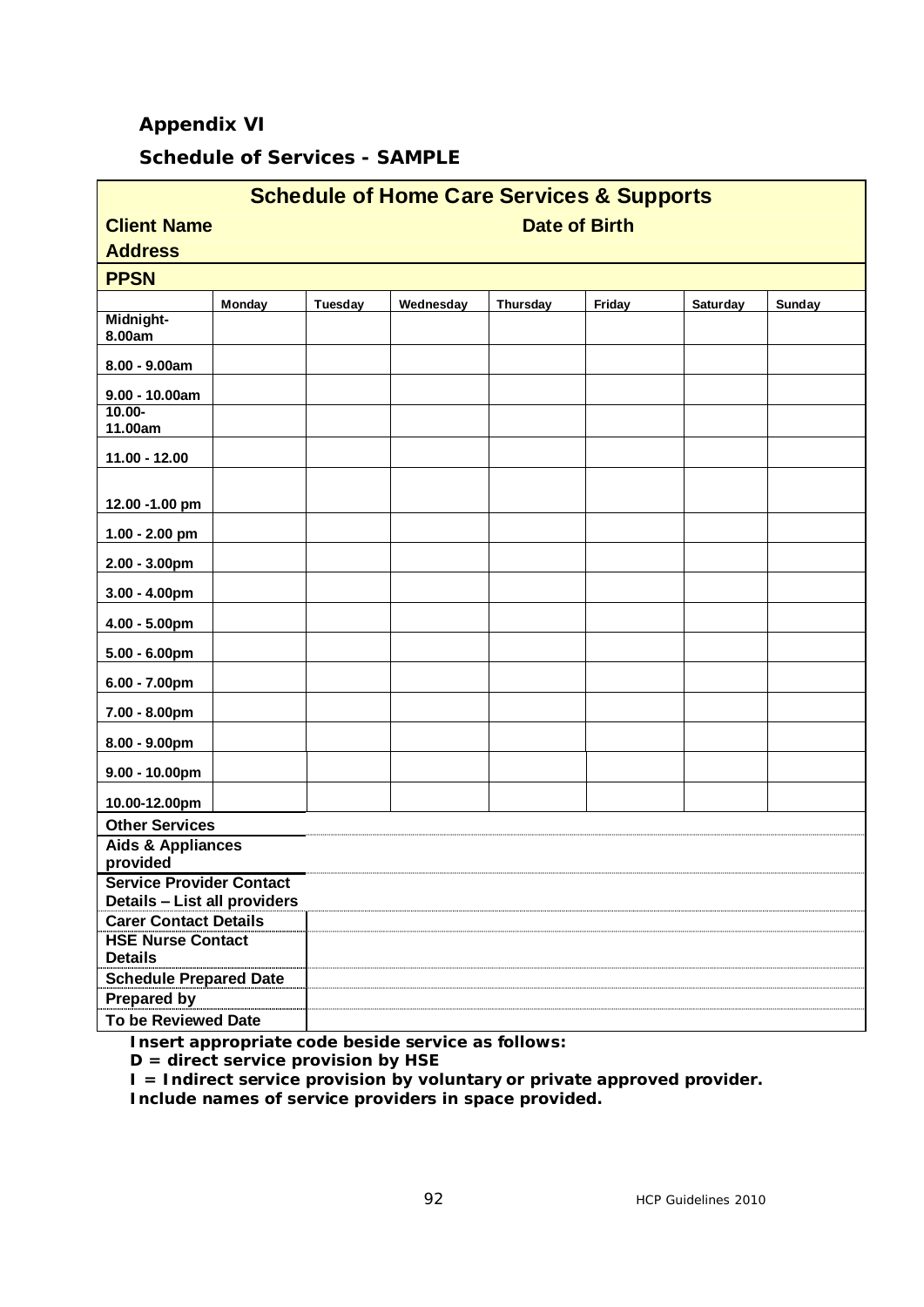## **Appendix VI**

# **Schedule of Services - SAMPLE**

| <b>Schedule of Home Care Services &amp; Supports</b>         |                      |                |           |          |        |                 |               |  |  |
|--------------------------------------------------------------|----------------------|----------------|-----------|----------|--------|-----------------|---------------|--|--|
| <b>Client Name</b>                                           | <b>Date of Birth</b> |                |           |          |        |                 |               |  |  |
| <b>Address</b>                                               |                      |                |           |          |        |                 |               |  |  |
| <b>PPSN</b>                                                  |                      |                |           |          |        |                 |               |  |  |
|                                                              | Monday               | <b>Tuesday</b> | Wednesday | Thursday | Friday | <b>Saturday</b> | <b>Sunday</b> |  |  |
| Midnight-<br>8.00am                                          |                      |                |           |          |        |                 |               |  |  |
| 8.00 - 9.00am                                                |                      |                |           |          |        |                 |               |  |  |
| $9.00 - 10.00am$                                             |                      |                |           |          |        |                 |               |  |  |
| $10.00 -$<br>11.00am                                         |                      |                |           |          |        |                 |               |  |  |
| $11.00 - 12.00$                                              |                      |                |           |          |        |                 |               |  |  |
| 12.00 -1.00 pm                                               |                      |                |           |          |        |                 |               |  |  |
| $1.00 - 2.00$ pm                                             |                      |                |           |          |        |                 |               |  |  |
| $2.00 - 3.00$ pm                                             |                      |                |           |          |        |                 |               |  |  |
| $3.00 - 4.00$ pm                                             |                      |                |           |          |        |                 |               |  |  |
| $4.00 - 5.00$ pm                                             |                      |                |           |          |        |                 |               |  |  |
| $5.00 - 6.00$ pm                                             |                      |                |           |          |        |                 |               |  |  |
| $6.00 - 7.00$ pm                                             |                      |                |           |          |        |                 |               |  |  |
| 7.00 - 8.00pm                                                |                      |                |           |          |        |                 |               |  |  |
| $8.00 - 9.00$ pm                                             |                      |                |           |          |        |                 |               |  |  |
| $9.00 - 10.00$ pm                                            |                      |                |           |          |        |                 |               |  |  |
| 10.00-12.00pm                                                |                      |                |           |          |        |                 |               |  |  |
| <b>Other Services</b>                                        |                      |                |           |          |        |                 |               |  |  |
| <b>Aids &amp; Appliances</b><br>provided                     |                      |                |           |          |        |                 |               |  |  |
| <b>Service Provider Contact</b>                              |                      |                |           |          |        |                 |               |  |  |
| Details - List all providers<br><b>Carer Contact Details</b> |                      |                |           |          |        |                 |               |  |  |
| <b>HSE Nurse Contact</b>                                     |                      |                |           |          |        |                 |               |  |  |
| <b>Details</b>                                               |                      |                |           |          |        |                 |               |  |  |
| <b>Schedule Prepared Date</b>                                |                      |                |           |          |        |                 |               |  |  |
| <b>Prepared by</b>                                           |                      |                |           |          |        |                 |               |  |  |
| <b>To be Reviewed Date</b>                                   |                      |                |           |          |        |                 |               |  |  |

**Insert appropriate code beside service as follows:**

**D = direct service provision by HSE**

**I = Indirect service provision by voluntary or private approved provider.**

**Include names of service providers in space provided.**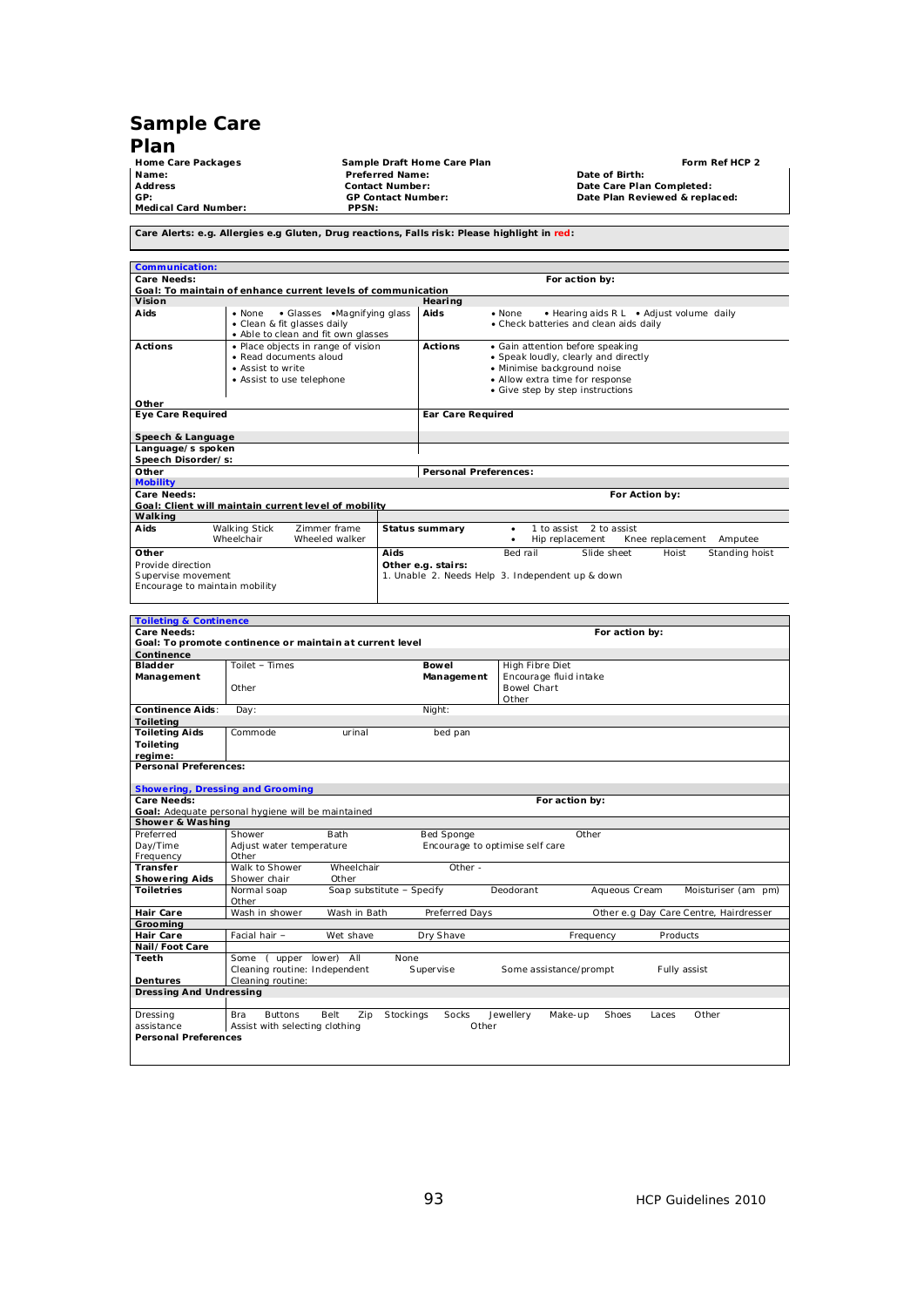# **Sample Care**

**Plan Medical Card Number: PPSN:**

Home Care Packages **Figure 2**<br>
Home Care Packages **Figure 2**<br>
Mame: Preferred Name: Preferred Name: Date of Birth: Date Care Plan Completed:<br>
Address GP: GP Contact Number: Date Plan Reviewed & replaced:<br>
GP: Date Plan Rev **Preferred Name:**<br> **Contact Number:**<br> **GP Contact Number: Address Contact Number: Date Care Plan Completed: GP: GP Contact Number: Date Plan Reviewed & replaced:**

**Care Alerts: e.g. Allergies e.g Gluten, Drug reactions, Falls risk: Please highlight in red:** 

| <b>Communication:</b>                                |                                                                                                                |                                                                                                    |      |                              |                                                                                                                                                                                |             |                 |                |                  |                |
|------------------------------------------------------|----------------------------------------------------------------------------------------------------------------|----------------------------------------------------------------------------------------------------|------|------------------------------|--------------------------------------------------------------------------------------------------------------------------------------------------------------------------------|-------------|-----------------|----------------|------------------|----------------|
| Care Needs:                                          |                                                                                                                |                                                                                                    |      |                              | For action by:                                                                                                                                                                 |             |                 |                |                  |                |
|                                                      |                                                                                                                | Goal: To maintain of enhance current levels of communication                                       |      |                              |                                                                                                                                                                                |             |                 |                |                  |                |
| Vision                                               |                                                                                                                |                                                                                                    |      | Hearing                      |                                                                                                                                                                                |             |                 |                |                  |                |
| Aids                                                 | • None                                                                                                         | • Glasses • Magnifying glass<br>• Clean & fit glasses daily<br>• Able to clean and fit own glasses |      | Aids                         | • Hearing aids R L • Adjust volume daily<br>$\bullet$ None<br>• Check batteries and clean aids daily                                                                           |             |                 |                |                  |                |
| Actions                                              | • Place objects in range of vision<br>• Read documents aloud<br>• Assist to write<br>• Assist to use telephone |                                                                                                    |      | <b>Actions</b>               | • Gain attention before speaking<br>• Speak loudly, clearly and directly<br>· Minimise background noise<br>• Allow extra time for response<br>• Give step by step instructions |             |                 |                |                  |                |
| Other                                                |                                                                                                                |                                                                                                    |      |                              |                                                                                                                                                                                |             |                 |                |                  |                |
| <b>Eye Care Required</b>                             |                                                                                                                |                                                                                                    |      | Ear Care Required            |                                                                                                                                                                                |             |                 |                |                  |                |
| Speech & Language                                    |                                                                                                                |                                                                                                    |      |                              |                                                                                                                                                                                |             |                 |                |                  |                |
| Language/s spoken                                    |                                                                                                                |                                                                                                    |      |                              |                                                                                                                                                                                |             |                 |                |                  |                |
| Speech Disorder/s:                                   |                                                                                                                |                                                                                                    |      |                              |                                                                                                                                                                                |             |                 |                |                  |                |
| Other                                                |                                                                                                                |                                                                                                    |      | <b>Personal Preferences:</b> |                                                                                                                                                                                |             |                 |                |                  |                |
| <b>Mobility</b>                                      |                                                                                                                |                                                                                                    |      |                              |                                                                                                                                                                                |             |                 |                |                  |                |
| Care Needs:                                          |                                                                                                                |                                                                                                    |      |                              |                                                                                                                                                                                |             |                 | For Action by: |                  |                |
|                                                      |                                                                                                                | Goal: Client will maintain current level of mobility                                               |      |                              |                                                                                                                                                                                |             |                 |                |                  |                |
| Walking                                              |                                                                                                                |                                                                                                    |      |                              |                                                                                                                                                                                |             |                 |                |                  |                |
| Aids                                                 | <b>Walking Stick</b><br>Wheelchair                                                                             | Zimmer frame<br>Wheeled walker                                                                     |      | <b>Status summary</b>        | $\bullet$<br>٠                                                                                                                                                                 | 1 to assist | Hip replacement | 2 to assist    | Knee replacement | Amputee        |
| Other                                                |                                                                                                                |                                                                                                    | Aids |                              | Bed rail                                                                                                                                                                       |             | Slide sheet     |                | Hoist            | Standing hoist |
| Provide direction                                    |                                                                                                                |                                                                                                    |      | Other e.g. stairs:           |                                                                                                                                                                                |             |                 |                |                  |                |
| Supervise movement<br>Encourage to maintain mobility |                                                                                                                | 1. Unable 2. Needs Help 3. Independent up & down                                                   |      |                              |                                                                                                                                                                                |             |                 |                |                  |                |

| <b>Toileting &amp; Continence</b>                                                    |                                                          |                                 |                                                   |  |  |  |
|--------------------------------------------------------------------------------------|----------------------------------------------------------|---------------------------------|---------------------------------------------------|--|--|--|
| Care Needs:                                                                          |                                                          | For action by:                  |                                                   |  |  |  |
| Goal: To promote continence or maintain at current level                             |                                                          |                                 |                                                   |  |  |  |
| Continence                                                                           |                                                          |                                 |                                                   |  |  |  |
| <b>Bladder</b>                                                                       | Toilet - Times                                           | <b>Bowel</b>                    | High Fibre Diet                                   |  |  |  |
| Management                                                                           |                                                          | Management                      | Encourage fluid intake                            |  |  |  |
|                                                                                      | Other                                                    |                                 | <b>Bowel Chart</b>                                |  |  |  |
| <b>Continence Aids:</b>                                                              |                                                          |                                 | Other                                             |  |  |  |
| <b>Toileting</b>                                                                     | Day:                                                     | Night:                          |                                                   |  |  |  |
| <b>Toileting Aids</b>                                                                | Commode<br>urinal                                        | bed pan                         |                                                   |  |  |  |
| Toileting                                                                            |                                                          |                                 |                                                   |  |  |  |
| regime:                                                                              |                                                          |                                 |                                                   |  |  |  |
| <b>Personal Preferences:</b>                                                         |                                                          |                                 |                                                   |  |  |  |
|                                                                                      |                                                          |                                 |                                                   |  |  |  |
| <b>Showering, Dressing and Grooming</b>                                              |                                                          |                                 |                                                   |  |  |  |
| Care Needs:                                                                          |                                                          |                                 | For action by:                                    |  |  |  |
|                                                                                      | Goal: Adequate personal hygiene will be maintained       |                                 |                                                   |  |  |  |
| Shower & Washing                                                                     |                                                          |                                 |                                                   |  |  |  |
| Preferred                                                                            | Shower<br><b>Bath</b>                                    | <b>Bed Sponge</b>               | Other                                             |  |  |  |
| Day/Time                                                                             | Adjust water temperature<br>Other                        | Encourage to optimise self care |                                                   |  |  |  |
| Frequency<br><b>Transfer</b>                                                         | Walk to Shower<br>Wheelchair                             | Other -                         |                                                   |  |  |  |
| <b>Showering Aids</b>                                                                | Shower chair<br>Other                                    |                                 |                                                   |  |  |  |
| <b>Toiletries</b>                                                                    | Soap substitute - Specify<br>Normal soap                 |                                 | Deodorant<br>Aqueous Cream<br>Moisturiser (am pm) |  |  |  |
|                                                                                      | Other                                                    |                                 |                                                   |  |  |  |
| <b>Hair Care</b>                                                                     | Wash in shower<br>Wash in Bath                           | Preferred Days                  | Other e.g Day Care Centre, Hairdresser            |  |  |  |
| Groomina                                                                             |                                                          |                                 |                                                   |  |  |  |
| <b>Hair Care</b>                                                                     | Facial hair -<br>Wet shave                               | Dry Shave                       | Products<br>Frequency                             |  |  |  |
| Nail/Foot Care                                                                       |                                                          |                                 |                                                   |  |  |  |
| Teeth                                                                                | Some (upper lower) All<br><b>None</b>                    |                                 |                                                   |  |  |  |
|                                                                                      | Cleaning routine: Independent                            | Supervise                       | Some assistance/prompt<br>Fully assist            |  |  |  |
| <b>Dentures</b>                                                                      | Cleaning routine:                                        |                                 |                                                   |  |  |  |
| <b>Dressing And Undressing</b>                                                       |                                                          |                                 |                                                   |  |  |  |
|                                                                                      |                                                          |                                 |                                                   |  |  |  |
| Dressing                                                                             | <b>Buttons</b><br>Belt<br>Zip<br>Stockings<br><b>Bra</b> | Socks                           | Jewellery<br>Make-up<br>Shoes<br>Other<br>Laces   |  |  |  |
| assistance<br>Assist with selecting clothing<br>Other<br><b>Personal Preferences</b> |                                                          |                                 |                                                   |  |  |  |
|                                                                                      |                                                          |                                 |                                                   |  |  |  |
|                                                                                      |                                                          |                                 |                                                   |  |  |  |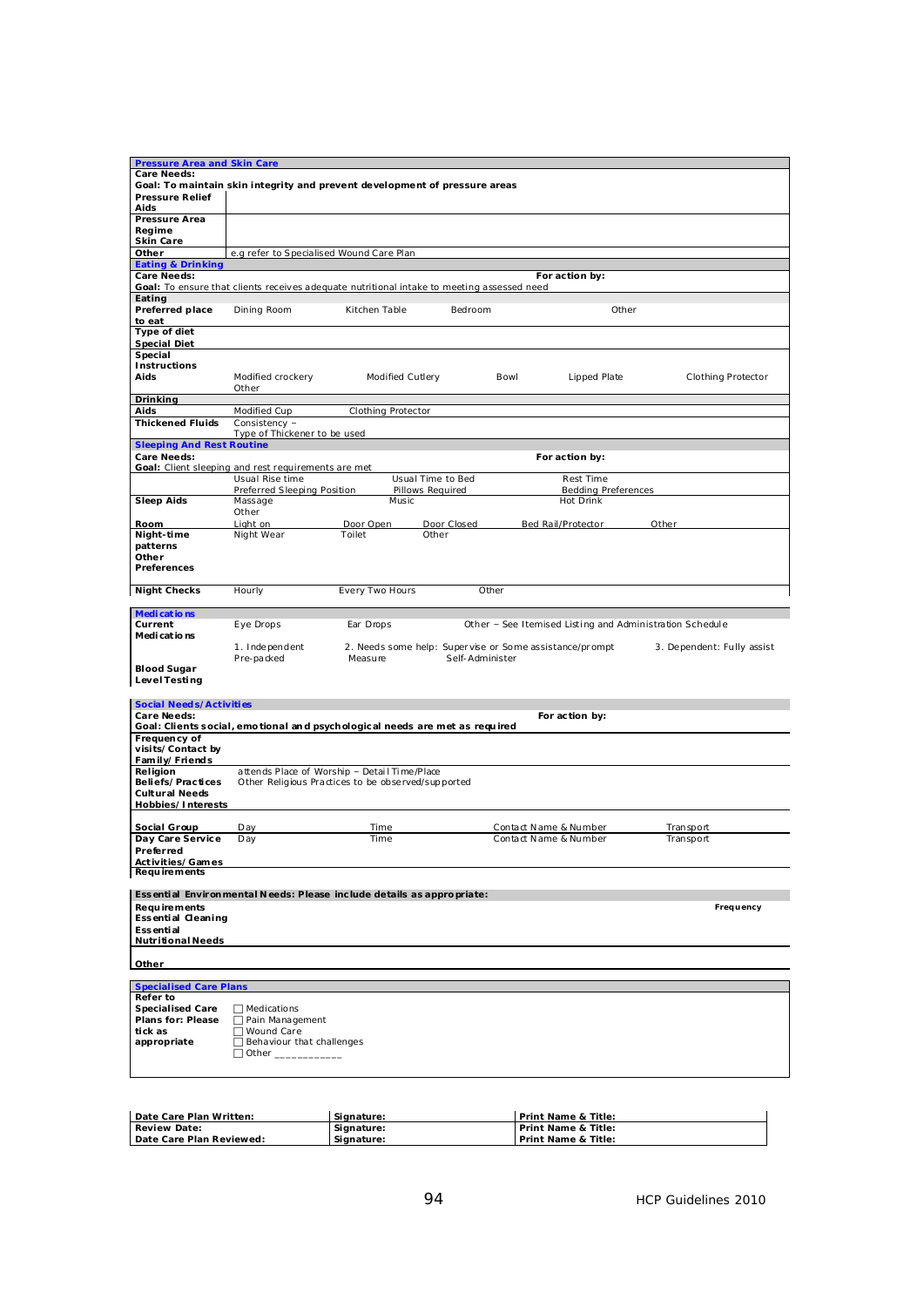| <b>Pressure Area and Skin Care</b><br><b>Care Needs:</b> |                                                                                            |                           |                   |                                                          |                            |
|----------------------------------------------------------|--------------------------------------------------------------------------------------------|---------------------------|-------------------|----------------------------------------------------------|----------------------------|
|                                                          | Goal: To maintain skin integrity and prevent development of pressure areas                 |                           |                   |                                                          |                            |
| <b>Pressure Relief</b>                                   |                                                                                            |                           |                   |                                                          |                            |
| Aids                                                     |                                                                                            |                           |                   |                                                          |                            |
| Pressure Area                                            |                                                                                            |                           |                   |                                                          |                            |
| Regime                                                   |                                                                                            |                           |                   |                                                          |                            |
| Skin Care                                                |                                                                                            |                           |                   |                                                          |                            |
| Other                                                    | e.g refer to Specialised Wound Care Plan                                                   |                           |                   |                                                          |                            |
| <b>Eating &amp; Drinking</b>                             |                                                                                            |                           |                   |                                                          |                            |
| <b>Care Needs:</b>                                       |                                                                                            |                           |                   | For action by:                                           |                            |
|                                                          | Goal: To ensure that clients receives adequate nutritional intake to meeting assessed need |                           |                   |                                                          |                            |
| Eating                                                   |                                                                                            |                           |                   |                                                          |                            |
| Preferred place                                          | Dining Room                                                                                | Kitchen Table             | Bedroom           | Other                                                    |                            |
| to eat                                                   |                                                                                            |                           |                   |                                                          |                            |
| Type of diet                                             |                                                                                            |                           |                   |                                                          |                            |
| <b>Special Diet</b>                                      |                                                                                            |                           |                   |                                                          |                            |
| Special                                                  |                                                                                            |                           |                   |                                                          |                            |
| <b>Instructions</b>                                      |                                                                                            |                           |                   |                                                          |                            |
| Aids                                                     | Modified crockery                                                                          | Modified Cutlery          |                   | Bowl<br>Lipped Plate                                     | <b>Clothing Protector</b>  |
|                                                          | Other                                                                                      |                           |                   |                                                          |                            |
| <b>Drinking</b>                                          |                                                                                            |                           |                   |                                                          |                            |
| Aids                                                     | Modified Cup                                                                               | <b>Clothing Protector</b> |                   |                                                          |                            |
| <b>Thickened Fluids</b>                                  | Consistency -                                                                              |                           |                   |                                                          |                            |
| <b>Sleeping And Rest Routine</b>                         | Type of Thickener to be used                                                               |                           |                   |                                                          |                            |
| <b>Care Needs:</b>                                       |                                                                                            |                           |                   | For action by:                                           |                            |
|                                                          | Goal: Client sleeping and rest requirements are met                                        |                           |                   |                                                          |                            |
|                                                          | Usual Rise time                                                                            |                           | Usual Time to Bed | <b>Rest Time</b>                                         |                            |
|                                                          | Preferred Sleeping Position                                                                |                           | Pillows Required  | <b>Bedding Preferences</b>                               |                            |
| <b>Sleep Aids</b>                                        | Massage                                                                                    | Music                     |                   | Hot Drink                                                |                            |
|                                                          | Other                                                                                      |                           |                   |                                                          |                            |
| Room                                                     | Light on                                                                                   | Door Open                 | Door Closed       | Bed Rail/Protector                                       | Other                      |
| Night-time                                               | Night Wear                                                                                 | Toilet                    | Other             |                                                          |                            |
| patterns                                                 |                                                                                            |                           |                   |                                                          |                            |
| Other                                                    |                                                                                            |                           |                   |                                                          |                            |
| <b>Preferences</b>                                       |                                                                                            |                           |                   |                                                          |                            |
|                                                          |                                                                                            |                           |                   |                                                          |                            |
| <b>Night Checks</b>                                      | Hourly                                                                                     | Every Two Hours           |                   | Other                                                    |                            |
| <b>Medications</b>                                       |                                                                                            |                           |                   |                                                          |                            |
| Current                                                  | Eye Drops                                                                                  | Ear Drops                 |                   | Other - See Itemised Listing and Administration Schedule |                            |
| Medications                                              |                                                                                            |                           |                   |                                                          |                            |
|                                                          | 1. Independent                                                                             |                           |                   | 2. Needs some help: Supervise or Some assistance/prompt  | 3. Dependent: Fully assist |
|                                                          | Pre-packed                                                                                 | Measure                   | Self-Administer   |                                                          |                            |
| <b>Blood Sugar</b>                                       |                                                                                            |                           |                   |                                                          |                            |
| <b>Level Testing</b>                                     |                                                                                            |                           |                   |                                                          |                            |
|                                                          |                                                                                            |                           |                   |                                                          |                            |
| <b>Social Needs/Activities</b>                           |                                                                                            |                           |                   |                                                          |                            |
| Care Needs:                                              |                                                                                            |                           |                   | For action by:                                           |                            |
|                                                          | Goal: Clients social, emotional and psychological needs are met as required                |                           |                   |                                                          |                            |
| Frequency of<br>visits/Contact by                        |                                                                                            |                           |                   |                                                          |                            |
| Family/Friends                                           |                                                                                            |                           |                   |                                                          |                            |
| Religion                                                 | attends Place of Worship - Detail Time/Place                                               |                           |                   |                                                          |                            |
| Beliefs/Practices                                        | Other Religious Practices to be observed/supported                                         |                           |                   |                                                          |                            |
| <b>Cultural Needs</b>                                    |                                                                                            |                           |                   |                                                          |                            |
| Hobbies/Interests                                        |                                                                                            |                           |                   |                                                          |                            |
|                                                          |                                                                                            |                           |                   |                                                          |                            |
| Social Group                                             | Day                                                                                        | Time                      |                   | Contact Name & Number                                    | Transport                  |
| Day Care Service                                         | Day                                                                                        | Time                      |                   | Contact Name & Number                                    | Transport                  |
| Preferred                                                |                                                                                            |                           |                   |                                                          |                            |
| Activities/Games                                         |                                                                                            |                           |                   |                                                          |                            |
| <b>Requirements</b>                                      |                                                                                            |                           |                   |                                                          |                            |
|                                                          | Essential Environmental Needs: Please include details as appropriate:                      |                           |                   |                                                          |                            |
| <b>Requirements</b>                                      |                                                                                            |                           |                   |                                                          | Frequency                  |
| Essential Cleaning                                       |                                                                                            |                           |                   |                                                          |                            |
| <b>Essential</b>                                         |                                                                                            |                           |                   |                                                          |                            |
| <b>Nutritional Needs</b>                                 |                                                                                            |                           |                   |                                                          |                            |
|                                                          |                                                                                            |                           |                   |                                                          |                            |
| Other                                                    |                                                                                            |                           |                   |                                                          |                            |
|                                                          |                                                                                            |                           |                   |                                                          |                            |
| <b>Specialised Care Plans</b>                            |                                                                                            |                           |                   |                                                          |                            |
| Refer to                                                 |                                                                                            |                           |                   |                                                          |                            |
| <b>Specialised Care</b>                                  | $\Box$ Medications                                                                         |                           |                   |                                                          |                            |
| <b>Plans for: Please</b><br>tick as                      | □ Pain Management<br>□ Wound Care                                                          |                           |                   |                                                          |                            |
| appropriate                                              | Behaviour that challenges                                                                  |                           |                   |                                                          |                            |
|                                                          |                                                                                            |                           |                   |                                                          |                            |
|                                                          |                                                                                            |                           |                   |                                                          |                            |
|                                                          |                                                                                            |                           |                   |                                                          |                            |

| Date Care Plan Written:  | Signature: | <b>Print Name &amp; Title:</b> |
|--------------------------|------------|--------------------------------|
| <b>Review Date:</b>      | Signature: | <b>Print Name &amp; Title:</b> |
| Date Care Plan Reviewed: | Signature: | <b>Print Name &amp; Title:</b> |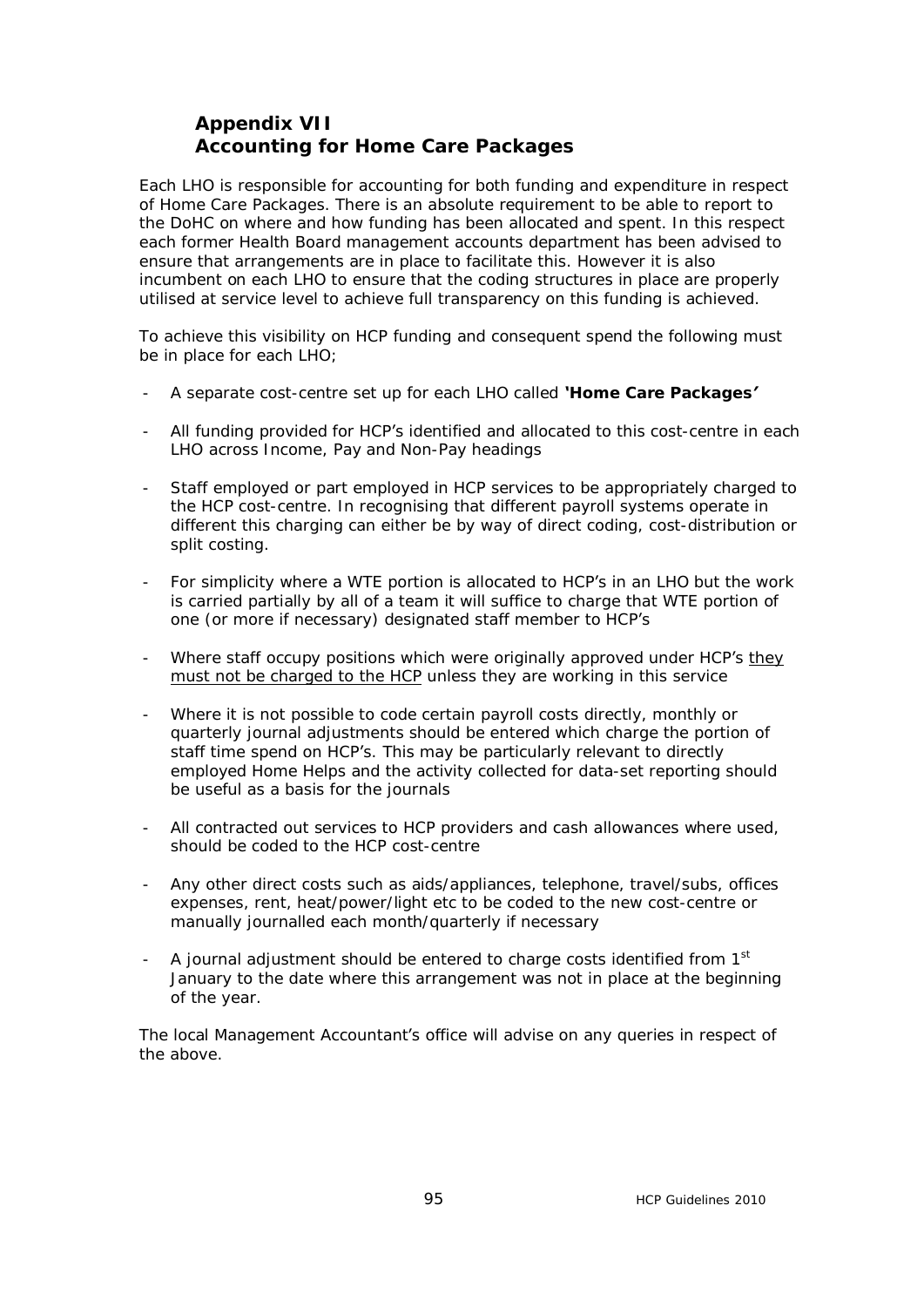# **Appendix VII Accounting for Home Care Packages**

Each LHO is responsible for accounting for both funding and expenditure in respect of Home Care Packages. There is an absolute requirement to be able to report to the DoHC on where and how funding has been allocated and spent. In this respect each former Health Board management accounts department has been advised to ensure that arrangements are in place to facilitate this. However it is also incumbent on each LHO to ensure that the coding structures in place are properly utilised at service level to achieve full transparency on this funding is achieved.

To achieve this visibility on HCP funding and consequent spend the following must be in place for each LHO;

- A separate cost-centre set up for each LHO called *'Home Care Packages'*
- All funding provided for HCP's identified and allocated to this cost-centre in each LHO across Income, Pay and Non-Pay headings
- Staff employed or part employed in HCP services to be appropriately charged to the HCP cost-centre. In recognising that different payroll systems operate in different this charging can either be by way of direct coding, cost-distribution or split costing.
- For simplicity where a WTE portion is allocated to HCP's in an LHO but the work is carried partially by all of a team it will suffice to charge that WTE portion of one (or more if necessary) designated staff member to HCP's
- Where staff occupy positions which were originally approved under HCP's they must not be charged to the HCP unless they are working in this service
- Where it is not possible to code certain payroll costs directly, monthly or quarterly journal adjustments should be entered which charge the portion of staff time spend on HCP's. This may be particularly relevant to directly employed Home Helps and the activity collected for data-set reporting should be useful as a basis for the journals
- All contracted out services to HCP providers and cash allowances where used, should be coded to the HCP cost-centre
- Any other direct costs such as aids/appliances, telephone, travel/subs, offices expenses, rent, heat/power/light etc to be coded to the new cost-centre or manually journalled each month/quarterly if necessary
- A journal adjustment should be entered to charge costs identified from  $1<sup>st</sup>$ January to the date where this arrangement was not in place at the beginning of the year.

The local Management Accountant's office will advise on any queries in respect of the above.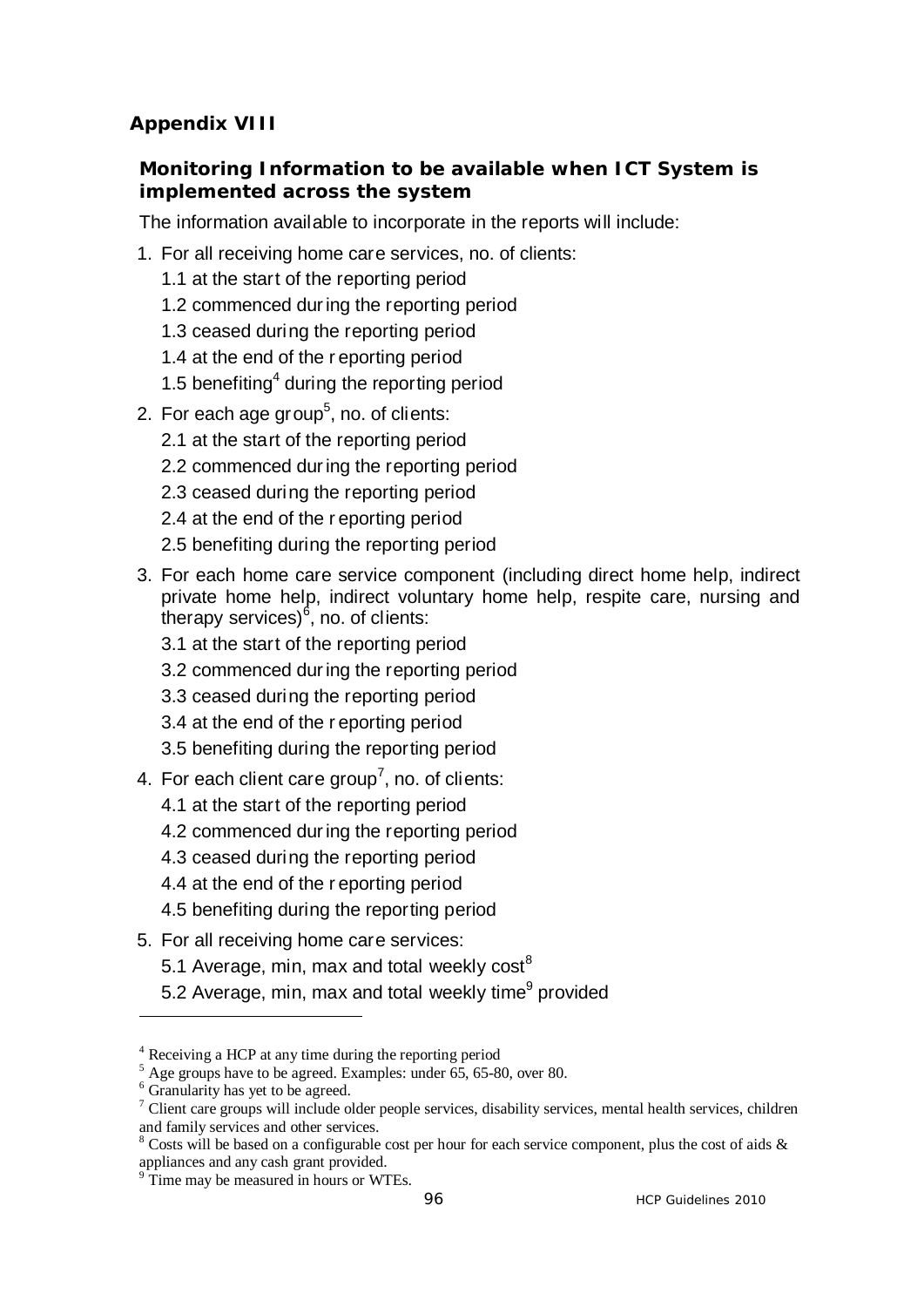# **Appendix VIII**

# **Monitoring Information to be available when ICT System is implemented across the system**

The information available to incorporate in the reports will include:

- 1. For all receiving home care services, no. of clients:
	- 1.1 at the start of the reporting period
	- 1.2 commenced dur ing the reporting period
	- 1.3 ceased during the reporting period
	- 1.4 at the end of the r eporting period
	- 1.5 benefiting $4$  during the reporting period
- 2. For each age group<sup>5</sup>, no. of clients:
	- 2.1 at the start of the reporting period
	- 2.2 commenced dur ing the reporting period
	- 2.3 ceased during the reporting period
	- 2.4 at the end of the r eporting period
	- 2.5 benefiting during the reporting period
- 3. For each home care service component (including direct home help, indirect private home help, indirect voluntary home help, respite care, nursing and therapy services)<sup>6</sup>, no. of clients:
	- 3.1 at the start of the reporting period
	- 3.2 commenced dur ing the reporting period
	- 3.3 ceased during the reporting period
	- 3.4 at the end of the r eporting period
	- 3.5 benefiting during the reporting period
- 4. For each client care group<sup>7</sup>, no. of clients:
	- 4.1 at the start of the reporting period
	- 4.2 commenced dur ing the reporting period
	- 4.3 ceased during the reporting period
	- 4.4 at the end of the r eporting period
	- 4.5 benefiting during the reporting period
- 5. For all receiving home care services:
	- 5.1 Average, min, max and total weekly  $cost^8$
	- 5.2 Average, min, max and total weekly time<sup>9</sup> provided

 $\overline{a}$ 

<sup>&</sup>lt;sup>4</sup> Receiving a HCP at any time during the reporting period  $\frac{5}{5}$  A so groups have to be agreed. Examples: under  $65, 65, 8$ 

Age groups have to be agreed. Examples: under 65, 65-80, over 80.

<sup>&</sup>lt;sup>6</sup> Granularity has yet to be agreed.

<sup>&</sup>lt;sup>7</sup> Client care groups will include older people services, disability services, mental health services, children and family services and other services.

<sup>&</sup>lt;sup>8</sup> Costs will be based on a configurable cost per hour for each service component, plus the cost of aids  $\&$ appliances and any cash grant provided.

<sup>&</sup>lt;sup>9</sup> Time may be measured in hours or WTEs.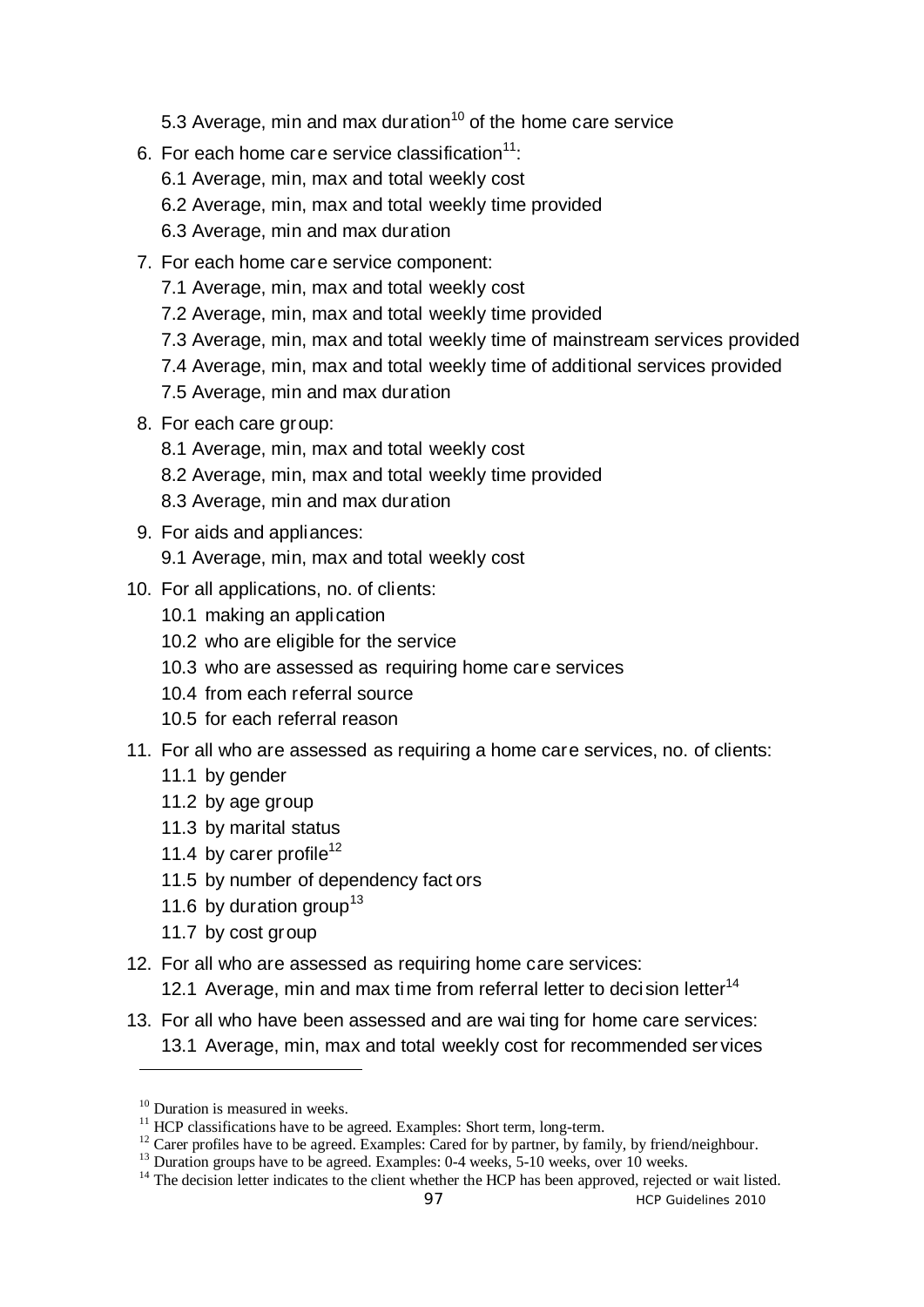- 5.3 Average, min and max duration $10$  of the home care service
- 6. For each home care service classification $11$ :
	- 6.1 Average, min, max and total weekly cost
	- 6.2 Average, min, max and total weekly time provided
	- 6.3 Average, min and max duration
- 7. For each home care service component:
	- 7.1 Average, min, max and total weekly cost
	- 7.2 Average, min, max and total weekly time provided
	- 7.3 Average, min, max and total weekly time of mainstream services provided
	- 7.4 Average, min, max and total weekly time of additional services provided
	- 7.5 Average, min and max duration
- 8. For each care group:
	- 8.1 Average, min, max and total weekly cost
	- 8.2 Average, min, max and total weekly time provided
	- 8.3 Average, min and max duration

# 9. For aids and appliances:

- 9.1 Average, min, max and total weekly cost
- 10. For all applications, no. of clients:
	- 10.1 making an application
	- 10.2 who are eligible for the service
	- 10.3 who are assessed as requiring home care services
	- 10.4 from each referral source
	- 10.5 for each referral reason
- 11. For all who are assessed as requiring a home care services, no. of clients:
	- 11.1 by gender
	- 11.2 by age group
	- 11.3 by marital status
	- 11.4 by carer profile<sup>12</sup>
	- 11.5 by number of dependency fact ors
	- 11.6 by duration group<sup>13</sup>
	- 11.7 by cost group
- 12. For all who are assessed as requiring home care services:
	- 12.1 Average, min and max time from referral letter to decision letter<sup>14</sup>
- 13. For all who have been assessed and are wai ting for home care services: 13.1 Average, min, max and total weekly cost for recommended ser vices

 $\overline{a}$ 

 $10$  Duration is measured in weeks.<br> $11$  HCP classifications have to be agreed. Examples: Short term, long-term.

<sup>&</sup>lt;sup>12</sup> Carer profiles have to be agreed. Examples: Cared for by partner, by family, by friend/neighbour.<br><sup>13</sup> Duration groups have to be agreed. Examples: 0-4 weeks, 5-10 weeks, over 10 weeks.<br><sup>14</sup> The decision letter indic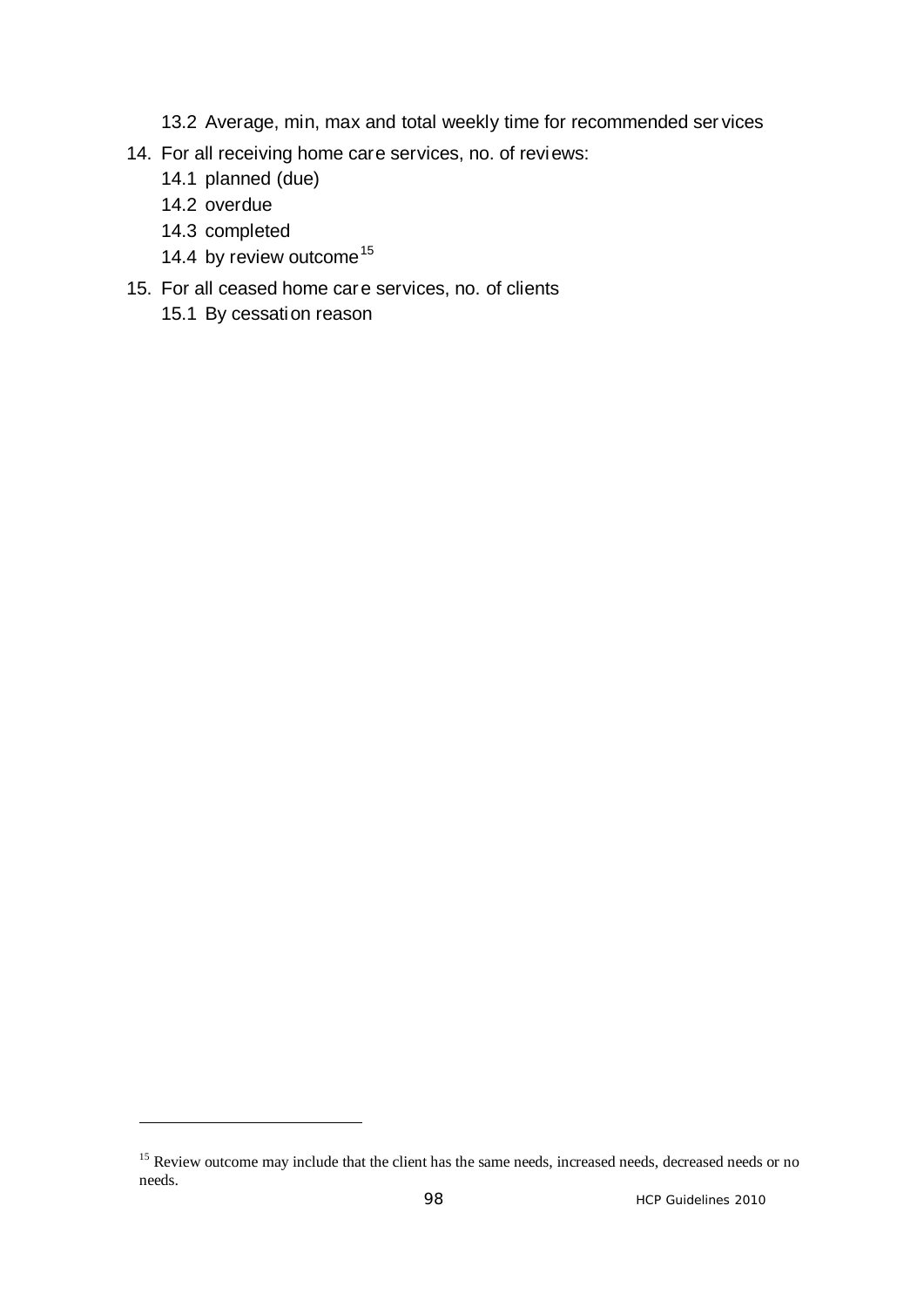- 13.2 Average, min, max and total weekly time for recommended ser vices
- 14. For all receiving home care services, no. of reviews:
	- 14.1 planned (due)
	- 14.2 overdue

 $\overline{a}$ 

- 14.3 completed
- 14.4 by review outcome<sup>15</sup>
- 15. For all ceased home care services, no. of clients
	- 15.1 By cessation reason

<sup>&</sup>lt;sup>15</sup> Review outcome may include that the client has the same needs, increased needs, decreased needs or no needs.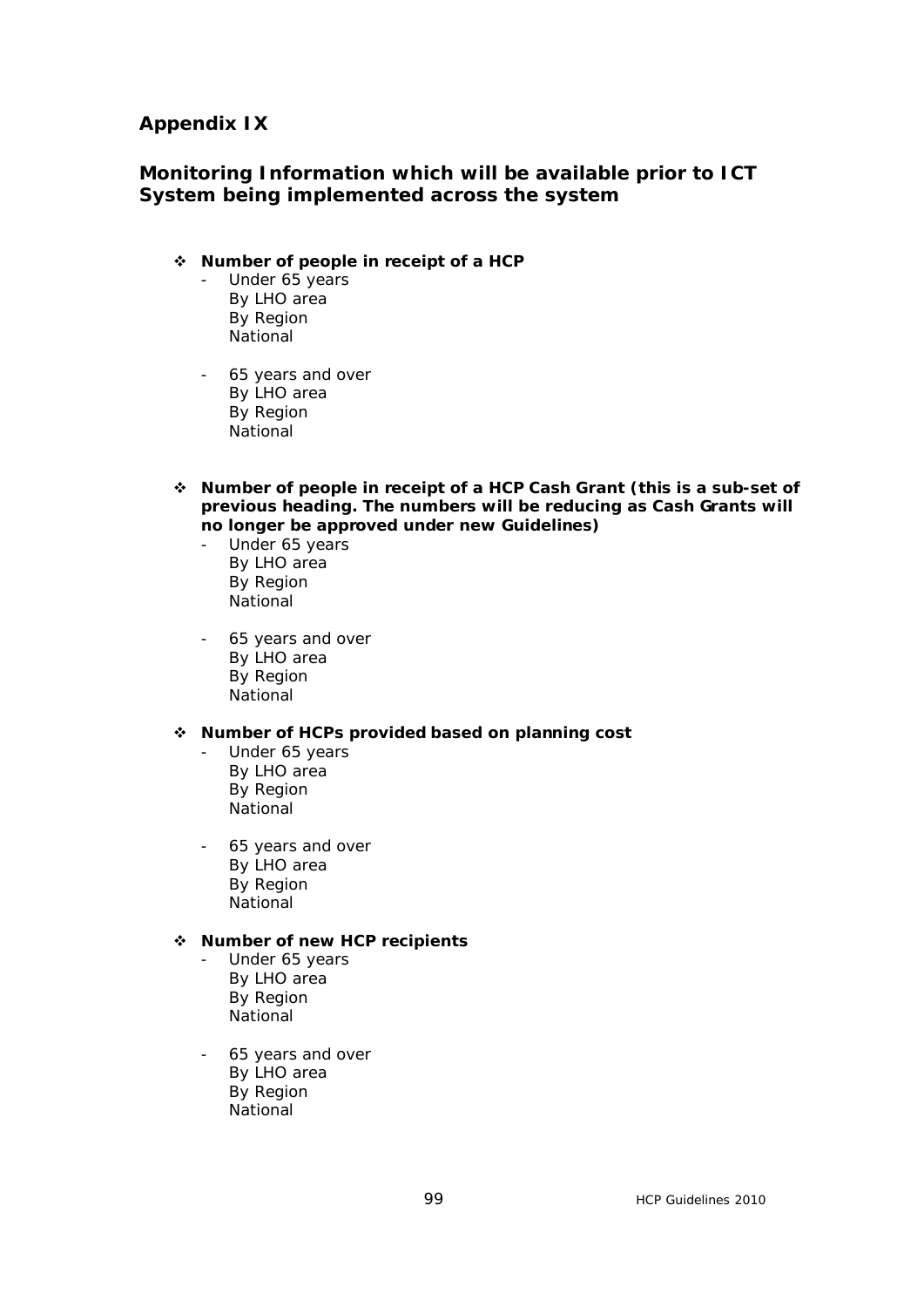#### **Appendix IX**

### **Monitoring Information which will be available prior to ICT System being implemented across the system**

#### v **Number of people in receipt of a HCP**

- Under 65 years By LHO area By Region **National**
- 65 years and over By LHO area By Region National
- v **Number of people in receipt of a HCP Cash Grant (this is a sub-set of previous heading. The numbers will be reducing as Cash Grants will no longer be approved under new Guidelines)**
	- Under 65 years By LHO area By Region National
	- 65 years and over By LHO area By Region **National**

#### v **Number of HCPs provided based on planning cost**

- Under 65 years By LHO area By Region National
- 65 years and over By LHO area By Region National

#### v **Number of new HCP recipients**

- Under 65 years By LHO area By Region **National**
- 65 years and over By LHO area By Region **National**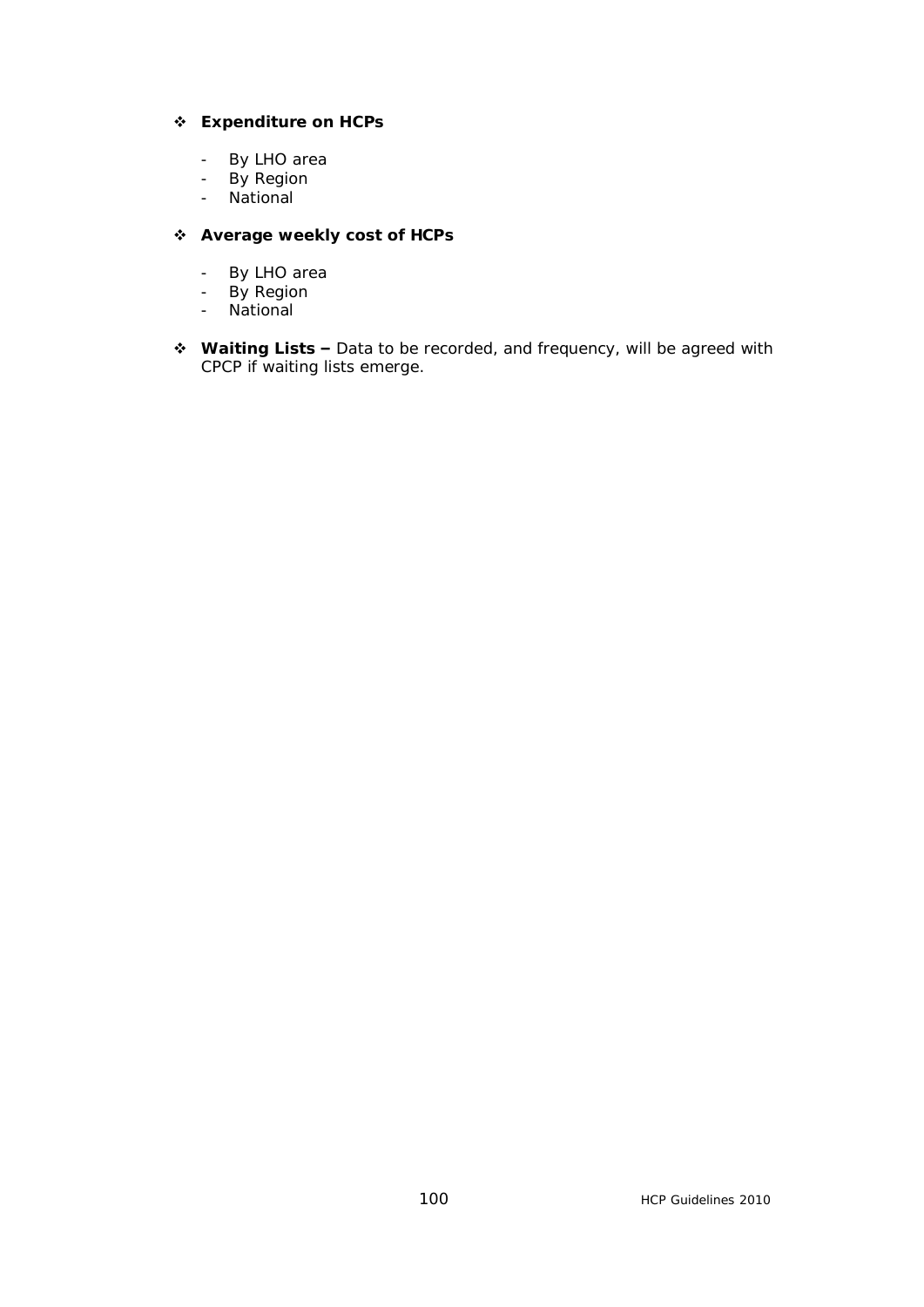### v **Expenditure on HCPs**

- By LHO area
- By Region
- National

#### v **Average weekly cost of HCPs**

- By LHO area
- By Region
- National
- **❖ Waiting Lists –** Data to be recorded, and frequency, will be agreed with CPCP if waiting lists emerge.